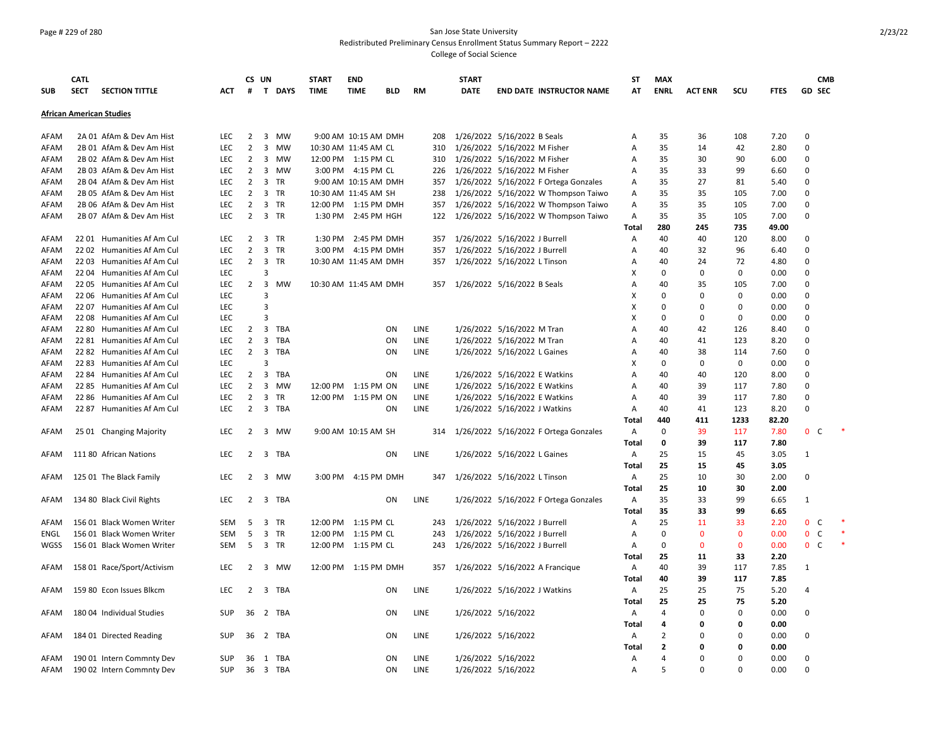### Page # 229 of 280 San Jose State University Redistributed Preliminary Census Enrollment Status Summary Report – 2222 College of Social Science

|            | <b>CATL</b> |                                 |            | CS UN          |                         |           | <b>START</b>          | <b>END</b>           |            |             | <b>START</b> |                                       | ST           | <b>MAX</b>     |                |              |             | <b>CMB</b>         |  |
|------------|-------------|---------------------------------|------------|----------------|-------------------------|-----------|-----------------------|----------------------|------------|-------------|--------------|---------------------------------------|--------------|----------------|----------------|--------------|-------------|--------------------|--|
| <b>SUB</b> | <b>SECT</b> | <b>SECTION TITTLE</b>           | <b>ACT</b> | #              | T DAYS                  |           | <b>TIME</b>           | <b>TIME</b>          | <b>BLD</b> | RM          | <b>DATE</b>  | <b>END DATE INSTRUCTOR NAME</b>       | АТ           | <b>ENRL</b>    | <b>ACT ENR</b> | SCU          | <b>FTES</b> | GD SEC             |  |
|            |             | <b>African American Studies</b> |            |                |                         |           |                       |                      |            |             |              |                                       |              |                |                |              |             |                    |  |
|            |             |                                 |            |                |                         |           |                       |                      |            |             |              |                                       |              |                |                |              |             |                    |  |
| AFAM       |             | 2A 01 AfAm & Dev Am Hist        | <b>LEC</b> | $\overline{2}$ | 3 MW                    |           |                       | 9:00 AM 10:15 AM DMH |            | 208         |              | 1/26/2022 5/16/2022 B Seals           | Α            | 35             | 36             | 108          | 7.20        | $\mathbf 0$        |  |
| AFAM       |             | 2B 01 AfAm & Dev Am Hist        | LEC        | $\overline{2}$ | 3 MW                    |           | 10:30 AM 11:45 AM CL  |                      |            | 310         |              | 1/26/2022 5/16/2022 M Fisher          | Α            | 35             | 14             | 42           | 2.80        | $\mathbf 0$        |  |
| AFAM       |             | 2B 02 AfAm & Dev Am Hist        | LEC        | $\overline{2}$ | 3                       | MW        | 12:00 PM 1:15 PM CL   |                      |            | 310         |              | 1/26/2022 5/16/2022 M Fisher          | Α            | 35             | 30             | 90           | 6.00        | $\mathbf 0$        |  |
| AFAM       |             | 2B 03 AfAm & Dev Am Hist        | <b>LEC</b> | $\overline{2}$ | 3 MW                    |           |                       | 3:00 PM 4:15 PM CL   |            | 226         |              | 1/26/2022 5/16/2022 M Fisher          | Α            | 35             | 33             | 99           | 6.60        | $\Omega$           |  |
| AFAM       |             | 2B 04 AfAm & Dev Am Hist        | LEC        | $\overline{2}$ | 3                       | TR        |                       | 9:00 AM 10:15 AM DMH |            | 357         |              | 1/26/2022 5/16/2022 F Ortega Gonzales | Α            | 35             | 27             | 81           | 5.40        | 0                  |  |
| AFAM       |             | 2B 05 AfAm & Dev Am Hist        | LEC        | $\overline{2}$ | 3 TR                    |           | 10:30 AM 11:45 AM SH  |                      |            | 238         |              | 1/26/2022 5/16/2022 W Thompson Taiwo  | Α            | 35             | 35             | 105          | 7.00        | $\mathbf 0$        |  |
| AFAM       |             | 2B 06 AfAm & Dev Am Hist        | <b>LEC</b> | $\overline{2}$ | $\mathbf{3}$            | <b>TR</b> | 12:00 PM 1:15 PM DMH  |                      |            | 357         |              | 1/26/2022 5/16/2022 W Thompson Taiwo  | Α            | 35             | 35             | 105          | 7.00        | $\mathbf 0$        |  |
| AFAM       |             | 2B 07 AfAm & Dev Am Hist        | <b>LEC</b> | $\overline{2}$ | 3 TR                    |           |                       | 1:30 PM 2:45 PM HGH  |            | 122         |              | 1/26/2022 5/16/2022 W Thompson Taiwo  | Α            | 35             | 35             | 105          | 7.00        | $\Omega$           |  |
|            |             |                                 |            |                |                         |           |                       |                      |            |             |              |                                       | Total        | 280            | 245            | 735          | 49.00       |                    |  |
| AFAM       |             | 2201 Humanities Af Am Cul       | <b>LEC</b> | 2              | 3                       | TR        |                       | 1:30 PM 2:45 PM DMH  |            | 357         |              | 1/26/2022 5/16/2022 J Burrell         | A            | 40             | 40             | 120          | 8.00        | $\Omega$           |  |
| AFAM       | 2202        | Humanities Af Am Cul            | <b>LEC</b> | $\overline{2}$ | 3 TR                    |           |                       | 3:00 PM 4:15 PM DMH  |            | 357         |              | 1/26/2022 5/16/2022 J Burrell         | Α            | 40             | 32             | 96           | 6.40        | 0                  |  |
| AFAM       |             | 22 03 Humanities Af Am Cul      | LEC        | $\overline{2}$ | $\overline{\mathbf{3}}$ | TR        | 10:30 AM 11:45 AM DMH |                      |            | 357         |              | 1/26/2022 5/16/2022 L Tinson          | Α            | 40             | 24             | 72           | 4.80        | $\mathbf 0$        |  |
| AFAM       |             | 22 04 Humanities Af Am Cul      | LEC        |                | 3                       |           |                       |                      |            |             |              |                                       | Χ            | 0              | 0              | 0            | 0.00        | $\mathbf 0$        |  |
| AFAM       | 2205        | Humanities Af Am Cul            | LEC        | $\overline{2}$ | $\overline{3}$          | MW        | 10:30 AM 11:45 AM DMH |                      |            | 357         |              | 1/26/2022 5/16/2022 B Seals           | Α            | 40             | 35             | 105          | 7.00        | $\Omega$           |  |
| AFAM       | 2206        | Humanities Af Am Cul            | <b>LEC</b> |                | 3                       |           |                       |                      |            |             |              |                                       | X            | 0              | $\Omega$       | $\Omega$     | 0.00        | $\Omega$           |  |
| AFAM       | 2207        | Humanities Af Am Cul            | LEC        |                | $\overline{3}$          |           |                       |                      |            |             |              |                                       | х            | 0              | 0              | $\mathbf 0$  | 0.00        | 0                  |  |
| AFAM       |             | 22 08 Humanities Af Am Cul      | LEC        |                | $\overline{3}$          |           |                       |                      |            |             |              |                                       | х            | 0              | $\mathbf 0$    | $\Omega$     | 0.00        | $\mathbf 0$        |  |
| AFAM       | 22 80       | Humanities Af Am Cul            | LEC        | $\overline{2}$ | $\overline{3}$          | TBA       |                       |                      | ON         | LINE        |              | 1/26/2022 5/16/2022 M Tran            | Α            | 40             | 42             | 126          | 8.40        | $\mathbf 0$        |  |
| AFAM       |             | 22 81 Humanities Af Am Cul      | LEC        | $\overline{2}$ | $\overline{\mathbf{3}}$ | TBA       |                       |                      | ON         | LINE        |              | 1/26/2022 5/16/2022 M Tran            | Α            | 40             | 41             | 123          | 8.20        | $\Omega$           |  |
| AFAM       |             | 22 82 Humanities Af Am Cul      | <b>LEC</b> | $\overline{2}$ | $\overline{3}$          | TBA       |                       |                      | ON         | <b>LINE</b> |              | 1/26/2022 5/16/2022 L Gaines          | A            | 40             | 38             | 114          | 7.60        | $\Omega$           |  |
| AFAM       | 2283        | Humanities Af Am Cul            | <b>LEC</b> |                | 3                       |           |                       |                      |            |             |              |                                       | х            | 0              | $\mathbf 0$    | 0            | 0.00        | $\Omega$           |  |
| AFAM       |             | 22 84 Humanities Af Am Cul      | LEC        | $\overline{2}$ | $\overline{3}$          | TBA       |                       |                      | ON         | LINE        |              | 1/26/2022 5/16/2022 E Watkins         | Α            | 40             | 40             | 120          | 8.00        | $\mathbf 0$        |  |
| AFAM       |             | 22 85 Humanities Af Am Cul      | LEC        | $\overline{2}$ | 3                       | MW        | 12:00 PM 1:15 PM ON   |                      |            | LINE        |              | 1/26/2022 5/16/2022 E Watkins         | Α            | 40             | 39             | 117          | 7.80        | $\mathbf 0$        |  |
| AFAM       |             | 22 86 Humanities Af Am Cul      | LEC        | $\overline{2}$ | 3 TR                    |           | 12:00 PM 1:15 PM ON   |                      |            | LINE        |              | 1/26/2022 5/16/2022 E Watkins         | Α            | 40             | 39             | 117          | 7.80        | $\mathbf 0$        |  |
| AFAM       |             | 22 87 Humanities Af Am Cul      | <b>LEC</b> | $\overline{2}$ | $\overline{3}$          | TBA       |                       |                      | ON         | <b>LINE</b> |              |                                       | A            | 40             | 41             | 123          | 8.20        | $\Omega$           |  |
|            |             |                                 |            |                |                         |           |                       |                      |            |             |              | 1/26/2022 5/16/2022 J Watkins         | Total        | 440            | 411            | 1233         | 82.20       |                    |  |
|            |             |                                 |            | 2              |                         |           |                       |                      |            |             |              |                                       |              | 0              |                |              |             | 0 <sup>o</sup>     |  |
| AFAM       |             | 25 01 Changing Majority         | <b>LEC</b> |                | 3 MW                    |           |                       | 9:00 AM 10:15 AM SH  |            | 314         |              | 1/26/2022 5/16/2022 F Ortega Gonzales | Α            |                | 39<br>39       | 117          | 7.80        |                    |  |
|            |             |                                 |            |                |                         |           |                       |                      |            |             |              |                                       | <b>Total</b> | 0              |                | 117          | 7.80        |                    |  |
| AFAM       |             | 111 80 African Nations          | <b>LEC</b> | $\overline{2}$ | 3 TBA                   |           |                       |                      | ON         | LINE        |              | 1/26/2022 5/16/2022 L Gaines          | Α            | 25             | 15             | 45           | 3.05        | 1                  |  |
|            |             |                                 |            |                |                         |           |                       |                      |            |             |              |                                       | Total        | 25             | 15             | 45           | 3.05        |                    |  |
| AFAM       |             | 125 01 The Black Family         | <b>LEC</b> | 2              | 3 MW                    |           |                       | 3:00 PM 4:15 PM DMH  |            | 347         |              | 1/26/2022 5/16/2022 L Tinson          | Α            | 25             | 10             | 30           | 2.00        | $\Omega$           |  |
|            |             |                                 |            |                |                         |           |                       |                      |            |             |              |                                       | Total        | 25             | 10             | 30           | 2.00        |                    |  |
| AFAM       |             | 134 80 Black Civil Rights       | <b>LEC</b> | $\overline{2}$ | 3 TBA                   |           |                       |                      | ON         | LINE        |              | 1/26/2022 5/16/2022 F Ortega Gonzales | A            | 35             | 33             | 99           | 6.65        | 1                  |  |
|            |             |                                 |            |                |                         |           |                       |                      |            |             |              |                                       | Total        | 35             | 33             | 99           | 6.65        |                    |  |
| AFAM       |             | 156 01 Black Women Writer       | <b>SEM</b> | 5              | $\overline{\mathbf{3}}$ | <b>TR</b> | 12:00 PM 1:15 PM CL   |                      |            | 243         |              | 1/26/2022 5/16/2022 J Burrell         | Α            | 25             | 11             | 33           | 2.20        | $\mathbf{0}$<br>C. |  |
| ENGL       |             | 156 01 Black Women Writer       | <b>SEM</b> | 5              | $\overline{\mathbf{3}}$ | <b>TR</b> | 12:00 PM 1:15 PM CL   |                      |            | 243         |              | 1/26/2022 5/16/2022 J Burrell         | Α            | 0              | $\mathbf{0}$   | $\mathbf{0}$ | 0.00        | $\mathbf{0}$<br>C  |  |
| WGSS       |             | 156 01 Black Women Writer       | <b>SEM</b> | -5             | 3 TR                    |           | 12:00 PM 1:15 PM CL   |                      |            | 243         |              | 1/26/2022 5/16/2022 J Burrell         | Α            | 0              | $\mathbf{0}$   | $\mathbf{0}$ | 0.00        | 0 <sup>o</sup>     |  |
|            |             |                                 |            |                |                         |           |                       |                      |            |             |              |                                       | Total        | 25             | 11             | 33           | 2.20        |                    |  |
| AFAM       |             | 158 01 Race/Sport/Activism      | LEC        | 2              | 3 MW                    |           | 12:00 PM 1:15 PM DMH  |                      |            | 357         |              | 1/26/2022 5/16/2022 A Francique       | Α            | 40             | 39             | 117          | 7.85        | 1                  |  |
|            |             |                                 |            |                |                         |           |                       |                      |            |             |              |                                       | Total        | 40             | 39             | 117          | 7.85        |                    |  |
| AFAM       |             | 159 80 Econ Issues Blkcm        | <b>LEC</b> |                | 2 3 TBA                 |           |                       |                      | <b>ON</b>  | LINE        |              | 1/26/2022 5/16/2022 J Watkins         | Α            | 25             | 25             | 75           | 5.20        | $\overline{4}$     |  |
|            |             |                                 |            |                |                         |           |                       |                      |            |             |              |                                       | Total        | 25             | 25             | 75           | 5.20        |                    |  |
| AFAM       |             | 180 04 Individual Studies       | <b>SUP</b> | 36             | 2 TBA                   |           |                       |                      | ON         | LINE        |              | 1/26/2022 5/16/2022                   | Α            | 4              | $\mathbf 0$    | 0            | 0.00        | $\mathbf 0$        |  |
|            |             |                                 |            |                |                         |           |                       |                      |            |             |              |                                       | Total        | 4              | 0              | 0            | 0.00        |                    |  |
| AFAM       |             | 184 01 Directed Reading         | <b>SUP</b> | 36             | 2 TBA                   |           |                       |                      | ON         | LINE        |              | 1/26/2022 5/16/2022                   | Α            | $\overline{2}$ | $\Omega$       | 0            | 0.00        | $\mathbf 0$        |  |
|            |             |                                 |            |                |                         |           |                       |                      |            |             |              |                                       | Total        | 2              | O              | $\Omega$     | 0.00        |                    |  |
| AFAM       |             | 190 01 Intern Commnty Dev       | <b>SUP</b> | 36             | 1 TBA                   |           |                       |                      | <b>ON</b>  | <b>LINE</b> |              | 1/26/2022 5/16/2022                   | A            | 4              | $\Omega$       | $\Omega$     | 0.00        | $\Omega$           |  |
| AFAM       |             | 190 02 Intern Commnty Dev       | SUP        |                | 36 3 TBA                |           |                       |                      | ON         | LINE        |              | 1/26/2022 5/16/2022                   | A            | 5              | $\Omega$       | $\Omega$     | 0.00        | $\Omega$           |  |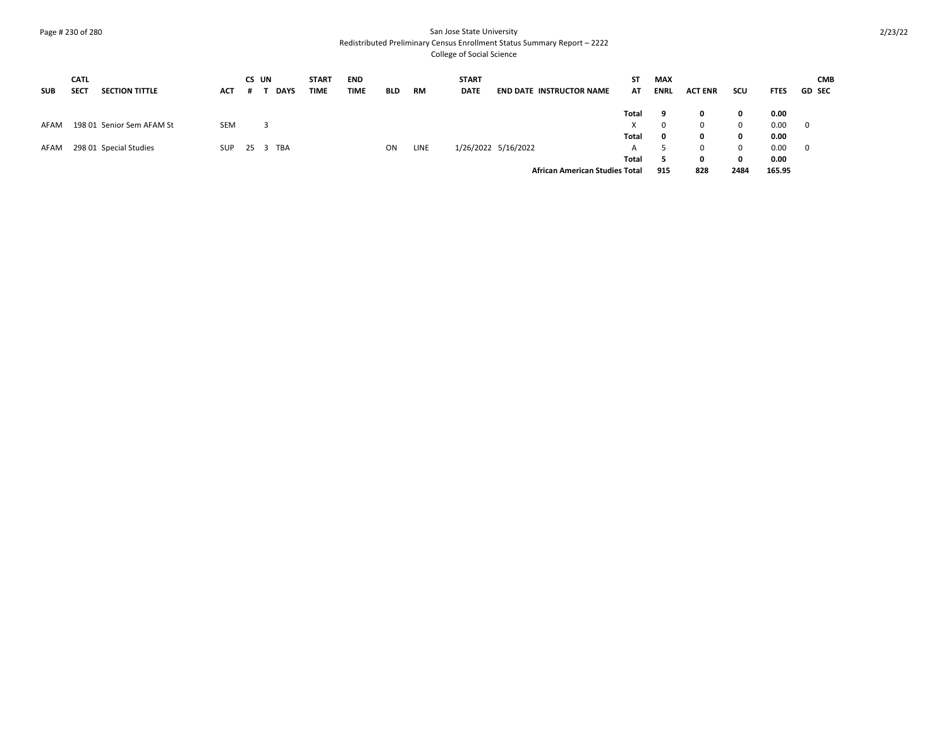### Page # 230 of 280 San Jose State University Redistributed Preliminary Census Enrollment Status Summary Report – 2222 College of Social Science

| <b>SUB</b> | <b>CATL</b><br><b>SECT</b> | <b>SECTION TITTLE</b>     | ACT        | CS UN |   | <b>DAYS</b> | <b>START</b><br>TIME | <b>END</b><br><b>TIME</b> | <b>BLD</b> | <b>RM</b>   | <b>START</b><br><b>DATE</b> | <b>END DATE INSTRUCTOR NAME</b>       | ST.<br>AT | <b>MAX</b><br><b>ENRL</b> | <b>ACT ENR</b> | scu  | <b>FTES</b> | <b>CMB</b><br><b>GD SEC</b> |
|------------|----------------------------|---------------------------|------------|-------|---|-------------|----------------------|---------------------------|------------|-------------|-----------------------------|---------------------------------------|-----------|---------------------------|----------------|------|-------------|-----------------------------|
|            |                            |                           |            |       |   |             |                      |                           |            |             |                             |                                       | Total     | -9                        | 0              | 0    | 0.00        |                             |
| AFAM       |                            | 198 01 Senior Sem AFAM St | <b>SEM</b> |       | 3 |             |                      |                           |            |             |                             |                                       | X.        | 0                         | $\mathbf{0}$   | 0    | 0.00        | $\overline{\mathbf{0}}$     |
|            |                            |                           |            |       |   |             |                      |                           |            |             |                             |                                       | Total     | 0                         | 0              | 0    | 0.00        |                             |
| AFAM       |                            | 298 01 Special Studies    | SUP        |       |   | 25 3 TBA    |                      |                           | ON         | <b>LINE</b> |                             | 1/26/2022 5/16/2022                   | A         |                           | $\Omega$       | 0    | 0.00        | $\overline{\mathbf{0}}$     |
|            |                            |                           |            |       |   |             |                      |                           |            |             |                             |                                       | Total     |                           | 0              | 0    | 0.00        |                             |
|            |                            |                           |            |       |   |             |                      |                           |            |             |                             | <b>African American Studies Total</b> |           | 915                       | 828            | 2484 | 165.95      |                             |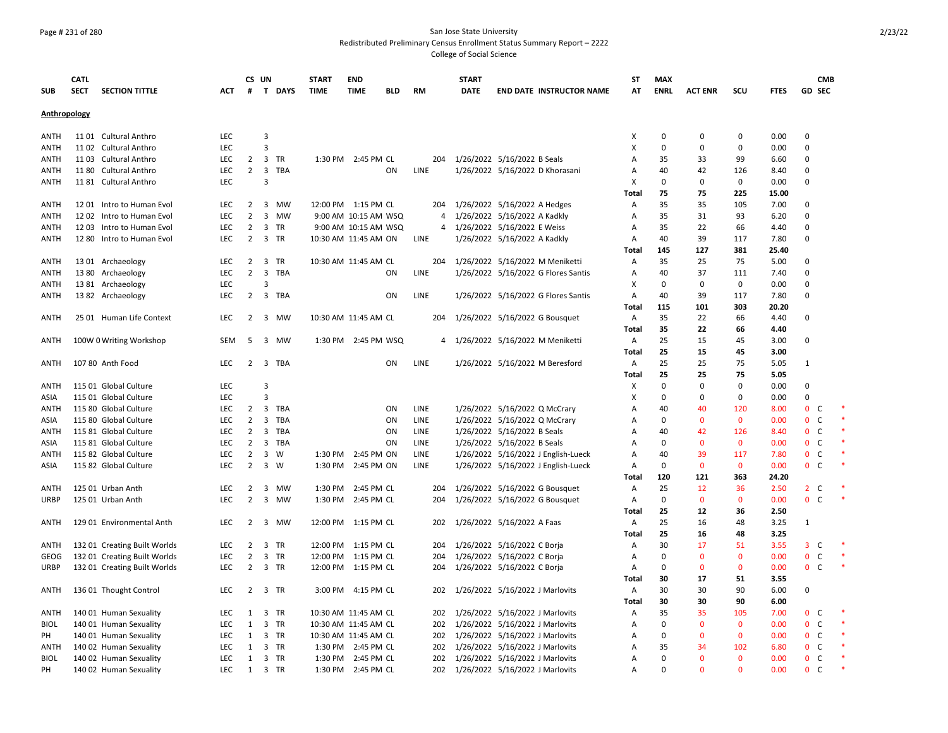#### Page # 231 of 280 San Jose State University Redistributed Preliminary Census Enrollment Status Summary Report – 2222 College of Social Science

**SUB CATL SECT SECTION TITTLE ACT CS UN # T DAYS START TIME END TIME BLD RM START DATE END DATE INSTRUCTOR NAME ST AT MAX ENRL ACT ENR SCU FTES GD CMB SEC Anthropology** ANTH 11 01 Cultural Anthro LEC 3 X 0 0 0 0.00 0 ANTH 11 02 Cultural Anthro LEC 3 X 0 0 0 0.00 0 ANTH 11 03 Cultural Anthro LEC 2 3 TR 1:30 PM 2:45 PM CL 204 1/26/2022 5/16/2022 B Seals A 35 33 99 6.60 0 ANTH 11 80 Cultural Anthro LEC 2 3 TBA ON LINE 1/26/2022 5/16/2022 D Khorasani A 40 42 126 8.40 0 ANTH 11 81 Cultural Anthro LEC 3 X 0 0 0 0.00 0 **Total 75 75 225 15.00** ANTH 1201 Intro to Human Evol CC 2 3 MW 12:00 PM 1:15 PM CL 204 1/26/2022 5/16/2022 A Hedges A 35 35 105 7.00 0 ANTH 12 02 Intro to Human Evol LEC 2 3 MW 9:00 AM 10:15 AM WSQ 4 1/26/2022 5/16/2022 A Kadkly A 35 31 93 6.20 0 ANTH 1203 Intro to Human Evol LEC 2 3 TR 9:00 AM 10:15 AM WSQ 4 1/26/2022 5/16/2022 E Weiss A 35 22 66 4.40 0 ANTH 12 80 Intro to Human Evol LEC 2 3 TR 10:30 AM 11:45 AM ON LINE 1/26/2022 5/16/2022 A Kadkly A 40 39 117 7.80 0 **Total 145 127 381 25.40** ANTH 13 01 Archaeology LEC 2 3 TR 10:30 AM 11:45 AM CL 204 1/26/2022 5/16/2022 M Meniketti A 35 25 75 5.00 0<br>ANTH 13 80 Archaeology ANTH 13 80 Archaeology LEC 2 3 TBA ON LINE 1/26/2022 5/16/2022 G Flores Santis A 40 37 111 7.40 0 ANTH 13 81 Archaeology LEC 3 X 0 0 0 0.00 0 ANTH 1382 Archaeology LEC 2 3 TBA ON LINE 1/26/2022 5/16/2022 G Flores Santis A 40 39 117 7.80 0 **Total 115 101 303 20.20** ANTH 25 01 Human Life Context LEC 2 3 MW 10:30 AM 11:45 AM CL 204 1/26/2022 5/16/2022 G Bousquet A 35 22 66 4.40 0 **Total 35 22 66 4.40** ANTH 100W 0 Writing Workshop SEM 5 3 MW 1:30 PM 2:45 PM WSQ 4 1/26/2022 5/16/2022 M Meniketti A 25 15 45 3.00 0 **Total 25 15 45 3.00** ANTH 107 80 Anth Food LEC 2 3 TBA ON LINE 1/26/2022 5/16/2022 M Beresford A 25 25 75 5.05 1 **Total 25 25 75 5.05** ANTH 115 01 Global Culture LEC 3 X 0 0 0 0.00 0 ASIA 115 01 Global Culture LEC 3 X 0 0 0 0.00 0 ANTH 115 80 Global Culture **LEC 2 3 TBA** ON LINE 1/26/2022 5/16/2022 Q McCrary A 40 40 120 8.00 0 C ASIA 115 80 Global Culture **LEC 2 3 TBA** ON LINE 1/26/2022 5/16/2022 Q McCrary A 0 0 0 0.00 0 C ANTH 115 81 Global Culture **LEC 2 3 TBA** ON LINE 1/26/2022 5/16/2022 B Seals A 40 42 126 8.40 0 C ASIA 115 81 Global Culture LEC 2 3 TBA ON LINE 1/26/2022 5/16/2022 B Seals A 0 0 0 0.00 0 C \* ANTH 115 82 Global Culture LEC 2 3 W 1:30 PM 2:45 PM ON LINE 1/26/2022 5/16/2022 J English-Lueck A 40 39 117 7.80 0 C \* ASIA 115 82 Global Culture LEC 2 3 W 1:30 PM 2:45 PM ON LINE 1/26/2022 5/16/2022 J English-Lueck A 0 0 0 0.00 0 C \* **Total 120 121 363 24.20** ANTH 125 01 Urban Anth LEC 2 3 MW 1:30 PM 2:45 PM CL 204 1/26/2022 5/16/2022 G Bousquet A 25 12 36 2.50 2 C \* URBP 125 01 Urban Anth LEC 2 3 MW 1:30 PM 2:45 PM CL 204 1/26/2022 5/16/2022 G Bousquet A 0 0 0 0.00 0 C \* **Total 25 12 36 2.50** ANTH 12901 Environmental Anth LEC 2 3 MW 12:00 PM 1:15 PM CL 202 1/26/2022 5/16/2022 A Faas A 25 16 48 3.25 1 **Total 25 16 48 3.25** ANTH 13201 Creating Built Worlds LEC 2 3 TR 12:00 PM 1:15 PM CL 204 1/26/2022 5/16/2022 C Borja A 30 17 51 3.55 3 C \* GEOG 132 01 Creating Built Worlds LEC 2 3 TR 12:00 PM 1:15 PM CL 204 1/26/2022 5/16/2022 C Borja A 0 0 0 00 0.00 0 C URBP 13201 Creating Built Worlds LEC 2 3 TR 12:00 PM 1:15 PM CL 204 1/26/2022 5/16/2022 C Borja A 0 0 0 0.00 0 C **Total 30 17 51 3.55** ANTH 136 01 Thought Control LEC 2 3 TR 3:00 PM 4:15 PM CL 202 1/26/2022 5/16/2022 J Marlovits A 30 30 90 6.00 0 **Total 30 30 90 6.00** ANTH 14001 Human Sexuality 
LEC 1 3 TR 10:30 AM 11:45 AM CL 202 1/26/2022 5/16/2022 J Marlovits A 35 35 105 7.00 0 C BIOL 140 01 Human Sexuality LEC 1 3 TR 10:30 AM 11:45 AM CL 202 1/26/2022 5/16/2022 J Marlovits A 0 0 0 0.00 0 C \* PH 14001 Human Sexuality LEC 1 3 TR 10:30 AM 11:45 AM CL 202 1/26/2022 5/16/2022 J Marlovits A 0 0 0 0.00 0 C ANTH 140 02 Human Sexuality LEC 1 3 TR 1:30 PM 2:45 PM CL 202 1/26/2022 5/16/2022 J Marlovits A 35 34 102 6.80 0 C \* BIOL 140 02 Human Sexuality LEC 1 3 TR 1:30 PM 2:45 PM CL 202 1/26/2022 5/16/2022 J Marlovits A 0 0 0 0.00 0 C \* PH 14002 Human Sexuality LEC 1 3 TR 1:30 PM 2:45 PM CL 202 1/26/2022 5/16/2022 J Marlovits A 0 0 0 0.00 0 C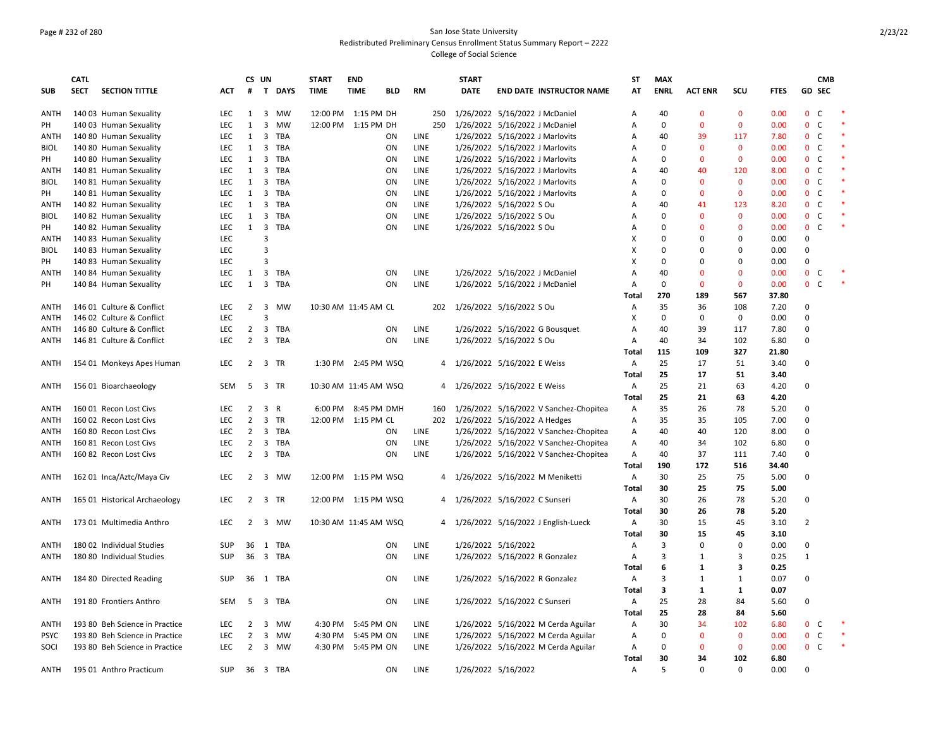### Page # 232 of 280 San Jose State University Redistributed Preliminary Census Enrollment Status Summary Report – 2222 College of Social Science

|             | CATL        |                                |            |                | CS UN                         | <b>START</b> | <b>END</b>             |            |             | <b>START</b> |                                        | ST           | <b>MAX</b>  |                |              |             |                | <b>CMB</b>    |        |
|-------------|-------------|--------------------------------|------------|----------------|-------------------------------|--------------|------------------------|------------|-------------|--------------|----------------------------------------|--------------|-------------|----------------|--------------|-------------|----------------|---------------|--------|
| <b>SUB</b>  | <b>SECT</b> | <b>SECTION TITTLE</b>          | <b>ACT</b> | #              | T DAYS                        | <b>TIME</b>  | <b>TIME</b>            | <b>BLD</b> | RM          | <b>DATE</b>  | <b>END DATE INSTRUCTOR NAME</b>        | AT           | <b>ENRL</b> | <b>ACT ENR</b> | scu          | <b>FTES</b> |                | <b>GD SEC</b> |        |
|             |             |                                |            |                |                               |              |                        |            |             |              |                                        |              |             |                |              |             |                |               |        |
| ANTH        |             | 140 03 Human Sexuality         | <b>LEC</b> | 1              | 3 MW                          |              | 12:00 PM 1:15 PM DH    |            | 250         |              | 1/26/2022 5/16/2022 J McDaniel         | Α            | 40          | $\mathbf{0}$   | $\mathbf{0}$ | 0.00        | $\mathbf{0}$   | $\mathsf{C}$  |        |
| PH          |             | 140 03 Human Sexuality         | LEC        | 1              | 3<br>MW                       |              | 12:00 PM 1:15 PM DH    |            | 250         |              | 1/26/2022 5/16/2022 J McDaniel         | A            | 0           | $\mathbf 0$    | $\mathbf 0$  | 0.00        | $\mathbf{0}$   | $\mathsf{C}$  |        |
| <b>ANTH</b> |             | 140 80 Human Sexuality         | <b>LEC</b> | 1              | 3 TBA                         |              |                        | ON         | LINE        |              | 1/26/2022 5/16/2022 J Marlovits        | Α            | 40          | 39             | 117          | 7.80        | $\mathbf{0}$   | C             | $\ast$ |
| <b>BIOL</b> |             | 140 80 Human Sexuality         | <b>LEC</b> | 1              | 3 TBA                         |              |                        | ON         | <b>LINE</b> |              | 1/26/2022 5/16/2022 J Marlovits        | A            | 0           | $\mathbf{0}$   | $\mathbf{0}$ | 0.00        | 0 <sup>o</sup> |               |        |
| PH          |             | 140 80 Human Sexuality         | <b>LEC</b> | 1              | 3<br>TBA                      |              |                        | ON         | <b>LINE</b> |              | 1/26/2022 5/16/2022 J Marlovits        | A            | 0           | $\mathbf{0}$   | $\mathbf{0}$ | 0.00        | $\mathbf{0}$   | <sub>c</sub>  |        |
| ANTH        |             | 140 81 Human Sexuality         | <b>LEC</b> | 1              | 3<br>TBA                      |              |                        | ON         | <b>LINE</b> |              | 1/26/2022 5/16/2022 J Marlovits        | Α            | 40          | 40             | 120          | 8.00        | $\mathbf{0}$   | C             |        |
| <b>BIOL</b> |             | 140 81 Human Sexuality         | LEC        | 1              | TBA<br>3                      |              |                        | ON         | LINE        |              | 1/26/2022 5/16/2022 J Marlovits        | A            | $\Omega$    | $\mathbf{0}$   | $\mathbf 0$  | 0.00        | $\mathbf{0}$   | $\mathsf{C}$  |        |
| PH          |             | 140 81 Human Sexuality         | <b>LEC</b> | 1              | 3 TBA                         |              |                        | ON         | LINE        |              | 1/26/2022 5/16/2022 J Marlovits        | Α            | 0           | $\mathbf{0}$   | $\mathbf 0$  | 0.00        | $\mathbf{0}$   | C             | $\ast$ |
| ANTH        |             | 140 82 Human Sexuality         | <b>LEC</b> | 1              | 3<br>TBA                      |              |                        | ON         | LINE        |              | 1/26/2022 5/16/2022 S Ou               | A            | 40          | 41             | 123          | 8.20        | $\mathbf{0}$   | $\mathsf{C}$  |        |
| <b>BIOL</b> |             | 140 82 Human Sexuality         | <b>LEC</b> | 1              | 3<br>TBA                      |              |                        | ON         | LINE        |              | 1/26/2022 5/16/2022 S Ou               | A            | 0           | $\mathbf{0}$   | $\mathbf{0}$ | 0.00        | $\mathbf{0}$   | C             |        |
| PH          |             | 140 82 Human Sexuality         | <b>LEC</b> |                | $1 \quad 3$<br>TBA            |              |                        | ON         | LINE        |              | 1/26/2022 5/16/2022 S Ou               | Α            | 0           | $\Omega$       | $\mathbf{0}$ | 0.00        | $\mathbf{0}$   | $\mathsf{C}$  |        |
| <b>ANTH</b> |             | 140 83 Human Sexuality         | LEC        |                | 3                             |              |                        |            |             |              |                                        | x            | $\Omega$    | $\Omega$       | $\mathbf 0$  | 0.00        | $\mathbf 0$    |               |        |
|             |             |                                | LEC        |                | 3                             |              |                        |            |             |              |                                        |              | $\Omega$    | $\mathbf 0$    | 0            |             | 0              |               |        |
| <b>BIOL</b> |             | 140 83 Human Sexuality         |            |                |                               |              |                        |            |             |              |                                        | X            |             |                |              | 0.00        |                |               |        |
| PH          |             | 140 83 Human Sexuality         | <b>LEC</b> |                | 3                             |              |                        |            |             |              |                                        | X            | $\Omega$    | $\Omega$       | $\Omega$     | 0.00        | $\mathbf 0$    |               |        |
| ANTH        |             | 140 84 Human Sexuality         | <b>LEC</b> | 1              | $\mathbf{3}$<br>TBA           |              |                        | ON         | <b>LINE</b> |              | 1/26/2022 5/16/2022 J McDaniel         | A            | 40          | $\mathbf{0}$   | $\mathbf{0}$ | 0.00        | $\mathbf{0}$   | C             |        |
| PH          |             | 140 84 Human Sexuality         | <b>LEC</b> | 1              | 3 TBA                         |              |                        | ON         | LINE        |              | 1/26/2022 5/16/2022 J McDaniel         | Α            | $\Omega$    | $\mathbf{0}$   | $\mathbf{0}$ | 0.00        | $\mathbf{0}$   | $\mathsf{C}$  |        |
|             |             |                                |            |                |                               |              |                        |            |             |              |                                        | <b>Total</b> | 270         | 189            | 567          | 37.80       |                |               |        |
| <b>ANTH</b> |             | 146 01 Culture & Conflict      | LEC        | $\overline{2}$ | 3 MW                          |              | 10:30 AM 11:45 AM CL   |            | 202         |              | 1/26/2022 5/16/2022 S Ou               | Α            | 35          | 36             | 108          | 7.20        | 0              |               |        |
| ANTH        |             | 146 02 Culture & Conflict      | LEC.       |                | 3                             |              |                        |            |             |              |                                        | х            | $\Omega$    | $\mathbf 0$    | $\mathbf 0$  | 0.00        | $\mathbf 0$    |               |        |
| ANTH        |             | 146 80 Culture & Conflict      | <b>LEC</b> | $\overline{2}$ | $\mathbf{3}$<br>TBA           |              |                        | ON         | LINE        |              | 1/26/2022 5/16/2022 G Bousquet         | Α            | 40          | 39             | 117          | 7.80        | 0              |               |        |
| <b>ANTH</b> |             | 146 81 Culture & Conflict      | <b>LEC</b> | $\overline{2}$ | 3 TBA                         |              |                        | ON         | LINE        |              | 1/26/2022 5/16/2022 S Ou               | Α            | 40          | 34             | 102          | 6.80        | $\mathbf 0$    |               |        |
|             |             |                                |            |                |                               |              |                        |            |             |              |                                        | <b>Total</b> | 115         | 109            | 327          | 21.80       |                |               |        |
| ANTH        |             | 154 01 Monkeys Apes Human      | LEC        |                | 2 3 TR                        |              | 1:30 PM 2:45 PM WSQ    |            |             |              | 4 1/26/2022 5/16/2022 E Weiss          | Α            | 25          | 17             | 51           | 3.40        | $\mathbf 0$    |               |        |
|             |             |                                |            |                |                               |              |                        |            |             |              |                                        | <b>Total</b> | 25          | 17             | 51           | 3.40        |                |               |        |
| ANTH        |             | 156 01 Bioarchaeology          | <b>SEM</b> | 5              | 3 TR                          |              | 10:30 AM 11:45 AM WSQ  |            |             |              | 4 1/26/2022 5/16/2022 E Weiss          | Α            | 25          | 21             | 63           | 4.20        | 0              |               |        |
|             |             |                                |            |                |                               |              |                        |            |             |              |                                        | <b>Total</b> | 25          | 21             | 63           | 4.20        |                |               |        |
| <b>ANTH</b> |             | 160 01 Recon Lost Civs         | <b>LEC</b> | $\overline{2}$ | 3<br>R                        | 6:00 PM      | 8:45 PM DMH            |            | 160         |              | 1/26/2022 5/16/2022 V Sanchez-Chopitea | Α            | 35          | 26             | 78           | 5.20        | $\mathbf 0$    |               |        |
|             |             |                                | LEC        | $\overline{2}$ | $\overline{\mathbf{3}}$<br>TR |              |                        |            | 202         |              | 1/26/2022 5/16/2022 A Hedges           |              | 35          |                | 105          | 7.00        | 0              |               |        |
| ANTH        |             | 160 02 Recon Lost Civs         |            |                |                               |              | 12:00 PM 1:15 PM CL    |            |             |              |                                        | Α            |             | 35             |              |             |                |               |        |
| ANTH        |             | 160 80 Recon Lost Civs         | <b>LEC</b> | $\overline{2}$ | TBA<br>3                      |              |                        | ON         | LINE        |              | 1/26/2022 5/16/2022 V Sanchez-Chopitea | А            | 40          | 40             | 120          | 8.00        | $\mathbf 0$    |               |        |
| ANTH        |             | 160 81 Recon Lost Civs         | <b>LEC</b> | 2              | 3 TBA                         |              |                        | ON         | LINE        |              | 1/26/2022 5/16/2022 V Sanchez-Chopitea | Α            | 40          | 34             | 102          | 6.80        | 0              |               |        |
| <b>ANTH</b> |             | 160 82 Recon Lost Civs         | <b>LEC</b> | $\overline{2}$ | 3 TBA                         |              |                        | ON         | LINE        |              | 1/26/2022 5/16/2022 V Sanchez-Chopitea | Α            | 40          | 37             | 111          | 7.40        | $\mathbf 0$    |               |        |
|             |             |                                |            |                |                               |              |                        |            |             |              |                                        | <b>Total</b> | 190         | 172            | 516          | 34.40       |                |               |        |
| ANTH        |             | 162 01 Inca/Aztc/Maya Civ      | <b>LEC</b> | $\overline{2}$ | 3 MW                          |              | 12:00 PM 1:15 PM WSQ   |            |             |              | 4 1/26/2022 5/16/2022 M Meniketti      | Α            | 30          | 25             | 75           | 5.00        | $\mathbf 0$    |               |        |
|             |             |                                |            |                |                               |              |                        |            |             |              |                                        | <b>Total</b> | 30          | 25             | 75           | 5.00        |                |               |        |
| ANTH        |             | 165 01 Historical Archaeology  | <b>LEC</b> | $\overline{2}$ | 3 TR                          |              | 12:00 PM  1:15 PM  WSQ |            |             |              | 4 1/26/2022 5/16/2022 C Sunseri        | Α            | 30          | 26             | 78           | 5.20        | 0              |               |        |
|             |             |                                |            |                |                               |              |                        |            |             |              |                                        | Total        | 30          | 26             | 78           | 5.20        |                |               |        |
| ANTH        |             | 173 01 Multimedia Anthro       | <b>LEC</b> | $\overline{2}$ | 3<br>MW                       |              | 10:30 AM 11:45 AM WSQ  |            |             |              | 4 1/26/2022 5/16/2022 J English-Lueck  | Α            | 30          | 15             | 45           | 3.10        | $\overline{2}$ |               |        |
|             |             |                                |            |                |                               |              |                        |            |             |              |                                        | <b>Total</b> | 30          | 15             | 45           | 3.10        |                |               |        |
| ANTH        |             | 180 02 Individual Studies      | <b>SUP</b> | 36             | TBA<br>1                      |              |                        | ΟN         | LINE        |              | 1/26/2022 5/16/2022                    | Α            | 3           | $\mathbf 0$    | $\mathbf 0$  | 0.00        | 0              |               |        |
| ANTH        |             | 180 80 Individual Studies      | <b>SUP</b> | 36             | 3 TBA                         |              |                        | ON         | LINE        |              | 1/26/2022 5/16/2022 R Gonzalez         | Α            | 3           | 1              | 3            | 0.25        | 1              |               |        |
|             |             |                                |            |                |                               |              |                        |            |             |              |                                        | <b>Total</b> | 6           | $\mathbf{1}$   | 3            | 0.25        |                |               |        |
| ANTH        |             | 184 80 Directed Reading        | <b>SUP</b> |                | 36 1 TBA                      |              |                        | ON         | LINE        |              | 1/26/2022 5/16/2022 R Gonzalez         | Α            | 3           | $\mathbf{1}$   | $\mathbf{1}$ | 0.07        | $\mathbf 0$    |               |        |
|             |             |                                |            |                |                               |              |                        |            |             |              |                                        |              |             |                |              |             |                |               |        |
|             |             |                                |            |                |                               |              |                        |            |             |              |                                        | <b>Total</b> | 3           | $\mathbf{1}$   | 1            | 0.07        |                |               |        |
| ANTH        |             | 191 80 Frontiers Anthro        | SEM        | -5             | 3<br>TBA                      |              |                        | ON         | LINE        |              | 1/26/2022 5/16/2022 C Sunseri          | Α            | 25          | 28             | 84           | 5.60        | $\mathbf 0$    |               |        |
|             |             |                                |            |                |                               |              |                        |            |             |              |                                        | <b>Total</b> | 25          | 28             | 84           | 5.60        |                |               |        |
| <b>ANTH</b> |             | 193 80 Beh Science in Practice | <b>LEC</b> | $\overline{2}$ | 3 MW                          | 4:30 PM      | 5:45 PM ON             |            | LINE        |              | 1/26/2022 5/16/2022 M Cerda Aguilar    | Α            | 30          | 34             | 102          | 6.80        | $\mathbf{0}$   | C             |        |
| <b>PSYC</b> |             | 193 80 Beh Science in Practice | LEC        | $\overline{2}$ | 3 MW                          | 4:30 PM      | 5:45 PM ON             |            | LINE        |              | 1/26/2022 5/16/2022 M Cerda Aguilar    | Α            | 0           | $\mathbf 0$    | $\mathbf 0$  | 0.00        | $\mathbf 0$    | C             |        |
| SOCI        |             | 193 80 Beh Science in Practice | LEC.       | $\overline{2}$ | 3 MW                          |              | 4:30 PM 5:45 PM ON     |            | <b>LINE</b> |              | 1/26/2022 5/16/2022 M Cerda Aguilar    | Α            | 0           | $\Omega$       | $\mathbf{0}$ | 0.00        | $\mathbf{0}$   | <sub>c</sub>  |        |
|             |             |                                |            |                |                               |              |                        |            |             |              |                                        | Total        | 30          | 34             | 102          | 6.80        |                |               |        |
| ANTH        |             | 195 01 Anthro Practicum        | <b>SUP</b> |                | 36 3 TBA                      |              |                        | ON         | <b>LINE</b> |              | 1/26/2022 5/16/2022                    | Α            | 5           | $\Omega$       | $\Omega$     | 0.00        | $\Omega$       |               |        |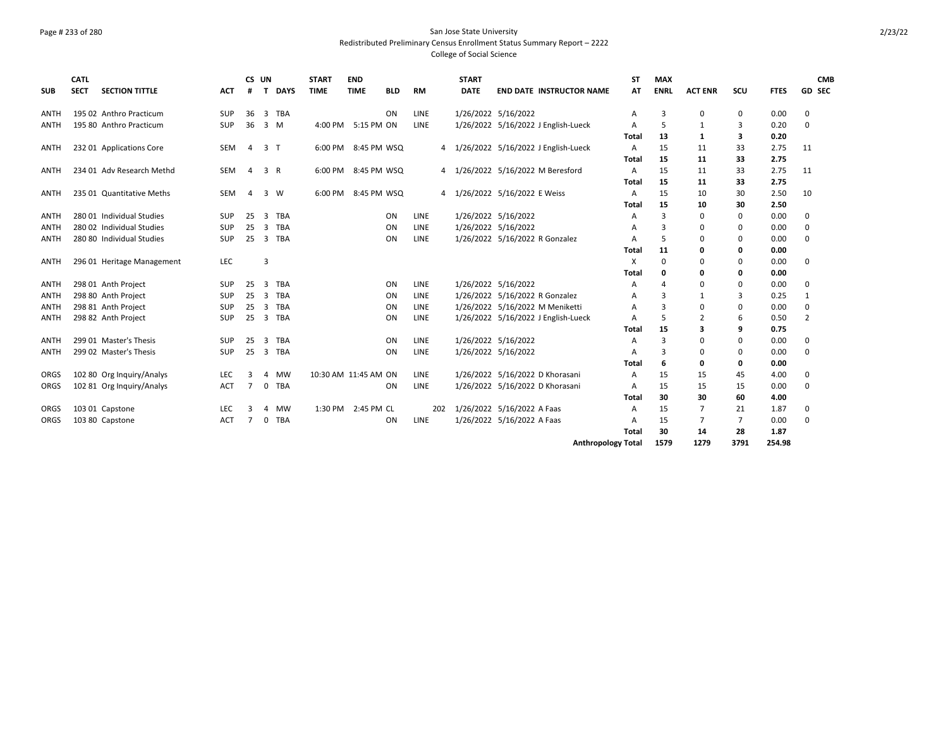### Page # 233 of 280 San Jose State University Redistributed Preliminary Census Enrollment Status Summary Report – 2222 College of Social Science

| <b>SUB</b>  | <b>CATL</b><br><b>SECT</b> | <b>SECTION TITTLE</b>      | <b>ACT</b> | CS UN<br>#     | T. | <b>DAYS</b>    | <b>START</b><br><b>TIME</b> | <b>END</b><br><b>TIME</b> | <b>BLD</b> | <b>RM</b>   |     | <b>START</b><br><b>DATE</b> |                                | <b>END DATE INSTRUCTOR NAME</b>       | <b>ST</b><br>AT | <b>MAX</b><br><b>ENRL</b> | <b>ACT ENR</b> | SCU      | <b>FTES</b> | <b>CMB</b><br>GD SEC |
|-------------|----------------------------|----------------------------|------------|----------------|----|----------------|-----------------------------|---------------------------|------------|-------------|-----|-----------------------------|--------------------------------|---------------------------------------|-----------------|---------------------------|----------------|----------|-------------|----------------------|
| ANTH        |                            | 195 02 Anthro Practicum    | SUP        | 36             | 3  | <b>TBA</b>     |                             |                           | <b>ON</b>  | LINE        |     |                             | 1/26/2022 5/16/2022            |                                       | Α               | 3                         | 0              | 0        | 0.00        | 0                    |
| ANTH        |                            | 195 80 Anthro Practicum    | SUP        | 36             |    | 3 M            | 4:00 PM                     | 5:15 PM ON                |            | LINE        |     |                             |                                | 1/26/2022 5/16/2022 J English-Lueck   | А               | .5                        | 1              | 3        | 0.20        | $\Omega$             |
|             |                            |                            |            |                |    |                |                             |                           |            |             |     |                             |                                |                                       | Total           | 13                        | 1              | 3        | 0.20        |                      |
| ANTH        |                            | 232 01 Applications Core   | <b>SEM</b> | $\overline{a}$ |    | 3 <sub>1</sub> | 6:00 PM                     | 8:45 PM WSQ               |            |             |     |                             |                                | 4 1/26/2022 5/16/2022 J English-Lueck | $\mathsf{A}$    | 15                        | 11             | 33       | 2.75        | 11                   |
|             |                            |                            |            |                |    |                |                             |                           |            |             |     |                             |                                |                                       | Total           | 15                        | 11             | 33       | 2.75        |                      |
| ANTH        |                            | 234 01 Adv Research Methd  | SEM        | 4              |    | 3 R            | 6:00 PM                     | 8:45 PM WSQ               |            |             |     |                             |                                | 4 1/26/2022 5/16/2022 M Beresford     | A               | 15                        | 11             | 33       | 2.75        | 11                   |
|             |                            |                            |            |                |    |                |                             |                           |            |             |     |                             |                                |                                       | Total           | 15                        | 11             | 33       | 2.75        |                      |
| <b>ANTH</b> |                            | 235 01 Quantitative Meths  | SEM        | $\overline{a}$ |    | 3 W            | 6:00 PM                     | 8:45 PM WSQ               |            |             |     |                             | 4 1/26/2022 5/16/2022 E Weiss  |                                       | A               | 15                        | 10             | 30       | 2.50        | 10                   |
|             |                            |                            |            |                |    |                |                             |                           |            |             |     |                             |                                |                                       | Total           | 15                        | 10             | 30       | 2.50        |                      |
| ANTH        |                            | 280 01 Individual Studies  | SUP        | 25             | 3  | <b>TBA</b>     |                             |                           | ON         | LINE        |     |                             | 1/26/2022 5/16/2022            |                                       | A               | 3                         | 0              | 0        | 0.00        | 0                    |
| ANTH        |                            | 280 02 Individual Studies  | SUP        | 25             | 3  | <b>TBA</b>     |                             |                           | <b>ON</b>  | LINE        |     |                             | 1/26/2022 5/16/2022            |                                       | А               | 3                         | $\Omega$       | 0        | 0.00        | $\Omega$             |
| <b>ANTH</b> |                            | 280 80 Individual Studies  | SUP        | 25             | 3  | TBA            |                             |                           | <b>ON</b>  | LINE        |     |                             | 1/26/2022 5/16/2022 R Gonzalez |                                       | А               | .5                        | $\Omega$       | $\Omega$ | 0.00        | $\Omega$             |
|             |                            |                            |            |                |    |                |                             |                           |            |             |     |                             |                                |                                       | Total           | 11                        | $\Omega$       | 0        | 0.00        |                      |
| ANTH        |                            | 296 01 Heritage Management | LEC        |                | 3  |                |                             |                           |            |             |     |                             |                                |                                       | X               | $\Omega$                  | $\Omega$       | 0        | 0.00        | 0                    |
|             |                            |                            |            |                |    |                |                             |                           |            |             |     |                             |                                |                                       | Total           | 0                         | O              | 0        | 0.00        |                      |
| ANTH        |                            | 298 01 Anth Project        | SUP        | 25             | 3  | TBA            |                             |                           | <b>ON</b>  | LINE        |     |                             | 1/26/2022 5/16/2022            |                                       | А               | $\overline{4}$            | $\Omega$       | 0        | 0.00        | 0                    |
| <b>ANTH</b> |                            | 298 80 Anth Project        | SUP        | 25             | 3  | <b>TBA</b>     |                             |                           | ON         | LINE        |     |                             | 1/26/2022 5/16/2022 R Gonzalez |                                       | A               | 3                         | 1              | 3        | 0.25        | 1                    |
| ANTH        |                            | 298 81 Anth Project        | <b>SUP</b> | 25             | 3  | <b>TBA</b>     |                             |                           | <b>ON</b>  | <b>LINE</b> |     |                             |                                | 1/26/2022 5/16/2022 M Meniketti       | А               | 3                         | $\Omega$       | 0        | 0.00        | $\Omega$             |
| <b>ANTH</b> |                            | 298 82 Anth Project        | SUP        | 25             | 3  | <b>TBA</b>     |                             |                           | <b>ON</b>  | LINE        |     |                             |                                | 1/26/2022 5/16/2022 J English-Lueck   | A               | .5                        | $\overline{2}$ | 6        | 0.50        | $\overline{2}$       |
|             |                            |                            |            |                |    |                |                             |                           |            |             |     |                             |                                |                                       | Total           | 15                        | 3              | 9        | 0.75        |                      |
| <b>ANTH</b> |                            | 299.01 Master's Thesis     | SUP        | 25             | 3  | <b>TBA</b>     |                             |                           | <b>ON</b>  | <b>LINE</b> |     |                             | 1/26/2022 5/16/2022            |                                       | A               | 3                         | $\Omega$       | 0        | 0.00        | $\Omega$             |
| ANTH        |                            | 299 02 Master's Thesis     | SUP        | 25             | 3  | TBA            |                             |                           | ON         | LINE        |     |                             | 1/26/2022 5/16/2022            |                                       | A               | 3                         | 0              | 0        | 0.00        | 0                    |
|             |                            |                            |            |                |    |                |                             |                           |            |             |     |                             |                                |                                       | Total           | 6                         | 0              | 0        | 0.00        |                      |
| ORGS        |                            | 102 80 Org Inquiry/Analys  | LEC        | 3              | 4  | <b>MW</b>      |                             | 10:30 AM 11:45 AM ON      |            | LINE        |     |                             |                                | 1/26/2022 5/16/2022 D Khorasani       | A               | 15                        | 15             | 45       | 4.00        | 0                    |
| ORGS        |                            | 102 81 Org Inquiry/Analys  | ACT        |                | 0  | TBA            |                             |                           | ON         | LINE        |     |                             |                                | 1/26/2022 5/16/2022 D Khorasani       | A               | 15                        | 15             | 15       | 0.00        | $\Omega$             |
|             |                            |                            |            |                |    |                |                             |                           |            |             |     |                             |                                |                                       | Total           | 30                        | 30             | 60       | 4.00        |                      |
| ORGS        |                            | 103 01 Capstone            | LEC        | З              | 4  | MW             |                             | 1:30 PM 2:45 PM CL        |            |             | 202 |                             | 1/26/2022 5/16/2022 A Faas     |                                       | A               | 15                        | 7              | 21       | 1.87        | 0                    |
| ORGS        |                            | 103 80 Capstone            | <b>ACT</b> | 7              | 0  | TBA            |                             |                           | ON         | LINE        |     |                             | 1/26/2022 5/16/2022 A Faas     |                                       | A               | 15                        | 7              | 7        | 0.00        | $\Omega$             |
|             |                            |                            |            |                |    |                |                             |                           |            |             |     |                             |                                |                                       | Total           | 30                        | 14             | 28       | 1.87        |                      |
|             |                            |                            |            |                |    |                |                             |                           |            |             |     |                             |                                | <b>Anthropology Total</b>             |                 | 1579                      | 1279           | 3791     | 254.98      |                      |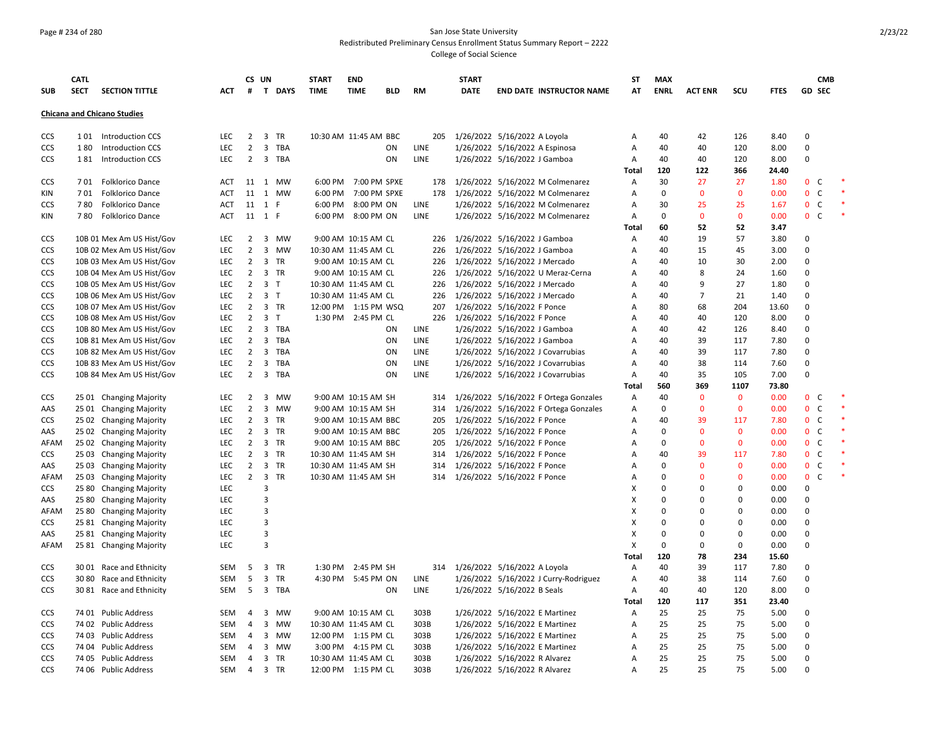### Page # 234 of 280 San Jose State University Redistributed Preliminary Census Enrollment Status Summary Report – 2222 College of Social Science

|            | <b>CATL</b> |                                    |            |                | CS UN                   |           | <b>START</b>          | <b>END</b>           |     |             | <b>START</b> |                                       | <b>ST</b>    | <b>MAX</b>  |                |              |             |               | <b>CMB</b>   |  |
|------------|-------------|------------------------------------|------------|----------------|-------------------------|-----------|-----------------------|----------------------|-----|-------------|--------------|---------------------------------------|--------------|-------------|----------------|--------------|-------------|---------------|--------------|--|
| <b>SUB</b> | <b>SECT</b> | <b>SECTION TITTLE</b>              | АСТ        | #              |                         | T DAYS    | <b>TIME</b>           | <b>TIME</b>          | BLD | <b>RM</b>   | <b>DATE</b>  | <b>END DATE INSTRUCTOR NAME</b>       | AT           | <b>ENRL</b> | <b>ACT ENR</b> | SCU          | <b>FTES</b> | <b>GD SEC</b> |              |  |
|            |             |                                    |            |                |                         |           |                       |                      |     |             |              |                                       |              |             |                |              |             |               |              |  |
|            |             | <b>Chicana and Chicano Studies</b> |            |                |                         |           |                       |                      |     |             |              |                                       |              |             |                |              |             |               |              |  |
| CCS        |             | 101 Introduction CCS               | LEC        | $\overline{2}$ |                         | 3 TR      | 10:30 AM 11:45 AM BBC |                      |     | 205         |              | 1/26/2022 5/16/2022 A Loyola          | Α            | 40          | 42             | 126          | 8.40        | $\mathbf 0$   |              |  |
| CCS        | 180         | <b>Introduction CCS</b>            | LEC        | $\overline{2}$ |                         | 3 TBA     |                       |                      | ON  | LINE        |              | 1/26/2022 5/16/2022 A Espinosa        | Α            | 40          | 40             | 120          | 8.00        | 0             |              |  |
| CCS        | 181         | Introduction CCS                   | LEC        | $\overline{2}$ |                         | 3 TBA     |                       |                      | ON  | LINE        |              | 1/26/2022 5/16/2022 J Gamboa          | Α            | 40          | 40             | 120          | 8.00        | 0             |              |  |
|            |             |                                    |            |                |                         |           |                       |                      |     |             |              |                                       | <b>Total</b> | 120         | 122            | 366          | 24.40       |               |              |  |
| CCS        | 701         | Folklorico Dance                   | ACT        | 11             | 1                       | MW        |                       | 6:00 PM 7:00 PM SPXE |     | 178         |              | 1/26/2022 5/16/2022 M Colmenarez      | Α            | 30          | 27             | 27           | 1.80        | $\mathbf{0}$  | C            |  |
| KIN        | 701         | Folklorico Dance                   | ACT        | 11             |                         | 1 MW      |                       | 6:00 PM 7:00 PM SPXE |     | 178         |              | 1/26/2022 5/16/2022 M Colmenarez      | А            | $\mathbf 0$ | $\mathbf 0$    | $\mathbf 0$  | 0.00        | 0             | $\mathsf{C}$ |  |
| CCS        | 780         | <b>Folklorico Dance</b>            | ACT        |                | 11 1 F                  |           |                       | 6:00 PM 8:00 PM ON   |     | LINE        |              | 1/26/2022 5/16/2022 M Colmenarez      | Α            | 30          | 25             | 25           | 1.67        | $\mathbf{0}$  | $\mathsf{C}$ |  |
| KIN        | 780         | <b>Folklorico Dance</b>            | ACT        |                | 11 1 F                  |           |                       | 6:00 PM 8:00 PM ON   |     | LINE        |              | 1/26/2022 5/16/2022 M Colmenarez      | Α            | 0           | $\mathbf{0}$   | $\mathbf 0$  | 0.00        | $\mathbf{0}$  | $\mathsf{C}$ |  |
|            |             |                                    |            |                |                         |           |                       |                      |     |             |              |                                       | <b>Total</b> | 60          | 52             | 52           | 3.47        |               |              |  |
| <b>CCS</b> |             | 10B 01 Mex Am US Hist/Gov          | <b>LEC</b> | $\overline{2}$ | $\overline{3}$          | <b>MW</b> |                       | 9:00 AM 10:15 AM CL  |     | 226         |              | 1/26/2022 5/16/2022 J Gamboa          | A            | 40          | 19             | 57           | 3.80        | $\Omega$      |              |  |
| CCS        |             | 10B 02 Mex Am US Hist/Gov          | <b>LEC</b> | $\overline{2}$ | $\overline{3}$          | <b>MW</b> | 10:30 AM 11:45 AM CL  |                      |     | 226         |              | 1/26/2022 5/16/2022 J Gamboa          | Α            | 40          | 15             | 45           | 3.00        | 0             |              |  |
| <b>CCS</b> |             | 10B 03 Mex Am US Hist/Gov          | <b>LEC</b> | $\overline{2}$ |                         | 3 TR      |                       | 9:00 AM 10:15 AM CL  |     | 226         |              | 1/26/2022 5/16/2022 J Mercado         | Α            | 40          | 10             | 30           | 2.00        | $\Omega$      |              |  |
| <b>CCS</b> |             | 10B 04 Mex Am US Hist/Gov          | LEC        | $\overline{2}$ |                         | 3 TR      |                       | 9:00 AM 10:15 AM CL  |     | 226         |              | 1/26/2022 5/16/2022 U Meraz-Cerna     | Α            | 40          | 8              | 24           | 1.60        | $\mathbf 0$   |              |  |
| CCS        |             | 10B 05 Mex Am US Hist/Gov          | LEC        | $\overline{2}$ | 3 <sub>7</sub>          |           | 10:30 AM 11:45 AM CL  |                      |     | 226         |              | 1/26/2022 5/16/2022 J Mercado         | Α            | 40          | 9              | 27           | 1.80        | $\Omega$      |              |  |
| CCS        |             | 10B 06 Mex Am US Hist/Gov          | <b>LEC</b> | $\overline{2}$ | $\overline{3}$          | $\top$    | 10:30 AM 11:45 AM CL  |                      |     | 226         |              | 1/26/2022 5/16/2022 J Mercado         | A            | 40          | $\overline{7}$ | 21           | 1.40        | $\Omega$      |              |  |
| <b>CCS</b> |             | 10B 07 Mex Am US Hist/Gov          | <b>LEC</b> | $\overline{2}$ |                         | 3 TR      | 12:00 PM 1:15 PM WSQ  |                      |     | 207         |              | 1/26/2022 5/16/2022 F Ponce           | Α            | 80          | 68             | 204          | 13.60       | 0             |              |  |
| CCS        |             | 10B 08 Mex Am US Hist/Gov          | LEC        | $\overline{2}$ | 3 <sub>1</sub>          |           |                       | 1:30 PM 2:45 PM CL   |     | 226         |              | 1/26/2022 5/16/2022 F Ponce           | Α            | 40          | 40             | 120          | 8.00        | $\Omega$      |              |  |
| CCS        |             | 10B 80 Mex Am US Hist/Gov          | LEC        | $\overline{2}$ |                         | 3 TBA     |                       |                      | ON  | LINE        |              | 1/26/2022 5/16/2022 J Gamboa          | Α            | 40          | 42             | 126          | 8.40        | $\mathbf 0$   |              |  |
| CCS        |             | 10B 81 Mex Am US Hist/Gov          | LEC        | $\overline{2}$ |                         | 3 TBA     |                       |                      | ON  | LINE        |              | 1/26/2022 5/16/2022 J Gamboa          | Α            | 40          | 39             | 117          | 7.80        | $\Omega$      |              |  |
| CCS        |             | 10B 82 Mex Am US Hist/Gov          | <b>LEC</b> | $\overline{2}$ | $\overline{3}$          | TBA       |                       |                      | ON  | <b>LINE</b> |              | 1/26/2022 5/16/2022 J Covarrubias     | A            | 40          | 39             | 117          | 7.80        | $\Omega$      |              |  |
| CCS        |             | 10B 83 Mex Am US Hist/Gov          | <b>LEC</b> | $\overline{2}$ | $\overline{\mathbf{3}}$ | TBA       |                       |                      | ON  | LINE        |              | 1/26/2022 5/16/2022 J Covarrubias     | Α            | 40          | 38             | 114          | 7.60        | $\mathbf 0$   |              |  |
| CCS        |             | 10B 84 Mex Am US Hist/Gov          | LEC        | $\overline{2}$ |                         | 3 TBA     |                       |                      | ON  | LINE        |              | 1/26/2022 5/16/2022 J Covarrubias     | Α            | 40          | 35             | 105          | 7.00        | $\mathbf 0$   |              |  |
|            |             |                                    |            |                |                         |           |                       |                      |     |             |              |                                       | Total        | 560         | 369            | 1107         | 73.80       |               |              |  |
| CCS        |             | 25 01 Changing Majority            | LEC        | $\overline{2}$ |                         | 3 MW      |                       | 9:00 AM 10:15 AM SH  |     | 314         |              | 1/26/2022 5/16/2022 F Ortega Gonzales | Α            | 40          | $\mathbf 0$    | $\mathbf 0$  | 0.00        | $\mathbf{0}$  | C            |  |
| AAS        |             | 25 01 Changing Majority            | <b>LEC</b> | $\overline{2}$ | $\overline{3}$          | MW        |                       | 9:00 AM 10:15 AM SH  |     | 314         |              | 1/26/2022 5/16/2022 F Ortega Gonzales | Α            | $\Omega$    | $\Omega$       | $\mathbf{0}$ | 0.00        | $\mathbf{0}$  | C            |  |
| <b>CCS</b> |             | 25 02 Changing Majority            | <b>LEC</b> | $\overline{2}$ |                         | 3 TR      |                       | 9:00 AM 10:15 AM BBC |     | 205         |              | 1/26/2022 5/16/2022 F Ponce           | Α            | 40          | 39             | 117          | 7.80        | $\mathbf{0}$  | C            |  |
| AAS        |             | 25 02 Changing Majority            | <b>LEC</b> | $\overline{2}$ |                         | 3 TR      |                       | 9:00 AM 10:15 AM BBC |     | 205         |              | 1/26/2022 5/16/2022 F Ponce           | Α            | $\mathbf 0$ | $\Omega$       | $\mathbf 0$  | 0.00        | $\mathbf 0$   | $\mathsf{C}$ |  |
| AFAM       |             | 25 02 Changing Majority            | LEC        | $\overline{2}$ | $\overline{3}$          | TR        |                       | 9:00 AM 10:15 AM BBC |     | 205         |              | 1/26/2022 5/16/2022 F Ponce           | Α            | $\Omega$    | $\mathbf{0}$   | $\mathbf{0}$ | 0.00        | $\mathbf{0}$  | $\mathsf{C}$ |  |
| CCS        |             | 25 03 Changing Majority            | LEC        | $\overline{2}$ |                         | 3 TR      | 10:30 AM 11:45 AM SH  |                      |     | 314         |              | 1/26/2022 5/16/2022 F Ponce           | Α            | 40          | 39             | 117          | 7.80        | $\mathbf 0$   | $\mathsf{C}$ |  |
| AAS        |             | 25 03 Changing Majority            | LEC        | $\overline{2}$ |                         | 3 TR      | 10:30 AM 11:45 AM SH  |                      |     | 314         |              | 1/26/2022 5/16/2022 F Ponce           | Α            | $\Omega$    | $\Omega$       | $\mathbf 0$  | 0.00        | 0             | $\mathsf{C}$ |  |
| AFAM       |             | 25 03 Changing Majority            | <b>LEC</b> | $\overline{2}$ |                         | 3 TR      | 10:30 AM 11:45 AM SH  |                      |     | 314         |              | 1/26/2022 5/16/2022 F Ponce           | A            | $\Omega$    | $\Omega$       | $\mathbf{0}$ | 0.00        | $\mathbf{0}$  | $\mathsf{C}$ |  |
| CCS        |             | 25 80 Changing Majority            | LEC        |                | 3                       |           |                       |                      |     |             |              |                                       | х            | $\Omega$    | $\Omega$       | $\mathsf 0$  | 0.00        | 0             |              |  |
| AAS        |             | 25 80 Changing Majority            | LEC        |                | 3                       |           |                       |                      |     |             |              |                                       | X            | $\mathbf 0$ | $\Omega$       | $\mathsf 0$  | 0.00        | $\Omega$      |              |  |
| AFAM       |             | 25 80 Changing Majority            | LEC        |                | 3                       |           |                       |                      |     |             |              |                                       | X            | $\mathbf 0$ | $\Omega$       | $\mathsf 0$  | 0.00        | $\mathbf 0$   |              |  |
| CCS        |             | 25 81 Changing Majority            | LEC        |                | 3                       |           |                       |                      |     |             |              |                                       | X            | $\Omega$    | $\Omega$       | 0            | 0.00        | $\Omega$      |              |  |
| AAS        |             | 25 81 Changing Majority            | LEC        |                | 3                       |           |                       |                      |     |             |              |                                       | X            | $\Omega$    | $\Omega$       | $\mathbf 0$  | 0.00        | $\Omega$      |              |  |
| AFAM       |             | 25 81 Changing Majority            | <b>LEC</b> |                | $\overline{3}$          |           |                       |                      |     |             |              |                                       | X            | $\Omega$    | $\Omega$       | $\mathbf 0$  | 0.00        | $\mathbf 0$   |              |  |
|            |             |                                    |            |                |                         |           |                       |                      |     |             |              |                                       | Total        | 120         | 78             | 234          | 15.60       |               |              |  |
| <b>CCS</b> |             | 30 01 Race and Ethnicity           | SEM        | 5              |                         | 3 TR      |                       | 1:30 PM 2:45 PM SH   |     | 314         |              | 1/26/2022 5/16/2022 A Loyola          | Α            | 40          | 39             | 117          | 7.80        | 0             |              |  |
| CCS        |             | 30 80 Race and Ethnicity           | SEM        | 5              |                         | 3 TR      |                       | 4:30 PM 5:45 PM ON   |     | LINE        |              | 1/26/2022 5/16/2022 J Curry-Rodriguez | Α            | 40          | 38             | 114          | 7.60        | $\Omega$      |              |  |
| CCS        |             | 30 81 Race and Ethnicity           | SEM        | - 5            |                         | 3 TBA     |                       |                      | ON  | LINE        |              | 1/26/2022 5/16/2022 B Seals           | Α            | 40          | 40             | 120          | 8.00        | $\Omega$      |              |  |
|            |             |                                    |            |                |                         |           |                       |                      |     |             |              |                                       | Total        | 120         | 117            | 351          | 23.40       |               |              |  |
| CCS        |             | 74 01 Public Address               | SEM        | $\overline{4}$ |                         | 3 MW      |                       | 9:00 AM 10:15 AM CL  |     | 303B        |              | 1/26/2022 5/16/2022 E Martinez        | Α            | 25          | 25             | 75           | 5.00        | $\Omega$      |              |  |
| CCS        |             | 74 02 Public Address               | SEM        | $\overline{4}$ |                         | 3 MW      | 10:30 AM 11:45 AM CL  |                      |     | 303B        |              | 1/26/2022 5/16/2022 E Martinez        | Α            | 25          | 25             | 75           | 5.00        | $\Omega$      |              |  |
| CCS        |             | 74 03 Public Address               | SEM        | 4              |                         | 3 MW      | 12:00 PM 1:15 PM CL   |                      |     | 303B        |              | 1/26/2022 5/16/2022 E Martinez        | Α            | 25          | 25             | 75           | 5.00        | 0             |              |  |
| CCS        |             | 74 04 Public Address               | <b>SEM</b> | $\overline{4}$ |                         | 3 MW      |                       | 3:00 PM 4:15 PM CL   |     | 303B        |              | 1/26/2022 5/16/2022 E Martinez        | A            | 25          | 25             | 75           | 5.00        | $\Omega$      |              |  |
| CCS        |             | 74 05 Public Address               | SEM        | $\overline{4}$ |                         | 3 TR      | 10:30 AM 11:45 AM CL  |                      |     | 303B        |              | 1/26/2022 5/16/2022 R Alvarez         | A            | 25          | 25             | 75           | 5.00        | $\Omega$      |              |  |
| CCS        |             | 74 06 Public Address               | SEM        | $\overline{4}$ |                         | 3 TR      | 12:00 PM 1:15 PM CL   |                      |     | 303B        |              | 1/26/2022 5/16/2022 R Alvarez         | A            | 25          | 25             | 75           | 5.00        | $\Omega$      |              |  |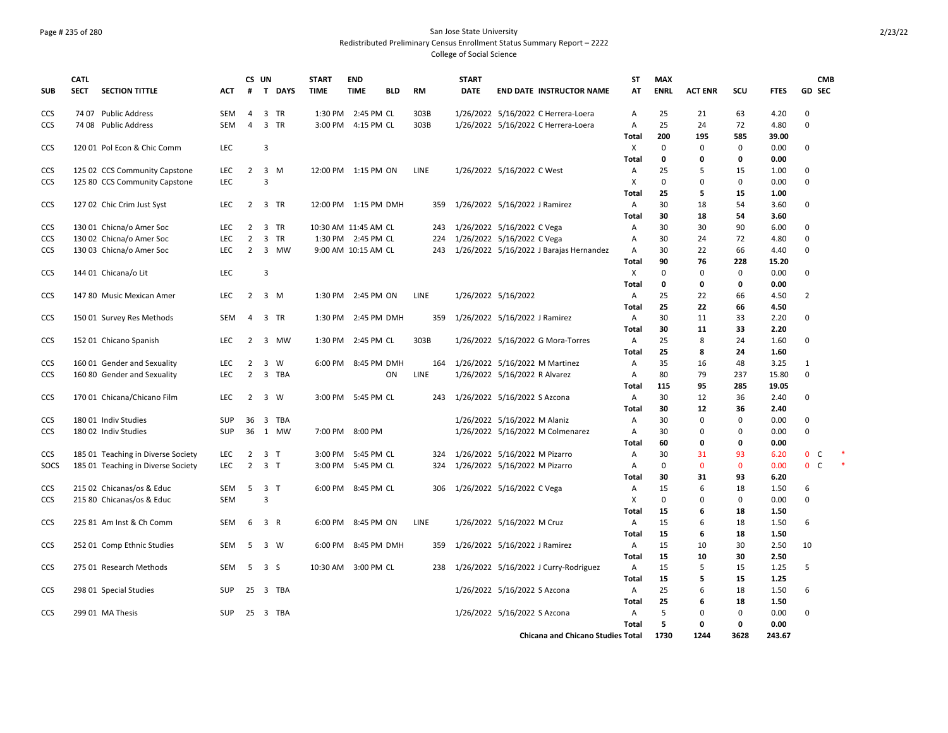### Page # 235 of 280 San Jose State University Redistributed Preliminary Census Enrollment Status Summary Report – 2222 College of Social Science

| <b>SUB</b>        | <b>CATL</b><br><b>SECT</b> | <b>SECTION TITTLE</b>                                          | ACT        | #                                | CS UN          | T DAYS       | <b>START</b><br><b>TIME</b> | <b>END</b><br><b>TIME</b> | <b>BLD</b> | <b>RM</b>   | <b>START</b><br><b>DATE</b> | <b>END DATE INSTRUCTOR NAME</b>                                 | <b>ST</b><br>AT   | <b>MAX</b><br><b>ENRL</b> | <b>ACT ENR</b> | SCU               | <b>FTES</b>   | <b>CMB</b><br><b>GD SEC</b> |  |
|-------------------|----------------------------|----------------------------------------------------------------|------------|----------------------------------|----------------|--------------|-----------------------------|---------------------------|------------|-------------|-----------------------------|-----------------------------------------------------------------|-------------------|---------------------------|----------------|-------------------|---------------|-----------------------------|--|
| <b>CCS</b>        |                            | 74 07 Public Address                                           | <b>SEM</b> | 4                                |                | 3 TR         |                             | 1:30 PM 2:45 PM CL        |            | 303B        |                             | 1/26/2022 5/16/2022 C Herrera-Loera                             | Α                 | 25                        | 21             | 63                | 4.20          | 0                           |  |
| CCS               |                            | 74 08 Public Address                                           | <b>SEM</b> | $\overline{a}$                   |                | 3 TR         |                             | 3:00 PM 4:15 PM CL        |            | 303B        |                             | 1/26/2022 5/16/2022 C Herrera-Loera                             | A                 | 25                        | 24             | 72                | 4.80          | $\mathbf 0$                 |  |
|                   |                            |                                                                |            |                                  |                |              |                             |                           |            |             |                             |                                                                 | Total             | 200                       | 195            | 585               | 39.00         |                             |  |
| CCS               |                            | 120 01 Pol Econ & Chic Comm                                    | LEC        |                                  | 3              |              |                             |                           |            |             |                             |                                                                 | X                 | 0                         | $\mathbf 0$    | 0                 | 0.00          | 0                           |  |
|                   |                            |                                                                | LEC        | $\overline{2}$                   |                | $3 \, M$     | 12:00 PM 1:15 PM ON         |                           |            | LINE        |                             |                                                                 | Total             | 0<br>25                   | 0<br>5         | $\mathbf 0$<br>15 | 0.00          | 0                           |  |
| CCS<br><b>CCS</b> |                            | 125 02 CCS Community Capstone<br>125 80 CCS Community Capstone | LEC.       |                                  | $\overline{3}$ |              |                             |                           |            |             |                             | 1/26/2022 5/16/2022 C West                                      | Α<br>X            | $\mathbf 0$               | $\Omega$       | 0                 | 1.00<br>0.00  | 0                           |  |
|                   |                            |                                                                |            |                                  |                |              |                             |                           |            |             |                             |                                                                 | Total             | 25                        | 5              | 15                | 1.00          |                             |  |
| CCS               |                            | 127 02 Chic Crim Just Syst                                     | <b>LEC</b> | $\overline{2}$                   |                | 3 TR         | 12:00 PM 1:15 PM DMH        |                           |            | 359         |                             | 1/26/2022 5/16/2022 J Ramirez                                   | Α                 | 30                        | 18             | 54                | 3.60          | 0                           |  |
|                   |                            |                                                                |            |                                  |                |              |                             |                           |            |             |                             |                                                                 | Total             | 30                        | 18             | 54                | 3.60          |                             |  |
| <b>CCS</b>        |                            | 130 01 Chicna/o Amer Soc                                       | <b>LEC</b> | $\overline{2}$                   |                | 3 TR         | 10:30 AM 11:45 AM CL        |                           |            | 243         |                             | 1/26/2022 5/16/2022 C Vega                                      | Α                 | 30                        | 30             | 90                | 6.00          | 0                           |  |
| CCS               |                            | 130 02 Chicna/o Amer Soc                                       | LEC        | $\overline{2}$                   |                | 3 TR         |                             | 1:30 PM 2:45 PM CL        |            | 224         |                             | 1/26/2022 5/16/2022 C Vega                                      | А                 | 30                        | 24             | 72                | 4.80          | 0                           |  |
| <b>CCS</b>        |                            | 130 03 Chicna/o Amer Soc                                       | <b>LEC</b> | $\overline{2}$                   |                | 3 MW         |                             | 9:00 AM 10:15 AM CL       |            | 243         |                             | 1/26/2022 5/16/2022 J Barajas Hernandez                         | Α                 | 30                        | 22             | 66                | 4.40          | 0                           |  |
|                   |                            |                                                                |            |                                  |                |              |                             |                           |            |             |                             |                                                                 | Total             | 90                        | 76             | 228               | 15.20         |                             |  |
| CCS               |                            | 144 01 Chicana/o Lit                                           | LEC        |                                  | 3              |              |                             |                           |            |             |                             |                                                                 | X                 | $\mathbf 0$               | $\Omega$       | 0                 | 0.00          | 0                           |  |
|                   |                            |                                                                |            |                                  |                |              |                             |                           |            |             |                             |                                                                 | Total             | 0                         | 0              | 0                 | 0.00          |                             |  |
| <b>CCS</b>        |                            | 147 80 Music Mexican Amer                                      | LEC.       | $\overline{2}$                   |                | 3 M          |                             | 1:30 PM 2:45 PM ON        |            | <b>LINE</b> |                             | 1/26/2022 5/16/2022                                             | Α                 | 25                        | 22             | 66                | 4.50          | $\overline{2}$              |  |
|                   |                            |                                                                |            |                                  |                |              |                             |                           |            |             |                             |                                                                 | Total             | 25                        | 22             | 66                | 4.50          |                             |  |
| CCS               |                            | 150 01 Survey Res Methods                                      | SEM        | 4                                |                | 3 TR         |                             | 1:30 PM 2:45 PM DMH       |            | 359         |                             | 1/26/2022 5/16/2022 J Ramirez                                   | Α                 | 30                        | 11             | 33                | 2.20          | 0                           |  |
|                   |                            |                                                                |            |                                  |                |              |                             |                           |            |             |                             |                                                                 | <b>Total</b>      | 30                        | 11             | 33                | 2.20          |                             |  |
| CCS               |                            | 152 01 Chicano Spanish                                         | LEC        | $\overline{2}$                   |                | 3 MW         |                             | 1:30 PM 2:45 PM CL        |            | 303B        |                             | 1/26/2022 5/16/2022 G Mora-Torres                               | Α                 | 25                        | 8              | 24                | 1.60          | 0                           |  |
|                   |                            |                                                                |            |                                  |                |              |                             | 6:00 PM 8:45 PM DMH       |            |             |                             |                                                                 | Total             | 25<br>35                  | 8              | 24                | 1.60          | 1                           |  |
| <b>CCS</b><br>CCS |                            | 160 01 Gender and Sexuality<br>160 80 Gender and Sexuality     | LEC<br>LEC | $\overline{2}$<br>$\overline{2}$ |                | 3 W<br>3 TBA |                             |                           | ON         | 164<br>LINE |                             | 1/26/2022 5/16/2022 M Martinez<br>1/26/2022 5/16/2022 R Alvarez | Α<br>Α            | 80                        | 16<br>79       | 48<br>237         | 3.25<br>15.80 | $\mathsf 0$                 |  |
|                   |                            |                                                                |            |                                  |                |              |                             |                           |            |             |                             |                                                                 | Total             | 115                       | 95             | 285               | 19.05         |                             |  |
| <b>CCS</b>        |                            | 170 01 Chicana/Chicano Film                                    | <b>LEC</b> | 2                                |                | 3 W          |                             | 3:00 PM 5:45 PM CL        |            | 243         |                             | 1/26/2022 5/16/2022 S Azcona                                    | Α                 | 30                        | 12             | 36                | 2.40          | 0                           |  |
|                   |                            |                                                                |            |                                  |                |              |                             |                           |            |             |                             |                                                                 | Total             | 30                        | 12             | 36                | 2.40          |                             |  |
| <b>CCS</b>        |                            | 180 01 Indiv Studies                                           | <b>SUP</b> | 36                               |                | 3 TBA        |                             |                           |            |             |                             | 1/26/2022 5/16/2022 M Alaniz                                    | Α                 | 30                        | 0              | $\mathbf 0$       | 0.00          | 0                           |  |
| CCS               |                            | 180 02 Indiv Studies                                           | <b>SUP</b> |                                  |                | 36 1 MW      |                             | 7:00 PM 8:00 PM           |            |             |                             | 1/26/2022 5/16/2022 M Colmenarez                                | Α                 | 30                        | $\Omega$       | $\mathbf 0$       | 0.00          | $\mathsf 0$                 |  |
|                   |                            |                                                                |            |                                  |                |              |                             |                           |            |             |                             |                                                                 | Total             | 60                        | 0              | 0                 | 0.00          |                             |  |
| CCS               |                            | 185 01 Teaching in Diverse Society                             | LEC        | $\overline{2}$                   | 3 <sub>1</sub> |              |                             | 3:00 PM 5:45 PM CL        |            | 324         |                             | 1/26/2022 5/16/2022 M Pizarro                                   | Α                 | 30                        | 31             | 93                | 6.20          | $\mathbf{0}$<br>C           |  |
| SOCS              |                            | 185 01 Teaching in Diverse Society                             | LEC        | $\overline{2}$                   | 3 <sub>1</sub> |              |                             | 3:00 PM 5:45 PM CL        |            | 324         |                             | 1/26/2022 5/16/2022 M Pizarro                                   | Α                 | $\mathbf 0$               | 0              | $\mathbf 0$       | 0.00          | $0\quad C$                  |  |
|                   |                            |                                                                |            |                                  |                |              |                             |                           |            |             |                             |                                                                 | Total             | 30                        | 31             | 93                | 6.20          |                             |  |
| CCS               |                            | 215 02 Chicanas/os & Educ                                      | SEM        | 5                                | 3 <sub>1</sub> |              |                             | 6:00 PM 8:45 PM CL        |            |             |                             | 306 1/26/2022 5/16/2022 C Vega                                  | Α                 | 15                        | 6              | 18                | 1.50          | 6                           |  |
| CCS               |                            | 215 80 Chicanas/os & Educ                                      | <b>SEM</b> |                                  | $\overline{3}$ |              |                             |                           |            |             |                             |                                                                 | X                 | $\Omega$                  | $\Omega$       | $\mathbf 0$       | 0.00          | 0                           |  |
|                   |                            |                                                                |            |                                  |                |              |                             |                           |            |             |                             |                                                                 | Total             | 15                        | 6              | 18                | 1.50          |                             |  |
| CCS               |                            | 225 81 Am Inst & Ch Comm                                       | <b>SEM</b> |                                  | 6 3 R          |              |                             | 6:00 PM 8:45 PM ON        |            | LINE        |                             | 1/26/2022 5/16/2022 M Cruz                                      | Α                 | 15                        | 6              | 18                | 1.50          | 6                           |  |
|                   |                            |                                                                |            |                                  |                |              |                             |                           |            |             |                             |                                                                 | Total             | 15                        | 6              | 18                | 1.50          |                             |  |
| CCS               |                            | 252 01 Comp Ethnic Studies                                     | SEM        |                                  | 5 3 W          |              |                             | 6:00 PM 8:45 PM DMH       |            | 359         |                             | 1/26/2022 5/16/2022 J Ramirez                                   | Α                 | 15                        | 10             | 30                | 2.50          | 10                          |  |
|                   |                            |                                                                |            |                                  |                |              |                             |                           |            |             |                             |                                                                 | <b>Total</b>      | 15                        | 10             | 30                | 2.50          |                             |  |
| CCS               |                            | 275 01 Research Methods                                        | <b>SEM</b> |                                  | 5 3 S          |              | 10:30 AM 3:00 PM CL         |                           |            | 238         |                             | 1/26/2022 5/16/2022 J Curry-Rodriguez                           | Α<br><b>Total</b> | 15<br>15                  | 5<br>5         | 15<br>15          | 1.25<br>1.25  | 5                           |  |
|                   |                            |                                                                | <b>SUP</b> |                                  |                | 25 3 TBA     |                             |                           |            |             |                             |                                                                 |                   | 25                        | 6              | 18                |               | 6                           |  |
| CCS               |                            | 298 01 Special Studies                                         |            |                                  |                |              |                             |                           |            |             |                             | 1/26/2022 5/16/2022 S Azcona                                    | Α<br><b>Total</b> | 25                        | 6              | 18                | 1.50<br>1.50  |                             |  |
| CCS               |                            | 299 01 MA Thesis                                               | <b>SUP</b> |                                  |                | 25 3 TBA     |                             |                           |            |             |                             | 1/26/2022 5/16/2022 S Azcona                                    | A                 | 5                         | $\Omega$       | $\mathbf 0$       | 0.00          | $\Omega$                    |  |
|                   |                            |                                                                |            |                                  |                |              |                             |                           |            |             |                             |                                                                 | <b>Total</b>      | 5                         | $\mathbf 0$    | $\mathbf 0$       | 0.00          |                             |  |
|                   |                            |                                                                |            |                                  |                |              |                             |                           |            |             |                             | <b>Chicana and Chicano Studies Total</b>                        |                   | 1730                      | 1244           | 3628              | 243.67        |                             |  |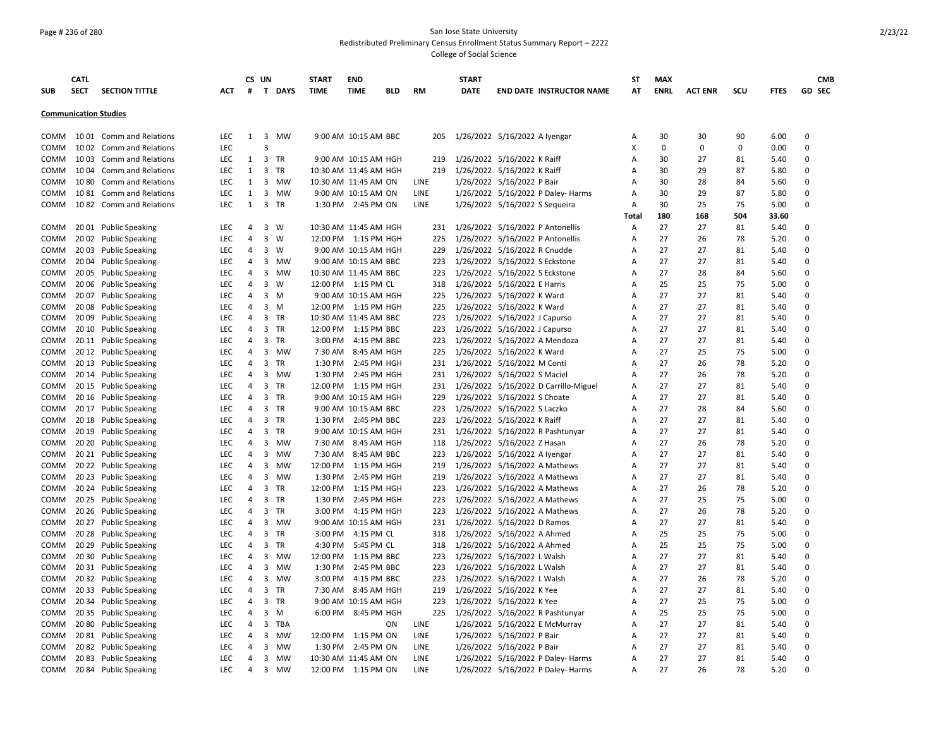### Page # 236 of 280 San Jose State University Redistributed Preliminary Census Enrollment Status Summary Report – 2222 College of Social Science

|                              | <b>CATL</b> |                           |            |                | CS UN          |             | <b>START</b> | <b>END</b>            |     |             |     | <b>START</b> |                                       | <b>ST</b> | <b>MAX</b>  |                |             |       |                  | <b>CMB</b>    |
|------------------------------|-------------|---------------------------|------------|----------------|----------------|-------------|--------------|-----------------------|-----|-------------|-----|--------------|---------------------------------------|-----------|-------------|----------------|-------------|-------|------------------|---------------|
| <b>SUB</b>                   | <b>SECT</b> | <b>SECTION TITTLE</b>     | АСТ        | #              |                | T DAYS      | <b>TIME</b>  | <b>TIME</b>           | BLD | RM          |     | <b>DATE</b>  | <b>END DATE INSTRUCTOR NAME</b>       | AT        | <b>ENRL</b> | <b>ACT ENR</b> | scu         | FTES  |                  | <b>GD SEC</b> |
|                              |             |                           |            |                |                |             |              |                       |     |             |     |              |                                       |           |             |                |             |       |                  |               |
| <b>Communication Studies</b> |             |                           |            |                |                |             |              |                       |     |             |     |              |                                       |           |             |                |             |       |                  |               |
|                              |             |                           |            |                |                |             |              |                       |     |             |     |              |                                       |           |             |                |             |       |                  |               |
| COMM                         |             | 1001 Comm and Relations   | LEC        | 1              |                | 3 MW        |              | 9:00 AM 10:15 AM BBC  |     |             | 205 |              | 1/26/2022 5/16/2022 A Iyengar         | Α         | 30          | 30             | 90          | 6.00  | $\Omega$         |               |
| COMM                         |             | 1002 Comm and Relations   | <b>LEC</b> |                | 3              |             |              |                       |     |             |     |              |                                       | x         | $\mathbf 0$ | $\mathbf 0$    | $\mathbf 0$ | 0.00  | $\Omega$         |               |
| COMM                         |             | 1003 Comm and Relations   | <b>LEC</b> | 1              | 3              | TR          |              | 9:00 AM 10:15 AM HGH  |     |             | 219 |              | 1/26/2022 5/16/2022 K Raiff           | A         | 30          | 27             | 81          | 5.40  | 0                |               |
| COMM                         | 1004        | <b>Comm and Relations</b> | <b>LEC</b> | 1              |                | 3 TR        |              | 10:30 AM 11:45 AM HGH |     |             | 219 |              | 1/26/2022 5/16/2022 K Raiff           | A         | 30          | 29             | 87          | 5.80  | 0                |               |
| COMM                         |             | 1080 Comm and Relations   | <b>LEC</b> | 1              |                | 3 MW        |              | 10:30 AM 11:45 AM ON  |     | LINE        |     |              | 1/26/2022 5/16/2022 P Bair            | Α         | 30          | 28             | 84          | 5.60  | $\Omega$         |               |
| COMM                         |             | 1081 Comm and Relations   | LEC        | 1              | 3              | MW          |              | 9:00 AM 10:15 AM ON   |     | LINE        |     |              | 1/26/2022 5/16/2022 P Daley- Harms    | Α         | 30          | 29             | 87          | 5.80  | $\mathbf 0$      |               |
| COMM                         |             | 1082 Comm and Relations   | LEC        | $\mathbf{1}$   |                | 3 TR        |              | 1:30 PM 2:45 PM ON    |     | LINE        |     |              | 1/26/2022 5/16/2022 S Sequeira        | A         | 30          | 25             | 75          | 5.00  | $\Omega$         |               |
|                              |             |                           |            |                |                |             |              |                       |     |             |     |              |                                       | Total     | 180         | 168            | 504         | 33.60 |                  |               |
| COMM                         |             | 2001 Public Speaking      | LEC        | 4              |                | $3 \quad W$ |              | 10:30 AM 11:45 AM HGH |     |             |     |              | 231 1/26/2022 5/16/2022 P Antonellis  | Α         | 27          | 27             | 81          | 5.40  | 0                |               |
| COMM                         |             | 2002 Public Speaking      | <b>LEC</b> | 4              |                | $3 \quad W$ |              | 12:00 PM 1:15 PM HGH  |     |             | 225 |              | 1/26/2022 5/16/2022 P Antonellis      | A         | 27          | 26             | 78          | 5.20  | 0                |               |
| COMM                         |             | 2003 Public Speaking      | LEC        | 4              |                | 3 W         |              | 9:00 AM 10:15 AM HGH  |     |             | 229 |              | 1/26/2022 5/16/2022 R Cnudde          | Α         | 27          | 27             | 81          | 5.40  | $\Omega$         |               |
| COMM                         |             | 20 04 Public Speaking     | <b>LEC</b> | 4              |                | 3 MW        |              | 9:00 AM 10:15 AM BBC  |     |             | 223 |              | 1/26/2022 5/16/2022 S Eckstone        | A         | 27          | 27             | 81          | 5.40  | $\Omega$         |               |
| COMM                         |             | 2005 Public Speaking      | <b>LEC</b> | $\overline{a}$ | 3              | MW          |              | 10:30 AM 11:45 AM BBC |     |             | 223 |              | 1/26/2022 5/16/2022 S Eckstone        | A         | 27          | 28             | 84          | 5.60  | $\Omega$         |               |
| COMM                         |             | 20 06 Public Speaking     | <b>LEC</b> | 4              | 3              | W           |              | 12:00 PM 1:15 PM CL   |     |             | 318 |              | 1/26/2022 5/16/2022 E Harris          | Α         | 25          | 25             | 75          | 5.00  | 0                |               |
| COMM                         |             | 20 07 Public Speaking     | <b>LEC</b> | 4              |                | 3 M         |              | 9:00 AM 10:15 AM HGH  |     |             | 225 |              | 1/26/2022 5/16/2022 K Ward            | A         | 27          | 27             | 81          | 5.40  | $\Omega$         |               |
| COMM                         |             | 2008 Public Speaking      | <b>LEC</b> | 4              |                | 3 M         |              | 12:00 PM 1:15 PM HGH  |     |             | 225 |              | 1/26/2022 5/16/2022 K Ward            | A         | 27          | 27             | 81          | 5.40  | $\Omega$         |               |
| COMM                         |             | 20 09 Public Speaking     | LEC        | 4              |                | 3 TR        |              | 10:30 AM 11:45 AM BBC |     |             | 223 |              | 1/26/2022 5/16/2022 J Capurso         | Α         | 27          | 27             | 81          | 5.40  | $\Omega$         |               |
| COMM                         |             | 20 10 Public Speaking     | LEC        | 4              |                | 3 TR        |              | 12:00 PM 1:15 PM BBC  |     |             | 223 |              | 1/26/2022 5/16/2022 J Capurso         | A         | 27          | 27             | 81          | 5.40  | $\Omega$         |               |
| COMM                         |             | 2011 Public Speaking      | <b>LEC</b> | 4              |                | 3 TR        |              | 3:00 PM 4:15 PM BBC   |     |             | 223 |              | 1/26/2022 5/16/2022 A Mendoza         | A         | 27          | 27             | 81          | 5.40  | $\Omega$         |               |
| COMM                         |             | 2012 Public Speaking      | <b>LEC</b> | 4              | 3              | MW          | 7:30 AM      | 8:45 AM HGH           |     |             | 225 |              | 1/26/2022 5/16/2022 K Ward            | A         | 27          | 25             | 75          | 5.00  | $\Omega$         |               |
| COMM                         |             | 2013 Public Speaking      | <b>LEC</b> | 4              | 3              | TR          |              | 1:30 PM 2:45 PM HGH   |     |             | 231 |              | 1/26/2022 5/16/2022 M Conti           | Α         | 27          | 26             | 78          | 5.20  | 0                |               |
| COMM                         |             | 2014 Public Speaking      | <b>LEC</b> | 4              |                | 3 MW        |              | 1:30 PM 2:45 PM HGH   |     |             | 231 |              | 1/26/2022 5/16/2022 S Maciel          | Α         | 27          | 26             | 78          | 5.20  | $\mathbf 0$      |               |
| COMM                         |             | 2015 Public Speaking      | <b>LEC</b> | 4              |                | 3 TR        |              | 12:00 PM 1:15 PM HGH  |     |             | 231 |              | 1/26/2022 5/16/2022 D Carrillo-Miguel | A         | 27          | 27             | 81          | 5.40  | $\Omega$         |               |
| COMM                         |             | 2016 Public Speaking      | <b>LEC</b> | 4              |                | 3 TR        |              | 9:00 AM 10:15 AM HGH  |     |             | 229 |              | 1/26/2022 5/16/2022 S Choate          | A         | 27          | 27             | 81          | 5.40  | $\Omega$         |               |
| COMM                         |             | 2017 Public Speaking      | LEC        | 4              |                | 3 TR        |              | 9:00 AM 10:15 AM BBC  |     |             | 223 |              | 1/26/2022 5/16/2022 S Laczko          | Α         | 27          | 28             | 84          | 5.60  | $\mathbf 0$      |               |
| COMM                         |             | 2018 Public Speaking      | LEC        | 4              |                | 3 TR        |              | 1:30 PM 2:45 PM BBC   |     |             | 223 |              | 1/26/2022 5/16/2022 K Raiff           | A         | 27          | 27             | 81          | 5.40  | 0                |               |
| COMM                         |             | 2019 Public Speaking      | <b>LEC</b> | 4              |                | 3 TR        |              | 9:00 AM 10:15 AM HGH  |     |             | 231 |              | 1/26/2022 5/16/2022 R Pashtunyar      | A         | 27          | 27             | 81          | 5.40  | $\Omega$         |               |
| COMM                         |             | 20 20 Public Speaking     | <b>LEC</b> | 4              | 3              | MW          |              | 7:30 AM 8:45 AM HGH   |     |             | 118 |              | 1/26/2022 5/16/2022 Z Hasan           | A         | 27          | 26             | 78          | 5.20  | $\Omega$         |               |
| COMM                         |             | 20 21 Public Speaking     | LEC        | $\overline{4}$ |                | 3 MW        |              | 7:30 AM 8:45 AM BBC   |     |             | 223 |              | 1/26/2022 5/16/2022 A Iyengar         | A         | 27          | 27             | 81          | 5.40  | $\Omega$         |               |
|                              |             |                           |            |                |                |             |              |                       |     |             |     |              |                                       | A         | 27          |                |             |       | 0                |               |
| COMM                         |             | 20 22 Public Speaking     | LEC        | $\overline{a}$ | 3              | MW          |              | 12:00 PM 1:15 PM HGH  |     |             | 219 |              | 1/26/2022 5/16/2022 A Mathews         |           | 27          | 27<br>27       | 81<br>81    | 5.40  | $\Omega$         |               |
| COMM                         |             | 20 23 Public Speaking     | <b>LEC</b> | 4              | 3              | MW          | 1:30 PM      | 2:45 PM HGH           |     |             | 219 |              | 1/26/2022 5/16/2022 A Mathews         | A         |             |                |             | 5.40  |                  |               |
| COMM                         |             | 20 24 Public Speaking     | <b>LEC</b> | 4              |                | 3 TR        |              | 12:00 PM 1:15 PM HGH  |     |             | 223 |              | 1/26/2022 5/16/2022 A Mathews         | A         | 27          | 26             | 78          | 5.20  | 0<br>$\mathbf 0$ |               |
| COMM                         |             | 20 25 Public Speaking     | <b>LEC</b> | 4              |                | 3 TR        |              | 1:30 PM 2:45 PM HGH   |     |             | 223 |              | 1/26/2022 5/16/2022 A Mathews         | Α         | 27          | 25             | 75          | 5.00  |                  |               |
| COMM                         |             | 20 26 Public Speaking     | <b>LEC</b> | 4              |                | 3 TR        |              | 3:00 PM 4:15 PM HGH   |     |             | 223 |              | 1/26/2022 5/16/2022 A Mathews         | A         | 27          | 26             | 78          | 5.20  | 0                |               |
| <b>COMM</b>                  |             | 20 27 Public Speaking     | <b>LEC</b> | $\overline{a}$ | 3              | MW          |              | 9:00 AM 10:15 AM HGH  |     |             | 231 |              | 1/26/2022 5/16/2022 D Ramos           | A         | 27          | 27             | 81          | 5.40  | $\Omega$         |               |
| COMM                         |             | 20 28 Public Speaking     | LEC        | 4              | 3              | TR          |              | 3:00 PM 4:15 PM CL    |     |             | 318 |              | 1/26/2022 5/16/2022 A Ahmed           | A         | 25          | 25             | 75          | 5.00  | $\Omega$         |               |
| COMM                         |             | 20 29 Public Speaking     | LEC        | 4              |                | 3 TR        | 4:30 PM      | 5:45 PM CL            |     |             | 318 |              | 1/26/2022 5/16/2022 A Ahmed           | A         | 25          | 25             | 75          | 5.00  | $\mathbf 0$      |               |
| COMM                         |             | 20 30 Public Speaking     | <b>LEC</b> | 4              | 3              | MW          |              | 12:00 PM 1:15 PM BBC  |     |             | 223 |              | 1/26/2022 5/16/2022 L Walsh           | Α         | 27          | 27             | 81          | 5.40  | 0                |               |
| COMM                         |             | 20 31 Public Speaking     | <b>LEC</b> | 4              |                | 3 MW        |              | 1:30 PM 2:45 PM BBC   |     |             | 223 |              | 1/26/2022 5/16/2022 L Walsh           | A         | 27          | 27             | 81          | 5.40  | $\Omega$         |               |
| COMM                         |             | 20 32 Public Speaking     | <b>LEC</b> | 4              | 3              | MW          |              | 3:00 PM 4:15 PM BBC   |     |             | 223 |              | 1/26/2022 5/16/2022 L Walsh           | Α         | 27          | 26             | 78          | 5.20  | $\Omega$         |               |
| COMM                         |             | 20 33 Public Speaking     | LEC        | $\overline{4}$ |                | 3 TR        |              | 7:30 AM 8:45 AM HGH   |     |             | 219 |              | 1/26/2022 5/16/2022 K Yee             | A         | 27          | 27             | 81          | 5.40  | $\Omega$         |               |
| COMM                         |             | 20 34 Public Speaking     | <b>LEC</b> | 4              |                | 3 TR        |              | 9:00 AM 10:15 AM HGH  |     |             | 223 |              | 1/26/2022 5/16/2022 K Yee             | Α         | 27          | 25             | 75          | 5.00  | $\Omega$         |               |
| COMM                         |             | 20 35 Public Speaking     | <b>LEC</b> | 4              |                | 3 M         |              | 6:00 PM 8:45 PM HGH   |     |             | 225 |              | 1/26/2022 5/16/2022 R Pashtunyar      | A         | 25          | 25             | 75          | 5.00  | 0                |               |
| COMM                         |             | 20 80 Public Speaking     | <b>LEC</b> | 4              |                | 3 TBA       |              |                       | ΟN  | <b>LINE</b> |     |              | 1/26/2022 5/16/2022 E McMurray        | Α         | 27          | 27             | 81          | 5.40  | $\Omega$         |               |
| COMM                         |             | 20 81 Public Speaking     | LEC        | 4              | 3              | MW          |              | 12:00 PM 1:15 PM ON   |     | LINE        |     |              | 1/26/2022 5/16/2022 P Bair            | A         | 27          | 27             | 81          | 5.40  | $\mathbf 0$      |               |
| COMM                         |             | 2082 Public Speaking      | LEC        | 4              |                | 3 MW        |              | 1:30 PM 2:45 PM ON    |     | LINE        |     |              | 1/26/2022 5/16/2022 P Bair            | A         | 27          | 27             | 81          | 5.40  | $\Omega$         |               |
| <b>COMM</b>                  |             | 2083 Public Speaking      | <b>LEC</b> | $\overline{4}$ | 3              | MW          |              | 10:30 AM 11:45 AM ON  |     | LINE        |     |              | 1/26/2022 5/16/2022 P Daley- Harms    | A         | 27          | 27             | 81          | 5.40  | $\Omega$         |               |
| COMM                         |             | 20 84 Public Speaking     | <b>LEC</b> | $\overline{4}$ | $\overline{3}$ | <b>MW</b>   |              | 12:00 PM 1:15 PM ON   |     | LINE        |     |              | 1/26/2022 5/16/2022 P Daley- Harms    | A         | 27          | 26             | 78          | 5.20  | $\Omega$         |               |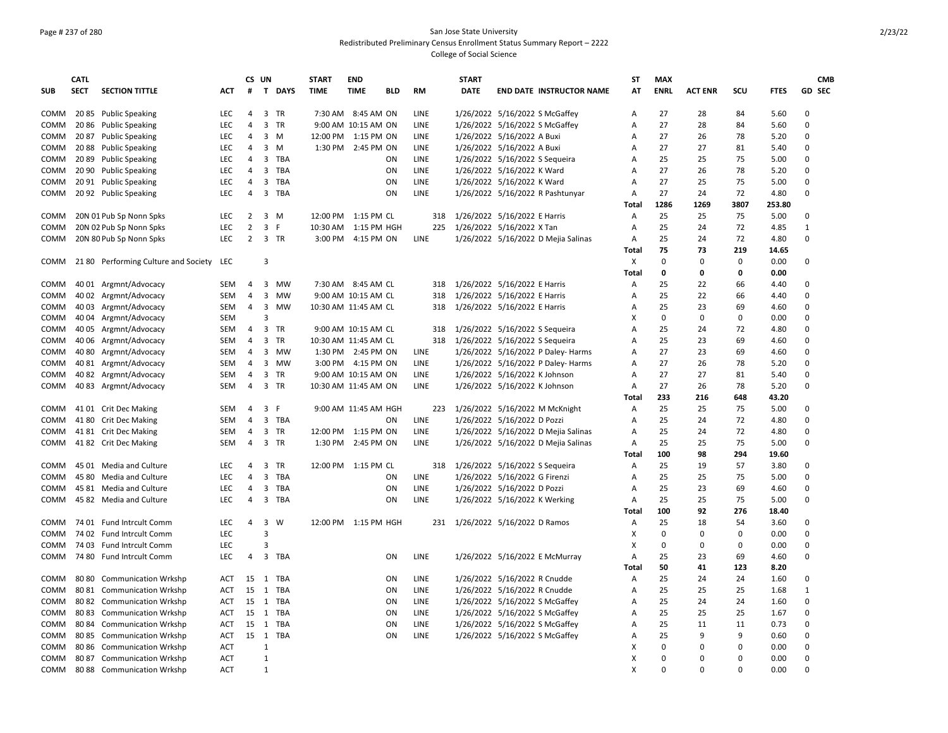### Page # 237 of 280 San Jose State University Redistributed Preliminary Census Enrollment Status Summary Report – 2222 College of Social Science

|             | <b>CATL</b> |                                          |                          | CS UN               |                |             | <b>START</b>         | <b>END</b>           |            |             | <b>START</b> |                                     | ST         | <b>MAX</b>  |                |             |               | <b>CMB</b>    |
|-------------|-------------|------------------------------------------|--------------------------|---------------------|----------------|-------------|----------------------|----------------------|------------|-------------|--------------|-------------------------------------|------------|-------------|----------------|-------------|---------------|---------------|
| <b>SUB</b>  | <b>SECT</b> | <b>SECTION TITTLE</b>                    | ACT                      | #                   | $\mathbf{T}$   | <b>DAYS</b> | <b>TIME</b>          | <b>TIME</b>          | <b>BLD</b> | <b>RM</b>   | <b>DATE</b>  | <b>END DATE INSTRUCTOR NAME</b>     | AT         | <b>ENRL</b> | <b>ACT ENR</b> | SCU         | <b>FTES</b>   | <b>GD SEC</b> |
| COMM        |             | 2085 Public Speaking                     | LEC.                     | 4                   |                | 3 TR        |                      | 7:30 AM 8:45 AM ON   |            | <b>LINE</b> |              | 1/26/2022 5/16/2022 S McGaffey      | A          | 27          | 28             | 84          | 5.60          | $\Omega$      |
| COMM        |             | 2086 Public Speaking                     | <b>LEC</b>               | 4                   |                | 3 TR        |                      | 9:00 AM 10:15 AM ON  |            | <b>LINE</b> |              | 1/26/2022 5/16/2022 S McGaffey      | A          | 27          | 28             | 84          | 5.60          | $\Omega$      |
| COMM        | 2087        | <b>Public Speaking</b>                   | <b>LEC</b>               | 4                   | 3              | M           | 12:00 PM 1:15 PM ON  |                      |            | LINE        |              | 1/26/2022 5/16/2022 A Buxi          | A          | 27          | 26             | 78          | 5.20          | $\Omega$      |
| COMM        |             | 2088 Public Speaking                     | <b>LEC</b>               | 4                   | $\mathbf{3}$   | M           |                      | 1:30 PM 2:45 PM ON   |            | <b>LINE</b> |              | 1/26/2022 5/16/2022 A Buxi          | А          | 27          | 27             | 81          | 5.40          | $\Omega$      |
| COMM        | 2089        | <b>Public Speaking</b>                   | <b>LEC</b>               | 4                   | 3              | TBA         |                      |                      | ON         | LINE        |              | 1/26/2022 5/16/2022 S Sequeira      | Α          | 25          | 25             | 75          | 5.00          | $\mathbf 0$   |
| COMM        | 20 90       | <b>Public Speaking</b>                   | LEC                      | 4                   | 3              | TBA         |                      |                      | ON         | LINE        |              | 1/26/2022 5/16/2022 K Ward          | A          | 27          | 26             | 78          | 5.20          | 0             |
| COMM        |             | 2091 Public Speaking                     | <b>LEC</b>               | 4                   | 3              | TBA         |                      |                      | ON         | LINE        |              | 1/26/2022 5/16/2022 K Ward          | А          | 27          | 25             | 75          | 5.00          | 0             |
| COMM        |             | 20 92 Public Speaking                    | <b>LEC</b>               | 4                   | 3              | TBA         |                      |                      | ON         | LINE        |              | 1/26/2022 5/16/2022 R Pashtunyar    | А          | 27          | 24             | 72          | 4.80          | $\Omega$      |
|             |             |                                          |                          |                     |                |             |                      |                      |            |             |              |                                     | Total      | 1286        | 1269           | 3807        | 253.80        |               |
| COMM        |             | 20N 01 Pub Sp Nonn Spks                  | <b>LEC</b>               | 2                   | 3              | M           | 12:00 PM             | 1:15 PM CL           |            | 318         |              | 1/26/2022 5/16/2022 E Harris        | A          | 25          | 25             | 75          | 5.00          | $\Omega$      |
| COMM        |             | 20N 02 Pub Sp Nonn Spks                  | <b>LEC</b>               | $\overline{2}$      |                | 3 F         | 10:30 AM             | 1:15 PM HGH          |            | 225         |              | 1/26/2022 5/16/2022 X Tan           | А          | 25          | 24             | 72          | 4.85          | 1             |
| COMM        |             | 20N 80 Pub Sp Nonn Spks                  | <b>LEC</b>               | $\overline{2}$      |                | 3 TR        | 3:00 PM              | 4:15 PM ON           |            | <b>LINE</b> |              | 1/26/2022 5/16/2022 D Mejia Salinas | Α          | 25          | 24             | 72          | 4.80          | $\Omega$      |
|             |             |                                          |                          |                     |                |             |                      |                      |            |             |              |                                     | Total      | 75          | 73             | 219         | 14.65         |               |
| COMM        |             | 21 80 Performing Culture and Society LEC |                          |                     | 3              |             |                      |                      |            |             |              |                                     | Х          | $\mathbf 0$ | $\mathbf 0$    | $\mathbf 0$ | 0.00          | $\Omega$      |
|             |             |                                          |                          |                     |                |             |                      |                      |            |             |              |                                     | Total      | 0           | 0              | 0           | 0.00          |               |
| COMM        |             | 40 01 Argmnt/Advocacy                    | SEM                      | 4                   |                | 3 MW        |                      | 7:30 AM 8:45 AM CL   |            | 318         |              | 1/26/2022 5/16/2022 E Harris        | Α          | 25          | 22             | 66          | 4.40          | 0             |
| COMM        |             | 40 02 Argmnt/Advocacy                    | <b>SEM</b>               | 4                   |                | 3 MW        |                      | 9:00 AM 10:15 AM CL  |            | 318         |              | 1/26/2022 5/16/2022 E Harris        | Α          | 25          | 22             | 66          | 4.40          | $\Omega$      |
| COMM        |             | 40 03 Argmnt/Advocacy                    | <b>SEM</b>               | 4                   | 3              | <b>MW</b>   | 10:30 AM 11:45 AM CL |                      |            | 318         |              | 1/26/2022 5/16/2022 E Harris        | Α          | 25          | 23             | 69          | 4.60          | $\Omega$      |
| COMM        |             | 40 04 Argmnt/Advocacy                    | <b>SEM</b>               |                     | 3              |             |                      |                      |            |             |              |                                     | X          | $\Omega$    | $\Omega$       | $\mathbf 0$ | 0.00          | $\Omega$      |
| COMM        | 40 05       | Argmnt/Advocacy                          | <b>SEM</b>               | 4                   | 3              | TR          |                      | 9:00 AM 10:15 AM CL  |            | 318         |              | 1/26/2022 5/16/2022 S Sequeira      | A          | 25          | 24             | 72          | 4.80          | $\Omega$      |
| COMM        |             | 40 06 Argmnt/Advocacy                    | <b>SEM</b>               | 4                   | 3              | TR          | 10:30 AM 11:45 AM CL |                      |            | 318         |              | 1/26/2022 5/16/2022 S Sequeira      | A          | 25          | 23             | 69          | 4.60          | 0             |
| COMM        |             | 4080 Argmnt/Advocacy                     | <b>SEM</b>               | 4                   |                | 3 MW        |                      | 1:30 PM 2:45 PM ON   |            | <b>LINE</b> |              | 1/26/2022 5/16/2022 P Daley- Harms  | А          | 27          | 23             | 69          | 4.60          | $\Omega$      |
| COMM        |             | 40 81 Argmnt/Advocacy                    | SEM                      | 4                   | 3              | MW          |                      | 3:00 PM 4:15 PM ON   |            | LINE        |              | 1/26/2022 5/16/2022 P Daley- Harms  | А          | 27          | 26             | 78          | 5.20          | $\mathbf 0$   |
| COMM        |             | 4082 Argmnt/Advocacy                     | SEM                      | 4                   | 3              | TR          |                      | 9:00 AM 10:15 AM ON  |            | <b>LINE</b> |              | 1/26/2022 5/16/2022 K Johnson       | A          | 27          | 27             | 81          | 5.40          | $\Omega$      |
| COMM        |             | 4083 Argmnt/Advocacy                     | SEM                      | 4                   | 3              | TR          | 10:30 AM 11:45 AM ON |                      |            | LINE        |              | 1/26/2022 5/16/2022 K Johnson       | A<br>Total | 27<br>233   | 26<br>216      | 78<br>648   | 5.20<br>43.20 | 0             |
|             |             |                                          | SEM                      | 4                   | 3              | - F         |                      | 9:00 AM 11:45 AM HGH |            | 223         |              |                                     |            | 25          | 25             | 75          | 5.00          | $\Omega$      |
| COMM        |             | 4101 Crit Dec Making                     | <b>SEM</b>               | 4                   | 3              | TBA         |                      |                      | ON         | LINE        |              | 1/26/2022 5/16/2022 M McKnight      | Α          | 25          | 24             |             |               | $\Omega$      |
| COMM        |             | 41 80 Crit Dec Making                    |                          |                     |                |             |                      |                      |            |             |              | 1/26/2022 5/16/2022 D Pozzi         | Α          |             |                | 72          | 4.80          | $\Omega$      |
| COMM        |             | 4181 Crit Dec Making                     | <b>SEM</b>               | 4                   | $\overline{3}$ | TR          | 12:00 PM 1:15 PM ON  |                      |            | <b>LINE</b> |              | 1/26/2022 5/16/2022 D Mejia Salinas | Α          | 25          | 24             | 72          | 4.80          | $\Omega$      |
| COMM        |             | 4182 Crit Dec Making                     | SEM                      | 4                   | 3              | TR          | 1:30 PM              | 2:45 PM ON           |            | <b>LINE</b> |              | 1/26/2022 5/16/2022 D Mejia Salinas | Α<br>Total | 25<br>100   | 25<br>98       | 75<br>294   | 5.00<br>19.60 |               |
|             |             | 45 01 Media and Culture                  |                          |                     | 3              | <b>TR</b>   | 12:00 PM 1:15 PM CL  |                      |            |             |              |                                     |            | 25          | 19             | 57          | 3.80          | $\Omega$      |
| <b>COMM</b> | 45 80       |                                          | LEC<br>LEC               | 4<br>$\overline{4}$ | 3              | TBA         |                      |                      | ON         | 318<br>LINE |              | 1/26/2022 5/16/2022 S Sequeira      | Α          | 25          | 25             | 75          | 5.00          | $\Omega$      |
| COMM        |             | <b>Media and Culture</b>                 |                          | 4                   |                | TBA         |                      |                      |            | LINE        |              | 1/26/2022 5/16/2022 G Firenzi       | A          | 25          | 23             | 69          |               | $\Omega$      |
| COMM        |             | 45 81 Media and Culture                  | <b>LEC</b><br><b>LEC</b> |                     | 3<br>3         | TBA         |                      |                      | ON<br>ON   | LINE        |              | 1/26/2022 5/16/2022 D Pozzi         | А          | 25          | 25             | 75          | 4.60          | 0             |
| COMM        |             | 45 82 Media and Culture                  |                          | 4                   |                |             |                      |                      |            |             |              | 1/26/2022 5/16/2022 K Werking       | А          | 100         | 92             | 276         | 5.00          |               |
| COMM        |             | 74 01 Fund Intrcult Comm                 | <b>LEC</b>               | 4                   | 3              | W           | 12:00 PM 1:15 PM HGH |                      |            | 231         |              | 1/26/2022 5/16/2022 D Ramos         | Total      | 25          | 18             | 54          | 18.40<br>3.60 | $\Omega$      |
| COMM        |             | 74 02 Fund Intrcult Comm                 | <b>LEC</b>               |                     | 3              |             |                      |                      |            |             |              |                                     | Α<br>х     | 0           | $\Omega$       | $\Omega$    | 0.00          | $\Omega$      |
|             |             |                                          | <b>LEC</b>               |                     | 3              |             |                      |                      |            |             |              |                                     |            | $\Omega$    | $\Omega$       | 0           |               | $\Omega$      |
| COMM        |             | 74 03 Fund Intrcult Comm                 |                          |                     |                |             |                      |                      |            |             |              |                                     | X          |             | 23             | 69          | 0.00          | $\Omega$      |
| COMM        | 74 80       | <b>Fund Intrcult Comm</b>                | LEC                      | 4                   | 3              | TBA         |                      |                      | ΟN         | LINE        |              | 1/26/2022 5/16/2022 E McMurray      | Α          | 25<br>50    | 41             | 123         | 4.60<br>8.20  |               |
| COMM        |             |                                          | <b>ACT</b>               | 15                  | 1              | TBA         |                      |                      | ON         | LINE        |              | 1/26/2022 5/16/2022 R Cnudde        | Total      | 25          | 24             | 24          | 1.60          | 0             |
|             |             | 80 80 Communication Wrkshp               |                          |                     |                |             |                      |                      |            |             |              |                                     | A          |             |                |             |               | $\mathbf{1}$  |
| COMM        |             | 80 81 Communication Wrkshp               | <b>ACT</b>               | 15                  | 1              | TBA         |                      |                      | ON         | LINE        |              | 1/26/2022 5/16/2022 R Cnudde        | A          | 25          | 25             | 25          | 1.68          | $\Omega$      |
| COMM        |             | 80 82 Communication Wrkshp               | ACT                      | 15                  | 1              | TBA         |                      |                      | ON         | LINE        |              | 1/26/2022 5/16/2022 S McGaffey      | A          | 25<br>25    | 24<br>25       | 24<br>25    | 1.60          | $\Omega$      |
| COMM        | 8083        | <b>Communication Wrkshp</b>              | <b>ACT</b>               | 15                  | 1              | TBA         |                      |                      | ON         | LINE        |              | 1/26/2022 5/16/2022 S McGaffey      | А          |             |                |             | 1.67          |               |
| COMM        | 8084        | <b>Communication Wrkshp</b>              | <b>ACT</b>               | 15 1                |                | TBA         |                      |                      | ON         | LINE        |              | 1/26/2022 5/16/2022 S McGaffey      | Α          | 25          | 11<br>9        | 11<br>9     | 0.73          | 0<br>$\Omega$ |
| COMM        | 8085        | <b>Communication Wrkshp</b>              | <b>ACT</b>               | 15                  | $\mathbf{1}$   | TBA         |                      |                      | ON         | <b>LINE</b> |              | 1/26/2022 5/16/2022 S McGaffey      | A          | 25          | $\Omega$       | $\Omega$    | 0.60          | $\Omega$      |
| COMM        | 8086        | <b>Communication Wrkshp</b>              | <b>ACT</b>               |                     | 1              |             |                      |                      |            |             |              |                                     | х          | 0           |                |             | 0.00          |               |
| COMM        | 8087        | <b>Communication Wrkshp</b>              | <b>ACT</b>               |                     | 1              |             |                      |                      |            |             |              |                                     | х          | $\Omega$    | $\Omega$       | $\Omega$    | 0.00          | $\Omega$      |
| COMM        | 8088        | <b>Communication Wrkshp</b>              | ACT                      |                     | 1              |             |                      |                      |            |             |              |                                     | X          | $\Omega$    | $\Omega$       | $\Omega$    | 0.00          | $\Omega$      |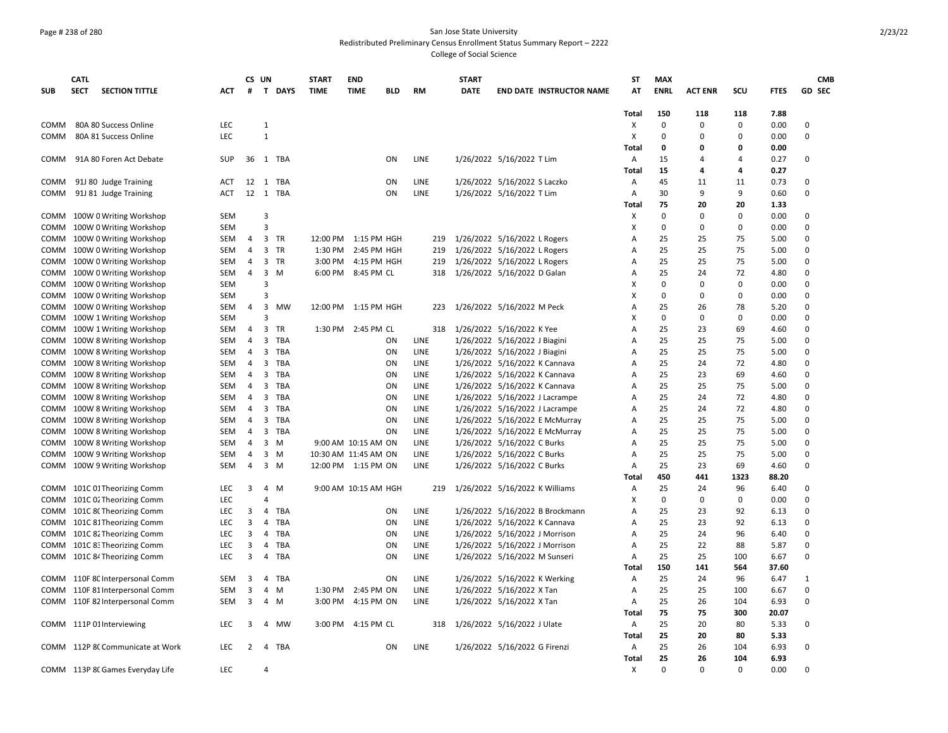## Page # 238 of 280 San Jose State University Redistributed Preliminary Census Enrollment Status Summary Report – 2222

College of Social Science

|             | <b>CATL</b> |                                  |            |                | CS UN          |          | <b>START</b> | <b>END</b>           |     |             | <b>START</b> |                                 | <b>ST</b>    | <b>MAX</b>  |                |             |             |               | <b>CMB</b> |
|-------------|-------------|----------------------------------|------------|----------------|----------------|----------|--------------|----------------------|-----|-------------|--------------|---------------------------------|--------------|-------------|----------------|-------------|-------------|---------------|------------|
| <b>SUB</b>  | <b>SECT</b> | <b>SECTION TITTLE</b>            | ACT        | #              |                | T DAYS   | <b>TIME</b>  | <b>TIME</b>          | BLD | RM          | <b>DATE</b>  | <b>END DATE INSTRUCTOR NAME</b> | AT           | <b>ENRL</b> | <b>ACT ENR</b> | SCU         | <b>FTES</b> | <b>GD SEC</b> |            |
|             |             |                                  |            |                |                |          |              |                      |     |             |              |                                 |              |             |                |             |             |               |            |
|             |             |                                  |            |                |                |          |              |                      |     |             |              |                                 | Total        | 150         | 118            | 118         | 7.88        |               |            |
| COMM        |             | 80A 80 Success Online            | LEC        |                | $\mathbf{1}$   |          |              |                      |     |             |              |                                 | Х            | $\mathbf 0$ | $\mathbf 0$    | 0           | 0.00        | $\Omega$      |            |
| <b>COMM</b> |             | 80A 81 Success Online            | <b>LEC</b> |                | $\mathbf{1}$   |          |              |                      |     |             |              |                                 | X            | $\Omega$    | $\Omega$       | $\Omega$    | 0.00        | $\Omega$      |            |
|             |             |                                  |            |                |                |          |              |                      |     |             |              |                                 | Total        | 0           | 0              | 0           | 0.00        |               |            |
| COMM        |             | 91A 80 Foren Act Debate          | SUP        |                |                | 36 1 TBA |              |                      | ΟN  | LINE        |              | 1/26/2022 5/16/2022 T Lim       | Α            | 15          | 4              | 4           | 0.27        | 0             |            |
|             |             |                                  |            |                |                |          |              |                      |     |             |              |                                 | Total        | 15          | 4              | 4           | 0.27        |               |            |
| COMM        |             | 91J 80 Judge Training            | ACT        |                | 12 1           | TBA      |              |                      | ON  | LINE        |              | 1/26/2022 5/16/2022 S Laczko    | Α            | 45          | 11             | 11          | 0.73        | $\Omega$      |            |
| COMM        |             | 91J 81 Judge Training            | ACT        |                | 12 1           | TBA      |              |                      | ON  | <b>LINE</b> |              | 1/26/2022 5/16/2022 T Lim       | A            | 30          | 9              | 9           | 0.60        | $\Omega$      |            |
|             |             |                                  |            |                |                |          |              |                      |     |             |              |                                 | Total        | 75          | 20             | 20          | 1.33        |               |            |
| COMM        |             | 100W 0 Writing Workshop          | <b>SEM</b> |                | 3              |          |              |                      |     |             |              |                                 | х            | $\mathbf 0$ | 0              | $\mathbf 0$ | 0.00        | 0             |            |
| COMM        |             | 100W 0 Writing Workshop          | SEM        |                | $\overline{3}$ |          |              |                      |     |             |              |                                 | X            | $\mathbf 0$ | $\mathbf 0$    | $\Omega$    | 0.00        | $\Omega$      |            |
| COMM        |             | 100W 0 Writing Workshop          | SEM        | 4              |                | 3 TR     | 12:00 PM     | 1:15 PM HGH          |     | 219         |              | 1/26/2022 5/16/2022 L Rogers    | Α            | 25          | 25             | 75          | 5.00        | $\mathbf 0$   |            |
| COMM        |             | 100W 0 Writing Workshop          | <b>SEM</b> | 4              |                | 3 TR     | 1:30 PM      | 2:45 PM HGH          |     | 219         |              | 1/26/2022 5/16/2022 L Rogers    | A            | 25          | 25             | 75          | 5.00        | $\Omega$      |            |
| COMM        |             | 100W 0 Writing Workshop          | <b>SEM</b> | 4              |                | 3 TR     | 3:00 PM      | 4:15 PM HGH          |     | 219         |              | 1/26/2022 5/16/2022 L Rogers    | A            | 25          | 25             | 75          | 5.00        | $\Omega$      |            |
| COMM        |             | 100W 0 Writing Workshop          | SEM        | 4              | 3              | M        |              | 6:00 PM 8:45 PM CL   |     | 318         |              | 1/26/2022 5/16/2022 D Galan     | Α            | 25          | 24             | 72          | 4.80        | $\mathbf 0$   |            |
| COMM        |             | 100W 0 Writing Workshop          | <b>SEM</b> |                | 3              |          |              |                      |     |             |              |                                 | Χ            | 0           | 0              | 0           | 0.00        | $\Omega$      |            |
| <b>COMM</b> |             | 100W 0 Writing Workshop          | <b>SEM</b> |                | 3              |          |              |                      |     |             |              |                                 | x            | 0           | 0              | $\Omega$    | 0.00        | $\Omega$      |            |
| СОММ        |             | 100W 0 Writing Workshop          | <b>SEM</b> | 4              | 3              | MW       |              | 12:00 PM 1:15 PM HGH |     | 223         |              | 1/26/2022 5/16/2022 M Peck      | A            | 25          | 26             | 78          | 5.20        | $\mathbf 0$   |            |
| COMM        |             | 100W 1 Writing Workshop          | <b>SEM</b> |                | $\mathbf{a}$   |          |              |                      |     |             |              |                                 | x            | $\Omega$    | $\Omega$       | 0           | 0.00        | $\Omega$      |            |
| COMM        |             | 100W 1 Writing Workshop          | <b>SEM</b> | 4              | 3              | TR       |              | 1:30 PM 2:45 PM CL   |     | 318         |              | 1/26/2022 5/16/2022 K Yee       | A            | 25          | 23             | 69          | 4.60        | $\Omega$      |            |
| COMM        |             | 100W 8 Writing Workshop          | SEM        | 4              | 3              | TBA      |              |                      | ΟN  | LINE        |              | 1/26/2022 5/16/2022 J Biagini   | A            | 25          | 25             | 75          | 5.00        | $\mathbf 0$   |            |
|             |             | COMM 100W 8 Writing Workshop     | <b>SEM</b> | 4              | 3              | TBA      |              |                      | ON  | LINE        |              | 1/26/2022 5/16/2022 J Biagini   | A            | 25          | 25             | 75          | 5.00        | 0             |            |
|             |             | COMM 100W 8 Writing Workshop     | <b>SEM</b> | $\overline{4}$ | 3              | TBA      |              |                      | ON  | <b>LINE</b> |              | 1/26/2022 5/16/2022 K Cannava   | A            | 25          | 24             | 72          | 4.80        | $\Omega$      |            |
| COMM        |             | 100W 8 Writing Workshop          | SEM        | 4              | 3              | TBA      |              |                      | ON  | LINE        |              | 1/26/2022 5/16/2022 K Cannava   | A            | 25          | 23             | 69          | 4.60        | $\Omega$      |            |
| COMM        |             | 100W 8 Writing Workshop          | SEM        | $\overline{4}$ | 3              | TBA      |              |                      | ON  | LINE        |              | 1/26/2022 5/16/2022 K Cannava   | A            | 25          | 25             | 75          | 5.00        | $\Omega$      |            |
| <b>COMM</b> |             | 100W 8 Writing Workshop          | <b>SEM</b> | 4              | 3              | TBA      |              |                      | ON  | <b>LINE</b> |              | 1/26/2022 5/16/2022 J Lacrampe  | A            | 25          | 24             | 72          | 4.80        | $\Omega$      |            |
| COMM        |             | 100W 8 Writing Workshop          | SEM        | 4              | 3              | TBA      |              |                      | ON  | LINE        |              | 1/26/2022 5/16/2022 J Lacrampe  | A            | 25          | 24             | 72          | 4.80        | 0             |            |
|             |             | COMM 100W 8 Writing Workshop     | <b>SEM</b> | $\overline{4}$ |                | 3 TBA    |              |                      | ON  | LINE        |              | 1/26/2022 5/16/2022 E McMurray  | Α            | 25          | 25             | 75          | 5.00        | 0             |            |
| COMM        |             | 100W 8 Writing Workshop          | SEM        | 4              |                | 3 TBA    |              |                      | ON  | LINE        |              | 1/26/2022 5/16/2022 E McMurray  | Α            | 25          | 25             | 75          | 5.00        | $\Omega$      |            |
| COMM        |             | 100W 8 Writing Workshop          | <b>SEM</b> | 4              | 3              | M        |              | 9:00 AM 10:15 AM ON  |     | LINE        |              | 1/26/2022 5/16/2022 C Burks     | A            | 25          | 25             | 75          | 5.00        | $\Omega$      |            |
| COMM        |             | 100W 9 Writing Workshop          | <b>SEM</b> | 4              | 3              | M        |              | 10:30 AM 11:45 AM ON |     | <b>LINE</b> |              | 1/26/2022 5/16/2022 C Burks     | A            | 25          | 25             | 75          | 5.00        | $\Omega$      |            |
| COMM        |             |                                  | SEM        | 4              | 3              | M        |              | 12:00 PM 1:15 PM ON  |     | LINE        |              |                                 |              | 25          | 23             | 69          | 4.60        | 0             |            |
|             |             | 100W 9 Writing Workshop          |            |                |                |          |              |                      |     |             |              | 1/26/2022 5/16/2022 C Burks     | Α            | 450         | 441            | 1323        | 88.20       |               |            |
|             |             |                                  | <b>LEC</b> |                |                | 4 M      |              | 9:00 AM 10:15 AM HGH |     | 219         |              | 1/26/2022 5/16/2022 K Williams  | Total        | 25          | 24             | 96          | 6.40        | $\Omega$      |            |
|             |             | COMM 101C 01 Theorizing Comm     | <b>LEC</b> | 3              | 4              |          |              |                      |     |             |              |                                 | Α<br>х       | $\mathbf 0$ | $\mathbf 0$    | 0           | 0.00        | 0             |            |
| COMM        |             | 101C 02 Theorizing Comm          |            |                |                |          |              |                      |     |             |              |                                 |              |             |                |             |             | $\Omega$      |            |
| COMM        |             | 101C 8(Theorizing Comm           | <b>LEC</b> | 3              | 4              | TBA      |              |                      | ΟN  | LINE        |              | 1/26/2022 5/16/2022 B Brockmann | A            | 25          | 23             | 92          | 6.13        |               |            |
| COMM        |             | 101C 81 Theorizing Comm          | <b>LEC</b> | 3              | 4              | TBA      |              |                      | ON  | <b>LINE</b> |              | 1/26/2022 5/16/2022 K Cannava   | A            | 25          | 23             | 92          | 6.13        | $\Omega$      |            |
| COMM        |             | 101C 82 Theorizing Comm          | <b>LEC</b> | 3              | 4              | TBA      |              |                      | ON  | LINE        |              | 1/26/2022 5/16/2022 J Morrison  | A            | 25          | 24             | 96          | 6.40        | 0             |            |
| COMM        |             | 101C 8: Theorizing Comm          | <b>LEC</b> | 3              | 4              | TBA      |              |                      | ON  | LINE        |              | 1/26/2022 5/16/2022 J Morrison  | A            | 25          | 22             | 88          | 5.87        | 0             |            |
|             |             | COMM 101C 84 Theorizing Comm     | <b>LEC</b> | 3              | 4              | TBA      |              |                      | ΟN  | LINE        |              | 1/26/2022 5/16/2022 M Sunseri   | A            | 25          | 25             | 100         | 6.67        | $\Omega$      |            |
|             |             |                                  |            |                |                |          |              |                      |     |             |              |                                 | Total        | 150         | 141            | 564         | 37.60       |               |            |
|             |             | COMM 110F 8C Interpersonal Comm  | <b>SEM</b> | 3              | 4              | TBA      |              |                      | ON  | <b>LINE</b> |              | 1/26/2022 5/16/2022 K Werking   | A            | 25          | 24             | 96          | 6.47        | $\mathbf{1}$  |            |
| COMM        |             | 110F 81 Interpersonal Comm       | <b>SEM</b> | 3              | 4              | M        | 1:30 PM      | 2:45 PM ON           |     | LINE        |              | 1/26/2022 5/16/2022 X Tan       | A            | 25          | 25             | 100         | 6.67        | $\Omega$      |            |
| COMM        |             | 110F 82 Interpersonal Comm       | SEM        | 3              | 4              | M        | 3:00 PM      | 4:15 PM ON           |     | LINE        |              | 1/26/2022 5/16/2022 X Tan       | Α            | 25          | 26             | 104         | 6.93        | $\mathbf 0$   |            |
|             |             |                                  |            |                |                |          |              |                      |     |             |              |                                 | Total        | 75          | 75             | 300         | 20.07       |               |            |
|             |             | COMM 111P 01 Interviewing        | <b>LEC</b> | 3              | 4              | MW       |              | 3:00 PM 4:15 PM CL   |     | 318         |              | 1/26/2022 5/16/2022 J Ulate     | Α            | 25          | 20             | 80          | 5.33        | $\Omega$      |            |
|             |             |                                  |            |                |                |          |              |                      |     |             |              |                                 | Total        | 25          | 20             | 80          | 5.33        |               |            |
|             |             | COMM 112P 8(Communicate at Work  | <b>LEC</b> | $\overline{2}$ |                | 4 TBA    |              |                      | ON  | LINE        |              | 1/26/2022 5/16/2022 G Firenzi   | Α            | 25          | 26             | 104         | 6.93        | 0             |            |
|             |             |                                  |            |                |                |          |              |                      |     |             |              |                                 | <b>Total</b> | 25          | 26             | 104         | 6.93        |               |            |
|             |             | COMM 113P 8C Games Everyday Life | <b>LEC</b> |                | 4              |          |              |                      |     |             |              |                                 | Х            | $\Omega$    | $\Omega$       | $\Omega$    | 0.00        | $\Omega$      |            |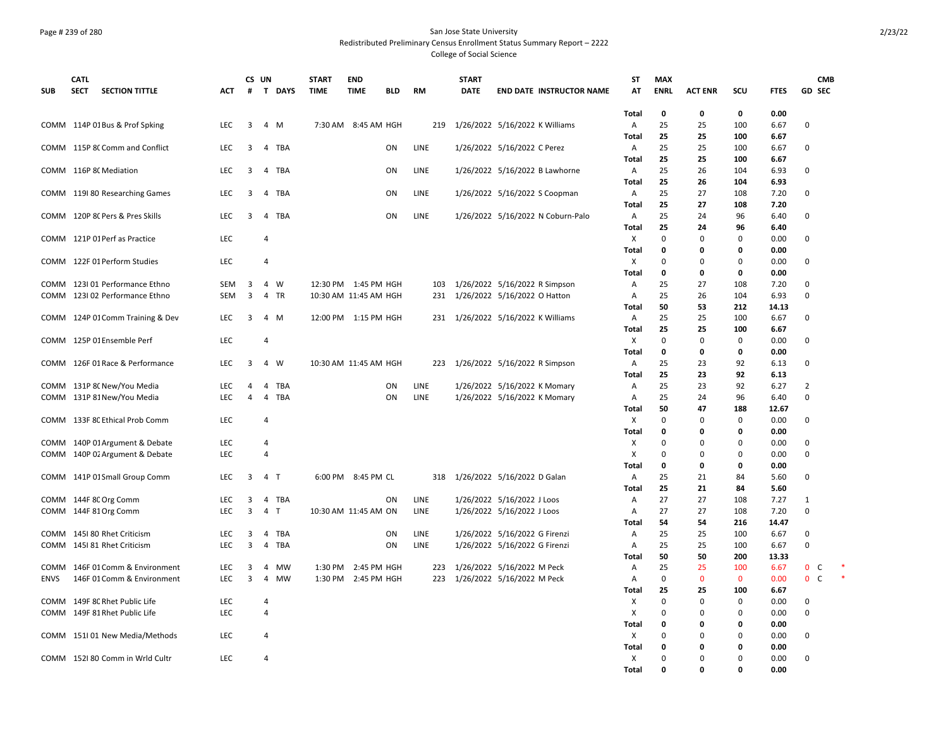### Page # 239 of 280 San Jose State University Redistributed Preliminary Census Enrollment Status Summary Report – 2222 College of Social Science

|             | <b>CATL</b> |                                  |            |                | CS UN          |        | <b>START</b>          | <b>END</b>           |            |      | <b>START</b> |                                    | ST           | <b>MAX</b>  |                |             |              | <b>CMB</b>                   |        |
|-------------|-------------|----------------------------------|------------|----------------|----------------|--------|-----------------------|----------------------|------------|------|--------------|------------------------------------|--------------|-------------|----------------|-------------|--------------|------------------------------|--------|
| <b>SUB</b>  | <b>SECT</b> | <b>SECTION TITTLE</b>            | ACT        | #              |                | T DAYS | <b>TIME</b>           | <b>TIME</b>          | <b>BLD</b> | RM   | <b>DATE</b>  | <b>END DATE INSTRUCTOR NAME</b>    | AT           | <b>ENRL</b> | <b>ACT ENR</b> | scu         | <b>FTES</b>  | <b>GD SEC</b>                |        |
|             |             |                                  |            |                |                |        |                       |                      |            |      |              |                                    | Total        | 0           | 0              | 0           | 0.00         |                              |        |
|             |             | COMM 114P 01 Bus & Prof Spking   | LEC        | 3              |                | 4 M    |                       | 7:30 AM 8:45 AM HGH  |            | 219  |              | 1/26/2022 5/16/2022 K Williams     | A            | 25          | 25             | 100         | 6.67         | 0                            |        |
|             |             |                                  |            |                |                |        |                       |                      |            |      |              |                                    | Total        | 25          | 25             | 100         | 6.67         |                              |        |
|             |             | COMM 115P 8C Comm and Conflict   | <b>LEC</b> | 3              |                | 4 TBA  |                       |                      | ΟN         | LINE |              | 1/26/2022 5/16/2022 C Perez        | Α            | 25          | 25             | 100         | 6.67         | 0                            |        |
|             |             |                                  |            |                |                |        |                       |                      |            |      |              |                                    | Total        | 25          | 25             | 100         | 6.67         |                              |        |
|             |             | COMM 116P 8C Mediation           | <b>LEC</b> | 3              |                | 4 TBA  |                       |                      | ON         | LINE |              | 1/26/2022 5/16/2022 B Lawhorne     | A            | 25          | 26             | 104         | 6.93         | 0                            |        |
|             |             |                                  |            |                |                |        |                       |                      |            |      |              |                                    | Total        | 25          | 26             | 104         | 6.93         |                              |        |
|             |             | COMM 119 80 Researching Games    | LEC        | 3              |                | 4 TBA  |                       |                      | ON         | LINE |              | 1/26/2022 5/16/2022 S Coopman      | A            | 25          | 27             | 108         | 7.20         | $\Omega$                     |        |
|             |             |                                  |            |                |                |        |                       |                      |            |      |              |                                    | Total        | 25          | 27             | 108         | 7.20         |                              |        |
|             |             | COMM 120P 8C Pers & Pres Skills  | LEC        | 3              |                | 4 TBA  |                       |                      | ΟN         | LINE |              | 1/26/2022 5/16/2022 N Coburn-Palo  | A            | 25          | 24             | 96          | 6.40         | 0                            |        |
|             |             |                                  |            |                |                |        |                       |                      |            |      |              |                                    | Total        | 25          | 24             | 96          | 6.40         |                              |        |
|             |             | COMM 121P 01 Perf as Practice    | LEC        |                | 4              |        |                       |                      |            |      |              |                                    | X            | 0           | $\mathbf 0$    | 0           | 0.00         | 0                            |        |
|             |             |                                  |            |                |                |        |                       |                      |            |      |              |                                    | Total        | 0           | 0              | 0           | 0.00         |                              |        |
|             |             | COMM 122F 01 Perform Studies     | LEC        |                | 4              |        |                       |                      |            |      |              |                                    | X            | 0           | 0              | $\Omega$    | 0.00         | 0                            |        |
|             |             |                                  |            |                |                |        |                       |                      |            |      |              |                                    | Total        | 0           | 0              | 0           | 0.00         |                              |        |
|             |             | COMM 123I 01 Performance Ethno   | SEM        | 3              |                | 4 W    |                       | 12:30 PM 1:45 PM HGH |            | 103  |              | 1/26/2022 5/16/2022 R Simpson      | A            | 25          | 27             | 108         | 7.20         | 0                            |        |
| COMM        |             | 123I 02 Performance Ethno        | SEM        | 3              |                | 4 TR   | 10:30 AM 11:45 AM HGH |                      |            | 231  |              | 1/26/2022 5/16/2022 O Hatton       | A            | 25          | 26             | 104         | 6.93         | $\mathbf 0$                  |        |
|             |             |                                  |            |                |                |        |                       |                      |            |      |              |                                    | Total        | 50          | 53             | 212         | 14.13        |                              |        |
|             |             | COMM 124P 01 Comm Training & Dev | <b>LEC</b> | 3              |                | 4 M    | 12:00 PM 1:15 PM HGH  |                      |            |      |              | 231 1/26/2022 5/16/2022 K Williams | A            | 25          | 25             | 100         | 6.67         | 0                            |        |
|             |             |                                  |            |                |                |        |                       |                      |            |      |              |                                    | Total        | 25          | 25             | 100         | 6.67         |                              |        |
|             |             | COMM 125P 01 Ensemble Perf       | LEC        |                | 4              |        |                       |                      |            |      |              |                                    | X            | $\mathbf 0$ | $\mathbf 0$    | $\mathbf 0$ | 0.00         | 0                            |        |
|             |             |                                  |            |                |                |        |                       |                      |            |      |              |                                    | <b>Total</b> | 0           | 0              | $\mathbf 0$ | 0.00         |                              |        |
| COMM        |             | 126F 01 Race & Performance       | <b>LEC</b> | 3              |                | 4 W    | 10:30 AM 11:45 AM HGH |                      |            |      |              | 223 1/26/2022 5/16/2022 R Simpson  | A<br>Total   | 25<br>25    | 23<br>23       | 92<br>92    | 6.13<br>6.13 | 0                            |        |
|             |             | COMM 131P 8C New/You Media       | LEC        | 4              |                | 4 TBA  |                       |                      | ON         | LINE |              | 1/26/2022 5/16/2022 K Momary       | A            | 25          | 23             | 92          | 6.27         | $\overline{2}$               |        |
|             |             | COMM 131P 81 New/You Media       | LEC        | $\overline{4}$ |                | 4 TBA  |                       |                      | ON         | LINE |              | 1/26/2022 5/16/2022 K Momary       | A            | 25          | 24             | 96          | 6.40         | $\mathbf 0$                  |        |
|             |             |                                  |            |                |                |        |                       |                      |            |      |              |                                    | <b>Total</b> | 50          | 47             | 188         | 12.67        |                              |        |
|             |             | COMM 133F 8C Ethical Prob Comm   | LEC        |                | 4              |        |                       |                      |            |      |              |                                    | Χ            | 0           | 0              | 0           | 0.00         | 0                            |        |
|             |             |                                  |            |                |                |        |                       |                      |            |      |              |                                    | Total        | 0           | 0              | 0           | 0.00         |                              |        |
|             |             | COMM 140P 01 Argument & Debate   | LEC        |                | 4              |        |                       |                      |            |      |              |                                    | X            | $\Omega$    | 0              | $\Omega$    | 0.00         | $\Omega$                     |        |
|             |             | COMM 140P 02 Argument & Debate   | LEC        |                | $\overline{4}$ |        |                       |                      |            |      |              |                                    | X            | 0           | $\mathbf 0$    | 0           | 0.00         | 0                            |        |
|             |             |                                  |            |                |                |        |                       |                      |            |      |              |                                    | Total        | $\mathbf 0$ | 0              | 0           | 0.00         |                              |        |
|             |             | COMM 141P 01 Small Group Comm    | LEC        | 3              |                | 4 T    |                       | 6:00 PM 8:45 PM CL   |            | 318  |              | 1/26/2022 5/16/2022 D Galan        | A            | 25          | 21             | 84          | 5.60         | 0                            |        |
|             |             |                                  |            |                |                |        |                       |                      |            |      |              |                                    | Total        | 25          | 21             | 84          | 5.60         |                              |        |
|             |             | COMM 144F 8C Org Comm            | <b>LEC</b> | 3              |                | 4 TBA  |                       |                      | ΟN         | LINE |              | 1/26/2022 5/16/2022 J Loos         | A            | 27          | 27             | 108         | 7.27         | 1                            |        |
|             |             | COMM 144F 81 Org Comm            | <b>LEC</b> | 3              |                | 4 T    | 10:30 AM 11:45 AM ON  |                      |            | LINE |              | 1/26/2022 5/16/2022 J Loos         | A            | 27          | 27             | 108         | 7.20         | $\mathbf 0$                  |        |
|             |             |                                  |            |                |                |        |                       |                      |            |      |              |                                    | Total        | 54          | 54             | 216         | 14.47        |                              |        |
| <b>COMM</b> |             | 145I 80 Rhet Criticism           | LEC        | 3              |                | 4 TBA  |                       |                      | ON         | LINE |              | 1/26/2022 5/16/2022 G Firenzi      | $\mathsf{A}$ | 25          | 25             | 100         | 6.67         | 0                            |        |
| COMM        |             | 145I 81 Rhet Criticism           | <b>LEC</b> | 3              |                | 4 TBA  |                       |                      | ON         | LINE |              | 1/26/2022 5/16/2022 G Firenzi      | A            | 25          | 25             | 100         | 6.67         | 0                            |        |
|             |             |                                  |            |                |                |        |                       |                      |            |      |              |                                    | Total        | 50          | 50             | 200         | 13.33        |                              |        |
| COMM        |             | 146F 01 Comm & Environment       | LEC        | 3              | 4              | MW     | 1:30 PM               | 2:45 PM HGH          |            | 223  |              | 1/26/2022 5/16/2022 M Peck         | Α            | 25          | 25             | 100         | 6.67         | $\mathbf 0$<br>C             |        |
| <b>ENVS</b> |             | 146F 01 Comm & Environment       | LEC        | 3              | $\overline{4}$ | MW     |                       | 1:30 PM 2:45 PM HGH  |            | 223  |              | 1/26/2022 5/16/2022 M Peck         | A            | $\mathbf 0$ | $\mathbf 0$    | $\mathbf 0$ | 0.00         | $\mathbf{0}$<br>$\mathsf{C}$ | $\ast$ |
|             |             |                                  |            |                |                |        |                       |                      |            |      |              |                                    | <b>Total</b> | 25          | 25             | 100         | 6.67         |                              |        |
| COMM        |             | 149F 8C Rhet Public Life         | LEC        |                | 4              |        |                       |                      |            |      |              |                                    | Χ            | 0           | 0              | 0           | 0.00         | 0                            |        |
|             |             | COMM 149F 81 Rhet Public Life    | LEC        |                | $\overline{4}$ |        |                       |                      |            |      |              |                                    | X            | 0           | $\mathbf 0$    | 0           | 0.00         | $\mathbf 0$                  |        |
|             |             |                                  |            |                |                |        |                       |                      |            |      |              |                                    | Total        | 0           | 0              | $\mathbf 0$ | 0.00         |                              |        |
| COMM        |             | 151I 01 New Media/Methods        | LEC        |                | 4              |        |                       |                      |            |      |              |                                    | X            | 0           | O              | 0           | 0.00         | $\mathbf 0$                  |        |
|             |             |                                  |            |                |                |        |                       |                      |            |      |              |                                    | Total        | 0           | 0              | 0           | 0.00         |                              |        |
|             |             | COMM 152180 Comm in Wrld Cultr   | <b>LEC</b> |                | 4              |        |                       |                      |            |      |              |                                    | X            | 0           | 0              | $\Omega$    | 0.00         | $\Omega$                     |        |
|             |             |                                  |            |                |                |        |                       |                      |            |      |              |                                    | Total        | O           | $\mathbf{0}$   | $\Omega$    | 0.00         |                              |        |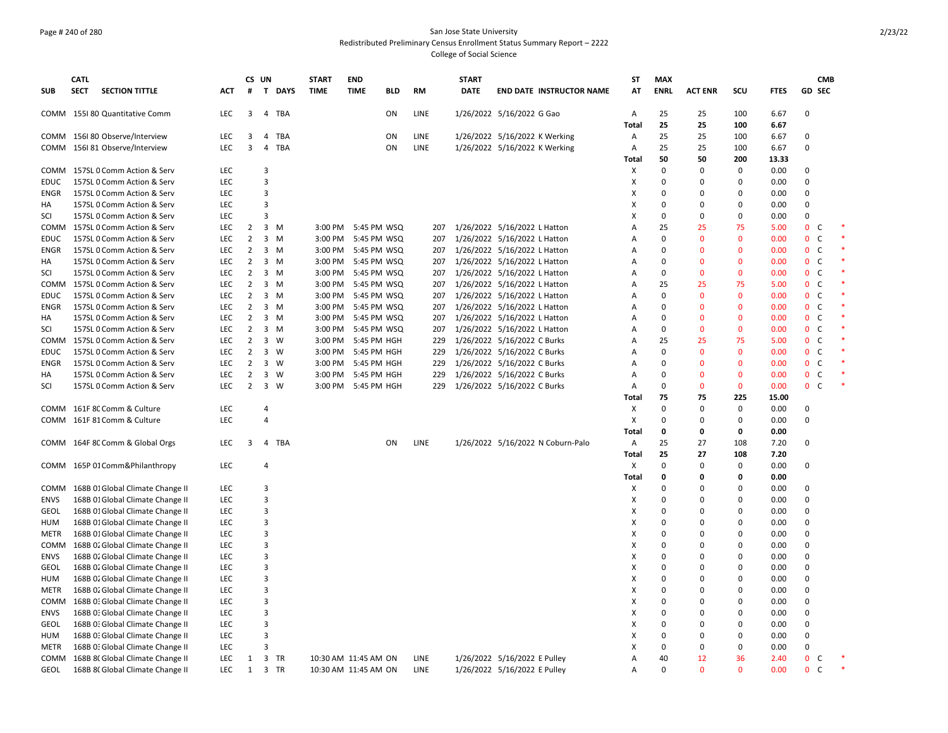### Page # 240 of 280 San Jose State University Redistributed Preliminary Census Enrollment Status Summary Report – 2222 College of Social Science

|             | <b>CATL</b> |                                  |            |                | CS UN          |             | <b>START</b>         | <b>END</b>          |            |      | <b>START</b> |                                   | <b>ST</b>      | <b>MAX</b>  |                |              |             | <b>CMB</b>                   |  |
|-------------|-------------|----------------------------------|------------|----------------|----------------|-------------|----------------------|---------------------|------------|------|--------------|-----------------------------------|----------------|-------------|----------------|--------------|-------------|------------------------------|--|
| <b>SUB</b>  | <b>SECT</b> | <b>SECTION TITTLE</b>            | ACT.       | #              |                | T DAYS      | <b>TIME</b>          | <b>TIME</b>         | <b>BLD</b> | RM   | <b>DATE</b>  | <b>END DATE INSTRUCTOR NAME</b>   | AT             | <b>ENRL</b> | <b>ACT ENR</b> | scu          | <b>FTES</b> | <b>GD SEC</b>                |  |
|             |             | COMM 155I 80 Quantitative Comm   | <b>LEC</b> | 3              |                | 4 TBA       |                      |                     | ON         | LINE |              | 1/26/2022 5/16/2022 G Gao         | A              | 25          | 25             | 100          | 6.67        | $\Omega$                     |  |
|             |             |                                  |            |                |                |             |                      |                     |            |      |              |                                   | <b>Total</b>   | 25          | 25             | 100          | 6.67        |                              |  |
|             |             | COMM 156I 80 Observe/Interview   | LEC        | 3              | 4              | TBA         |                      |                     | ON         | LINE |              | 1/26/2022 5/16/2022 K Werking     | Α              | 25          | 25             | 100          | 6.67        | $\Omega$                     |  |
|             |             | COMM 156I 81 Observe/Interview   | LEC.       | 3              |                | 4 TBA       |                      |                     | ON         | LINE |              | 1/26/2022 5/16/2022 K Werking     | Α              | 25          | 25             | 100          | 6.67        | $\Omega$                     |  |
|             |             |                                  |            |                |                |             |                      |                     |            |      |              |                                   | Total          | 50          | 50             | 200          | 13.33       |                              |  |
|             |             | COMM 157SL 0 Comm Action & Serv  | LEC        |                | 3              |             |                      |                     |            |      |              |                                   | Х              | $\mathbf 0$ | $\mathbf 0$    | 0            | 0.00        | 0                            |  |
| <b>EDUC</b> |             | 157SL 0 Comm Action & Serv       | <b>LEC</b> |                | 3              |             |                      |                     |            |      |              |                                   | X              | $\Omega$    | $\Omega$       | $\Omega$     | 0.00        | $\Omega$                     |  |
| ENGR        |             | 157SL 0 Comm Action & Serv       | LEC        |                | $\overline{3}$ |             |                      |                     |            |      |              |                                   | X              | $\mathbf 0$ | $\mathbf 0$    | 0            | 0.00        | $\Omega$                     |  |
| HA          |             | 157SL 0 Comm Action & Serv       | LEC        |                | 3              |             |                      |                     |            |      |              |                                   | х              | $\mathbf 0$ | $\mathbf 0$    | $\mathbf 0$  | 0.00        | $\Omega$                     |  |
| SCI         |             | 157SL 0 Comm Action & Serv       | <b>LEC</b> |                | $\overline{3}$ |             |                      |                     |            |      |              |                                   | x              | $\Omega$    | $\Omega$       | $\mathbf 0$  | 0.00        | $\Omega$                     |  |
|             |             | COMM 157SL 0 Comm Action & Serv  | LEC        | 2              |                | $3 \, M$    |                      | 3:00 PM 5:45 PM WSQ |            | 207  |              | 1/26/2022 5/16/2022 L Hatton      | Α              | 25          | 25             | 75           | 5.00        | 0<br>C                       |  |
| <b>EDUC</b> |             | 157SL 0 Comm Action & Serv       | <b>LEC</b> | $\overline{2}$ |                | $3 \, M$    |                      | 3:00 PM 5:45 PM WSQ |            | 207  |              | 1/26/2022 5/16/2022 L Hatton      | Α              | $\mathbf 0$ | $\mathbf 0$    | $\mathbf 0$  | 0.00        | C<br>$\mathbf{0}$            |  |
| ENGR        |             | 157SL 0 Comm Action & Serv       | LEC        | $\overline{2}$ |                | $3 \, M$    | 3:00 PM              | 5:45 PM WSQ         |            | 207  |              | 1/26/2022 5/16/2022 L Hatton      | Α              | $\mathbf 0$ | $\mathbf{0}$   | $\mathbf{0}$ | 0.00        | $\mathsf{C}$<br>$\mathbf{0}$ |  |
| HA          |             | 157SL 0 Comm Action & Serv       | LEC        | $\overline{2}$ |                | $3 \, M$    | 3:00 PM              | 5:45 PM WSQ         |            | 207  |              | 1/26/2022 5/16/2022 L Hatton      | Α              | $\mathbf 0$ | $\mathbf 0$    | $\mathbf 0$  | 0.00        | $\mathsf{C}$<br>$\mathbf{0}$ |  |
| SCI         |             | 157SL 0 Comm Action & Serv       | <b>LEC</b> | $\overline{2}$ | $\mathbf{3}$   | M           | 3:00 PM              | 5:45 PM WSQ         |            | 207  |              | 1/26/2022 5/16/2022 L Hatton      | A              | 0           | $\mathbf 0$    | $\mathbf 0$  | 0.00        | $\mathbf{0}$<br>C            |  |
|             |             | COMM 157SL 0 Comm Action & Serv  | <b>LEC</b> | $\overline{2}$ |                | $3 \, M$    | 3:00 PM              | 5:45 PM WSQ         |            | 207  |              | 1/26/2022 5/16/2022 L Hatton      | A              | 25          | 25             | 75           | 5.00        | $\mathbf{0}$<br>C            |  |
| <b>EDUC</b> |             | 157SL 0 Comm Action & Serv       | <b>LEC</b> | $\overline{2}$ |                | $3 \, M$    | 3:00 PM              | 5:45 PM WSQ         |            | 207  |              | 1/26/2022 5/16/2022 L Hatton      | Α              | $\mathbf 0$ | $\mathbf 0$    | $\mathbf{0}$ | 0.00        | C<br>$\Omega$                |  |
| ENGR        |             | 157SL 0 Comm Action & Serv       | LEC        | 2              |                | 3 M         | 3:00 PM              | 5:45 PM WSQ         |            | 207  |              | 1/26/2022 5/16/2022 L Hatton      | Α              | $\mathsf 0$ | $\mathbf{0}$   | $\mathbf{0}$ | 0.00        | $\mathsf{C}$<br>$\mathbf{0}$ |  |
| HA          |             | 157SL 0 Comm Action & Serv       | LEC        | $\overline{2}$ |                | $3 \, M$    | 3:00 PM              | 5:45 PM WSQ         |            | 207  |              | 1/26/2022 5/16/2022 L Hatton      | A              | $\mathbf 0$ | $\mathbf 0$    | $\mathbf{0}$ | 0.00        | $\mathsf{C}$<br>$\mathbf{0}$ |  |
| SCI         |             | 157SL 0 Comm Action & Serv       | <b>LEC</b> | $\overline{2}$ | 3              | M           | 3:00 PM              | 5:45 PM WSQ         |            | 207  |              | 1/26/2022 5/16/2022 L Hatton      | A              | $\mathbf 0$ | $\mathbf 0$    | $\mathbf{0}$ | 0.00        | $\mathbf{0}$<br>C            |  |
|             |             | COMM 157SL 0 Comm Action & Serv  | LEC        | $\overline{2}$ | 3              | W           | 3:00 PM              | 5:45 PM HGH         |            | 229  |              | 1/26/2022 5/16/2022 C Burks       | Α              | 25          | 25             | 75           | 5.00        | 0<br>C                       |  |
| <b>EDUC</b> |             | 157SL 0 Comm Action & Serv       | LEC        | $\overline{2}$ |                | $3 \quad W$ | 3:00 PM              | 5:45 PM HGH         |            | 229  |              | 1/26/2022 5/16/2022 C Burks       | Α              | $\mathbf 0$ | $\Omega$       | $\mathbf{0}$ | 0.00        | $\mathbf{0}$<br>C            |  |
| ENGR        |             | 157SL 0 Comm Action & Serv       | <b>LEC</b> | $\overline{2}$ | $\mathbf{3}$   | W           | 3:00 PM              | 5:45 PM HGH         |            | 229  |              | 1/26/2022 5/16/2022 C Burks       | A              | $\Omega$    | $\mathbf 0$    | $\mathbf{0}$ | 0.00        | C<br>$\mathbf{0}$            |  |
| HA          |             | 157SL 0 Comm Action & Serv       | LEC        | $\overline{2}$ |                | $3 \quad W$ | 3:00 PM              | 5:45 PM HGH         |            | 229  |              | 1/26/2022 5/16/2022 C Burks       | Α              | $\mathbf 0$ | $\mathbf 0$    | $\mathbf{0}$ | 0.00        | $\mathsf{C}$<br>$\mathbf{0}$ |  |
| SCI         |             | 157SL 0 Comm Action & Serv       | <b>LEC</b> | $\overline{2}$ | $\mathbf{3}$   | W           |                      | 3:00 PM 5:45 PM HGH |            | 229  |              | 1/26/2022 5/16/2022 C Burks       | $\overline{A}$ | $\mathbf 0$ | $\mathbf 0$    | $\mathbf{0}$ | 0.00        | $\mathbf{0}$<br>C            |  |
|             |             |                                  |            |                |                |             |                      |                     |            |      |              |                                   | Total          | 75          | 75             | 225          | 15.00       |                              |  |
| COMM        |             | 161F 8C Comm & Culture           | LEC        |                | $\overline{4}$ |             |                      |                     |            |      |              |                                   | X              | $\mathsf 0$ | $\Omega$       | $\mathbf 0$  | 0.00        | $\Omega$                     |  |
| COMM        |             | 161F 81 Comm & Culture           | <b>LEC</b> |                | $\overline{4}$ |             |                      |                     |            |      |              |                                   | X              | $\Omega$    | 0              | $\mathbf 0$  | 0.00        | $\Omega$                     |  |
|             |             |                                  |            |                |                |             |                      |                     |            |      |              |                                   | Total          | $\mathbf 0$ | $\mathbf 0$    | $\mathbf 0$  | 0.00        |                              |  |
|             |             | COMM 164F 8C Comm & Global Orgs  | <b>LEC</b> | 3              |                | 4 TBA       |                      |                     | ON         | LINE |              | 1/26/2022 5/16/2022 N Coburn-Palo | A              | 25          | 27             | 108          | 7.20        | $\Omega$                     |  |
|             |             |                                  |            |                |                |             |                      |                     |            |      |              |                                   | Total          | 25          | 27             | 108          | 7.20        |                              |  |
|             |             | COMM 165P 01Comm&Philanthropy    | LEC        |                | $\overline{4}$ |             |                      |                     |            |      |              |                                   | Х              | $\mathsf 0$ | $\mathbf 0$    | $\mathbf 0$  | 0.00        | $\mathbf 0$                  |  |
|             |             |                                  |            |                |                |             |                      |                     |            |      |              |                                   | Total          | 0           | $\mathbf{0}$   | 0            | 0.00        |                              |  |
| COMM        |             | 168B 01 Global Climate Change II | LEC        |                | 3              |             |                      |                     |            |      |              |                                   | Х              | $\Omega$    | $\Omega$       | $\mathbf 0$  | 0.00        | $\Omega$                     |  |
| <b>ENVS</b> |             | 168B 01 Global Climate Change II | LEC        |                | 3              |             |                      |                     |            |      |              |                                   | Χ              | $\mathbf 0$ | $\Omega$       | 0            | 0.00        | $\Omega$                     |  |
| GEOL        |             | 168B 01 Global Climate Change II | LEC        |                | $\overline{3}$ |             |                      |                     |            |      |              |                                   | X              | $\Omega$    | $\Omega$       | $\Omega$     | 0.00        | $\Omega$                     |  |
| HUM         |             | 168B 01 Global Climate Change II | LEC        |                | 3              |             |                      |                     |            |      |              |                                   | X              | $\mathbf 0$ | $\mathbf 0$    | 0            | 0.00        | $\Omega$                     |  |
| <b>METR</b> |             | 168B 01 Global Climate Change II | LEC        |                | 3              |             |                      |                     |            |      |              |                                   | X              | $\mathbf 0$ | $\Omega$       | $\mathbf 0$  | 0.00        | $\Omega$                     |  |
| COMM        |             | 168B 02 Global Climate Change II | LEC        |                | 3              |             |                      |                     |            |      |              |                                   | Χ              | $\Omega$    | $\Omega$       | $\Omega$     | 0.00        | $\Omega$                     |  |
| <b>ENVS</b> |             | 168B 02 Global Climate Change II | <b>LEC</b> |                | 3              |             |                      |                     |            |      |              |                                   | X              | $\Omega$    | $\Omega$       | $\mathbf 0$  | 0.00        | $\Omega$                     |  |
| GEOL        |             | 168B 02 Global Climate Change II | <b>LEC</b> |                | $\overline{3}$ |             |                      |                     |            |      |              |                                   | X              | $\Omega$    | $\Omega$       | $\Omega$     | 0.00        | $\Omega$                     |  |
| <b>HUM</b>  |             | 168B 02 Global Climate Change II | LEC        |                | 3              |             |                      |                     |            |      |              |                                   | X              | $\Omega$    | $\mathbf 0$    | 0            | 0.00        | $\Omega$                     |  |
| <b>METR</b> |             | 168B 02 Global Climate Change II | LEC        |                | 3              |             |                      |                     |            |      |              |                                   | X              | $\mathbf 0$ | $\mathbf 0$    | $\mathbf 0$  | 0.00        | $\Omega$                     |  |
| COMM        |             | 168B 0: Global Climate Change II | LEC        |                | 3              |             |                      |                     |            |      |              |                                   | Χ              | $\mathbf 0$ | $\mathbf 0$    | $\mathbf 0$  | 0.00        | $\Omega$                     |  |
| <b>ENVS</b> |             | 168B 0: Global Climate Change II | <b>LEC</b> |                | 3              |             |                      |                     |            |      |              |                                   | X              | $\mathbf 0$ | $\Omega$       | $\mathbf 0$  | 0.00        | $\Omega$                     |  |
| <b>GEOL</b> |             | 168B 0: Global Climate Change II | <b>LEC</b> |                | $\overline{3}$ |             |                      |                     |            |      |              |                                   | X              | $\mathbf 0$ | $\Omega$       | $\mathbf 0$  | 0.00        | $\Omega$                     |  |
| HUM         |             | 168B 0: Global Climate Change II | LEC        |                | 3              |             |                      |                     |            |      |              |                                   | х              | $\Omega$    | 0              | $\mathbf 0$  | 0.00        | $\Omega$                     |  |
| <b>METR</b> |             | 168B 0: Global Climate Change II | LEC        |                | $\overline{3}$ |             |                      |                     |            |      |              |                                   | X              | $\mathbf 0$ | $\mathbf 0$    | $\mathbf 0$  | 0.00        | $\Omega$                     |  |
| COMM        |             | 168B 8(Global Climate Change II  | LEC        | 1              |                | 3 TR        | 10:30 AM 11:45 AM ON |                     |            | LINE |              | 1/26/2022 5/16/2022 E Pulley      | Α              | 40          | 12             | 36           | 2.40        | $\mathbf{0}$<br>C            |  |
| GEOL        |             | 168B 8(Global Climate Change II  | LEC        | $\mathbf{1}$   |                | 3 TR        | 10:30 AM 11:45 AM ON |                     |            | LINE |              | 1/26/2022 5/16/2022 E Pulley      | Α              | $\Omega$    | $\Omega$       | $\Omega$     | 0.00        | $\mathsf{C}$<br>$\Omega$     |  |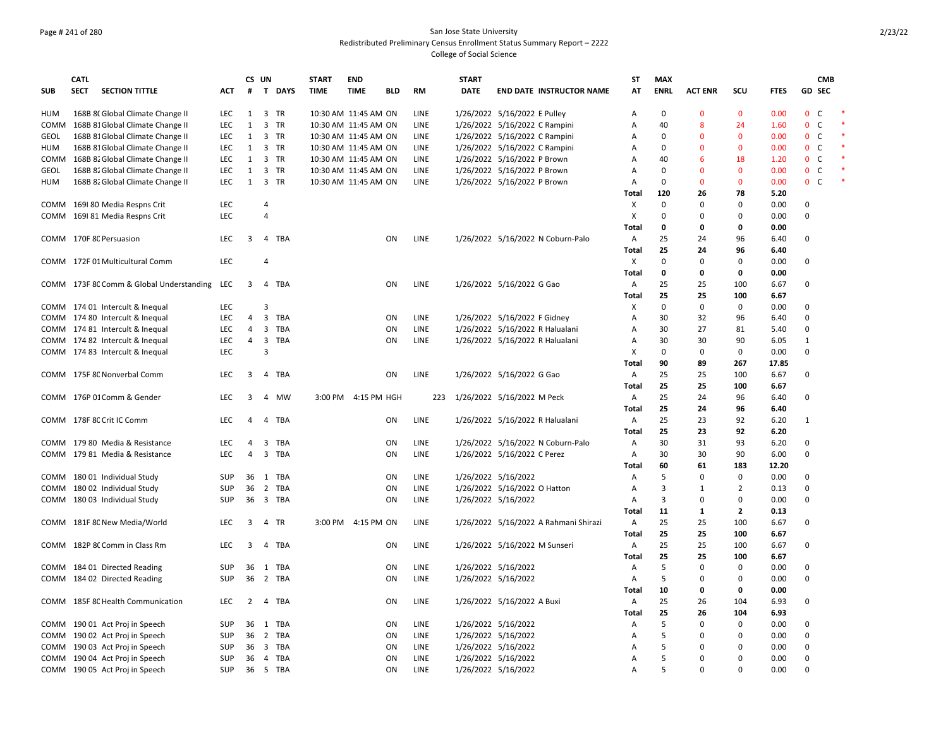### Page # 241 of 280 San Jose State University Redistributed Preliminary Census Enrollment Status Summary Report – 2222 College of Social Science

|             | <b>CATL</b> |                                          |            |                | CS UN |          | <b>START</b> | <b>END</b>           |     |             | <b>START</b> |                                       | SΤ           | <b>MAX</b>     |                |                |             |                              | <b>CMB</b> |  |
|-------------|-------------|------------------------------------------|------------|----------------|-------|----------|--------------|----------------------|-----|-------------|--------------|---------------------------------------|--------------|----------------|----------------|----------------|-------------|------------------------------|------------|--|
| <b>SUB</b>  | <b>SECT</b> | <b>SECTION TITTLE</b>                    | ACT        | #              |       | T DAYS   | <b>TIME</b>  | <b>TIME</b>          | BLD | RM          | <b>DATE</b>  | <b>END DATE INSTRUCTOR NAME</b>       | AT           | <b>ENRL</b>    | <b>ACT ENR</b> | scu            | <b>FTES</b> | GD SEC                       |            |  |
| HUM         |             | 168B 8(Global Climate Change II          | LEC        | 1              |       | 3 TR     |              | 10:30 AM 11:45 AM ON |     | LINE        |              | 1/26/2022 5/16/2022 E Pulley          | A            | $\mathbf 0$    | $\mathbf{0}$   | $\mathbf{0}$   | 0.00        | $\mathbf{0}$<br>- C          |            |  |
| COMM        |             | 168B 81 Global Climate Change II         | <b>LEC</b> | $\mathbf{1}$   |       | 3 TR     |              | 10:30 AM 11:45 AM ON |     | LINE        |              | 1/26/2022 5/16/2022 C Rampini         | А            | 40             | 8              | 24             | 1.60        | $\mathsf{C}$<br>$\mathbf{0}$ |            |  |
| <b>GEOL</b> |             | 168B 81 Global Climate Change II         | <b>LEC</b> | 1              |       | 3 TR     |              | 10:30 AM 11:45 AM ON |     | LINE        |              | 1/26/2022 5/16/2022 C Rampini         | Α            | 0              | $\Omega$       | $\mathbf{0}$   | 0.00        | $\mathsf{C}$<br>$\mathbf{0}$ |            |  |
| HUM         |             | 168B 81 Global Climate Change II         | <b>LEC</b> | 1              |       | 3 TR     |              | 10:30 AM 11:45 AM ON |     | LINE        |              | 1/26/2022 5/16/2022 C Rampini         | A            | $\mathbf 0$    | $\mathbf{0}$   | $\mathbf{0}$   | 0.00        | C<br>$\mathbf{0}$            |            |  |
| COMM        |             | 168B 82 Global Climate Change II         | <b>LEC</b> | 1              |       | 3 TR     |              | 10:30 AM 11:45 AM ON |     | LINE        |              | 1/26/2022 5/16/2022 P Brown           | A            | 40             | 6              | 18             | 1.20        | $\mathbf{0}$<br>C            |            |  |
| GEOL        |             | 168B 82 Global Climate Change II         | <b>LEC</b> | 1              |       | 3 TR     |              | 10:30 AM 11:45 AM ON |     | <b>LINE</b> |              | 1/26/2022 5/16/2022 P Brown           | A            | 0              | $\Omega$       | $\mathbf{0}$   | 0.00        | C<br>$\mathbf{0}$            |            |  |
| <b>HUM</b>  |             | 168B 82 Global Climate Change II         | LEC        | $\mathbf{1}$   |       | 3 TR     |              | 10:30 AM 11:45 AM ON |     | LINE        |              | 1/26/2022 5/16/2022 P Brown           | А            | $\mathbf 0$    | $\mathbf 0$    | 0              | 0.00        | $\mathbf{0}$<br>$\mathsf{C}$ |            |  |
|             |             |                                          |            |                |       |          |              |                      |     |             |              |                                       | Total        | 120            | 26             | 78             | 5.20        |                              |            |  |
|             |             | COMM 169180 Media Respns Crit            | <b>LEC</b> |                | 4     |          |              |                      |     |             |              |                                       | X            | $\mathbf 0$    | $\Omega$       | $\Omega$       | 0.00        | 0                            |            |  |
| COMM        |             | 1691 81 Media Respns Crit                | <b>LEC</b> |                | 4     |          |              |                      |     |             |              |                                       | X            | $\mathbf 0$    | $\Omega$       | 0              | 0.00        | $\mathbf 0$                  |            |  |
|             |             |                                          |            |                |       |          |              |                      |     |             |              |                                       | Total        | $\mathbf 0$    | 0              | 0              | 0.00        |                              |            |  |
|             |             | COMM 170F 8C Persuasion                  | <b>LEC</b> | 3              |       | 4 TBA    |              |                      | ON  | LINE        |              | 1/26/2022 5/16/2022 N Coburn-Palo     | $\mathsf{A}$ | 25             | 24             | 96             | 6.40        | 0                            |            |  |
|             |             |                                          |            |                |       |          |              |                      |     |             |              |                                       | Total        | 25             | 24             | 96             | 6.40        |                              |            |  |
|             |             | COMM 172F 01 Multicultural Comm          | <b>LEC</b> |                | 4     |          |              |                      |     |             |              |                                       | X            | $\mathbf 0$    | 0              | $\Omega$       | 0.00        | 0                            |            |  |
|             |             |                                          |            |                |       |          |              |                      |     |             |              |                                       | Total        | 0              | 0              | 0              | 0.00        |                              |            |  |
|             |             |                                          | LEC        | 3              |       | 4 TBA    |              |                      | ON  | LINE        |              | 1/26/2022 5/16/2022 G Gao             |              | 25             | 25             | 100            |             | $\Omega$                     |            |  |
|             |             | COMM 173F 8C Comm & Global Understanding |            |                |       |          |              |                      |     |             |              |                                       | A            |                |                |                | 6.67        |                              |            |  |
|             |             |                                          |            |                |       |          |              |                      |     |             |              |                                       | Total        | 25             | 25             | 100            | 6.67        |                              |            |  |
|             |             | COMM 174 01 Intercult & Inequal          | LEC        |                | 3     |          |              |                      |     |             |              |                                       | X            | $\mathbf 0$    | 0              | $\mathbf 0$    | 0.00        | $\Omega$                     |            |  |
|             |             | COMM 174 80 Intercult & Inequal          | <b>LEC</b> | 4              |       | 3 TBA    |              |                      | ON  | <b>LINE</b> |              | 1/26/2022 5/16/2022 F Gidney          | Α            | 30             | 32             | 96             | 6.40        | $\Omega$                     |            |  |
|             |             | COMM 174 81 Intercult & Inequal          | <b>LEC</b> | 4              |       | 3 TBA    |              |                      | ON  | LINE        |              | 1/26/2022 5/16/2022 R Halualani       | A            | 30             | 27             | 81             | 5.40        | 0                            |            |  |
|             |             | COMM 174 82 Intercult & Inequal          | LEC        | 4              |       | 3 TBA    |              |                      | ON  | LINE        |              | 1/26/2022 5/16/2022 R Halualani       | A            | 30             | 30             | 90             | 6.05        | 1                            |            |  |
|             |             | COMM 174 83 Intercult & Inequal          | <b>LEC</b> |                | 3     |          |              |                      |     |             |              |                                       | X            | $\Omega$       | 0              | $\mathbf 0$    | 0.00        | $\mathbf 0$                  |            |  |
|             |             |                                          |            |                |       |          |              |                      |     |             |              |                                       | Total        | 90             | 89             | 267            | 17.85       |                              |            |  |
|             |             | COMM 175F 8C Nonverbal Comm              | <b>LEC</b> | 3              |       | 4 TBA    |              |                      | ON  | <b>LINE</b> |              | 1/26/2022 5/16/2022 G Gao             | $\mathsf{A}$ | 25             | 25             | 100            | 6.67        | 0                            |            |  |
|             |             |                                          |            |                |       |          |              |                      |     |             |              |                                       | Total        | 25             | 25             | 100            | 6.67        |                              |            |  |
|             |             | COMM 176P 01 Comm & Gender               | LEC        | 3              |       | 4 MW     |              | 3:00 PM 4:15 PM HGH  |     | 223         |              | 1/26/2022 5/16/2022 M Peck            | A            | 25             | 24             | 96             | 6.40        | $\mathbf 0$                  |            |  |
|             |             |                                          |            |                |       |          |              |                      |     |             |              |                                       | <b>Total</b> | 25             | 24             | 96             | 6.40        |                              |            |  |
|             |             | COMM 178F 8C Crit IC Comm                | <b>LEC</b> | $\overline{a}$ |       | 4 TBA    |              |                      | ON  | LINE        |              | 1/26/2022 5/16/2022 R Halualani       | Α            | 25             | 23             | 92             | 6.20        | 1                            |            |  |
|             |             |                                          |            |                |       |          |              |                      |     |             |              |                                       | <b>Total</b> | 25             | 23             | 92             | 6.20        |                              |            |  |
|             |             | COMM 179 80 Media & Resistance           | <b>LEC</b> | 4              | 3     | TBA      |              |                      | ON  | LINE        |              | 1/26/2022 5/16/2022 N Coburn-Palo     | A            | 30             | 31             | 93             | 6.20        | 0                            |            |  |
| COMM        |             | 179 81 Media & Resistance                | <b>LEC</b> | 4              |       | 3 TBA    |              |                      | ON  | LINE        |              | 1/26/2022 5/16/2022 C Perez           | А            | 30             | 30             | 90             | 6.00        | $\mathbf 0$                  |            |  |
|             |             |                                          |            |                |       |          |              |                      |     |             |              |                                       | Total        | 60             | 61             | 183            | 12.20       |                              |            |  |
| COMM        |             | 18001 Individual Study                   | <b>SUP</b> | 36             |       | 1 TBA    |              |                      | ON  | LINE        |              | 1/26/2022 5/16/2022                   | Α            | 5              | 0              | 0              | 0.00        | $\Omega$                     |            |  |
| COMM        |             | 180 02 Individual Study                  | SUP        | 36             |       | 2 TBA    |              |                      | ON  | LINE        |              | 1/26/2022 5/16/2022 O Hatton          | Α            | 3              | 1              | $\overline{2}$ | 0.13        | $\Omega$                     |            |  |
|             |             | COMM 180 03 Individual Study             | <b>SUP</b> | 36             |       | 3 TBA    |              |                      | 0N  | LINE        |              | 1/26/2022 5/16/2022                   | A            | $\overline{3}$ | 0              | 0              | 0.00        | $\Omega$                     |            |  |
|             |             |                                          |            |                |       |          |              |                      |     |             |              |                                       |              |                |                |                |             |                              |            |  |
|             |             |                                          |            |                |       |          |              |                      |     |             |              |                                       | Total        | 11             | 1              | $\mathbf{2}$   | 0.13        |                              |            |  |
| COMM        |             | 181F 8C New Media/World                  | <b>LEC</b> | 3              | 4     | TR       |              | 3:00 PM 4:15 PM ON   |     | LINE        |              | 1/26/2022 5/16/2022 A Rahmani Shirazi | $\mathsf{A}$ | 25             | 25             | 100            | 6.67        | $\mathbf 0$                  |            |  |
|             |             |                                          |            |                |       |          |              |                      |     |             |              |                                       | Total        | 25             | 25             | 100            | 6.67        |                              |            |  |
| COMM        |             | 182P 8C Comm in Class Rm                 | <b>LEC</b> | 3              | 4     | TBA      |              |                      | ON  | LINE        |              | 1/26/2022 5/16/2022 M Sunseri         | $\mathsf{A}$ | 25             | 25             | 100            | 6.67        | 0                            |            |  |
|             |             |                                          |            |                |       |          |              |                      |     |             |              |                                       | Total        | 25             | 25             | 100            | 6.67        |                              |            |  |
| COMM        |             | 184 01 Directed Reading                  | <b>SUP</b> | 36             |       | 1 TBA    |              |                      | ON  | LINE        |              | 1/26/2022 5/16/2022                   | Α            | 5              | $\Omega$       | $\mathbf 0$    | 0.00        | 0                            |            |  |
|             |             | COMM 184 02 Directed Reading             | SUP        | 36             |       | 2 TBA    |              |                      | ON  | LINE        |              | 1/26/2022 5/16/2022                   | Α            | 5              | $\Omega$       | 0              | 0.00        | $\mathbf 0$                  |            |  |
|             |             |                                          |            |                |       |          |              |                      |     |             |              |                                       | Total        | 10             | $\mathbf{0}$   | $\mathbf{0}$   | 0.00        |                              |            |  |
| COMM        |             | 185F 8C Health Communication             | LEC        | 2              | 4     | TBA      |              |                      | ON  | LINE        |              | 1/26/2022 5/16/2022 A Buxi            | A            | 25             | 26             | 104            | 6.93        | 0                            |            |  |
|             |             |                                          |            |                |       |          |              |                      |     |             |              |                                       | Total        | 25             | 26             | 104            | 6.93        |                              |            |  |
|             |             | COMM 190 01 Act Proj in Speech           | <b>SUP</b> | 36             |       | 1 TBA    |              |                      | ON  | <b>LINE</b> |              | 1/26/2022 5/16/2022                   | A            | 5              | $\mathbf 0$    | $\mathbf 0$    | 0.00        | 0                            |            |  |
| COMM        |             | 190 02 Act Proj in Speech                | <b>SUP</b> | 36             |       | 2 TBA    |              |                      | ON  | LINE        |              | 1/26/2022 5/16/2022                   | Α            | 5              | n              | 0              | 0.00        | $\mathbf 0$                  |            |  |
| COMM        |             | 190 03 Act Proj in Speech                | <b>SUP</b> | 36             |       | 3 TBA    |              |                      | ON  | <b>LINE</b> |              | 1/26/2022 5/16/2022                   | A            | 5              | n              | $\Omega$       | 0.00        | $\Omega$                     |            |  |
|             |             | COMM 190 04 Act Proj in Speech           | <b>SUP</b> | 36             |       | 4 TBA    |              |                      | ON  | LINE        |              | 1/26/2022 5/16/2022                   | A            | 5              | $\Omega$       | $\Omega$       | 0.00        | $\Omega$                     |            |  |
|             |             | COMM 190 05 Act Proj in Speech           | <b>SUP</b> |                |       | 36 5 TBA |              |                      | ON  | LINE        |              | 1/26/2022 5/16/2022                   | A            | 5              | $\Omega$       | $\Omega$       | 0.00        | $\Omega$                     |            |  |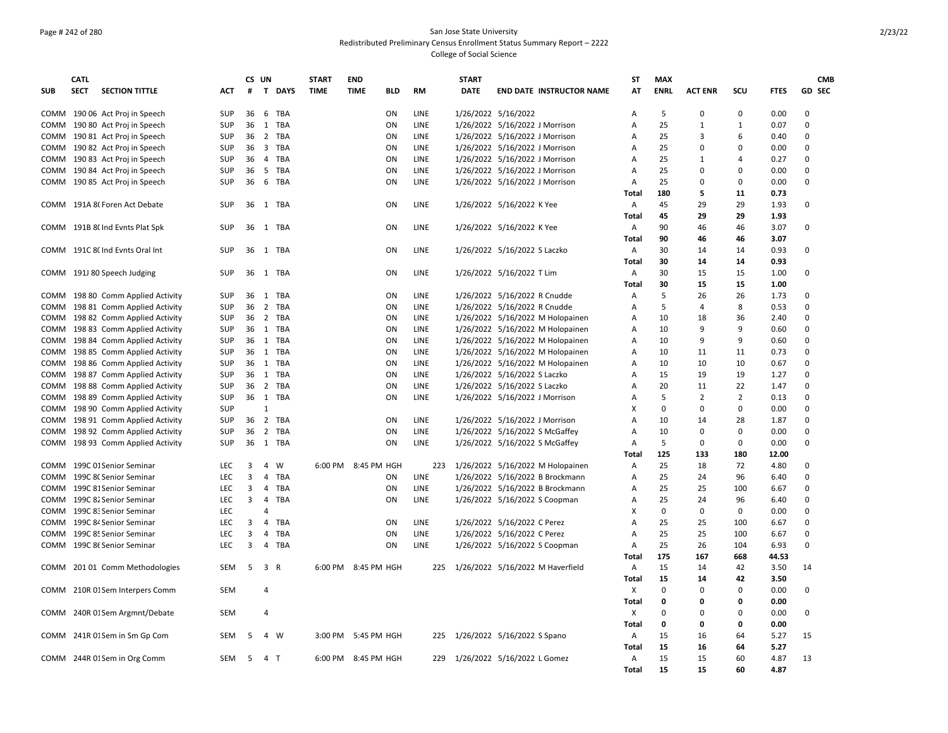### Page # 242 of 280 San Jose State University Redistributed Preliminary Census Enrollment Status Summary Report – 2222 College of Social Science

|            | <b>CATL</b> |                                 |            |      | CS UN                   |          | <b>START</b> | <b>END</b>                |             | <b>START</b> |                                  | ST                        | <b>MAX</b>  |                |                |             | <b>CMB</b>    |
|------------|-------------|---------------------------------|------------|------|-------------------------|----------|--------------|---------------------------|-------------|--------------|----------------------------------|---------------------------|-------------|----------------|----------------|-------------|---------------|
| <b>SUB</b> | <b>SECT</b> | <b>SECTION TITTLE</b>           | ACT        | #    |                         | T DAYS   | <b>TIME</b>  | <b>TIME</b><br><b>BLD</b> | <b>RM</b>   | <b>DATE</b>  | <b>END DATE INSTRUCTOR NAME</b>  | AT                        | <b>ENRL</b> | <b>ACT ENR</b> | SCU            | <b>FTES</b> | <b>GD SEC</b> |
|            |             |                                 |            |      |                         |          |              |                           |             |              |                                  |                           |             |                |                |             |               |
|            |             | COMM 190 06 Act Proj in Speech  | <b>SUP</b> | 36   |                         | 6 TBA    |              | ON                        | <b>LINE</b> |              | 1/26/2022 5/16/2022              | A                         | 5           | 0              | 0              | 0.00        | $\Omega$      |
| COMM       |             | 190 80 Act Proj in Speech       | <b>SUP</b> | 36   | 1                       | TBA      |              | ON                        | LINE        |              | 1/26/2022 5/16/2022 J Morrison   | A                         | 25          | 1              | 1              | 0.07        | $\Omega$      |
| COMM       |             | 190 81 Act Proj in Speech       | <b>SUP</b> | 36   | $\overline{2}$          | TBA      |              | ON                        | LINE        |              | 1/26/2022 5/16/2022 J Morrison   | Α                         | 25          | 3              | 6              | 0.40        | 0             |
| COMM       |             | 190 82 Act Proj in Speech       | <b>SUP</b> | 36   | $\overline{\mathbf{3}}$ | TBA      |              | ON                        | LINE        |              | 1/26/2022 5/16/2022 J Morrison   | Α                         | 25          | 0              | $\Omega$       | 0.00        | $\mathbf 0$   |
| COMM       |             | 190 83 Act Proj in Speech       | <b>SUP</b> | 36   | 4                       | TBA      |              | ON                        | LINE        |              | 1/26/2022 5/16/2022 J Morrison   | Α                         | 25          | 1              | 4              | 0.27        | 0             |
| COMM       |             | 190 84 Act Proj in Speech       | <b>SUP</b> | 36   | 5                       | TBA      |              | ON                        | <b>LINE</b> |              | 1/26/2022 5/16/2022 J Morrison   | A                         | 25          | $\Omega$       | $\Omega$       | 0.00        | $\Omega$      |
| COMM       |             | 190 85 Act Proj in Speech       | <b>SUP</b> | 36   | 6                       | TBA      |              | ON                        | LINE        |              | 1/26/2022 5/16/2022 J Morrison   | Α                         | 25          | 0              | $\Omega$       | 0.00        | $\Omega$      |
|            |             |                                 |            |      |                         |          |              |                           |             |              |                                  | Total                     | 180         | 5              | 11             | 0.73        |               |
|            |             | COMM 191A 8(Foren Act Debate    | <b>SUP</b> | 36   |                         | 1 TBA    |              | ON                        | <b>LINE</b> |              | 1/26/2022 5/16/2022 K Yee        | Α                         | 45          | 29             | 29             | 1.93        | 0             |
|            |             |                                 |            |      |                         |          |              |                           |             |              |                                  | Total                     | 45          | 29             | 29             | 1.93        |               |
|            |             | COMM 191B 8( Ind Evnts Plat Spk | <b>SUP</b> |      |                         | 36 1 TBA |              | ON                        | <b>LINE</b> |              | 1/26/2022 5/16/2022 K Yee        | Α                         | 90          | 46             | 46             | 3.07        | $\Omega$      |
|            |             |                                 |            |      |                         |          |              |                           |             |              |                                  | Total                     | 90          | 46             | 46             | 3.07        |               |
| COMM       |             | 191C 8( Ind Evnts Oral Int      | <b>SUP</b> | 36   |                         | 1 TBA    |              | ΟN                        | LINE        |              | 1/26/2022 5/16/2022 S Laczko     | Α                         | 30          | 14             | 14             | 0.93        | 0             |
|            |             |                                 |            |      |                         |          |              |                           |             |              |                                  | Total                     | 30          | 14             | 14             | 0.93        |               |
|            |             |                                 |            |      |                         |          |              |                           |             |              |                                  |                           |             |                |                |             | 0             |
|            |             | COMM 191J 80 Speech Judging     | <b>SUP</b> | 36   |                         | 1 TBA    |              | ON                        | LINE        |              | 1/26/2022 5/16/2022 T Lim        | Α                         | 30          | 15             | 15             | 1.00        |               |
|            |             |                                 |            |      |                         |          |              |                           |             |              |                                  | Total                     | 30          | 15             | 15             | 1.00        |               |
| COMM       |             | 198 80 Comm Applied Activity    | <b>SUP</b> | 36   | 1                       | TBA      |              | ON                        | <b>LINE</b> |              | 1/26/2022 5/16/2022 R Cnudde     | A                         | 5           | 26             | 26             | 1.73        | $\Omega$      |
| COMM       |             | 198 81 Comm Applied Activity    | <b>SUP</b> | 36   |                         | 2 TBA    |              | ΟN                        | LINE        |              | 1/26/2022 5/16/2022 R Cnudde     | A                         | 5           | 4              | 8              | 0.53        | $\mathbf 0$   |
| COMM       |             | 198 82 Comm Applied Activity    | <b>SUP</b> | 36   |                         | 2 TBA    |              | ON                        | LINE        |              | 1/26/2022 5/16/2022 M Holopainen | Α                         | 10          | 18             | 36             | 2.40        | 0             |
| COMM       |             | 198 83 Comm Applied Activity    | <b>SUP</b> | 36 1 |                         | TBA      |              | ON                        | <b>LINE</b> |              | 1/26/2022 5/16/2022 M Holopainen | Α                         | 10          | 9              | 9              | 0.60        | 0             |
| COMM       |             | 198 84 Comm Applied Activity    | <b>SUP</b> |      |                         | 36 1 TBA |              | ON                        | LINE        |              | 1/26/2022 5/16/2022 M Holopainen | Α                         | 10          | 9              | 9              | 0.60        | $\Omega$      |
| COMM       |             | 198 85 Comm Applied Activity    | <b>SUP</b> | 36 1 |                         | TBA      |              | ON                        | <b>LINE</b> |              | 1/26/2022 5/16/2022 M Holopainen | A                         | 10          | 11             | 11             | 0.73        | $\Omega$      |
| COMM       |             | 198 86 Comm Applied Activity    | <b>SUP</b> | 36   | 1                       | TBA      |              | ΟN                        | <b>LINE</b> |              | 1/26/2022 5/16/2022 M Holopainen | A                         | 10          | 10             | 10             | 0.67        | $\Omega$      |
| COMM       |             | 198 87 Comm Applied Activity    | <b>SUP</b> | 36   |                         | 1 TBA    |              | ON                        | LINE        |              | 1/26/2022 5/16/2022 S Laczko     | Α                         | 15          | 19             | 19             | 1.27        | 0             |
| COMM       |             | 198 88 Comm Applied Activity    | <b>SUP</b> | 36 2 |                         | TBA      |              | ON                        | <b>LINE</b> |              | 1/26/2022 5/16/2022 S Laczko     | Α                         | 20          | 11             | 22             | 1.47        | 0             |
| COMM       |             | 198 89 Comm Applied Activity    | <b>SUP</b> |      |                         | 36 1 TBA |              | ON                        | LINE        |              | 1/26/2022 5/16/2022 J Morrison   | Α                         | 5           | $\overline{2}$ | $\overline{2}$ | 0.13        | 0             |
| COMM       |             | 198 90 Comm Applied Activity    | <b>SUP</b> |      | 1                       |          |              |                           |             |              |                                  | x                         | $\Omega$    | $\Omega$       | $\Omega$       | 0.00        | $\Omega$      |
| COMM       |             | 198 91 Comm Applied Activity    | <b>SUP</b> |      |                         | 36 2 TBA |              | ΟN                        | LINE        |              | 1/26/2022 5/16/2022 J Morrison   | A                         | 10          | 14             | 28             | 1.87        | $\Omega$      |
| COMM       |             | 198 92 Comm Applied Activity    | <b>SUP</b> | 36   |                         | 2 TBA    |              | ON                        | LINE        |              | 1/26/2022 5/16/2022 S McGaffey   | Α                         | 10          | 0              | 0              | 0.00        | $\mathbf 0$   |
| COMM       |             | 198 93 Comm Applied Activity    | <b>SUP</b> | 36   |                         | 1 TBA    |              | ON                        | LINE        |              | 1/26/2022 5/16/2022 S McGaffey   | Α                         | 5           | $\mathbf 0$    | $\Omega$       | 0.00        | $\Omega$      |
|            |             |                                 |            |      |                         |          |              |                           |             |              |                                  | Total                     | 125         | 133            | 180            | 12.00       |               |
|            |             | COMM 199C 01 Senior Seminar     | LEC        | 3    | $\overline{4}$          | W        |              | 6:00 PM 8:45 PM HGH       | 223         |              | 1/26/2022 5/16/2022 M Holopainen | Α                         | 25          | 18             | 72             | 4.80        | $\Omega$      |
| COMM       |             | 199C 8C Senior Seminar          | <b>LEC</b> | 3    | $\overline{a}$          | TBA      |              | ON                        | <b>LINE</b> |              | 1/26/2022 5/16/2022 B Brockmann  | A                         | 25          | 24             | 96             | 6.40        | $\Omega$      |
| COMM       |             | 199C 81 Senior Seminar          | <b>LEC</b> | 3    | 4                       | TBA      |              | ON                        | <b>LINE</b> |              | 1/26/2022 5/16/2022 B Brockmann  | Α                         | 25          | 25             | 100            | 6.67        | 0             |
|            |             | COMM 199C 82 Senior Seminar     | <b>LEC</b> | 3    | 4                       | TBA      |              | ON                        | <b>LINE</b> |              | 1/26/2022 5/16/2022 S Coopman    | Α                         | 25          | 24             | 96             | 6.40        | $\Omega$      |
| COMM       |             | 199C 8: Senior Seminar          | LEC        |      | 4                       |          |              |                           |             |              |                                  | x                         | $\Omega$    | $\mathbf 0$    | 0              | 0.00        | $\mathbf 0$   |
| COMM       |             | 199C 84 Senior Seminar          | LEC        | 3    | 4                       | TBA      |              | ON                        | LINE        |              | 1/26/2022 5/16/2022 C Perez      | Α                         | 25          | 25             | 100            | 6.67        | $\Omega$      |
| COMM       |             | 199C 85 Senior Seminar          | <b>LEC</b> | 3    | $\overline{4}$          | TBA      |              | ON                        | <b>LINE</b> |              | 1/26/2022 5/16/2022 C Perez      | A                         | 25          | 25             | 100            | 6.67        | $\Omega$      |
| COMM       |             | 199C 86 Senior Seminar          | <b>LEC</b> | 3    | 4                       | TBA      |              | ON                        | LINE        |              | 1/26/2022 5/16/2022 S Coopman    | Α                         | 25          | 26             | 104            | 6.93        | $\Omega$      |
|            |             |                                 |            |      |                         |          |              |                           |             |              |                                  | Total                     | 175         | 167            | 668            | 44.53       |               |
| COMM       |             | 201 01 Comm Methodologies       | <b>SEM</b> | 5    |                         | 3 R      |              | 6:00 PM 8:45 PM HGH       | 225         |              | 1/26/2022 5/16/2022 M Haverfield | Α                         | 15          | 14             | 42             | 3.50        | 14            |
|            |             |                                 |            |      |                         |          |              |                           |             |              |                                  |                           | 15          |                | 42             |             |               |
|            |             |                                 |            |      |                         |          |              |                           |             |              |                                  | Total                     |             | 14             |                | 3.50        |               |
|            |             | COMM 210R 01Sem Interpers Comm  | <b>SEM</b> |      | $\overline{4}$          |          |              |                           |             |              |                                  | х                         | $\Omega$    | $\Omega$       | $\Omega$       | 0.00        | $\Omega$      |
|            |             |                                 |            |      |                         |          |              |                           |             |              |                                  | Total                     | 0           | 0              | 0              | 0.00        |               |
|            |             | COMM 240R 01Sem Argmnt/Debate   | SEM        |      | 4                       |          |              |                           |             |              |                                  | $\boldsymbol{\mathsf{x}}$ | $\mathbf 0$ | 0              | 0              | 0.00        | 0             |
|            |             |                                 |            |      |                         |          |              |                           |             |              |                                  | Total                     | 0           | 0              | 0              | 0.00        |               |
| COMM       |             | 241R 01 Sem in Sm Gp Com        | SEM        | 5    |                         | 4 W      | 3:00 PM      | 5:45 PM HGH               | 225         |              | 1/26/2022 5/16/2022 S Spano      | А                         | 15          | 16             | 64             | 5.27        | 15            |
|            |             |                                 |            |      |                         |          |              |                           |             |              |                                  | Total                     | 15          | 16             | 64             | 5.27        |               |
|            |             | COMM 244R 01Sem in Org Comm     | <b>SEM</b> | -5   |                         | 4 T      |              | 6:00 PM 8:45 PM HGH       |             |              | 229 1/26/2022 5/16/2022 L Gomez  | A                         | 15          | 15             | 60             | 4.87        | 13            |
|            |             |                                 |            |      |                         |          |              |                           |             |              |                                  | Total                     | 15          | 15             | 60             | 4.87        |               |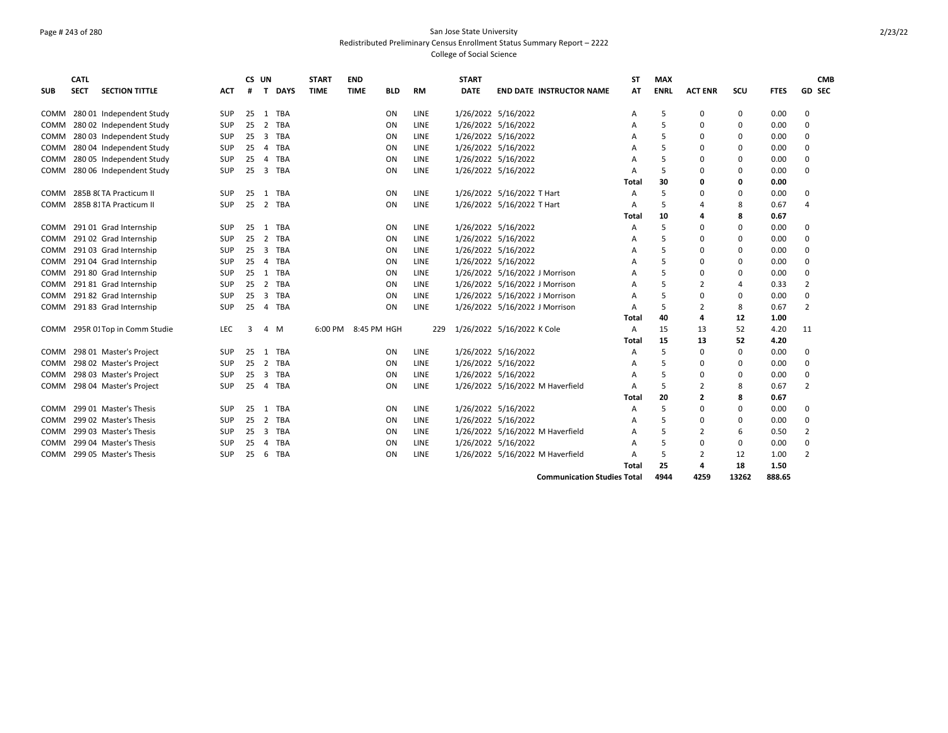### Page # 243 of 280 San Jose State University Redistributed Preliminary Census Enrollment Status Summary Report – 2222 College of Social Science

| <b>SUB</b>  | <b>CATL</b><br><b>SECT</b> | <b>SECTION TITTLE</b>      | ACT        | #  | CS UN<br>$\mathbf{T}$ | <b>DAYS</b> | <b>START</b><br><b>TIME</b> | <b>END</b><br><b>TIME</b> | <b>BLD</b> | <b>RM</b>   | <b>START</b><br><b>DATE</b> |                                | <b>END DATE INSTRUCTOR NAME</b>    | SΤ<br>AT | <b>MAX</b><br><b>ENRL</b> | <b>ACT ENR</b> | scu      | <b>FTES</b> | <b>GD SEC</b>  | <b>CMB</b> |
|-------------|----------------------------|----------------------------|------------|----|-----------------------|-------------|-----------------------------|---------------------------|------------|-------------|-----------------------------|--------------------------------|------------------------------------|----------|---------------------------|----------------|----------|-------------|----------------|------------|
| COMM        |                            | 280 01 Independent Study   | <b>SUP</b> | 25 | 1                     | TBA         |                             |                           | ON         | LINE        |                             | 1/26/2022 5/16/2022            |                                    | Α        | -5                        | 0              | 0        | 0.00        | 0              |            |
| COMM        |                            | 280 02 Independent Study   | SUP        | 25 | $\overline{2}$        | TBA         |                             |                           | ON         | LINE        |                             | 1/26/2022 5/16/2022            |                                    | A        | 5                         | $\Omega$       | $\Omega$ | 0.00        | $\Omega$       |            |
| COMM        |                            | 280 03 Independent Study   | SUP        | 25 | $\overline{3}$        | TBA         |                             |                           | ON         | <b>LINE</b> |                             | 1/26/2022 5/16/2022            |                                    | А        | 5                         | $\Omega$       | $\Omega$ | 0.00        | $\Omega$       |            |
| COMM        |                            | 280 04 Independent Study   | <b>SUP</b> | 25 | $\overline{4}$        | TBA         |                             |                           | ON         | <b>LINE</b> |                             | 1/26/2022 5/16/2022            |                                    | А        | .5                        | $\Omega$       | $\Omega$ | 0.00        | 0              |            |
| COMM        |                            | 280 05 Independent Study   | SUP        | 25 | $\overline{4}$        | TBA         |                             |                           | ON         | LINE        |                             | 1/26/2022 5/16/2022            |                                    | А        | 5                         | $\Omega$       | $\Omega$ | 0.00        | $\Omega$       |            |
| <b>COMM</b> |                            | 280 06 Independent Study   | SUP        | 25 | 3                     | <b>TBA</b>  |                             |                           | ON         | LINE        |                             | 1/26/2022 5/16/2022            |                                    | А        | .5                        | 0              | 0        | 0.00        | $\Omega$       |            |
|             |                            |                            |            |    |                       |             |                             |                           |            |             |                             |                                |                                    | Total    | 30                        | 0              | 0        | 0.00        |                |            |
| COMM        |                            | 285B 8(TA Practicum II     | SUP        | 25 | 1                     | TBA         |                             |                           | ON         | LINE        |                             | 1/26/2022 5/16/2022 T Hart     |                                    | A        | 5                         | $\Omega$       | 0        | 0.00        | 0              |            |
| <b>COMM</b> |                            | 285B 81TA Practicum II     | <b>SUP</b> | 25 | 2                     | TBA         |                             |                           | ON         | LINE        |                             | 1/26/2022 5/16/2022 T Hart     |                                    | A        | -5                        | 4              | 8        | 0.67        | 4              |            |
|             |                            |                            |            |    |                       |             |                             |                           |            |             |                             |                                |                                    | Total    | 10                        | 4              | 8        | 0.67        |                |            |
| <b>COMM</b> |                            | 29101 Grad Internship      | <b>SUP</b> | 25 | 1                     | TBA         |                             |                           | ON         | <b>LINE</b> |                             | 1/26/2022 5/16/2022            |                                    | А        | .5                        | $\Omega$       | $\Omega$ | 0.00        | 0              |            |
| COMM        |                            | 291 02 Grad Internship     | <b>SUP</b> | 25 | 2                     | TBA         |                             |                           | ON         | <b>LINE</b> |                             | 1/26/2022 5/16/2022            |                                    | A        | .5                        | $\Omega$       | 0        | 0.00        | 0              |            |
| <b>COMM</b> |                            | 291 03 Grad Internship     | SUP        | 25 | 3                     | TBA         |                             |                           | ON         | LINE        |                             | 1/26/2022 5/16/2022            |                                    | А        | -5                        | 0              | 0        | 0.00        | $\Omega$       |            |
| COMM        |                            | 291 04 Grad Internship     | SUP        | 25 | $\overline{a}$        | <b>TBA</b>  |                             |                           | ON         | <b>LINE</b> |                             | 1/26/2022 5/16/2022            |                                    | А        | .5                        | $\Omega$       | $\Omega$ | 0.00        | $\Omega$       |            |
| COMM        |                            | 291 80 Grad Internship     | <b>SUP</b> | 25 | 1                     | TBA         |                             |                           | <b>ON</b>  | <b>LINE</b> |                             | 1/26/2022 5/16/2022 J Morrison |                                    | A        | .5                        | $\Omega$       | $\Omega$ | 0.00        | $\Omega$       |            |
| COMM        |                            | 291 81 Grad Internship     | <b>SUP</b> | 25 | 2                     | <b>TBA</b>  |                             |                           | <b>ON</b>  | LINE        |                             | 1/26/2022 5/16/2022 J Morrison |                                    | A        | .5                        | $\overline{2}$ | 4        | 0.33        | $\overline{2}$ |            |
| <b>COMM</b> |                            | 291 82 Grad Internship     | SUP        | 25 | $\overline{3}$        | <b>TBA</b>  |                             |                           | ON         | LINE        |                             | 1/26/2022 5/16/2022 J Morrison |                                    |          | .5                        | $\Omega$       | $\Omega$ | 0.00        | $\Omega$       |            |
| COMM        |                            | 291 83 Grad Internship     | <b>SUP</b> | 25 | 4                     | <b>TBA</b>  |                             |                           | <b>ON</b>  | <b>LINE</b> |                             | 1/26/2022 5/16/2022 J Morrison |                                    | A        | 5                         | 2              | 8        | 0.67        | 2              |            |
|             |                            |                            |            |    |                       |             |                             |                           |            |             |                             |                                |                                    | Total    | 40                        | 4              | 12       | 1.00        |                |            |
| COMM        |                            | 295R 01 Top in Comm Studie | LEC        | 3  | 4                     | M           |                             | 6:00 PM 8:45 PM HGH       |            | 229         |                             | 1/26/2022 5/16/2022 K Cole     |                                    | A        | 15                        | 13             | 52       | 4.20        | 11             |            |
|             |                            |                            |            |    |                       |             |                             |                           |            |             |                             |                                |                                    | Total    | 15                        | 13             | 52       | 4.20        |                |            |
| COMM.       |                            | 298 01 Master's Project    | SUP        | 25 | 1                     | TBA         |                             |                           | ON         | <b>LINE</b> |                             | 1/26/2022 5/16/2022            |                                    | A        | .5                        | $\Omega$       | 0        | 0.00        | $\Omega$       |            |
| COMM        |                            | 298 02 Master's Project    | <b>SUP</b> | 25 | 2                     | TBA         |                             |                           | ON         | <b>LINE</b> |                             | 1/26/2022 5/16/2022            |                                    | А        | .5                        | O              | $\Omega$ | 0.00        | $\Omega$       |            |
| <b>COMM</b> |                            | 298 03 Master's Project    | SUP        | 25 | 3                     | <b>TBA</b>  |                             |                           | ON         | LINE        |                             | 1/26/2022 5/16/2022            |                                    |          | -5                        | 0              | O        | 0.00        | $\Omega$       |            |
| <b>COMM</b> |                            | 298 04 Master's Project    | <b>SUP</b> | 25 | 4                     | TBA         |                             |                           | ON         | <b>LINE</b> |                             |                                | 1/26/2022 5/16/2022 M Haverfield   | А        | 5                         | $\overline{2}$ | 8        | 0.67        | $\overline{2}$ |            |
|             |                            |                            |            |    |                       |             |                             |                           |            |             |                             |                                |                                    | Total    | 20                        | $\overline{2}$ | 8        | 0.67        |                |            |
| <b>COMM</b> |                            | 299 01 Master's Thesis     | <b>SUP</b> | 25 | 1                     | TBA         |                             |                           | <b>ON</b>  | LINE        |                             | 1/26/2022 5/16/2022            |                                    | A        | 5                         | $\Omega$       | $\Omega$ | 0.00        | 0              |            |
| COMM        |                            | 299 02 Master's Thesis     | SUP        | 25 | 2                     | TBA         |                             |                           | ON         | LINE        |                             | 1/26/2022 5/16/2022            |                                    | А        | -5                        | 0              | O        | 0.00        | 0              |            |
| <b>COMM</b> |                            | 299 03 Master's Thesis     | <b>SUP</b> | 25 | 3                     | <b>TBA</b>  |                             |                           | ON         | <b>LINE</b> |                             |                                | 1/26/2022 5/16/2022 M Haverfield   | А        | .5                        | $\overline{2}$ | 6        | 0.50        | $\overline{2}$ |            |
| COMM        |                            | 299 04 Master's Thesis     | <b>SUP</b> | 25 | 4                     | TBA         |                             |                           | ON         | <b>LINE</b> |                             | 1/26/2022 5/16/2022            |                                    | А        | -5                        | $\Omega$       | $\Omega$ | 0.00        | 0              |            |
| COMM        |                            | 299 05 Master's Thesis     | SUP        | 25 | 6                     | <b>TBA</b>  |                             |                           | ON         | LINE        |                             |                                | 1/26/2022 5/16/2022 M Haverfield   | А        | -5                        | $\overline{2}$ | 12       | 1.00        | $\overline{2}$ |            |
|             |                            |                            |            |    |                       |             |                             |                           |            |             |                             |                                |                                    | Total    | 25                        | 4              | 18       | 1.50        |                |            |
|             |                            |                            |            |    |                       |             |                             |                           |            |             |                             |                                | <b>Communication Studies Total</b> |          | 4944                      | 4259           | 13262    | 888.65      |                |            |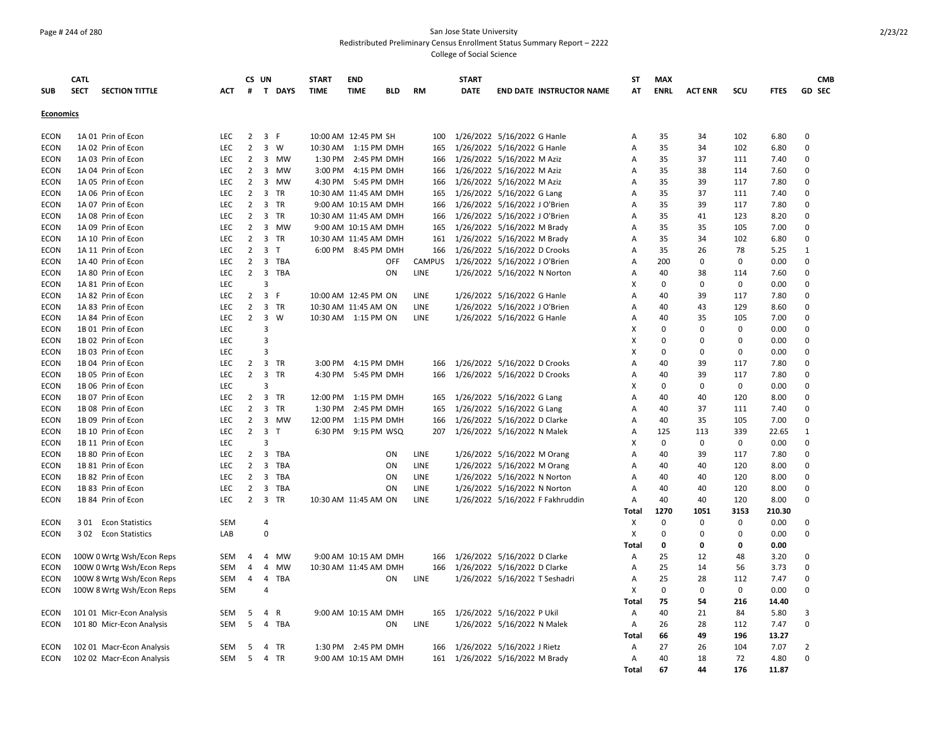### Page # 244 of 280 San Jose State University Redistributed Preliminary Census Enrollment Status Summary Report – 2222 College of Social Science

|                  | CATL        |                           |            | CS UN                            |                         |           | <b>START</b>          | <b>END</b>           |            |               | <b>START</b> |                                 |                                  | <b>ST</b>      | <b>MAX</b>        |                |             |              |                | <b>CMB</b>    |
|------------------|-------------|---------------------------|------------|----------------------------------|-------------------------|-----------|-----------------------|----------------------|------------|---------------|--------------|---------------------------------|----------------------------------|----------------|-------------------|----------------|-------------|--------------|----------------|---------------|
| <b>SUB</b>       | <b>SECT</b> | <b>SECTION TITTLE</b>     | ACT        | #                                |                         | T DAYS    | <b>TIME</b>           | <b>TIME</b>          | BLD        | <b>RM</b>     | <b>DATE</b>  |                                 | <b>END DATE INSTRUCTOR NAME</b>  | AT             | <b>ENRL</b>       | <b>ACT ENR</b> | scu         | <b>FTES</b>  |                | <b>GD SEC</b> |
|                  |             |                           |            |                                  |                         |           |                       |                      |            |               |              |                                 |                                  |                |                   |                |             |              |                |               |
| <b>Economics</b> |             |                           |            |                                  |                         |           |                       |                      |            |               |              |                                 |                                  |                |                   |                |             |              |                |               |
| <b>ECON</b>      |             | 1A 01 Prin of Econ        | <b>LEC</b> | $\overline{2}$                   | 3 F                     |           | 10:00 AM 12:45 PM SH  |                      |            | 100           |              | 1/26/2022 5/16/2022 G Hanle     |                                  | A              | 35                | 34             | 102         | 6.80         | $\Omega$       |               |
| <b>ECON</b>      |             | 1A 02 Prin of Econ        | LEC        | $\overline{2}$                   |                         | 3 W       | 10:30 AM 1:15 PM DMH  |                      |            | 165           |              | 1/26/2022 5/16/2022 G Hanle     |                                  | A              | 35                | 34             | 102         | 6.80         | $\Omega$       |               |
| <b>ECON</b>      |             | 1A 03 Prin of Econ        | <b>LEC</b> | $\overline{2}$                   | $\overline{3}$          | <b>MW</b> |                       | 1:30 PM 2:45 PM DMH  |            | 166           |              | 1/26/2022 5/16/2022 M Aziz      |                                  | A              | 35                | 37             | 111         | 7.40         | $\Omega$       |               |
| <b>ECON</b>      |             | 1A 04 Prin of Econ        | LEC        | $\overline{2}$                   | $\overline{3}$          | MW        |                       | 3:00 PM 4:15 PM DMH  |            | 166           |              | 1/26/2022 5/16/2022 M Aziz      |                                  | Α              | 35                | 38             | 114         | 7.60         | $\Omega$       |               |
| <b>ECON</b>      |             | 1A 05 Prin of Econ        | <b>LEC</b> | $\overline{2}$                   | $\overline{3}$          | MW        |                       | 4:30 PM 5:45 PM DMH  |            | 166           |              | 1/26/2022 5/16/2022 M Aziz      |                                  | A              | 35                | 39             | 117         | 7.80         | $\Omega$       |               |
| <b>ECON</b>      |             | 1A 06 Prin of Econ        | <b>LEC</b> | $\overline{2}$                   |                         | 3 TR      | 10:30 AM 11:45 AM DMH |                      |            | 165           |              | 1/26/2022 5/16/2022 G Lang      |                                  | A              | 35                | 37             | 111         | 7.40         | $\Omega$       |               |
| <b>ECON</b>      |             | 1A 07 Prin of Econ        | LEC        | $2^{\circ}$                      |                         | 3 TR      |                       | 9:00 AM 10:15 AM DMH |            | 166           |              | 1/26/2022 5/16/2022 J O'Brien   |                                  | Α              | 35                | 39             | 117         | 7.80         | $\Omega$       |               |
| <b>ECON</b>      |             | 1A 08 Prin of Econ        | <b>LEC</b> | $\overline{2}$                   | $\overline{3}$          | <b>TR</b> | 10:30 AM 11:45 AM DMH |                      |            | 166           |              | 1/26/2022 5/16/2022 J O'Brien   |                                  | A              | 35                | 41             | 123         | 8.20         | $\Omega$       |               |
| <b>ECON</b>      |             | 1A 09 Prin of Econ        | <b>LEC</b> | $\overline{2}$                   |                         | 3 MW      |                       | 9:00 AM 10:15 AM DMH |            | 165           |              | 1/26/2022 5/16/2022 M Brady     |                                  | A              | 35                | 35             | 105         | 7.00         | $\Omega$       |               |
| <b>ECON</b>      |             | 1A 10 Prin of Econ        | <b>LEC</b> | $\overline{2}$                   |                         | 3 TR      | 10:30 AM 11:45 AM DMH |                      |            | 161           |              | 1/26/2022 5/16/2022 M Brady     |                                  | A              | 35                | 34             | 102         | 6.80         | 0              |               |
| <b>ECON</b>      |             | 1A 11 Prin of Econ        | <b>LEC</b> | $\overline{2}$                   | 3 <sub>1</sub>          |           |                       | 6:00 PM 8:45 PM DMH  |            | 166           |              | 1/26/2022 5/16/2022 D Crooks    |                                  | A              | 35                | 26             | 78          | 5.25         | $\mathbf{1}$   |               |
| <b>ECON</b>      |             | 1A 40 Prin of Econ        | LEC        | $\overline{2}$                   |                         | 3 TBA     |                       |                      | <b>OFF</b> | <b>CAMPUS</b> |              | 1/26/2022 5/16/2022 J O'Brien   |                                  | Α              | 200               | 0              | 0           | 0.00         | $\mathbf 0$    |               |
| ECON             |             | 1A 80 Prin of Econ        | <b>LEC</b> | $\overline{2}$                   |                         | 3 TBA     |                       |                      | ON         | <b>LINE</b>   |              | 1/26/2022 5/16/2022 N Norton    |                                  | A              | 40                | 38             | 114         | 7.60         | $\Omega$       |               |
| <b>ECON</b>      |             | 1A 81 Prin of Econ        | <b>LEC</b> |                                  | $\overline{3}$          |           |                       |                      |            |               |              |                                 |                                  | X              | $\mathbf 0$       | 0              | $\mathbf 0$ | 0.00         | $\Omega$       |               |
| <b>ECON</b>      |             | 1A 82 Prin of Econ        | LEC        | $\overline{2}$                   | $\overline{3}$          | F.        | 10:00 AM 12:45 PM ON  |                      |            | LINE          |              | 1/26/2022 5/16/2022 G Hanle     |                                  | $\overline{A}$ | 40                | 39             | 117         | 7.80         | $\mathbf 0$    |               |
| <b>ECON</b>      |             | 1A 83 Prin of Econ        | <b>LEC</b> | $\overline{2}$                   |                         | 3 TR      | 10:30 AM 11:45 AM ON  |                      |            | LINE          |              | 1/26/2022 5/16/2022 J O'Brien   |                                  | A              | 40                | 43             | 129         | 8.60         | 0              |               |
| <b>ECON</b>      |             | 1A 84 Prin of Econ        | <b>LEC</b> | $2^{\circ}$                      |                         | 3 W       | 10:30 AM 1:15 PM ON   |                      |            | <b>LINE</b>   |              | 1/26/2022 5/16/2022 G Hanle     |                                  | Α              | 40                | 35             | 105         | 7.00         | $\Omega$       |               |
| <b>ECON</b>      |             | 1B 01 Prin of Econ        | <b>LEC</b> |                                  | 3                       |           |                       |                      |            |               |              |                                 |                                  | х              | $\Omega$          | 0              | $\Omega$    | 0.00         | $\Omega$       |               |
| <b>ECON</b>      |             | 1B 02 Prin of Econ        | <b>LEC</b> |                                  | $\overline{3}$          |           |                       |                      |            |               |              |                                 |                                  | X              | $\mathbf 0$       | 0              | $\Omega$    | 0.00         | $\Omega$       |               |
| <b>ECON</b>      |             | 1B 03 Prin of Econ        | LEC        |                                  | 3                       |           |                       |                      |            |               |              |                                 |                                  | X              | $\mathbf 0$       | $\Omega$       | $\Omega$    | 0.00         | $\mathbf 0$    |               |
|                  |             |                           | LEC        |                                  |                         |           |                       |                      |            |               |              |                                 |                                  |                | 40                |                | 117         |              | $\Omega$       |               |
| ECON             |             | 1B 04 Prin of Econ        |            | $\overline{2}$<br>$\overline{2}$ | $\overline{3}$          | 3 TR      |                       | 3:00 PM 4:15 PM DMH  |            | 166           |              | 1/26/2022 5/16/2022 D Crooks    |                                  | Α              |                   | 39<br>39       |             | 7.80         | $\Omega$       |               |
| <b>ECON</b>      |             | 1B 05 Prin of Econ        | LEC<br>LEC |                                  | 3                       | TR        |                       | 4:30 PM 5:45 PM DMH  |            | 166           |              | 1/26/2022 5/16/2022 D Crooks    |                                  | A              | 40<br>$\mathbf 0$ | 0              | 117<br>0    | 7.80<br>0.00 | $\Omega$       |               |
| <b>ECON</b>      |             | 1B 06 Prin of Econ        |            |                                  |                         |           |                       |                      |            |               |              |                                 |                                  | X              |                   |                |             |              |                |               |
| <b>ECON</b>      |             | 1B 07 Prin of Econ        | <b>LEC</b> | $2^{\circ}$                      |                         | 3 TR      | 12:00 PM 1:15 PM DMH  |                      |            | 165           |              | 1/26/2022 5/16/2022 G Lang      |                                  | A              | 40                | 40             | 120         | 8.00         | $\Omega$       |               |
| <b>ECON</b>      |             | 1B 08 Prin of Econ        | LEC        | $\overline{2}$                   | $\overline{\mathbf{3}}$ | TR        | 1:30 PM               | 2:45 PM DMH          |            | 165           |              | 1/26/2022 5/16/2022 G Lang      |                                  | Α              | 40                | 37             | 111         | 7.40         | $\Omega$       |               |
| <b>ECON</b>      |             | 1B 09 Prin of Econ        | <b>LEC</b> | $\overline{2}$                   |                         | 3 MW      | 12:00 PM 1:15 PM DMH  |                      |            | 166           |              | 1/26/2022 5/16/2022 D Clarke    |                                  | A              | 40                | 35             | 105         | 7.00         | 0              |               |
| <b>ECON</b>      |             | 1B 10 Prin of Econ        | <b>LEC</b> | $2^{\circ}$                      | $\overline{\mathbf{3}}$ | $\top$    |                       | 6:30 PM 9:15 PM WSQ  |            | 207           |              | 1/26/2022 5/16/2022 N Malek     |                                  | A              | 125               | 113            | 339         | 22.65        | 1              |               |
| <b>ECON</b>      |             | 1B 11 Prin of Econ        | LEC        |                                  | 3                       |           |                       |                      |            |               |              |                                 |                                  | X              | $\mathbf 0$       | $\mathbf 0$    | 0           | 0.00         | $\mathbf 0$    |               |
| ECON             |             | 1B 80 Prin of Econ        | LEC        | $\overline{2}$                   |                         | 3 TBA     |                       |                      | ON         | LINE          |              | 1/26/2022 5/16/2022 M Orang     |                                  | Α              | 40                | 39             | 117         | 7.80         | $\Omega$       |               |
| <b>ECON</b>      |             | 1B 81 Prin of Econ        | <b>LEC</b> | $\overline{2}$                   | $\overline{3}$          | TBA       |                       |                      | <b>ON</b>  | <b>LINE</b>   |              | 1/26/2022 5/16/2022 M Orang     |                                  | A              | 40                | 40             | 120         | 8.00         | $\Omega$       |               |
| <b>ECON</b>      |             | 1B 82 Prin of Econ        | <b>LEC</b> | $\overline{2}$                   | $\overline{\mathbf{3}}$ | TBA       |                       |                      | ON         | <b>LINE</b>   |              | 1/26/2022 5/16/2022 N Norton    |                                  | A              | 40                | 40             | 120         | 8.00         | $\Omega$       |               |
| <b>ECON</b>      |             | 1B 83 Prin of Econ        | LEC        | $\overline{2}$                   | $\overline{3}$          | TBA       |                       |                      | ON         | LINE          |              | 1/26/2022 5/16/2022 N Norton    |                                  | Α              | 40                | 40             | 120         | 8.00         | 0              |               |
| <b>ECON</b>      |             | 1B 84 Prin of Econ        | LEC        | $\overline{2}$                   |                         | 3 TR      | 10:30 AM 11:45 AM ON  |                      |            | LINE          |              |                                 | 1/26/2022 5/16/2022 F Fakhruddin | Α              | 40                | 40             | 120         | 8.00         | $\Omega$       |               |
|                  |             |                           |            |                                  |                         |           |                       |                      |            |               |              |                                 |                                  | Total          | 1270              | 1051           | 3153        | 210.30       |                |               |
| <b>ECON</b>      |             | 301 Econ Statistics       | <b>SEM</b> |                                  | 4                       |           |                       |                      |            |               |              |                                 |                                  | х              | $\Omega$          | 0              | $\Omega$    | 0.00         | $\Omega$       |               |
| <b>ECON</b>      |             | 302 Econ Statistics       | LAB        |                                  | 0                       |           |                       |                      |            |               |              |                                 |                                  | X              | $\mathbf 0$       | 0              | $\Omega$    | 0.00         | $\mathbf 0$    |               |
|                  |             |                           |            |                                  |                         |           |                       |                      |            |               |              |                                 |                                  | Total          | $\mathbf 0$       | 0              | 0           | 0.00         |                |               |
| ECON             |             | 100W 0 Wrtg Wsh/Econ Reps | <b>SEM</b> | $\overline{4}$                   | $\overline{4}$          | MW        |                       | 9:00 AM 10:15 AM DMH |            | 166           |              | 1/26/2022 5/16/2022 D Clarke    |                                  | Α              | 25                | 12             | 48          | 3.20         | $\Omega$       |               |
| ECON             |             | 100W 0 Wrtg Wsh/Econ Reps | <b>SEM</b> | $\overline{a}$                   | 4                       | <b>MW</b> | 10:30 AM 11:45 AM DMH |                      |            | 166           |              | 1/26/2022 5/16/2022 D Clarke    |                                  | Α              | 25                | 14             | 56          | 3.73         | $\Omega$       |               |
| ECON             |             | 100W 8 Wrtg Wsh/Econ Reps | <b>SEM</b> | $\overline{4}$                   | $\overline{4}$          | TBA       |                       |                      | ON         | LINE          |              | 1/26/2022 5/16/2022 T Seshadri  |                                  | Α              | 25                | 28             | 112         | 7.47         | $\Omega$       |               |
| ECON             |             | 100W 8 Wrtg Wsh/Econ Reps | <b>SEM</b> |                                  | 4                       |           |                       |                      |            |               |              |                                 |                                  | Х              | $\mathbf 0$       | $\mathbf 0$    | $\mathsf 0$ | 0.00         | $\Omega$       |               |
|                  |             |                           |            |                                  |                         |           |                       |                      |            |               |              |                                 |                                  | Total          | 75                | 54             | 216         | 14.40        |                |               |
| <b>ECON</b>      |             | 101 01 Micr-Econ Analysis | <b>SEM</b> | 5                                | $\overline{4}$          | R         |                       | 9:00 AM 10:15 AM DMH |            | 165           |              | 1/26/2022 5/16/2022 P Ukil      |                                  | Α              | 40                | 21             | 84          | 5.80         | 3              |               |
| ECON             |             | 101 80 Micr-Econ Analysis | <b>SEM</b> | 5                                |                         | 4 TBA     |                       |                      | ON         | <b>LINE</b>   |              | 1/26/2022 5/16/2022 N Malek     |                                  | A              | 26                | 28             | 112         | 7.47         | $\mathbf 0$    |               |
|                  |             |                           |            |                                  |                         |           |                       |                      |            |               |              |                                 |                                  | Total          | 66                | 49             | 196         | 13.27        |                |               |
| <b>ECON</b>      |             | 102 01 Macr-Econ Analysis | <b>SEM</b> | 5                                |                         | 4 TR      |                       | 1:30 PM 2:45 PM DMH  |            | 166           |              | 1/26/2022 5/16/2022 J Rietz     |                                  | A              | 27                | 26             | 104         | 7.07         | $\overline{2}$ |               |
| <b>ECON</b>      |             | 102 02 Macr-Econ Analysis | <b>SEM</b> | 5                                |                         | 4 TR      |                       | 9:00 AM 10:15 AM DMH |            |               |              | 161 1/26/2022 5/16/2022 M Brady |                                  | A              | 40                | 18             | 72          | 4.80         | $\Omega$       |               |
|                  |             |                           |            |                                  |                         |           |                       |                      |            |               |              |                                 |                                  | Total          | 67                | 44             | 176         | 11.87        |                |               |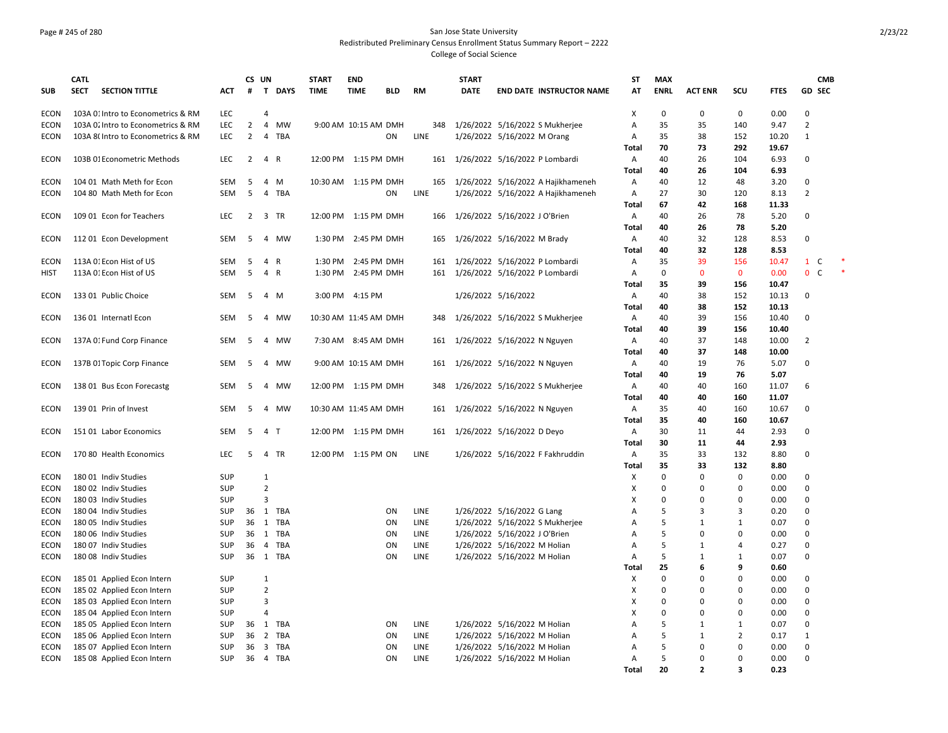### Page # 245 of 280 San Jose State University Redistributed Preliminary Census Enrollment Status Summary Report – 2222 College of Social Science

|             | <b>CATL</b>                                              |            |                | CS UN          |          | <b>START</b>          | <b>END</b>           |            |             |     | <b>START</b>        |                                    | <b>ST</b>  | <b>MAX</b>  |                         |                         |              | <b>CMB</b>                  |  |
|-------------|----------------------------------------------------------|------------|----------------|----------------|----------|-----------------------|----------------------|------------|-------------|-----|---------------------|------------------------------------|------------|-------------|-------------------------|-------------------------|--------------|-----------------------------|--|
| <b>SUB</b>  | <b>SECTION TITTLE</b><br><b>SECT</b>                     | <b>ACT</b> | #              |                | T DAYS   | <b>TIME</b>           | <b>TIME</b>          | <b>BLD</b> | <b>RM</b>   |     | <b>DATE</b>         | <b>END DATE INSTRUCTOR NAME</b>    | AT         | <b>ENRL</b> | <b>ACT ENR</b>          | scu                     | <b>FTES</b>  | <b>GD SEC</b>               |  |
| <b>ECON</b> | 103A 01 Intro to Econometrics & RM                       | LEC        |                | $\overline{4}$ |          |                       |                      |            |             |     |                     |                                    | X          | 0           | $\mathbf 0$             | $\mathsf 0$             | 0.00         | $\Omega$                    |  |
| <b>ECON</b> | 103A 0. Intro to Econometrics & RM                       | LEC        | $\overline{2}$ |                | 4 MW     |                       | 9:00 AM 10:15 AM DMH |            |             | 348 |                     | 1/26/2022 5/16/2022 S Mukherjee    | Α          | 35          | 35                      | 140                     | 9.47         | $\overline{2}$              |  |
| <b>ECON</b> | 103A 8(Intro to Econometrics & RM                        | LEC        | $\overline{2}$ |                | 4 TBA    |                       |                      | ON         | LINE        |     |                     | 1/26/2022 5/16/2022 M Orang        | Α          | 35          | 38                      | 152                     | 10.20        | 1                           |  |
|             |                                                          |            |                |                |          |                       |                      |            |             |     |                     |                                    | Total      | 70          | 73                      | 292                     | 19.67        |                             |  |
| <b>ECON</b> | 103B 01 Econometric Methods                              | LEC.       | 2              | 4 R            |          |                       | 12:00 PM 1:15 PM DMH |            |             |     |                     | 161 1/26/2022 5/16/2022 P Lombardi | Α<br>Total | 40<br>40    | 26<br>26                | 104<br>104              | 6.93<br>6.93 | $\Omega$                    |  |
| <b>ECON</b> | 104 01 Math Meth for Econ                                | SEM        | 5              |                | 4 M      | 10:30 AM 1:15 PM DMH  |                      |            |             | 165 |                     | 1/26/2022 5/16/2022 A Hajikhameneh | Α          | 40          | 12                      | 48                      | 3.20         | $\Omega$                    |  |
| <b>ECON</b> | 104 80 Math Meth for Econ                                | <b>SEM</b> | -5             |                | 4 TBA    |                       |                      | ON         | LINE        |     |                     | 1/26/2022 5/16/2022 A Hajikhameneh | Α          | 27          | 30                      | 120                     | 8.13         | $\overline{2}$              |  |
|             |                                                          |            |                |                |          |                       |                      |            |             |     |                     |                                    | Total      | 67          | 42                      | 168                     | 11.33        |                             |  |
| <b>ECON</b> | 109 01 Econ for Teachers                                 | LEC        | $\overline{2}$ |                | 3 TR     |                       | 12:00 PM 1:15 PM DMH |            |             | 166 |                     | 1/26/2022 5/16/2022 J O'Brien      | А          | 40          | 26                      | 78                      | 5.20         | $\Omega$                    |  |
|             |                                                          |            |                |                |          |                       |                      |            |             |     |                     |                                    | Total      | 40          | 26                      | 78                      | 5.20         |                             |  |
| ECON        | 112 01 Econ Development                                  | SEM        | -5             |                | 4 MW     | 1:30 PM               | 2:45 PM DMH          |            |             | 165 |                     | 1/26/2022 5/16/2022 M Brady        | Α          | 40          | 32                      | 128                     | 8.53         | $\Omega$                    |  |
|             |                                                          |            |                |                |          |                       |                      |            |             |     |                     |                                    | Total      | 40          | 32                      | 128                     | 8.53         |                             |  |
| ECON        | 113A 01 Econ Hist of US                                  | SEM        | 5              |                | 4 R      | 1:30 PM               | 2:45 PM DMH          |            |             | 161 |                     | 1/26/2022 5/16/2022 P Lombardi     | Α          | 35          | 39                      | 156                     | 10.47        | $\mathbf{1}$<br>C           |  |
| <b>HIST</b> | 113A 01 Econ Hist of US                                  | SEM        | 5              |                | 4 R      | 1:30 PM               | 2:45 PM DMH          |            |             | 161 |                     | 1/26/2022 5/16/2022 P Lombardi     | А          | 0           | $\mathbf 0$             | $\mathbf 0$             | 0.00         | $\mathbf 0$<br>$\mathsf{C}$ |  |
|             |                                                          |            |                |                |          |                       |                      |            |             |     |                     |                                    | Total      | 35          | 39                      | 156                     | 10.47        |                             |  |
| ECON        | 133 01 Public Choice                                     | SEM        | -5             |                | 4 M      |                       | 3:00 PM 4:15 PM      |            |             |     | 1/26/2022 5/16/2022 |                                    | А          | 40          | 38                      | 152                     | 10.13        | $\mathbf 0$                 |  |
|             |                                                          |            |                |                |          |                       |                      |            |             |     |                     |                                    | Total      | 40          | 38                      | 152                     | 10.13        |                             |  |
| ECON        | 136 01 Internatl Econ                                    | SEM        | 5              |                | 4 MW     | 10:30 AM 11:45 AM DMH |                      |            |             | 348 |                     | 1/26/2022 5/16/2022 S Mukherjee    | Α          | 40          | 39                      | 156                     | 10.40        | 0                           |  |
|             |                                                          |            |                |                |          |                       |                      |            |             |     |                     |                                    | Total      | 40          | 39                      | 156                     | 10.40        |                             |  |
| <b>ECON</b> | 137A 01 Fund Corp Finance                                | <b>SEM</b> | -5             |                | 4 MW     |                       | 7:30 AM 8:45 AM DMH  |            |             | 161 |                     | 1/26/2022 5/16/2022 N Nguyen       | Α          | 40          | 37                      | 148                     | 10.00        | $\overline{2}$              |  |
|             |                                                          |            |                |                |          |                       |                      |            |             |     |                     |                                    | Total      | 40          | 37                      | 148                     | 10.00        |                             |  |
| ECON        | 137B 01 Topic Corp Finance                               | SEM        | -5             |                | 4 MW     |                       | 9:00 AM 10:15 AM DMH |            |             | 161 |                     | 1/26/2022 5/16/2022 N Nguyen       | А          | 40          | 19                      | 76                      | 5.07         | $\mathbf 0$                 |  |
|             |                                                          |            |                |                |          |                       |                      |            |             |     |                     |                                    | Total      | 40          | 19                      | 76                      | 5.07         |                             |  |
| ECON        | 138 01 Bus Econ Forecastg                                | SEM        | 5              |                | 4 MW     |                       | 12:00 PM 1:15 PM DMH |            |             | 348 |                     | 1/26/2022 5/16/2022 S Mukherjee    | Α          | 40          | 40                      | 160                     | 11.07        | 6                           |  |
|             |                                                          |            |                |                |          |                       |                      |            |             |     |                     |                                    | Total      | 40          | 40                      | 160                     | 11.07        |                             |  |
| ECON        | 139 01 Prin of Invest                                    | <b>SEM</b> | 5              | 4              | MW       | 10:30 AM 11:45 AM DMH |                      |            |             | 161 |                     | 1/26/2022 5/16/2022 N Nguyen       | A          | 35          | 40                      | 160                     | 10.67        | 0                           |  |
|             |                                                          |            |                |                |          |                       |                      |            |             |     |                     |                                    | Total      | 35          | 40                      | 160                     | 10.67        |                             |  |
| <b>ECON</b> | 151 01 Labor Economics                                   | SEM        | 5              | 4 T            |          |                       | 12:00 PM 1:15 PM DMH |            |             | 161 |                     | 1/26/2022 5/16/2022 D Deyo         | Α          | 30          | 11                      | 44                      | 2.93         | 0                           |  |
|             |                                                          |            |                |                |          |                       |                      |            |             |     |                     |                                    | Total      | 30          | 11                      | 44                      | 2.93         |                             |  |
| <b>ECON</b> | 170 80 Health Economics                                  | <b>LEC</b> | 5              |                | 4 TR     |                       | 12:00 PM 1:15 PM ON  |            | LINE        |     |                     | 1/26/2022 5/16/2022 F Fakhruddin   | А          | 35          | 33                      | 132                     | 8.80         | 0                           |  |
|             |                                                          |            |                |                |          |                       |                      |            |             |     |                     |                                    | Total      | 35          | 33                      | 132                     | 8.80         |                             |  |
| <b>ECON</b> | 18001 Indiv Studies                                      | SUP        |                | $\mathbf{1}$   |          |                       |                      |            |             |     |                     |                                    | X          | 0           | $\Omega$                | $\mathsf 0$             | 0.00         | 0                           |  |
| <b>ECON</b> | 180 02 Indiv Studies                                     | SUP        |                | $\overline{2}$ |          |                       |                      |            |             |     |                     |                                    | X          | 0           | $\Omega$                | 0                       | 0.00         | $\Omega$                    |  |
| ECON        | 180 03 Indiv Studies                                     | <b>SUP</b> |                | $\overline{3}$ |          |                       |                      |            |             |     |                     |                                    | X          | $\mathbf 0$ | $\Omega$                | $\Omega$                | 0.00         | $\Omega$                    |  |
| ECON        | 180 04 Indiv Studies                                     | SUP        |                |                | 36 1 TBA |                       |                      | ON         | LINE        |     |                     | 1/26/2022 5/16/2022 G Lang         | А          | 5           | 3                       | 3                       | 0.20         | $\Omega$                    |  |
| <b>ECON</b> | 180 05 Indiv Studies                                     | SUP        | 36             |                | 1 TBA    |                       |                      | ON         | LINE        |     |                     | 1/26/2022 5/16/2022 S Mukherjee    | A          | 5           | $\mathbf{1}$            | $\mathbf{1}$            | 0.07         | $\Omega$                    |  |
| <b>ECON</b> | 180 06 Indiv Studies                                     | SUP        | 36             |                | 1 TBA    |                       |                      | ON         | LINE        |     |                     | 1/26/2022 5/16/2022 J O'Brien      | Α          | 5           | $\mathbf 0$             | $\mathbf 0$             | 0.00         | 0                           |  |
| ECON        | 180 07 Indiv Studies                                     | SUP        | 36             |                | 4 TBA    |                       |                      | ON         | LINE        |     |                     | 1/26/2022 5/16/2022 M Holian       | Α          | 5           | $\mathbf{1}$            | 4                       | 0.27         | $\Omega$<br>$\Omega$        |  |
| <b>ECON</b> | 180 08 Indiv Studies                                     | SUP        |                |                | 36 1 TBA |                       |                      | ON         | LINE        |     |                     | 1/26/2022 5/16/2022 M Holian       | Α          | 5<br>25     | 1<br>6                  | 1<br>9                  | 0.07         |                             |  |
| <b>ECON</b> |                                                          | SUP        |                | 1              |          |                       |                      |            |             |     |                     |                                    | Total      | $\mathbf 0$ | $\Omega$                | $\Omega$                | 0.60<br>0.00 | $\Omega$                    |  |
| <b>ECON</b> | 185 01 Applied Econ Intern<br>185 02 Applied Econ Intern | SUP        |                | $\overline{2}$ |          |                       |                      |            |             |     |                     |                                    | Х<br>х     | $\mathbf 0$ | $\Omega$                | $\Omega$                | 0.00         | $\Omega$                    |  |
| <b>ECON</b> | 185 03 Applied Econ Intern                               | SUP        |                | 3              |          |                       |                      |            |             |     |                     |                                    | X          | $\mathbf 0$ | $\Omega$                | $\Omega$                | 0.00         | $\Omega$                    |  |
| <b>ECON</b> | 185 04 Applied Econ Intern                               | SUP        |                | 4              |          |                       |                      |            |             |     |                     |                                    | х          | 0           | $\Omega$                | 0                       | 0.00         | $\Omega$                    |  |
| ECON        | 185 05 Applied Econ Intern                               | SUP        | 36             |                | 1 TBA    |                       |                      | ON         | LINE        |     |                     | 1/26/2022 5/16/2022 M Holian       | A          | 5           | $\mathbf{1}$            | $\mathbf{1}$            | 0.07         | $\Omega$                    |  |
| <b>ECON</b> | 185 06 Applied Econ Intern                               | SUP        | 36             |                | 2 TBA    |                       |                      | ON         | LINE        |     |                     | 1/26/2022 5/16/2022 M Holian       | Α          | 5           | 1                       | $\overline{2}$          | 0.17         | $\mathbf{1}$                |  |
| <b>ECON</b> | 185 07 Applied Econ Intern                               | <b>SUP</b> | 36             |                | 3 TBA    |                       |                      | ON         | LINE        |     |                     | 1/26/2022 5/16/2022 M Holian       | A          | 5           | $\Omega$                | $\Omega$                | 0.00         | $\Omega$                    |  |
| ECON        | 185 08 Applied Econ Intern                               | <b>SUP</b> | 36             |                | 4 TBA    |                       |                      | ON         | <b>LINE</b> |     |                     | 1/26/2022 5/16/2022 M Holian       | A          | 5           | $\Omega$                | $\Omega$                | 0.00         | $\Omega$                    |  |
|             |                                                          |            |                |                |          |                       |                      |            |             |     |                     |                                    | Total      | 20          | $\overline{\mathbf{z}}$ | $\overline{\mathbf{3}}$ | 0.23         |                             |  |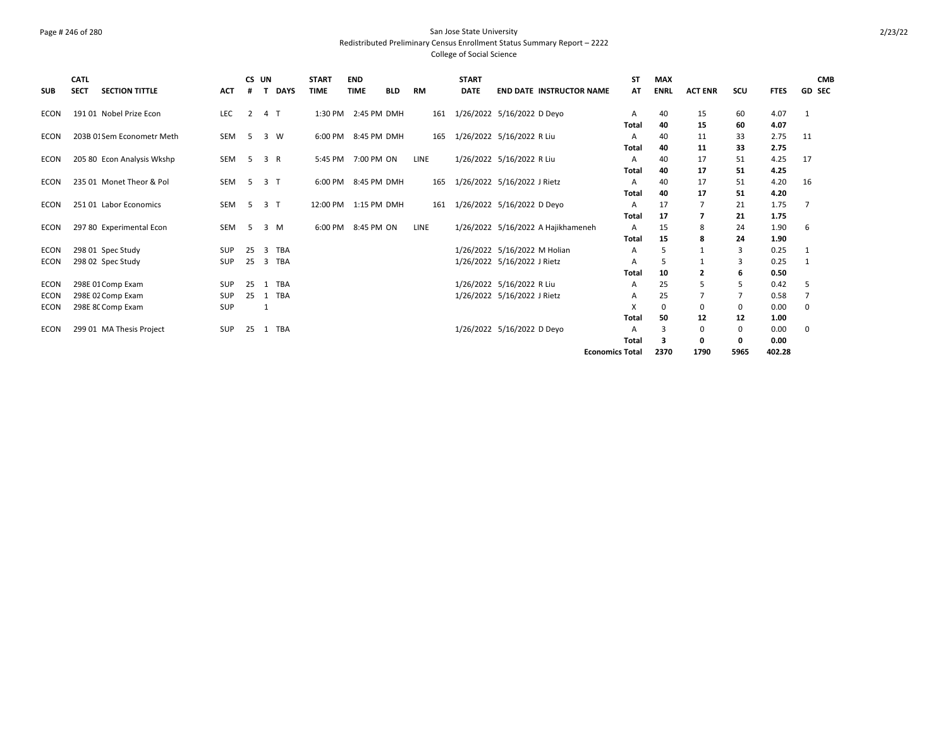### Page # 246 of 280 San Jose State University Redistributed Preliminary Census Enrollment Status Summary Report – 2222 College of Social Science

| <b>SUB</b>  | <b>CATL</b><br><b>SECT</b> | <b>SECTION TITTLE</b>      | <b>ACT</b> | CS UN<br># |                | <b>DAYS</b>    | <b>START</b><br><b>TIME</b> | <b>END</b><br><b>TIME</b> | <b>BLD</b> | <b>RM</b> |     | <b>START</b><br><b>DATE</b> |                              | <b>END DATE INSTRUCTOR NAME</b>    |                        | <b>ST</b><br>AT | <b>MAX</b><br><b>ENRL</b> | <b>ACT ENR</b> | SCU  | <b>FTES</b> | <b>CMB</b><br><b>GD SEC</b> |
|-------------|----------------------------|----------------------------|------------|------------|----------------|----------------|-----------------------------|---------------------------|------------|-----------|-----|-----------------------------|------------------------------|------------------------------------|------------------------|-----------------|---------------------------|----------------|------|-------------|-----------------------------|
| <b>ECON</b> |                            | 191 01 Nobel Prize Econ    | LEC        | 2          |                | 4 T            |                             | 1:30 PM 2:45 PM DMH       |            |           | 161 |                             | 1/26/2022 5/16/2022 D Deyo   |                                    | Α                      |                 | 40                        | 15             | 60   | 4.07        | $\mathbf{1}$                |
|             |                            |                            |            |            |                |                |                             |                           |            |           |     |                             |                              |                                    | Total                  |                 | 40                        | 15             | 60   | 4.07        |                             |
| <b>ECON</b> |                            | 203B 01Sem Econometr Meth  | <b>SEM</b> | 5          |                | 3 W            |                             | 6:00 PM 8:45 PM DMH       |            |           | 165 |                             | 1/26/2022 5/16/2022 R Liu    |                                    | А                      |                 | 40                        | 11             | 33   | 2.75        | 11                          |
|             |                            |                            |            |            |                |                |                             |                           |            |           |     |                             |                              |                                    | Total                  |                 | 40                        | 11             | 33   | 2.75        |                             |
| <b>ECON</b> |                            | 205 80 Econ Analysis Wkshp | <b>SEM</b> | 5          | 3              | R              | 5:45 PM                     | 7:00 PM ON                |            | LINE      |     |                             | 1/26/2022 5/16/2022 R Liu    |                                    | А                      |                 | 40                        | 17             | 51   | 4.25        | 17                          |
|             |                            |                            |            |            |                |                |                             |                           |            |           |     |                             |                              |                                    | Total                  |                 | 40                        | 17             | 51   | 4.25        |                             |
| <b>ECON</b> |                            | 235 01 Monet Theor & Pol   | <b>SEM</b> | 5          |                | 3 <sub>1</sub> |                             | 6:00 PM 8:45 PM DMH       |            |           | 165 |                             | 1/26/2022 5/16/2022 J Rietz  |                                    | А                      |                 | 40                        | 17             | 51   | 4.20        | 16                          |
|             |                            |                            |            |            |                |                |                             |                           |            |           |     |                             |                              |                                    | Total                  |                 | 40                        | 17             | 51   | 4.20        |                             |
| ECON        |                            | 251 01 Labor Economics     | <b>SEM</b> | 5          |                | 3 <sub>1</sub> | 12:00 PM 1:15 PM DMH        |                           |            |           | 161 |                             | 1/26/2022 5/16/2022 D Deyo   |                                    | А                      |                 | 17                        | 7              | 21   | 1.75        | 7                           |
|             |                            |                            |            |            |                |                |                             |                           |            |           |     |                             |                              |                                    | Total                  |                 | 17                        | 7              | 21   | 1.75        |                             |
| ECON        |                            | 297 80 Experimental Econ   | <b>SEM</b> | 5          |                | 3 M            | 6:00 PM                     | 8:45 PM ON                |            | LINE      |     |                             |                              | 1/26/2022 5/16/2022 A Hajikhameneh | A                      |                 | 15                        | 8              | 24   | 1.90        | 6                           |
|             |                            |                            |            |            |                |                |                             |                           |            |           |     |                             |                              |                                    | Total                  |                 | 15                        | 8              | 24   | 1.90        |                             |
| <b>ECON</b> |                            | 298 01 Spec Study          | <b>SUP</b> | 25         | $\overline{3}$ | TBA            |                             |                           |            |           |     |                             | 1/26/2022 5/16/2022 M Holian |                                    | A                      |                 | .5                        | 1              | 3    | 0.25        | 1                           |
| <b>ECON</b> |                            | 298 02 Spec Study          | <b>SUP</b> | 25         | 3              | TBA            |                             |                           |            |           |     |                             | 1/26/2022 5/16/2022 J Rietz  |                                    | А                      |                 | -5                        | 1              | 3    | 0.25        |                             |
|             |                            |                            |            |            |                |                |                             |                           |            |           |     |                             |                              |                                    | Total                  |                 | 10                        | $\overline{2}$ | 6    | 0.50        |                             |
| ECON        |                            | 298E 01 Comp Exam          | <b>SUP</b> | 25         |                | 1 TBA          |                             |                           |            |           |     |                             | 1/26/2022 5/16/2022 R Liu    |                                    | A                      |                 | 25                        | 5              | 5    | 0.42        | 5                           |
| <b>ECON</b> |                            | 298E 02 Comp Exam          | SUP        | 25         | 1              | TBA            |                             |                           |            |           |     |                             | 1/26/2022 5/16/2022 J Rietz  |                                    | А                      |                 | 25                        | $\overline{7}$ |      | 0.58        | 7                           |
| ECON        |                            | 298E 8C Comp Exam          | SUP        |            |                |                |                             |                           |            |           |     |                             |                              |                                    |                        |                 | 0                         | 0              | 0    | 0.00        | 0                           |
|             |                            |                            |            |            |                |                |                             |                           |            |           |     |                             |                              |                                    | Total                  |                 | 50                        | 12             | 12   | 1.00        |                             |
| <b>ECON</b> |                            | 299 01 MA Thesis Project   | <b>SUP</b> | 25         |                | 1 TBA          |                             |                           |            |           |     |                             | 1/26/2022 5/16/2022 D Deyo   |                                    | A                      |                 | 3                         | 0              | 0    | 0.00        | 0                           |
|             |                            |                            |            |            |                |                |                             |                           |            |           |     |                             |                              |                                    | Total                  |                 | 3                         | 0              | 0    | 0.00        |                             |
|             |                            |                            |            |            |                |                |                             |                           |            |           |     |                             |                              |                                    | <b>Economics Total</b> |                 | 2370                      | 1790           | 5965 | 402.28      |                             |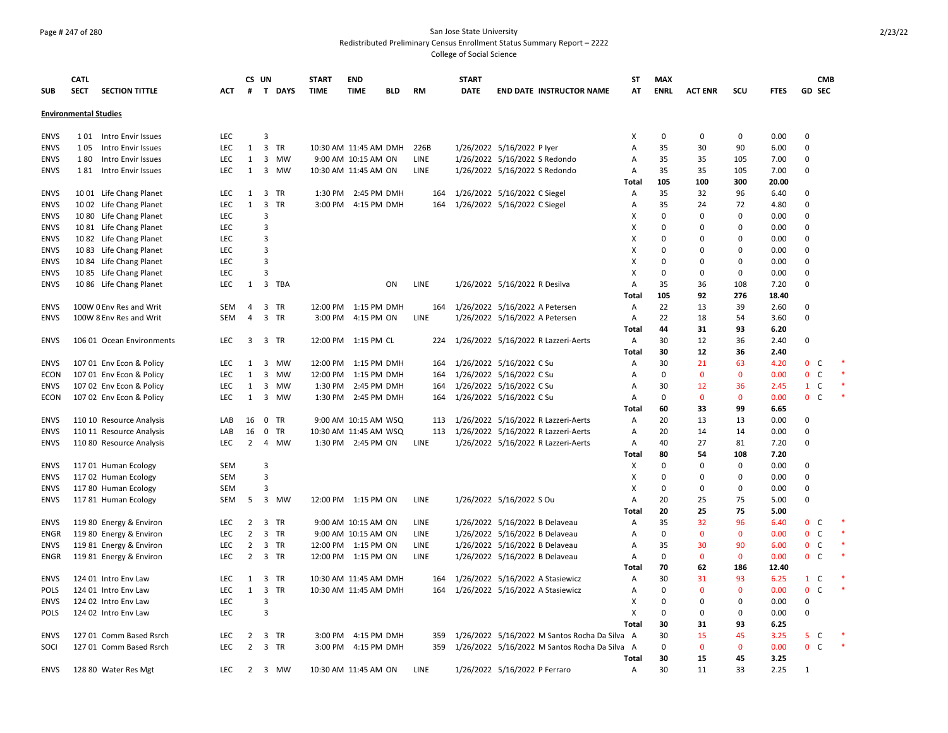### Page # 247 of 280 San Jose State University Redistributed Preliminary Census Enrollment Status Summary Report – 2222 College of Social Science

|             | <b>CATL</b>                  |                           |            | CS UN          |                                      | <b>START</b> | <b>END</b>            |            |             | <b>START</b> |                                               | <b>ST</b>    | <b>MAX</b>  |                |              |             | <b>CMB</b>                   |        |
|-------------|------------------------------|---------------------------|------------|----------------|--------------------------------------|--------------|-----------------------|------------|-------------|--------------|-----------------------------------------------|--------------|-------------|----------------|--------------|-------------|------------------------------|--------|
| <b>SUB</b>  | <b>SECT</b>                  | <b>SECTION TITTLE</b>     | ACT        | #              | T DAYS                               | <b>TIME</b>  | <b>TIME</b>           | <b>BLD</b> | RM          | <b>DATE</b>  | <b>END DATE INSTRUCTOR NAME</b>               | AT           | <b>ENRL</b> | <b>ACT ENR</b> | scu          | <b>FTES</b> | <b>GD SEC</b>                |        |
|             | <b>Environmental Studies</b> |                           |            |                |                                      |              |                       |            |             |              |                                               |              |             |                |              |             |                              |        |
|             |                              |                           |            |                |                                      |              |                       |            |             |              |                                               |              |             |                |              |             |                              |        |
| <b>ENVS</b> |                              | 101 Intro Envir Issues    | <b>LEC</b> |                | $\overline{3}$                       |              |                       |            |             |              |                                               | X            | $\mathbf 0$ | 0              | $\mathbf 0$  | 0.00        | $\mathbf 0$                  |        |
| <b>ENVS</b> | 105                          | Intro Envir Issues        | LEC        | $\mathbf{1}$   | 3 TR                                 |              | 10:30 AM 11:45 AM DMH |            | 226B        |              | 1/26/2022 5/16/2022 P lyer                    | Α            | 35          | 30             | 90           | 6.00        | $\mathbf 0$                  |        |
| <b>ENVS</b> | 180                          | Intro Envir Issues        | LEC        | 1              | 3 MW                                 |              | 9:00 AM 10:15 AM ON   |            | LINE        |              | 1/26/2022 5/16/2022 S Redondo                 | Α            | 35          | 35             | 105          | 7.00        | $\mathbf 0$                  |        |
| <b>ENVS</b> | 181                          | Intro Envir Issues        | <b>LEC</b> | 1              | 3 MW                                 |              | 10:30 AM 11:45 AM ON  |            | <b>LINE</b> |              | 1/26/2022 5/16/2022 S Redondo                 | Α            | 35          | 35             | 105          | 7.00        | $\Omega$                     |        |
|             |                              |                           |            |                |                                      |              |                       |            |             |              |                                               | Total        | 105         | 100            | 300          | 20.00       |                              |        |
| <b>ENVS</b> |                              | 1001 Life Chang Planet    | LEC        | $\mathbf{1}$   | 3 TR                                 |              | 1:30 PM 2:45 PM DMH   |            | 164         |              | 1/26/2022 5/16/2022 C Siegel                  | A            | 35          | 32             | 96           | 6.40        | $\mathbf 0$                  |        |
| <b>ENVS</b> |                              | 1002 Life Chang Planet    | <b>LEC</b> | $\mathbf{1}$   | 3<br><b>TR</b>                       |              | 3:00 PM 4:15 PM DMH   |            | 164         |              | 1/26/2022 5/16/2022 C Siegel                  | Α            | 35          | 24             | 72           | 4.80        | $\mathbf 0$                  |        |
| <b>ENVS</b> |                              | 1080 Life Chang Planet    | LEC        |                | 3                                    |              |                       |            |             |              |                                               | X            | 0           | 0              | 0            | 0.00        | $\mathbf 0$                  |        |
| <b>ENVS</b> |                              | 1081 Life Chang Planet    | <b>LEC</b> |                | $\overline{3}$                       |              |                       |            |             |              |                                               | Х            | $\Omega$    | $\Omega$       | $\Omega$     | 0.00        | $\Omega$                     |        |
| <b>ENVS</b> |                              | 1082 Life Chang Planet    | <b>LEC</b> |                | 3                                    |              |                       |            |             |              |                                               | X            | $\Omega$    | $\Omega$       | $\Omega$     | 0.00        | $\Omega$                     |        |
| <b>ENVS</b> |                              | 1083 Life Chang Planet    | LEC        |                | 3                                    |              |                       |            |             |              |                                               | х            | 0           | $\Omega$       | 0            | 0.00        | $\mathbf 0$                  |        |
| <b>ENVS</b> |                              | 10 84 Life Chang Planet   | <b>LEC</b> |                | $\overline{3}$                       |              |                       |            |             |              |                                               | Χ            | $\mathbf 0$ | $\Omega$       | $\Omega$     | 0.00        | $\mathbf 0$                  |        |
| <b>ENVS</b> |                              | 1085 Life Chang Planet    | LEC        |                | 3                                    |              |                       |            |             |              |                                               | X            | 0           | $\Omega$       | 0            | 0.00        | $\mathbf 0$                  |        |
| <b>ENVS</b> |                              | 1086 Life Chang Planet    | LEC        | 1              | 3 TBA                                |              |                       | ON         | LINE        |              | 1/26/2022 5/16/2022 R Desilva                 | Α            | 35          | 36             | 108          | 7.20        | $\Omega$                     |        |
|             |                              |                           |            |                |                                      |              |                       |            |             |              |                                               | Total        | 105         | 92             | 276          | 18.40       |                              |        |
| <b>ENVS</b> |                              | 100W 0 Env Res and Writ   | SEM        | 4              | 3 TR                                 |              | 12:00 PM 1:15 PM DMH  |            | 164         |              | 1/26/2022 5/16/2022 A Petersen                | Α            | 22          | 13             | 39           | 2.60        | 0                            |        |
| <b>ENVS</b> |                              | 100W 8 Env Res and Writ   | <b>SEM</b> | 4              | 3 TR                                 |              | 3:00 PM 4:15 PM ON    |            | LINE        |              | 1/26/2022 5/16/2022 A Petersen                | A            | 22          | 18             | 54           | 3.60        | $\mathbf 0$                  |        |
|             |                              |                           |            |                |                                      |              |                       |            |             |              |                                               | Total        | 44          | 31             | 93           | 6.20        |                              |        |
| <b>ENVS</b> |                              | 106 01 Ocean Environments | LEC        |                | 3 3 TR                               |              | 12:00 PM 1:15 PM CL   |            | 224         |              | 1/26/2022 5/16/2022 R Lazzeri-Aerts           | Α            | 30          | 12             | 36           | 2.40        | 0                            |        |
|             |                              |                           |            |                |                                      |              |                       |            |             |              |                                               | <b>Total</b> | 30          | 12             | 36           | 2.40        |                              |        |
| <b>ENVS</b> |                              | 107 01 Env Econ & Policy  | LEC        | 1              | 3<br>MW                              | 12:00 PM     | 1:15 PM DMH           |            | 164         |              | 1/26/2022 5/16/2022 C Su                      | Α            | 30          | 21             | 63           | 4.20        | 0 <sup>o</sup>               |        |
| ECON        |                              | 107 01 Env Econ & Policy  | <b>LEC</b> | $\mathbf{1}$   | 3 MW                                 |              | 12:00 PM 1:15 PM DMH  |            | 164         |              | 1/26/2022 5/16/2022 C Su                      | A            | $\mathbf 0$ | $\mathbf 0$    | $\mathbf 0$  | 0.00        | $\mathbf 0$<br>C             | $\ast$ |
| <b>ENVS</b> |                              | 107 02 Env Econ & Policy  | LEC        | 1              | 3 MW                                 |              | 1:30 PM 2:45 PM DMH   |            | 164         |              | 1/26/2022 5/16/2022 C Su                      | Α            | 30          | 12             | 36           | 2.45        | $1\quad C$                   | $\ast$ |
| ECON        |                              | 107 02 Env Econ & Policy  | LEC        | 1              | 3 MW                                 |              | 1:30 PM 2:45 PM DMH   |            | 164         |              | 1/26/2022 5/16/2022 C Su                      | Α            | $\mathbf 0$ | $\mathbf 0$    | $\mathbf 0$  | 0.00        | 0 <sup>o</sup>               | $\ast$ |
|             |                              |                           |            |                |                                      |              |                       |            |             |              |                                               | Total        | 60          | 33             | 99           | 6.65        |                              |        |
| <b>ENVS</b> |                              | 110 10 Resource Analysis  | LAB        | 16             | $0$ TR                               |              | 9:00 AM 10:15 AM WSQ  |            | 113         |              | 1/26/2022 5/16/2022 R Lazzeri-Aerts           | A            | 20          | 13             | 13           | 0.00        | $\Omega$                     |        |
| <b>ENVS</b> |                              | 110 11 Resource Analysis  | LAB        | 16             | 0<br>TR                              |              | 10:30 AM 11:45 AM WSQ |            | 113         |              | 1/26/2022 5/16/2022 R Lazzeri-Aerts           | Α            | 20          | 14             | 14           | 0.00        | $\mathbf 0$                  |        |
| <b>ENVS</b> |                              | 110 80 Resource Analysis  | <b>LEC</b> | $\overline{2}$ | 4 MW                                 |              | 1:30 PM 2:45 PM ON    |            | LINE        |              | 1/26/2022 5/16/2022 R Lazzeri-Aerts           | A            | 40          | 27             | 81           | 7.20        | $\mathbf 0$                  |        |
|             |                              |                           |            |                |                                      |              |                       |            |             |              |                                               | Total        | 80          | 54             | 108          | 7.20        |                              |        |
| <b>ENVS</b> |                              | 117 01 Human Ecology      | SEM        |                | $\overline{3}$                       |              |                       |            |             |              |                                               | X            | $\Omega$    | $\Omega$       | 0            | 0.00        | $\Omega$                     |        |
| <b>ENVS</b> |                              | 117 02 Human Ecology      | SEM        |                | $\overline{3}$                       |              |                       |            |             |              |                                               | X            | 0           | $\Omega$       | $\Omega$     | 0.00        | $\Omega$                     |        |
| <b>ENVS</b> |                              | 117 80 Human Ecology      | SEM        |                | 3                                    |              |                       |            |             |              |                                               | X            | $\mathbf 0$ | 0              | 0            | 0.00        | $\pmb{0}$                    |        |
| <b>ENVS</b> |                              | 117 81 Human Ecology      | SEM        | 5              | 3 MW                                 |              | 12:00 PM 1:15 PM ON   |            | LINE        |              | 1/26/2022 5/16/2022 S Ou                      | Α            | 20          | 25             | 75           | 5.00        | $\mathbf 0$                  |        |
|             |                              |                           |            |                |                                      |              |                       |            |             |              |                                               | Total        | 20          | 25             | 75           | 5.00        |                              |        |
| <b>ENVS</b> |                              | 119 80 Energy & Environ   | LEC        | 2              | 3<br><b>TR</b>                       |              | 9:00 AM 10:15 AM ON   |            | LINE        |              | 1/26/2022 5/16/2022 B Delaveau                | Α            | 35          | 32             | 96           | 6.40        | 0 <sub>c</sub>               |        |
| ENGR        |                              |                           | <b>LEC</b> | $\overline{2}$ | 3 TR                                 |              | 9:00 AM 10:15 AM ON   |            | LINE        |              |                                               | Α            | 0           | $\mathbf{0}$   | $\mathbf{0}$ | 0.00        | $\mathbf{0}$<br><sub>c</sub> | $\ast$ |
|             |                              | 119 80 Energy & Environ   |            |                |                                      |              |                       |            |             |              | 1/26/2022 5/16/2022 B Delaveau                |              |             |                |              |             |                              |        |
| <b>ENVS</b> |                              | 119 81 Energy & Environ   | LEC        | $\overline{2}$ | 3<br>TR                              |              | 12:00 PM 1:15 PM ON   |            | LINE        |              | 1/26/2022 5/16/2022 B Delaveau                | Α            | 35          | 30             | 90           | 6.00        | $\mathbf 0$<br><sub>c</sub>  |        |
| ENGR        |                              | 119 81 Energy & Environ   | LEC        | $\overline{2}$ | 3 TR                                 |              | 12:00 PM 1:15 PM ON   |            | LINE        |              | 1/26/2022 5/16/2022 B Delaveau                | A            | $\mathbf 0$ | $\mathbf 0$    | $\mathbf 0$  | 0.00        | 0 <sup>o</sup>               |        |
|             |                              |                           |            |                |                                      |              |                       |            |             |              |                                               | Total        | 70          | 62             | 186          | 12.40       |                              |        |
| <b>ENVS</b> |                              | 124 01 Intro Env Law      | LEC        | 1              | 3 TR                                 |              | 10:30 AM 11:45 AM DMH |            | 164         |              | 1/26/2022 5/16/2022 A Stasiewicz              | Α            | 30          | 31             | 93           | 6.25        | $1\quad C$                   |        |
| <b>POLS</b> |                              | 124 01 Intro Env Law      | <b>LEC</b> | $\mathbf{1}$   | $\overline{\mathbf{3}}$<br><b>TR</b> |              | 10:30 AM 11:45 AM DMH |            | 164         |              | 1/26/2022 5/16/2022 A Stasiewicz              | Α            | $\Omega$    | $\mathbf{0}$   | $\mathbf{0}$ | 0.00        | $\mathbf{0}$<br>$\mathsf{C}$ |        |
| <b>ENVS</b> |                              | 124 02 Intro Env Law      | LEC        |                | 3                                    |              |                       |            |             |              |                                               | X            | 0           | $\Omega$       | 0            | 0.00        | $\mathbf 0$                  |        |
| <b>POLS</b> |                              | 124 02 Intro Env Law      | <b>LEC</b> |                | 3                                    |              |                       |            |             |              |                                               | X            | $\mathbf 0$ | 0              | 0            | 0.00        | $\mathbf 0$                  |        |
|             |                              |                           |            |                |                                      |              |                       |            |             |              |                                               | Total        | 30          | 31             | 93           | 6.25        |                              |        |
| <b>ENVS</b> |                              | 127 01 Comm Based Rsrch   | LEC        | 2              | 3 TR                                 | 3:00 PM      | 4:15 PM DMH           |            | 359         |              | 1/26/2022 5/16/2022 M Santos Rocha Da Silva A |              | 30          | 15             | 45           | 3.25        | 5 <sup>C</sup>               |        |
| SOCI        |                              | 127 01 Comm Based Rsrch   | <b>LEC</b> | $\overline{2}$ | 3 TR                                 |              | 3:00 PM 4:15 PM DMH   |            | 359         |              | 1/26/2022 5/16/2022 M Santos Rocha Da Silva A |              | $\Omega$    | $\mathbf{0}$   | $\mathbf{0}$ | 0.00        | 0 <sup>o</sup>               | $\ast$ |
|             |                              |                           |            |                |                                      |              |                       |            |             |              |                                               | Total        | 30          | 15             | 45           | 3.25        |                              |        |
| <b>ENVS</b> |                              | 128 80 Water Res Mgt      | LEC        |                | 2 3 MW                               |              | 10:30 AM 11:45 AM ON  |            | LINE        |              | 1/26/2022 5/16/2022 P Ferraro                 | A            | 30          | 11             | 33           | 2.25        | $\mathbf{1}$                 |        |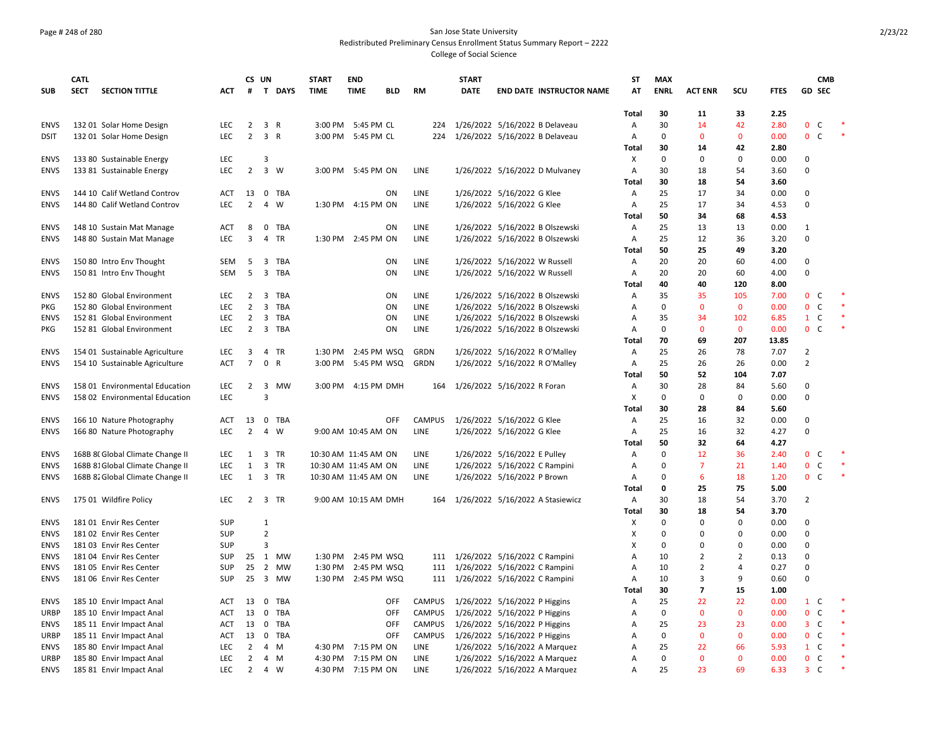### Page # 248 of 280 San Jose State University Redistributed Preliminary Census Enrollment Status Summary Report – 2222 College of Social Science

| <b>SUB</b>          | <b>CATL</b><br><b>SECT</b> | <b>SECTION TITTLE</b>            | <b>ACT</b>               | #              | CS UN          | T DAYS     | <b>START</b><br><b>TIME</b> | <b>END</b><br><b>TIME</b>                | <b>BLD</b> | <b>RM</b>             | <b>START</b><br><b>DATE</b> | <b>END DATE INSTRUCTOR NAME</b>      | ST<br>AT                  | <b>MAX</b><br><b>ENRL</b> | <b>ACT ENR</b> | SCU            | <b>FTES</b>  |                                | <b>CMB</b><br><b>GD SEC</b> |  |
|---------------------|----------------------------|----------------------------------|--------------------------|----------------|----------------|------------|-----------------------------|------------------------------------------|------------|-----------------------|-----------------------------|--------------------------------------|---------------------------|---------------------------|----------------|----------------|--------------|--------------------------------|-----------------------------|--|
|                     |                            |                                  |                          |                |                |            |                             |                                          |            |                       |                             |                                      | <b>Total</b>              | 30                        | 11             | 33             | 2.25         |                                |                             |  |
| <b>ENVS</b>         |                            | 132 01 Solar Home Design         | LEC                      | $\overline{2}$ |                | 3 R        |                             | 3:00 PM 5:45 PM CL                       |            | 224                   |                             | 1/26/2022 5/16/2022 B Delaveau       | A                         | 30                        | 14             | 42             | 2.80         | 0                              | C                           |  |
| <b>DSIT</b>         |                            | 132 01 Solar Home Design         | <b>LEC</b>               | $\overline{2}$ |                | 3 R        |                             | 3:00 PM 5:45 PM CL                       |            | 224                   |                             | 1/26/2022 5/16/2022 B Delaveau       | Α                         | 0                         | $\mathbf{0}$   | $\mathbf{0}$   | 0.00         | $\mathbf{0}$                   | C                           |  |
|                     |                            |                                  |                          |                |                |            |                             |                                          |            |                       |                             |                                      | Total                     | 30                        | 14             | 42             | 2.80         |                                |                             |  |
| <b>ENVS</b>         |                            | 133 80 Sustainable Energy        | <b>LEC</b>               |                | 3              |            |                             |                                          |            |                       |                             |                                      | X                         | 0                         | 0              | $\Omega$       | 0.00         | 0                              |                             |  |
| <b>ENVS</b>         |                            | 133 81 Sustainable Energy        | LEC                      | $\overline{2}$ |                | 3 W        |                             | 3:00 PM 5:45 PM ON                       |            | LINE                  |                             | 1/26/2022 5/16/2022 D Mulvaney       | Α                         | 30                        | 18             | 54             | 3.60         | 0                              |                             |  |
|                     |                            |                                  |                          |                |                |            |                             |                                          |            |                       |                             |                                      | Total                     | 30                        | 18             | 54             | 3.60         |                                |                             |  |
| <b>ENVS</b>         |                            | 144 10 Calif Wetland Controv     | <b>ACT</b>               | 13             |                | 0 TBA      |                             |                                          | ON         | LINE                  |                             | 1/26/2022 5/16/2022 G Klee           | Α                         | 25                        | 17             | 34             | 0.00         | 0                              |                             |  |
| <b>ENVS</b>         |                            | 144 80 Calif Wetland Controv     | <b>LEC</b>               | $\overline{2}$ | $\overline{4}$ | W          |                             | 1:30 PM 4:15 PM ON                       |            | LINE                  |                             | 1/26/2022 5/16/2022 G Klee           | Α                         | 25                        | 17             | 34             | 4.53         | $\mathbf 0$                    |                             |  |
|                     |                            |                                  |                          |                |                |            |                             |                                          |            |                       |                             |                                      | Total                     | 50                        | 34             | 68             | 4.53         |                                |                             |  |
| <b>ENVS</b>         |                            | 148 10 Sustain Mat Manage        | <b>ACT</b>               | 8              |                | 0 TBA      |                             |                                          | ON         | LINE                  |                             | 1/26/2022 5/16/2022 B Olszewski      | Α                         | 25                        | 13             | 13             | 0.00         | 1                              |                             |  |
| <b>ENVS</b>         |                            | 148 80 Sustain Mat Manage        | <b>LEC</b>               | 3              |                | 4 TR       |                             | 1:30 PM 2:45 PM ON                       |            | LINE                  |                             | 1/26/2022 5/16/2022 B Olszewski      | A                         | 25                        | 12             | 36             | 3.20         | $\mathbf 0$                    |                             |  |
|                     |                            |                                  |                          |                |                |            |                             |                                          |            |                       |                             |                                      | Total                     | 50                        | 25             | 49             | 3.20         |                                |                             |  |
| <b>ENVS</b>         |                            | 150 80 Intro Env Thought         | SEM                      | 5              |                | 3 TBA      |                             |                                          | ON         | LINE                  |                             | 1/26/2022 5/16/2022 W Russell        | Α                         | 20                        | 20             | 60             | 4.00         | 0                              |                             |  |
| <b>ENVS</b>         |                            | 150 81 Intro Env Thought         | SEM                      | 5              |                | 3 TBA      |                             |                                          | ON         | LINE                  |                             | 1/26/2022 5/16/2022 W Russell        | Α                         | 20                        | 20             | 60             | 4.00         | O                              |                             |  |
|                     |                            |                                  |                          |                |                |            |                             |                                          |            |                       |                             |                                      | Total                     | 40                        | 40             | 120            | 8.00         |                                |                             |  |
| <b>ENVS</b>         |                            | 152 80 Global Environment        | <b>LEC</b>               | $\overline{2}$ | 3              | TBA        |                             |                                          | ON         | <b>LINE</b>           |                             | 1/26/2022 5/16/2022 B Olszewski      | A                         | 35                        | 35             | 105            | 7.00         | $\mathbf{0}$                   | C                           |  |
| PKG                 |                            | 152 80 Global Environment        | LEC                      | $\overline{2}$ |                | 3 TBA      |                             |                                          | ON         | LINE                  |                             | 1/26/2022 5/16/2022 B Olszewski      | Α                         | 0                         | $\mathbf 0$    | $\mathbf 0$    | 0.00         | $\mathbf 0$                    | $\mathsf{C}$                |  |
| <b>ENVS</b>         |                            | 152 81 Global Environment        | LEC                      | $\overline{2}$ |                | 3 TBA      |                             |                                          | ON         | LINE                  |                             | 1/26/2022 5/16/2022 B Olszewski      | Α                         | 35                        | 34             | 102            | 6.85         | $\mathbf{1}$                   | $\mathsf{C}$                |  |
| <b>PKG</b>          |                            | 152 81 Global Environment        | <b>LEC</b>               | $\overline{2}$ |                | 3 TBA      |                             |                                          | ON         | LINE                  |                             | 1/26/2022 5/16/2022 B Olszewski      | Α                         | 0                         | $\mathbf{0}$   | $\mathbf{0}$   | 0.00         | 0                              | $\mathsf{C}$                |  |
|                     |                            |                                  |                          |                |                |            |                             |                                          |            |                       |                             |                                      | Total                     | 70                        | 69             | 207            | 13.85        |                                |                             |  |
| <b>ENVS</b>         |                            | 154 01 Sustainable Agriculture   | <b>LEC</b>               | 3              |                | 4 TR       |                             | 1:30 PM 2:45 PM WSQ                      |            | GRDN                  |                             | 1/26/2022 5/16/2022 R O'Malley       | Α                         | 25                        | 26             | 78             | 7.07         | $\overline{2}$                 |                             |  |
| <b>ENVS</b>         |                            | 154 10 Sustainable Agriculture   | <b>ACT</b>               | $\overline{7}$ |                | 0 R        |                             | 3:00 PM 5:45 PM WSQ                      |            | GRDN                  |                             | 1/26/2022 5/16/2022 R O'Malley       | $\overline{A}$            | 25                        | 26             | 26             | 0.00         | $\overline{2}$                 |                             |  |
|                     |                            |                                  |                          |                |                |            |                             |                                          |            |                       |                             |                                      | Total                     | 50                        | 52             | 104            | 7.07         |                                |                             |  |
| <b>ENVS</b>         |                            | 158 01 Environmental Education   | LEC                      | $\overline{2}$ |                | 3 MW       |                             | 3:00 PM 4:15 PM DMH                      |            |                       |                             | 164 1/26/2022 5/16/2022 R Foran      | A                         | 30                        | 28             | 84             | 5.60         | 0                              |                             |  |
| <b>ENVS</b>         |                            | 158 02 Environmental Education   | LEC                      |                | $\overline{3}$ |            |                             |                                          |            |                       |                             |                                      | X                         | 0                         | $\mathbf 0$    | $\mathbf 0$    | 0.00         | 0                              |                             |  |
|                     |                            |                                  |                          |                |                |            |                             |                                          |            |                       |                             |                                      | <b>Total</b>              | 30                        | 28             | 84             | 5.60         |                                |                             |  |
| <b>ENVS</b>         |                            | 166 10 Nature Photography        | ACT                      | 13             |                | 0 TBA      |                             |                                          | <b>OFF</b> | CAMPUS                |                             | 1/26/2022 5/16/2022 G Klee           | A                         | 25                        | 16             | 32             | 0.00         | 0                              |                             |  |
|                     |                            |                                  | <b>LEC</b>               | $\overline{2}$ |                | 4 W        |                             |                                          |            | LINE                  |                             |                                      |                           | 25                        |                | 32             |              | $\mathbf 0$                    |                             |  |
| <b>ENVS</b>         |                            | 166 80 Nature Photography        |                          |                |                |            |                             | 9:00 AM 10:45 AM ON                      |            |                       |                             | 1/26/2022 5/16/2022 G Klee           | Α<br>Total                | 50                        | 16<br>32       | 64             | 4.27<br>4.27 |                                |                             |  |
| <b>ENVS</b>         |                            | 168B 8(Global Climate Change II  | LEC                      | 1              |                | 3 TR       | 10:30 AM 11:45 AM ON        |                                          |            | LINE                  |                             | 1/26/2022 5/16/2022 E Pulley         | Α                         | 0                         | 12             | 36             | 2.40         | $\mathbf 0$                    | C                           |  |
| <b>ENVS</b>         |                            | 168B 81 Global Climate Change II | LEC                      | $\mathbf{1}$   |                | 3 TR       | 10:30 AM 11:45 AM ON        |                                          |            | LINE                  |                             | 1/26/2022 5/16/2022 C Rampini        | Α                         | $\mathbf 0$               | 7              | 21             | 1.40         | $\mathbf 0$                    | $\mathsf{C}$                |  |
| <b>ENVS</b>         |                            | 168B 82 Global Climate Change II | <b>LEC</b>               | $\mathbf{1}$   |                | 3 TR       | 10:30 AM 11:45 AM ON        |                                          |            | LINE                  |                             | 1/26/2022 5/16/2022 P Brown          | Α                         | 0                         | 6              | 18             | 1.20         | 0                              | $\mathsf{C}$                |  |
|                     |                            |                                  |                          |                |                |            |                             |                                          |            |                       |                             |                                      | Total                     | 0                         | 25             | 75             | 5.00         |                                |                             |  |
| <b>ENVS</b>         |                            | 175 01 Wildfire Policy           | <b>LEC</b>               |                | 2 3 TR         |            |                             | 9:00 AM 10:15 AM DMH                     |            |                       |                             | 164 1/26/2022 5/16/2022 A Stasiewicz | A                         | 30                        | 18             | 54             | 3.70         | 2                              |                             |  |
|                     |                            |                                  |                          |                |                |            |                             |                                          |            |                       |                             |                                      | Total                     | 30                        | 18             | 54             | 3.70         |                                |                             |  |
| <b>ENVS</b>         |                            | 18101 Envir Res Center           | SUP                      |                | $\mathbf{1}$   |            |                             |                                          |            |                       |                             |                                      | X                         | $\Omega$                  | $\mathbf 0$    | $\Omega$       | 0.00         | $\mathbf 0$                    |                             |  |
| <b>ENVS</b>         |                            | 181 02 Envir Res Center          | <b>SUP</b>               |                | $\overline{2}$ |            |                             |                                          |            |                       |                             |                                      | $\boldsymbol{\mathsf{X}}$ | $\Omega$                  | $\mathbf 0$    | $\Omega$       | 0.00         | $\mathbf 0$                    |                             |  |
| <b>ENVS</b>         |                            | 18103 Envir Res Center           | <b>SUP</b>               |                | $\overline{3}$ |            |                             |                                          |            |                       |                             |                                      | X                         | 0                         | 0              | $\mathbf 0$    | 0.00         | 0                              |                             |  |
| <b>ENVS</b>         |                            | 181 04 Envir Res Center          | <b>SUP</b>               | 25             |                | 1 MW       |                             | 1:30 PM 2:45 PM WSQ                      |            |                       |                             | 111 1/26/2022 5/16/2022 C Rampini    | Α                         | 10                        | $\overline{2}$ | $\overline{2}$ | 0.13         | 0                              |                             |  |
| <b>ENVS</b>         |                            | 181 05 Envir Res Center          | <b>SUP</b>               | 25             |                | 2 MW       |                             | 1:30 PM 2:45 PM WSQ                      |            |                       |                             | 111 1/26/2022 5/16/2022 C Rampini    | A                         | 10                        | $\overline{2}$ | 4              | 0.27         | 0                              |                             |  |
| <b>ENVS</b>         |                            | 181 06 Envir Res Center          | <b>SUP</b>               | 25             |                | 3 MW       |                             | 1:30 PM 2:45 PM WSQ                      |            |                       |                             | 111 1/26/2022 5/16/2022 C Rampini    | Α                         | 10                        | 3              | 9              | 0.60         | $\mathbf 0$                    |                             |  |
|                     |                            |                                  |                          |                |                |            |                             |                                          |            |                       |                             |                                      | Total                     | 30                        | 7              | 15             | 1.00         |                                |                             |  |
| <b>ENVS</b>         |                            | 185 10 Envir Impact Anal         | ACT                      | 13             | 0              | TBA        |                             |                                          | OFF        | <b>CAMPUS</b>         |                             | 1/26/2022 5/16/2022 P Higgins        | Α                         | 25                        | 22             | 22             | 0.00         | $\mathbf{1}$                   | C                           |  |
| <b>URBP</b>         |                            | 185 10 Envir Impact Anal         | <b>ACT</b>               | 13             | $\mathbf 0$    | TBA        |                             |                                          | OFF        | CAMPUS                |                             | 1/26/2022 5/16/2022 P Higgins        | Α                         | 0                         | $\mathbf 0$    | $\mathbf 0$    | 0.00         | $\mathbf 0$                    | C                           |  |
|                     |                            |                                  |                          |                |                |            |                             |                                          | OFF        | CAMPUS                |                             |                                      |                           | 25                        | 23             | 23             |              | 3                              | $\mathsf{C}$                |  |
| <b>ENVS</b>         |                            | 185 11 Envir Impact Anal         | <b>ACT</b>               | 13             | $\mathbf 0$    | TBA        |                             |                                          |            |                       |                             | 1/26/2022 5/16/2022 P Higgins        | Α                         | 0                         | $\mathbf 0$    | $\mathbf 0$    | 0.00         | $\mathbf 0$                    |                             |  |
| URBP<br><b>ENVS</b> |                            | 185 11 Envir Impact Anal         | <b>ACT</b><br><b>LEC</b> | 13<br>2        | $\mathbf{0}$   | TBA<br>4 M |                             | 4:30 PM 7:15 PM ON                       | <b>OFF</b> | CAMPUS<br><b>LINE</b> |                             | 1/26/2022 5/16/2022 P Higgins        | Α<br>A                    | 25                        | 22             | 66             | 0.00<br>5.93 | $1 \quad C$                    | C                           |  |
|                     |                            | 185 80 Envir Impact Anal         |                          | 2              |                |            |                             |                                          |            | <b>LINE</b>           |                             | 1/26/2022 5/16/2022 A Marquez        |                           |                           | $\mathbf{0}$   | $\Omega$       |              |                                | C                           |  |
| <b>URBP</b>         |                            | 185 80 Envir Impact Anal         | <b>LEC</b><br>LEC        | $2^{\circ}$    |                | 4 M<br>4 W |                             | 4:30 PM 7:15 PM ON<br>4:30 PM 7:15 PM ON |            | <b>LINE</b>           |                             | 1/26/2022 5/16/2022 A Marquez        | A                         | 0<br>25                   | 23             | 69             | 0.00         | $\mathbf{0}$<br>$\overline{3}$ | $\mathsf{C}$                |  |
| <b>ENVS</b>         |                            | 185 81 Envir Impact Anal         |                          |                |                |            |                             |                                          |            |                       |                             | 1/26/2022 5/16/2022 A Marquez        | A                         |                           |                |                | 6.33         |                                |                             |  |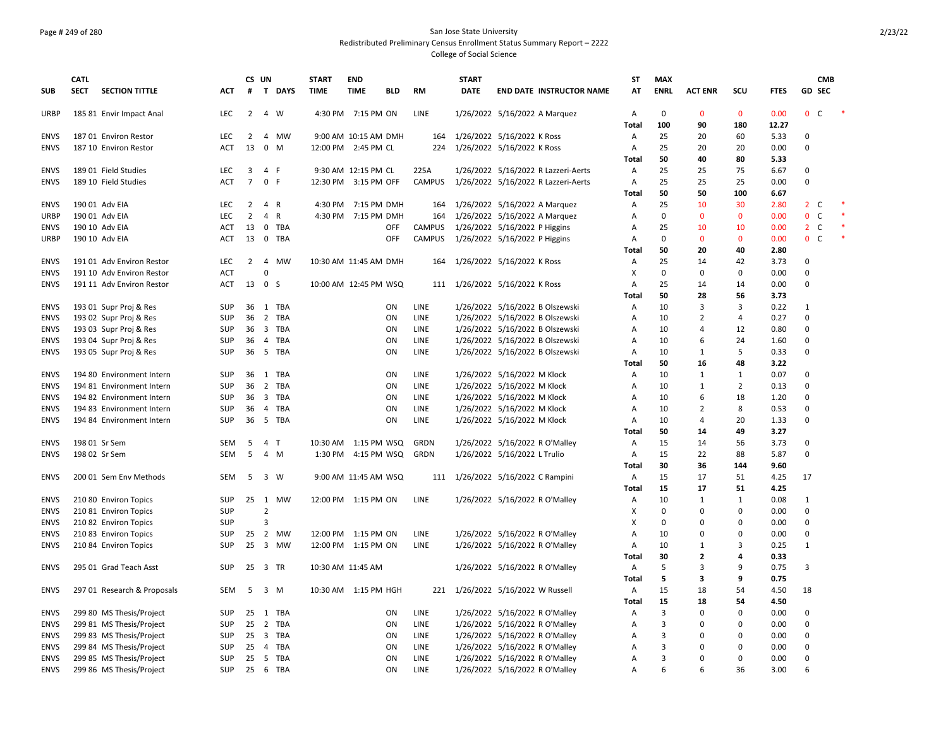### Page # 249 of 280 San Jose State University Redistributed Preliminary Census Enrollment Status Summary Report – 2222 College of Social Science

|             | <b>CATL</b> |                             |            |                | CS UN          |                | <b>START</b>          | <b>END</b>           |            |             | <b>START</b> |                                     | SΤ           | <b>MAX</b>  |                |                |             | <b>CMB</b>                   |  |
|-------------|-------------|-----------------------------|------------|----------------|----------------|----------------|-----------------------|----------------------|------------|-------------|--------------|-------------------------------------|--------------|-------------|----------------|----------------|-------------|------------------------------|--|
| <b>SUB</b>  | <b>SECT</b> | <b>SECTION TITTLE</b>       | ACT        | #              |                | <b>T DAYS</b>  | <b>TIME</b>           | <b>TIME</b>          | BLD        | <b>RM</b>   | <b>DATE</b>  | <b>END DATE INSTRUCTOR NAME</b>     | AT           | <b>ENRL</b> | <b>ACT ENR</b> | scu            | <b>FTES</b> | GD SEC                       |  |
| URBP        |             | 185 81 Envir Impact Anal    | LEC        | $\overline{2}$ |                | 4 W            |                       | 4:30 PM 7:15 PM ON   |            | LINE        |              | 1/26/2022 5/16/2022 A Marquez       | А            | $\mathbf 0$ | $\Omega$       | $\mathbf{0}$   | 0.00        | 0 <sup>o</sup>               |  |
|             |             |                             |            |                |                |                |                       |                      |            |             |              |                                     | Total        | 100         | 90             | 180            | 12.27       |                              |  |
| <b>ENVS</b> |             | 187 01 Environ Restor       | LEC        | $\overline{2}$ |                | 4 MW           |                       | 9:00 AM 10:15 AM DMH |            | 164         |              | 1/26/2022 5/16/2022 K Ross          | Α            | 25          | 20             | 60             | 5.33        | 0                            |  |
| <b>ENVS</b> |             | 187 10 Environ Restor       | ACT        | 13             |                | $0 \quad M$    | 12:00 PM 2:45 PM CL   |                      |            |             |              | 224 1/26/2022 5/16/2022 K Ross      | Α            | 25          | 20             | 20             | 0.00        | 0                            |  |
|             |             |                             |            |                |                |                |                       |                      |            |             |              |                                     | <b>Total</b> | 50          | 40             | 80             | 5.33        |                              |  |
| <b>ENVS</b> |             | 189 01 Field Studies        | <b>LEC</b> | 3              |                | 4 F            |                       | 9:30 AM 12:15 PM CL  |            | 225A        |              | 1/26/2022 5/16/2022 R Lazzeri-Aerts | А            | 25          | 25             | 75             | 6.67        | 0                            |  |
| <b>ENVS</b> |             | 189 10 Field Studies        | <b>ACT</b> | $\overline{7}$ |                | 0 F            | 12:30 PM 3:15 PM OFF  |                      |            | CAMPUS      |              | 1/26/2022 5/16/2022 R Lazzeri-Aerts | А            | 25          | 25             | 25             | 0.00        | 0                            |  |
|             |             |                             |            |                |                |                |                       |                      |            |             |              |                                     | <b>Total</b> | 50          | 50             | 100            | 6.67        |                              |  |
| <b>ENVS</b> |             | 190 01 Adv EIA              | LEC        | $\overline{2}$ | 4 R            |                |                       | 4:30 PM 7:15 PM DMH  |            | 164         |              | 1/26/2022 5/16/2022 A Marquez       | Α            | 25          | 10             | 30             | 2.80        | $2\degree$ C                 |  |
| <b>URBP</b> |             | 190 01 Adv EIA              | <b>LEC</b> | $\overline{2}$ |                | 4 R            |                       | 4:30 PM 7:15 PM DMH  |            | 164         |              | 1/26/2022 5/16/2022 A Marquez       | A            | $\mathbf 0$ | $\mathbf{0}$   | $\mathbf{0}$   | 0.00        | 0<br>C                       |  |
| <b>ENVS</b> |             | 190 10 Adv EIA              | ACT        | 13             |                | 0 TBA          |                       |                      | <b>OFF</b> | CAMPUS      |              | 1/26/2022 5/16/2022 P Higgins       | A            | 25          | 10             | 10             | 0.00        | $2\degree$ C                 |  |
| URBP        |             | 190 10 Adv EIA              | <b>ACT</b> | 13             |                | 0 TBA          |                       |                      | <b>OFF</b> | CAMPUS      |              | 1/26/2022 5/16/2022 P Higgins       | Α            | $\mathbf 0$ | $\Omega$       | $\mathbf{0}$   | 0.00        | $\mathbf{0}$<br><sub>c</sub> |  |
|             |             |                             |            |                |                |                |                       |                      |            |             |              |                                     | Total        | 50          | 20             | 40             | 2.80        |                              |  |
| <b>ENVS</b> |             | 191 01 Adv Environ Restor   | LEC        | 2              |                | 4 MW           | 10:30 AM 11:45 AM DMH |                      |            | 164         |              | 1/26/2022 5/16/2022 K Ross          | А            | 25          | 14             | 42             | 3.73        | 0                            |  |
| <b>ENVS</b> |             | 191 10 Adv Environ Restor   | <b>ACT</b> |                | $\mathbf 0$    |                |                       |                      |            |             |              |                                     | X            | $\mathbf 0$ | $\Omega$       | $\mathbf 0$    | 0.00        | 0                            |  |
| <b>ENVS</b> |             | 191 11 Adv Environ Restor   | <b>ACT</b> | 13 0 S         |                |                | 10:00 AM 12:45 PM WSQ |                      |            |             |              | 111 1/26/2022 5/16/2022 K Ross      | A            | 25          | 14             | 14             | 0.00        | 0                            |  |
|             |             |                             |            |                |                |                |                       |                      |            |             |              |                                     | <b>Total</b> | 50          | 28             | 56             | 3.73        |                              |  |
| ENVS        |             | 193 01 Supr Proj & Res      | <b>SUP</b> |                |                | 36 1 TBA       |                       |                      | ON         | LINE        |              | 1/26/2022 5/16/2022 B Olszewski     | А            | 10          | 3              | 3              | 0.22        | 1                            |  |
| <b>ENVS</b> |             | 193 02 Supr Proj & Res      | SUP        |                |                | 36 2 TBA       |                       |                      | ON         | LINE        |              | 1/26/2022 5/16/2022 B Olszewski     | Α            | 10          | 2              | 4              | 0.27        | 0                            |  |
| <b>ENVS</b> |             | 193 03 Supr Proj & Res      | SUP        | 36             |                | 3 TBA          |                       |                      | ON         | LINE        |              | 1/26/2022 5/16/2022 B Olszewski     | Α            | 10          | 4              | 12             | 0.80        | $\Omega$                     |  |
| <b>ENVS</b> |             | 193 04 Supr Proj & Res      | <b>SUP</b> | 36             |                | 4 TBA          |                       |                      | ON         | LINE        |              | 1/26/2022 5/16/2022 B Olszewski     | Α            | 10          | 6              | 24             | 1.60        | 0                            |  |
| <b>ENVS</b> |             | 193 05 Supr Proj & Res      | <b>SUP</b> | 36             |                | 5 TBA          |                       |                      | ON         | LINE        |              | 1/26/2022 5/16/2022 B Olszewski     | Α            | 10          | 1              | 5              | 0.33        | 0                            |  |
|             |             |                             |            |                |                |                |                       |                      |            |             |              |                                     | Total        | 50          | 16             | 48             | 3.22        |                              |  |
| ENVS        |             | 194 80 Environment Intern   | SUP        |                |                | 36 1 TBA       |                       |                      | ON         | LINE        |              | 1/26/2022 5/16/2022 M Klock         | Α            | 10          | 1              | 1              | 0.07        | 0                            |  |
| <b>ENVS</b> |             | 194 81 Environment Intern   | <b>SUP</b> | 36             |                | 2 TBA          |                       |                      | ON         | LINE        |              | 1/26/2022 5/16/2022 M Klock         | Α            | 10          | 1              | $\overline{2}$ | 0.13        | $\Omega$                     |  |
| <b>ENVS</b> |             | 194 82 Environment Intern   | <b>SUP</b> | 36             |                | 3 TBA          |                       |                      | ON         | LINE        |              | 1/26/2022 5/16/2022 M Klock         | Α            | 10          | 6              | 18             | 1.20        | $\Omega$                     |  |
| <b>ENVS</b> |             | 194 83 Environment Intern   | <b>SUP</b> | 36             |                | 4 TBA          |                       |                      | ON         | LINE        |              | 1/26/2022 5/16/2022 M Klock         | Α            | 10          | $\overline{2}$ | 8              | 0.53        | 0                            |  |
| <b>ENVS</b> |             | 194 84 Environment Intern   | <b>SUP</b> | 36             |                | 5 TBA          |                       |                      | ON         | <b>LINE</b> |              | 1/26/2022 5/16/2022 M Klock         | A            | 10          | 4              | 20             | 1.33        | 0                            |  |
|             |             |                             |            |                |                |                |                       |                      |            |             |              |                                     | Total        | 50          | 14             | 49             | 3.27        |                              |  |
| ENVS        |             | 198 01 Sr Sem               | <b>SEM</b> | 5              |                | 4 <sub>1</sub> | 10:30 AM  1:15 PM WSQ |                      |            | GRDN        |              | 1/26/2022 5/16/2022 R O'Malley      | А            | 15          | 14             | 56             | 3.73        | $\Omega$                     |  |
| <b>ENVS</b> |             | 198 02 Sr Sem               | SEM        | 5              |                | 4 M            |                       | 1:30 PM 4:15 PM WSQ  |            | GRDN        |              | 1/26/2022 5/16/2022 L Trulio        | Α            | 15          | 22             | 88             | 5.87        | 0                            |  |
|             |             |                             |            |                |                |                |                       |                      |            |             |              |                                     |              | 30          | 36             | 144            | 9.60        |                              |  |
| <b>ENVS</b> |             | 200 01 Sem Env Methods      | SEM        | 5              |                | 3 W            |                       | 9:00 AM 11:45 AM WSQ |            |             |              |                                     | Total        | 15          | 17             | 51             | 4.25        | 17                           |  |
|             |             |                             |            |                |                |                |                       |                      |            |             |              | 111 1/26/2022 5/16/2022 C Rampini   | Α            | 15          | 17             | 51             | 4.25        |                              |  |
| <b>ENVS</b> |             |                             | <b>SUP</b> |                |                | 25 1 MW        | 12:00 PM 1:15 PM ON   |                      |            | <b>LINE</b> |              |                                     | Total        | 10          | 1              | 1              | 0.08        |                              |  |
|             |             | 210 80 Environ Topics       |            |                | $\overline{2}$ |                |                       |                      |            |             |              | 1/26/2022 5/16/2022 R O'Malley      | А            | $\mathbf 0$ | $\Omega$       | $\mathbf 0$    |             | 1<br>$\Omega$                |  |
| ENVS        |             | 210 81 Environ Topics       | SUP        |                |                |                |                       |                      |            |             |              |                                     | X            |             |                | $\Omega$       | 0.00        |                              |  |
| <b>ENVS</b> |             | 210 82 Environ Topics       | SUP        |                | 3              |                |                       |                      |            |             |              |                                     | X            | 0           | $\Omega$       |                | 0.00        | 0                            |  |
| <b>ENVS</b> |             | 210 83 Environ Topics       | <b>SUP</b> |                |                | 25 2 MW        | 12:00 PM 1:15 PM ON   |                      |            | LINE        |              | 1/26/2022 5/16/2022 R O'Malley      | Α            | 10          | $\Omega$       | $\Omega$       | 0.00        | 0                            |  |
| <b>ENVS</b> |             | 210 84 Environ Topics       | <b>SUP</b> | 25             |                | 3 MW           | 12:00 PM 1:15 PM ON   |                      |            | LINE        |              | 1/26/2022 5/16/2022 R O'Malley      | Α            | 10          | 1              | 3              | 0.25        | $\mathbf{1}$                 |  |
|             |             |                             |            |                |                |                |                       |                      |            |             |              |                                     | <b>Total</b> | 30          | $\overline{2}$ | 4              | 0.33        |                              |  |
| <b>ENVS</b> |             | 295 01 Grad Teach Asst      | <b>SUP</b> | 25 3 TR        |                |                | 10:30 AM 11:45 AM     |                      |            |             |              | 1/26/2022 5/16/2022 R O'Malley      | Α            | 5           | 3              | 9              | 0.75        | 3                            |  |
|             |             |                             |            |                |                |                |                       |                      |            |             |              |                                     | Total        | 5           | 3              | 9              | 0.75        |                              |  |
| <b>ENVS</b> |             | 297 01 Research & Proposals | SEM        | 5              |                | 3 M            | 10:30 AM 1:15 PM HGH  |                      |            |             |              | 221 1/26/2022 5/16/2022 W Russell   | Α            | 15          | 18             | 54             | 4.50        | 18                           |  |
|             |             |                             |            |                |                |                |                       |                      |            |             |              |                                     | <b>Total</b> | 15          | 18             | 54             | 4.50        |                              |  |
| <b>ENVS</b> |             | 299 80 MS Thesis/Project    | <b>SUP</b> |                |                | 25 1 TBA       |                       |                      | ON         | LINE        |              | 1/26/2022 5/16/2022 R O'Malley      | Α            | 3           | $\Omega$       | $\Omega$       | 0.00        | 0                            |  |
| <b>ENVS</b> |             | 299 81 MS Thesis/Project    | <b>SUP</b> |                |                | 25 2 TBA       |                       |                      | ON         | LINE        |              | 1/26/2022 5/16/2022 R O'Malley      | Α            | 3           | <sup>0</sup>   | 0              | 0.00        | 0                            |  |
| <b>ENVS</b> |             | 299 83 MS Thesis/Project    | <b>SUP</b> | 25             |                | 3 TBA          |                       |                      | ON         | LINE        |              | 1/26/2022 5/16/2022 R O'Malley      | Α            | 3           | 0              | $\Omega$       | 0.00        | 0                            |  |
| <b>ENVS</b> |             | 299 84 MS Thesis/Project    | SUP        |                |                | 25 4 TBA       |                       |                      | ON         | LINE        |              | 1/26/2022 5/16/2022 R O'Malley      | Α            | 3           | 0              | $\Omega$       | 0.00        | 0                            |  |
| <b>ENVS</b> |             | 299 85 MS Thesis/Project    | <b>SUP</b> | 25             |                | 5 TBA          |                       |                      | ON         | LINE        |              | 1/26/2022 5/16/2022 R O'Malley      | Α            | 3           | $\Omega$       | $\Omega$       | 0.00        | 0                            |  |
| <b>ENVS</b> |             | 299 86 MS Thesis/Project    | SUP        |                |                | 25 6 TBA       |                       |                      | ON         | LINE        |              | 1/26/2022 5/16/2022 R O'Malley      | Α            | 6           | 6              | 36             | 3.00        | 6                            |  |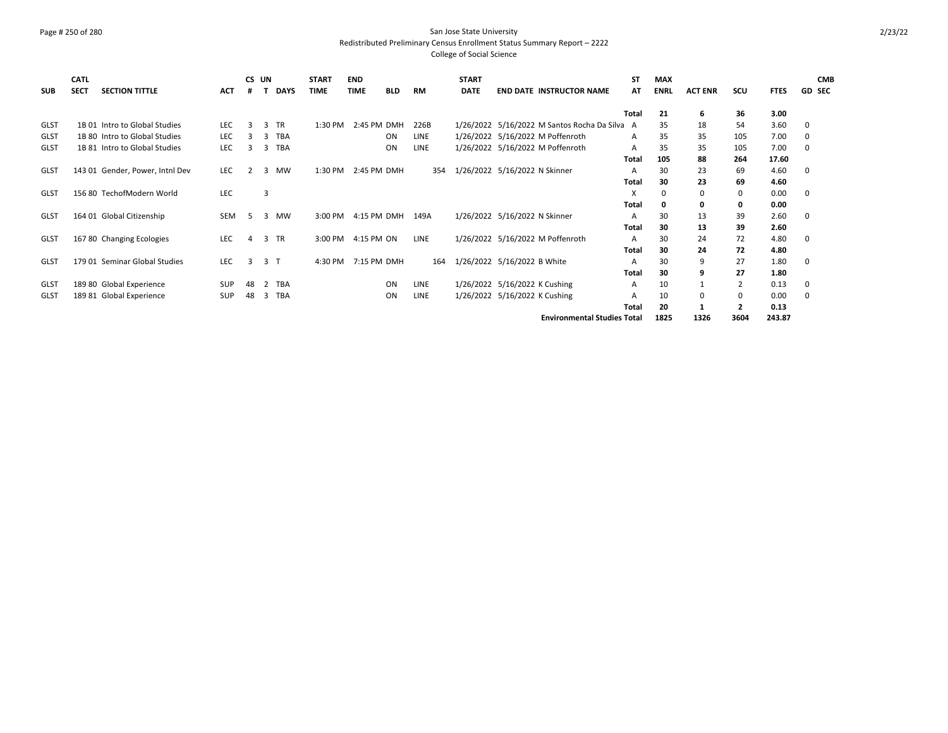### Page # 250 of 280 San Jose State University Redistributed Preliminary Census Enrollment Status Summary Report – 2222 College of Social Science

| <b>SUB</b>  | <b>CATL</b><br><b>SECT</b> | <b>SECTION TITTLE</b>           | <b>ACT</b> | CS UN<br>#     |    | <b>DAYS</b>    | <b>START</b><br><b>TIME</b> | <b>END</b><br><b>TIME</b> | <b>BLD</b> | <b>RM</b>   | <b>START</b><br><b>DATE</b> |                               | <b>END DATE INSTRUCTOR NAME</b>               | SΤ<br>AT | <b>MAX</b><br><b>ENRL</b> | <b>ACT ENR</b> | SCU            | <b>FTES</b> | <b>CMB</b><br><b>GD SEC</b> |
|-------------|----------------------------|---------------------------------|------------|----------------|----|----------------|-----------------------------|---------------------------|------------|-------------|-----------------------------|-------------------------------|-----------------------------------------------|----------|---------------------------|----------------|----------------|-------------|-----------------------------|
|             |                            |                                 |            |                |    |                |                             |                           |            |             |                             |                               |                                               | Total    | 21                        |                | 36             | 3.00        |                             |
|             |                            |                                 |            |                |    |                |                             |                           |            |             |                             |                               |                                               |          |                           | 6              |                |             |                             |
| <b>GLST</b> |                            | 1B 01 Intro to Global Studies   | LEC.       | 3              | 3  | <b>TR</b>      | 1:30 PM                     | 2:45 PM DMH               |            | 226B        |                             |                               | 1/26/2022 5/16/2022 M Santos Rocha Da Silva A |          | 35                        | 18             | 54             | 3.60        | 0                           |
| <b>GLST</b> |                            | 1B 80 Intro to Global Studies   | LEC        | 3              | 3  | <b>TBA</b>     |                             |                           | <b>ON</b>  | <b>LINE</b> |                             |                               | 1/26/2022 5/16/2022 M Poffenroth              | A        | 35                        | 35             | 105            | 7.00        | 0                           |
| <b>GLST</b> |                            | 1B 81 Intro to Global Studies   | LEC        |                | 3  | <b>TBA</b>     |                             |                           | ON         | LINE        |                             |                               | 1/26/2022 5/16/2022 M Poffenroth              | A        | 35                        | 35             | 105            | 7.00        | 0                           |
|             |                            |                                 |            |                |    |                |                             |                           |            |             |                             |                               |                                               | Total    | 105                       | 88             | 264            | 17.60       |                             |
| <b>GLST</b> |                            | 143 01 Gender, Power, Intnl Dev | <b>LEC</b> | $\overline{2}$ | 3  | <b>MW</b>      | 1:30 PM                     | 2:45 PM DMH               |            | 354         |                             | 1/26/2022 5/16/2022 N Skinner |                                               | А        | 30                        | 23             | 69             | 4.60        | 0                           |
|             |                            |                                 |            |                |    |                |                             |                           |            |             |                             |                               |                                               | Total    | 30                        | 23             | 69             | 4.60        |                             |
| <b>GLST</b> |                            | 156 80 TechofModern World       | LEC        |                | 3  |                |                             |                           |            |             |                             |                               |                                               | X        | 0                         | 0              | 0              | 0.00        | 0                           |
|             |                            |                                 |            |                |    |                |                             |                           |            |             |                             |                               |                                               | Total    | 0                         | 0              | 0              | 0.00        |                             |
| <b>GLST</b> |                            | 164 01 Global Citizenship       | SEM        | -5             | 3  | MW             | 3:00 PM                     | 4:15 PM DMH               |            | 149A        |                             | 1/26/2022 5/16/2022 N Skinner |                                               | А        | 30                        | 13             | 39             | 2.60        | 0                           |
|             |                            |                                 |            |                |    |                |                             |                           |            |             |                             |                               |                                               | Total    | 30                        | 13             | 39             | 2.60        |                             |
| <b>GLST</b> |                            | 167 80 Changing Ecologies       | LEC        | $\overline{4}$ | 3  | <b>TR</b>      | 3:00 PM                     | 4:15 PM ON                |            | LINE        |                             |                               | 1/26/2022 5/16/2022 M Poffenroth              | A        | 30                        | 24             | 72             | 4.80        | 0                           |
|             |                            |                                 |            |                |    |                |                             |                           |            |             |                             |                               |                                               | Total    | 30                        | 24             | 72             | 4.80        |                             |
| <b>GLST</b> |                            | 179 01 Seminar Global Studies   | LEC        | 3              |    | 3 <sub>1</sub> | 4:30 PM                     | 7:15 PM DMH               |            | 164         |                             | 1/26/2022 5/16/2022 B White   |                                               | А        | 30                        | 9              | 27             | 1.80        | 0                           |
|             |                            |                                 |            |                |    |                |                             |                           |            |             |                             |                               |                                               | Total    | 30                        | 9              | 27             | 1.80        |                             |
| GLST        |                            | 189 80 Global Experience        | <b>SUP</b> | 48             | 2  | <b>TBA</b>     |                             |                           | <b>ON</b>  | LINE        |                             | 1/26/2022 5/16/2022 K Cushing |                                               | A        | 10                        |                | $\overline{2}$ | 0.13        | 0                           |
| <b>GLST</b> |                            | 189 81 Global Experience        | <b>SUP</b> | 48             | -3 | <b>TBA</b>     |                             |                           | ON         | LINE        |                             | 1/26/2022 5/16/2022 K Cushing |                                               | А        | 10                        | 0              | 0              | 0.00        | 0                           |
|             |                            |                                 |            |                |    |                |                             |                           |            |             |                             |                               |                                               | Total    | 20                        | 1              | $\mathbf{2}$   | 0.13        |                             |
|             |                            |                                 |            |                |    |                |                             |                           |            |             |                             |                               | <b>Environmental Studies Total</b>            |          | 1825                      | 1326           | 3604           | 243.87      |                             |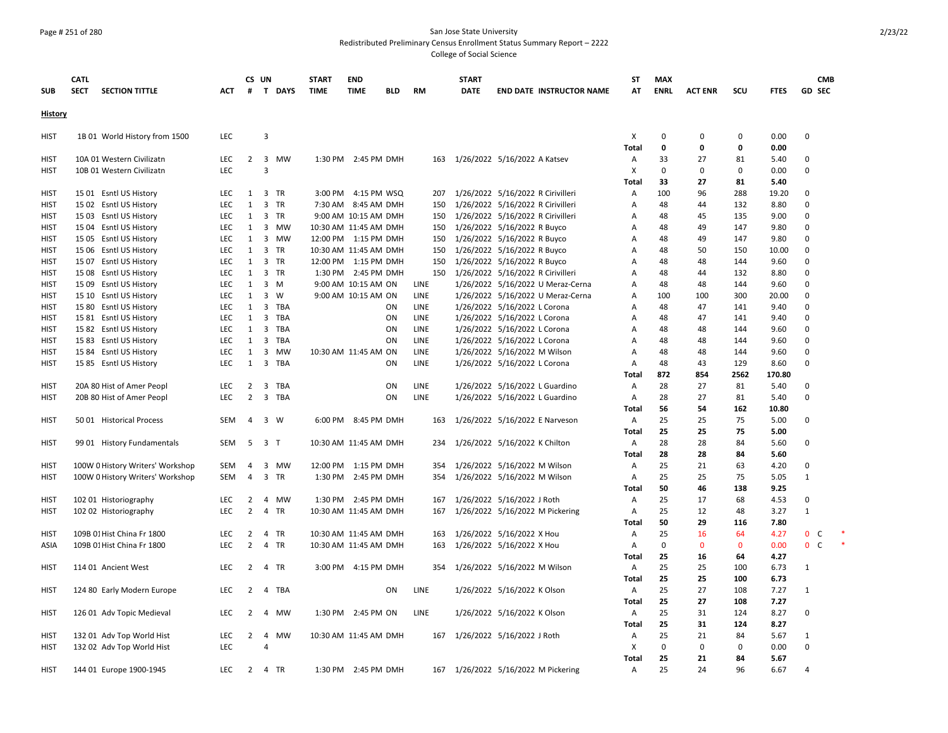# Page # 251 of 280 San Jose State University Redistributed Preliminary Census Enrollment Status Summary Report – 2222

College of Social Science

| <b>SUB</b>  | <b>CATL</b><br><b>SECT</b> | <b>SECTION TITTLE</b>            | <b>ACT</b> | #              | CS UN          | T DAYS | <b>START</b><br><b>TIME</b> | <b>END</b><br><b>TIME</b> | <b>BLD</b> | RM          | <b>START</b><br><b>DATE</b> | <b>END DATE INSTRUCTOR NAME</b>     | ST<br>AT       | <b>MAX</b><br><b>ENRL</b> | <b>ACT ENR</b> | SCU         | <b>FTES</b> | <b>GD SEC</b>  | <b>CMB</b> |
|-------------|----------------------------|----------------------------------|------------|----------------|----------------|--------|-----------------------------|---------------------------|------------|-------------|-----------------------------|-------------------------------------|----------------|---------------------------|----------------|-------------|-------------|----------------|------------|
| History     |                            |                                  |            |                |                |        |                             |                           |            |             |                             |                                     |                |                           |                |             |             |                |            |
| <b>HIST</b> |                            | 1B 01 World History from 1500    | <b>LEC</b> |                | 3              |        |                             |                           |            |             |                             |                                     | Х              | $\mathbf 0$               | $\mathbf 0$    | 0           | 0.00        | $\Omega$       |            |
|             |                            |                                  |            |                |                |        |                             |                           |            |             |                             |                                     | <b>Total</b>   | $\mathbf 0$               | $\mathbf 0$    | 0           | 0.00        |                |            |
| <b>HIST</b> |                            | 10A 01 Western Civilizatn        | LEC        | $\overline{2}$ |                | 3 MW   |                             | 1:30 PM 2:45 PM DMH       |            |             |                             | 163 1/26/2022 5/16/2022 A Katsev    | Α              | 33                        | 27             | 81          | 5.40        | $\mathbf 0$    |            |
| <b>HIST</b> |                            | 10B 01 Western Civilizatn        | LEC        |                | $\overline{3}$ |        |                             |                           |            |             |                             |                                     | Χ              | $\mathbf 0$               | $\mathbf 0$    | 0           | 0.00        | $\mathbf 0$    |            |
|             |                            |                                  |            |                |                |        |                             |                           |            |             |                             |                                     | Total          | 33                        | 27             | 81          | 5.40        |                |            |
| <b>HIST</b> |                            | 15 01 Esntl US History           | LEC        | 1              |                | 3 TR   |                             | 3:00 PM 4:15 PM WSQ       |            | 207         |                             | 1/26/2022 5/16/2022 R Cirivilleri   | Α              | 100                       | 96             | 288         | 19.20       | $\Omega$       |            |
| <b>HIST</b> |                            | 15 02 Esntl US History           | <b>LEC</b> | $\mathbf{1}$   |                | 3 TR   |                             | 7:30 AM 8:45 AM DMH       |            | 150         |                             | 1/26/2022 5/16/2022 R Cirivilleri   | Α              | 48                        | 44             | 132         | 8.80        | $\Omega$       |            |
| HIST        |                            | 15 03 Esntl US History           | <b>LEC</b> | 1              |                | 3 TR   |                             | 9:00 AM 10:15 AM DMH      |            | 150         |                             | 1/26/2022 5/16/2022 R Cirivilleri   | Α              | 48                        | 45             | 135         | 9.00        | $\Omega$       |            |
| <b>HIST</b> |                            | 15 04 Esntl US History           | LEC        | 1              |                | 3 MW   |                             | 10:30 AM 11:45 AM DMH     |            | 150         |                             | 1/26/2022 5/16/2022 R Buyco         | Α              | 48                        | 49             | 147         | 9.80        | $\Omega$       |            |
| <b>HIST</b> |                            | 15 05 Esntl US History           | <b>LEC</b> | 1              |                | 3 MW   |                             | 12:00 PM 1:15 PM DMH      |            | 150         |                             | 1/26/2022 5/16/2022 R Buyco         | Α              | 48                        | 49             | 147         | 9.80        | $\Omega$       |            |
| HIST        |                            | 15 06 Esntl US History           | LEC        | $\mathbf{1}$   |                | 3 TR   |                             | 10:30 AM 11:45 AM DMH     |            | 150         |                             | 1/26/2022 5/16/2022 R Buyco         | Α              | 48                        | 50             | 150         | 10.00       | 0              |            |
| <b>HIST</b> |                            | 15 07 Esntl US History           | LEC        | $\mathbf{1}$   |                | 3 TR   |                             | 12:00 PM 1:15 PM DMH      |            | 150         |                             | 1/26/2022 5/16/2022 R Buyco         | Α              | 48                        | 48             | 144         | 9.60        | $\mathbf 0$    |            |
| <b>HIST</b> |                            | 15 08 Esntl US History           | <b>LEC</b> | $\mathbf{1}$   |                | 3 TR   |                             | 1:30 PM 2:45 PM DMH       |            | 150         |                             | 1/26/2022 5/16/2022 R Cirivilleri   | Α              | 48                        | 44             | 132         | 8.80        | $\Omega$       |            |
| <b>HIST</b> |                            | 15 09 Esntl US History           | LEC        | $\mathbf{1}$   |                | 3 M    |                             | 9:00 AM 10:15 AM ON       |            | LINE        |                             | 1/26/2022 5/16/2022 U Meraz-Cerna   | Α              | 48                        | 48             | 144         | 9.60        | $\Omega$       |            |
| <b>HIST</b> |                            | 15 10 Esntl US History           | LEC        | 1              |                | 3 W    |                             | 9:00 AM 10:15 AM ON       |            | LINE        |                             | 1/26/2022 5/16/2022 U Meraz-Cerna   | Α              | 100                       | 100            | 300         | 20.00       | $\Omega$       |            |
| <b>HIST</b> |                            | 15 80 Esntl US History           | LEC        | $\mathbf{1}$   |                | 3 TBA  |                             |                           | ON         | LINE        |                             | 1/26/2022 5/16/2022 L Corona        | Α              | 48                        | 47             | 141         | 9.40        | $\Omega$       |            |
| <b>HIST</b> |                            | 15 81 Esntl US History           | LEC        | $\mathbf{1}$   |                | 3 TBA  |                             |                           | ON         | LINE        |                             | 1/26/2022 5/16/2022 L Corona        | Α              | 48                        | 47             | 141         | 9.40        | $\Omega$       |            |
| <b>HIST</b> |                            | 15 82 Esntl US History           | <b>LEC</b> | 1              |                | 3 TBA  |                             |                           | ON         | <b>LINE</b> |                             | 1/26/2022 5/16/2022 L Corona        | A              | 48                        | 48             | 144         | 9.60        | $\Omega$       |            |
| <b>HIST</b> |                            | 15 83 Esntl US History           | LEC        | 1              |                | 3 TBA  |                             |                           | ON         | LINE        |                             | 1/26/2022 5/16/2022 L Corona        | Α              | 48                        | 48             | 144         | 9.60        | $\Omega$       |            |
| <b>HIST</b> |                            | 15 84 Esntl US History           | <b>LEC</b> | 1              |                | 3 MW   |                             | 10:30 AM 11:45 AM ON      |            | LINE        |                             | 1/26/2022 5/16/2022 M Wilson        | A              | 48                        | 48             | 144         | 9.60        | $\Omega$       |            |
| HIST        |                            | 15 85 Esntl US History           | LEC        | 1              |                | 3 TBA  |                             |                           | ON         | LINE        |                             | 1/26/2022 5/16/2022 L Corona        | A              | 48                        | 43             | 129         | 8.60        | $\Omega$       |            |
|             |                            |                                  |            |                |                |        |                             |                           |            |             |                             |                                     | Total          | 872                       | 854            | 2562        | 170.80      |                |            |
| <b>HIST</b> |                            | 20A 80 Hist of Amer Peopl        | LEC        | 2              |                | 3 TBA  |                             |                           | ON         | LINE        |                             | 1/26/2022 5/16/2022 L Guardino      | A              | 28                        | 27             | 81          | 5.40        | $\Omega$       |            |
| <b>HIST</b> |                            | 20B 80 Hist of Amer Peopl        | LEC        | $\overline{2}$ |                | 3 TBA  |                             |                           | ON         | LINE        |                             | 1/26/2022 5/16/2022 L Guardino      | Α              | 28                        | 27             | 81          | 5.40        | $\Omega$       |            |
|             |                            |                                  |            |                |                |        |                             |                           |            |             |                             |                                     | Total          | 56                        | 54             | 162         | 10.80       |                |            |
| <b>HIST</b> |                            | 50 01 Historical Process         | SEM        | $\overline{4}$ | 3 W            |        |                             | 6:00 PM 8:45 PM DMH       |            | 163         |                             | 1/26/2022 5/16/2022 E Narveson      | Α              | 25                        | 25             | 75          | 5.00        | $\Omega$       |            |
|             |                            |                                  |            |                |                |        |                             |                           |            |             |                             |                                     | Total          | 25                        | 25             | 75          | 5.00        |                |            |
| <b>HIST</b> |                            | 99 01 History Fundamentals       | <b>SEM</b> | 5              | 3 <sub>T</sub> |        |                             | 10:30 AM 11:45 AM DMH     |            | 234         |                             | 1/26/2022 5/16/2022 K Chilton       | $\overline{A}$ | 28                        | 28             | 84          | 5.60        | $\Omega$       |            |
|             |                            |                                  |            |                |                |        |                             |                           |            |             |                             |                                     | Total          | 28                        | 28             | 84          | 5.60        |                |            |
| <b>HIST</b> |                            | 100W 0 History Writers' Workshop | <b>SEM</b> | $\overline{4}$ |                | 3 MW   |                             | 12:00 PM 1:15 PM DMH      |            | 354         |                             | 1/26/2022 5/16/2022 M Wilson        | $\overline{A}$ | 25                        | 21             | 63          | 4.20        | $\Omega$       |            |
| HIST        |                            | 100W 0 History Writers' Workshop | SEM        | 4              |                | 3 TR   |                             | 1:30 PM 2:45 PM DMH       |            | 354         |                             | 1/26/2022 5/16/2022 M Wilson        | A              | 25                        | 25             | 75          | 5.05        | 1              |            |
|             |                            |                                  |            |                |                |        |                             |                           |            |             |                             |                                     | <b>Total</b>   | 50                        | 46             | 138         | 9.25        |                |            |
| <b>HIST</b> |                            | 102 01 Historiography            | LEC        | 2              |                | 4 MW   |                             | 1:30 PM 2:45 PM DMH       |            | 167         |                             | 1/26/2022 5/16/2022 J Roth          | A              | 25                        | 17             | 68          | 4.53        | $\mathbf 0$    |            |
| <b>HIST</b> |                            | 102 02 Historiography            | <b>LEC</b> | $\overline{2}$ |                | 4 TR   |                             | 10:30 AM 11:45 AM DMH     |            | 167         |                             | 1/26/2022 5/16/2022 M Pickering     | Α              | 25                        | 12             | 48          | 3.27        | $\mathbf{1}$   |            |
|             |                            |                                  |            |                |                |        |                             |                           |            |             |                             |                                     | Total          | 50                        | 29             | 116         | 7.80        |                |            |
| <b>HIST</b> |                            | 109B 01 Hist China Fr 1800       | LEC        | $\overline{2}$ |                | 4 TR   | 10:30 AM 11:45 AM DMH       |                           |            | 163         |                             | 1/26/2022 5/16/2022 X Hou           | Α              | 25                        | 16             | 64          | 4.27        | 0 <sup>o</sup> |            |
| <b>ASIA</b> |                            | 109B 01 Hist China Fr 1800       | <b>LEC</b> | $\overline{2}$ |                | 4 TR   |                             | 10:30 AM 11:45 AM DMH     |            | 163         |                             | 1/26/2022 5/16/2022 X Hou           | Α              | $\mathbf 0$               | $\mathbf 0$    | $\mathbf 0$ | 0.00        | $0-$           |            |
|             |                            |                                  |            |                |                |        |                             |                           |            |             |                             |                                     | <b>Total</b>   | 25                        | 16             | 64          | 4.27        |                |            |
| <b>HIST</b> |                            | 114 01 Ancient West              | <b>LEC</b> | $\overline{2}$ |                | 4 TR   |                             | 3:00 PM 4:15 PM DMH       |            | 354         |                             | 1/26/2022 5/16/2022 M Wilson        | Α              | 25                        | 25             | 100         | 6.73        | 1              |            |
|             |                            |                                  |            |                |                |        |                             |                           |            |             |                             |                                     | <b>Total</b>   | 25                        | 25             | 100         | 6.73        |                |            |
| HIST        |                            | 124 80 Early Modern Europe       | LEC        | 2              |                | 4 TBA  |                             |                           | ON         | LINE        |                             | 1/26/2022 5/16/2022 K Olson         | A              | 25                        | 27             | 108         | 7.27        | 1              |            |
|             |                            |                                  |            |                |                |        |                             |                           |            |             |                             |                                     | Total          | 25                        | 27             | 108         | 7.27        |                |            |
| HIST        |                            | 126 01 Adv Topic Medieval        | <b>LEC</b> | 2              |                | 4 MW   |                             | 1:30 PM 2:45 PM ON        |            | LINE        |                             | 1/26/2022 5/16/2022 K Olson         | A              | 25                        | 31             | 124         | 8.27        | 0              |            |
|             |                            |                                  |            |                |                |        |                             |                           |            |             |                             |                                     | Total          | 25                        | 31             | 124         | 8.27        |                |            |
| <b>HIST</b> |                            | 132 01 Adv Top World Hist        | LEC        | $\overline{2}$ | $\overline{4}$ | MW     |                             | 10:30 AM 11:45 AM DMH     |            | 167         |                             | 1/26/2022 5/16/2022 J Roth          | A              | 25                        | 21             | 84          | 5.67        | 1              |            |
| <b>HIST</b> |                            | 132 02 Adv Top World Hist        | LEC        |                | $\overline{4}$ |        |                             |                           |            |             |                             |                                     | X              | $\mathbf 0$               | $\mathbf 0$    | $\mathbf 0$ | 0.00        | $\mathbf 0$    |            |
|             |                            |                                  |            |                |                |        |                             |                           |            |             |                             |                                     | Total          | 25                        | 21             | 84          | 5.67        |                |            |
| <b>HIST</b> |                            | 144 01 Europe 1900-1945          | LEC        |                | 2 4 TR         |        |                             | 1:30 PM 2:45 PM DMH       |            |             |                             | 167 1/26/2022 5/16/2022 M Pickering | Α              | 25                        | 24             | 96          | 6.67        | 4              |            |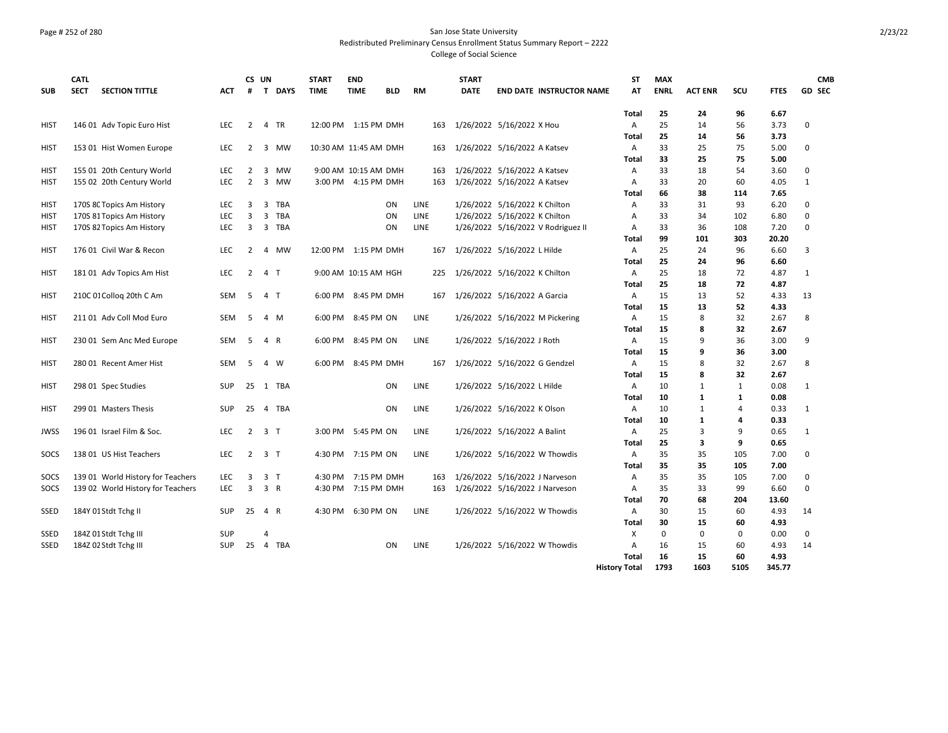### Page # 252 of 280 San Jose State University Redistributed Preliminary Census Enrollment Status Summary Report – 2222 College of Social Science

| 25<br>96<br>Total<br>24<br>6.67<br>25<br>3.73<br>$\overline{2}$<br>TR<br>12:00 PM 1:15 PM DMH<br>1/26/2022 5/16/2022 X Hou<br>56<br>0<br>146 01 Adv Topic Euro Hist<br><b>LEC</b><br>Α<br>14<br>HIST<br>4<br>163<br>25<br>56<br>3.73<br>Total<br>14<br><b>LEC</b><br>1/26/2022 5/16/2022 A Katsev<br>33<br>25<br>75<br>5.00<br>0<br><b>HIST</b><br>153 01 Hist Women Europe<br>2<br>3<br>MW<br>10:30 AM 11:45 AM DMH<br>$\overline{A}$<br>163<br>33<br>25<br>75<br>5.00<br>Total<br>33<br>18<br>54<br>0<br><b>HIST</b><br>155 01 20th Century World<br><b>LEC</b><br>2<br>9:00 AM 10:15 AM DMH<br>1/26/2022 5/16/2022 A Katsev<br>3.60<br>3<br>MW<br>163<br>A<br>LEC<br>$\overline{2}$<br>$\overline{3}$<br>3:00 PM 4:15 PM DMH<br>1/26/2022 5/16/2022 A Katsev<br>33<br>20<br>4.05<br><b>HIST</b><br>155 02 20th Century World<br><b>MW</b><br>163<br>A<br>60<br>1<br>38<br>Total<br>66<br>114<br>7.65<br>170S 8C Topics Am History<br><b>TBA</b><br><b>LINE</b><br>1/26/2022 5/16/2022 K Chilton<br>33<br>31<br>93<br>6.20<br>0<br><b>HIST</b><br><b>LEC</b><br>3<br>3<br>ON<br>A<br>3<br>33<br>0<br>LEC<br>3<br>TBA<br><b>LINE</b><br>1/26/2022 5/16/2022 K Chilton<br>34<br>102<br>6.80<br><b>HIST</b><br>170S 81 Topics Am History<br>ON<br>A<br>$\Omega$<br><b>LEC</b><br>$\overline{3}$<br><b>LINE</b><br>1/26/2022 5/16/2022 V Rodriguez II<br>33<br>36<br>108<br>7.20<br><b>HIST</b><br>170S 82 Topics Am History<br>$\overline{\mathbf{3}}$<br>TBA<br>ON<br>A<br>99<br>303<br>20.20<br>101<br>Total<br>176 01 Civil War & Recon<br>25<br>96<br>6.60<br>3<br><b>HIST</b><br><b>LEC</b><br>2<br><b>MW</b><br>12:00 PM 1:15 PM DMH<br>1/26/2022 5/16/2022 L Hilde<br>A<br>24<br>4<br>167<br>Total<br>25<br>24<br>96<br>6.60<br>$\overline{2}$<br>1/26/2022 5/16/2022 K Chilton<br>25<br>72<br>4.87<br><b>HIST</b><br>181 01 Adv Topics Am Hist<br><b>LEC</b><br>4 T<br>9:00 AM 10:15 AM HGH<br>Α<br>18<br>1<br>225<br>25<br>72<br>18<br>4.87<br>Total<br>210C 01 Collog 20th C Am<br><b>SEM</b><br>6:00 PM 8:45 PM DMH<br>1/26/2022 5/16/2022 A Garcia<br>$\overline{A}$<br>15<br>13<br>52<br>4.33<br>13<br><b>HIST</b><br>-5<br>4 T<br>167<br>15<br>13<br>52<br>4.33<br>Total<br>15<br>32<br>8<br>211 01 Adv Coll Mod Euro<br><b>SEM</b><br>6:00 PM<br>8:45 PM ON<br><b>LINE</b><br>1/26/2022 5/16/2022 M Pickering<br>8<br>2.67<br><b>HIST</b><br>-5<br>4 M<br>A<br>15<br>8<br>32<br>2.67<br>Total<br>8:45 PM ON<br><b>LINE</b><br>1/26/2022 5/16/2022 J Roth<br>9<br>36<br>3.00<br>9<br><b>HIST</b><br>230 01 Sem Anc Med Europe<br><b>SEM</b><br>-5<br>4 R<br>6:00 PM<br>Α<br>15<br>15<br>9<br>36<br>3.00<br>Total<br>15<br>8:45 PM DMH<br>1/26/2022 5/16/2022 G Gendzel<br>8<br>32<br>2.67<br>8<br><b>HIST</b><br>280 01 Recent Amer Hist<br><b>SEM</b><br>-5<br>4 W<br>6:00 PM<br>A<br>167<br>8<br>32<br>2.67<br>Total<br>15<br>0.08<br>1 TBA<br>LINE<br>1/26/2022 5/16/2022 L Hilde<br>10<br>$\mathbf{1}$<br>$\mathbf{1}$<br>$\mathbf{1}$<br><b>HIST</b><br>298 01 Spec Studies<br><b>SUP</b><br>25<br><b>ON</b><br>A<br>1<br>0.08<br>10<br>1<br>Total<br>0.33<br><b>HIST</b><br>299 01 Masters Thesis<br><b>SUP</b><br>25<br>TBA<br>ON<br>LINE<br>1/26/2022 5/16/2022 K Olson<br>A<br>10<br>1<br>4<br>1<br>4<br>0.33<br>Total<br>10<br>1<br>4<br>196 01 Israel Film & Soc.<br>1/26/2022 5/16/2022 A Balint<br>25<br>3<br>0.65<br><b>JWSS</b><br><b>LEC</b><br>2<br>3 <sub>T</sub><br>3:00 PM<br>5:45 PM ON<br>LINE<br>A<br>9<br>1<br>25<br>3<br>9<br>0.65<br>Total<br>SOCS<br>138 01 US Hist Teachers<br><b>LEC</b><br>$2^{\circ}$<br>3 <sub>1</sub><br>4:30 PM 7:15 PM ON<br><b>LINE</b><br>1/26/2022 5/16/2022 W Thowdis<br>35<br>35<br>105<br>7.00<br>0<br>A<br>105<br><b>Total</b><br>35<br>35<br>7.00<br>35<br>35<br>SOCS<br>139 01 World History for Teachers<br><b>LEC</b><br>3<br>3 <sub>1</sub><br>4:30 PM<br>7:15 PM DMH<br>1/26/2022 5/16/2022 J Narveson<br>105<br>7.00<br>0<br>163<br>A<br>139 02 World History for Teachers<br><b>LEC</b><br>$\overline{3}$<br>1/26/2022 5/16/2022 J Narveson<br>33<br>99<br>$\Omega$<br>SOCS<br>3 R<br>4:30 PM 7:15 PM DMH<br>35<br>6.60<br>163<br>Α<br>70<br>68<br>204<br>13.60<br>Total<br>184Y 01 Stdt Tchg II<br>6:30 PM ON<br><b>LINE</b><br>1/26/2022 5/16/2022 W Thowdis<br>30<br>15<br>60<br>4.93<br>SSED<br><b>SUP</b><br>25<br>4 R<br>4:30 PM<br>A<br>14<br>30<br>15<br>4.93<br>Total<br>60<br>184Z 01 Stdt Tchg III<br>$\Omega$<br>$\mathbf 0$<br>0<br>0.00<br>0<br>SSED<br><b>SUP</b><br>Х<br>4<br>184Z 02 Stdt Tchg III<br>25<br><b>SSED</b><br><b>SUP</b><br>TBA<br>ON<br><b>LINE</b><br>1/26/2022 5/16/2022 W Thowdis<br>16<br>15<br>60<br>4.93<br>14<br>$\overline{4}$<br>A<br>16<br>15<br>60<br>4.93<br>Total | <b>SUB</b> | <b>CATL</b><br><b>SECT</b> | <b>SECTION TITTLE</b> | ACT | CS UN<br># | T DAYS | <b>START</b><br>TIME | <b>END</b><br><b>TIME</b> | <b>BLD</b> | <b>RM</b> | <b>START</b><br><b>DATE</b> | <b>END DATE INSTRUCTOR NAME</b> | <b>ST</b><br>AT      | <b>MAX</b><br><b>ENRL</b> | <b>ACT ENR</b> | scu  | <b>FTES</b> | <b>GD SEC</b> | <b>CMB</b> |
|----------------------------------------------------------------------------------------------------------------------------------------------------------------------------------------------------------------------------------------------------------------------------------------------------------------------------------------------------------------------------------------------------------------------------------------------------------------------------------------------------------------------------------------------------------------------------------------------------------------------------------------------------------------------------------------------------------------------------------------------------------------------------------------------------------------------------------------------------------------------------------------------------------------------------------------------------------------------------------------------------------------------------------------------------------------------------------------------------------------------------------------------------------------------------------------------------------------------------------------------------------------------------------------------------------------------------------------------------------------------------------------------------------------------------------------------------------------------------------------------------------------------------------------------------------------------------------------------------------------------------------------------------------------------------------------------------------------------------------------------------------------------------------------------------------------------------------------------------------------------------------------------------------------------------------------------------------------------------------------------------------------------------------------------------------------------------------------------------------------------------------------------------------------------------------------------------------------------------------------------------------------------------------------------------------------------------------------------------------------------------------------------------------------------------------------------------------------------------------------------------------------------------------------------------------------------------------------------------------------------------------------------------------------------------------------------------------------------------------------------------------------------------------------------------------------------------------------------------------------------------------------------------------------------------------------------------------------------------------------------------------------------------------------------------------------------------------------------------------------------------------------------------------------------------------------------------------------------------------------------------------------------------------------------------------------------------------------------------------------------------------------------------------------------------------------------------------------------------------------------------------------------------------------------------------------------------------------------------------------------------------------------------------------------------------------------------------------------------------------------------------------------------------------------------------------------------------------------------------------------------------------------------------------------------------------------------------------------------------------------------------------------------------------------------------------------------------------------------------------------------------------------------------------------------------------------------------------------------------------------------------------------------------------------------------------------------------------------------------------------------------------------------------------------------------------------------------------------------------------------------------------------------------------------------------------------------------------------------------------------------------------------------------------------------------------------|------------|----------------------------|-----------------------|-----|------------|--------|----------------------|---------------------------|------------|-----------|-----------------------------|---------------------------------|----------------------|---------------------------|----------------|------|-------------|---------------|------------|
|                                                                                                                                                                                                                                                                                                                                                                                                                                                                                                                                                                                                                                                                                                                                                                                                                                                                                                                                                                                                                                                                                                                                                                                                                                                                                                                                                                                                                                                                                                                                                                                                                                                                                                                                                                                                                                                                                                                                                                                                                                                                                                                                                                                                                                                                                                                                                                                                                                                                                                                                                                                                                                                                                                                                                                                                                                                                                                                                                                                                                                                                                                                                                                                                                                                                                                                                                                                                                                                                                                                                                                                                                                                                                                                                                                                                                                                                                                                                                                                                                                                                                                                                                                                                                                                                                                                                                                                                                                                                                                                                                                                                                                                                                              |            |                            |                       |     |            |        |                      |                           |            |           |                             |                                 |                      |                           |                |      |             |               |            |
|                                                                                                                                                                                                                                                                                                                                                                                                                                                                                                                                                                                                                                                                                                                                                                                                                                                                                                                                                                                                                                                                                                                                                                                                                                                                                                                                                                                                                                                                                                                                                                                                                                                                                                                                                                                                                                                                                                                                                                                                                                                                                                                                                                                                                                                                                                                                                                                                                                                                                                                                                                                                                                                                                                                                                                                                                                                                                                                                                                                                                                                                                                                                                                                                                                                                                                                                                                                                                                                                                                                                                                                                                                                                                                                                                                                                                                                                                                                                                                                                                                                                                                                                                                                                                                                                                                                                                                                                                                                                                                                                                                                                                                                                                              |            |                            |                       |     |            |        |                      |                           |            |           |                             |                                 |                      |                           |                |      |             |               |            |
|                                                                                                                                                                                                                                                                                                                                                                                                                                                                                                                                                                                                                                                                                                                                                                                                                                                                                                                                                                                                                                                                                                                                                                                                                                                                                                                                                                                                                                                                                                                                                                                                                                                                                                                                                                                                                                                                                                                                                                                                                                                                                                                                                                                                                                                                                                                                                                                                                                                                                                                                                                                                                                                                                                                                                                                                                                                                                                                                                                                                                                                                                                                                                                                                                                                                                                                                                                                                                                                                                                                                                                                                                                                                                                                                                                                                                                                                                                                                                                                                                                                                                                                                                                                                                                                                                                                                                                                                                                                                                                                                                                                                                                                                                              |            |                            |                       |     |            |        |                      |                           |            |           |                             |                                 |                      |                           |                |      |             |               |            |
|                                                                                                                                                                                                                                                                                                                                                                                                                                                                                                                                                                                                                                                                                                                                                                                                                                                                                                                                                                                                                                                                                                                                                                                                                                                                                                                                                                                                                                                                                                                                                                                                                                                                                                                                                                                                                                                                                                                                                                                                                                                                                                                                                                                                                                                                                                                                                                                                                                                                                                                                                                                                                                                                                                                                                                                                                                                                                                                                                                                                                                                                                                                                                                                                                                                                                                                                                                                                                                                                                                                                                                                                                                                                                                                                                                                                                                                                                                                                                                                                                                                                                                                                                                                                                                                                                                                                                                                                                                                                                                                                                                                                                                                                                              |            |                            |                       |     |            |        |                      |                           |            |           |                             |                                 |                      |                           |                |      |             |               |            |
|                                                                                                                                                                                                                                                                                                                                                                                                                                                                                                                                                                                                                                                                                                                                                                                                                                                                                                                                                                                                                                                                                                                                                                                                                                                                                                                                                                                                                                                                                                                                                                                                                                                                                                                                                                                                                                                                                                                                                                                                                                                                                                                                                                                                                                                                                                                                                                                                                                                                                                                                                                                                                                                                                                                                                                                                                                                                                                                                                                                                                                                                                                                                                                                                                                                                                                                                                                                                                                                                                                                                                                                                                                                                                                                                                                                                                                                                                                                                                                                                                                                                                                                                                                                                                                                                                                                                                                                                                                                                                                                                                                                                                                                                                              |            |                            |                       |     |            |        |                      |                           |            |           |                             |                                 |                      |                           |                |      |             |               |            |
|                                                                                                                                                                                                                                                                                                                                                                                                                                                                                                                                                                                                                                                                                                                                                                                                                                                                                                                                                                                                                                                                                                                                                                                                                                                                                                                                                                                                                                                                                                                                                                                                                                                                                                                                                                                                                                                                                                                                                                                                                                                                                                                                                                                                                                                                                                                                                                                                                                                                                                                                                                                                                                                                                                                                                                                                                                                                                                                                                                                                                                                                                                                                                                                                                                                                                                                                                                                                                                                                                                                                                                                                                                                                                                                                                                                                                                                                                                                                                                                                                                                                                                                                                                                                                                                                                                                                                                                                                                                                                                                                                                                                                                                                                              |            |                            |                       |     |            |        |                      |                           |            |           |                             |                                 |                      |                           |                |      |             |               |            |
|                                                                                                                                                                                                                                                                                                                                                                                                                                                                                                                                                                                                                                                                                                                                                                                                                                                                                                                                                                                                                                                                                                                                                                                                                                                                                                                                                                                                                                                                                                                                                                                                                                                                                                                                                                                                                                                                                                                                                                                                                                                                                                                                                                                                                                                                                                                                                                                                                                                                                                                                                                                                                                                                                                                                                                                                                                                                                                                                                                                                                                                                                                                                                                                                                                                                                                                                                                                                                                                                                                                                                                                                                                                                                                                                                                                                                                                                                                                                                                                                                                                                                                                                                                                                                                                                                                                                                                                                                                                                                                                                                                                                                                                                                              |            |                            |                       |     |            |        |                      |                           |            |           |                             |                                 |                      |                           |                |      |             |               |            |
|                                                                                                                                                                                                                                                                                                                                                                                                                                                                                                                                                                                                                                                                                                                                                                                                                                                                                                                                                                                                                                                                                                                                                                                                                                                                                                                                                                                                                                                                                                                                                                                                                                                                                                                                                                                                                                                                                                                                                                                                                                                                                                                                                                                                                                                                                                                                                                                                                                                                                                                                                                                                                                                                                                                                                                                                                                                                                                                                                                                                                                                                                                                                                                                                                                                                                                                                                                                                                                                                                                                                                                                                                                                                                                                                                                                                                                                                                                                                                                                                                                                                                                                                                                                                                                                                                                                                                                                                                                                                                                                                                                                                                                                                                              |            |                            |                       |     |            |        |                      |                           |            |           |                             |                                 |                      |                           |                |      |             |               |            |
|                                                                                                                                                                                                                                                                                                                                                                                                                                                                                                                                                                                                                                                                                                                                                                                                                                                                                                                                                                                                                                                                                                                                                                                                                                                                                                                                                                                                                                                                                                                                                                                                                                                                                                                                                                                                                                                                                                                                                                                                                                                                                                                                                                                                                                                                                                                                                                                                                                                                                                                                                                                                                                                                                                                                                                                                                                                                                                                                                                                                                                                                                                                                                                                                                                                                                                                                                                                                                                                                                                                                                                                                                                                                                                                                                                                                                                                                                                                                                                                                                                                                                                                                                                                                                                                                                                                                                                                                                                                                                                                                                                                                                                                                                              |            |                            |                       |     |            |        |                      |                           |            |           |                             |                                 |                      |                           |                |      |             |               |            |
|                                                                                                                                                                                                                                                                                                                                                                                                                                                                                                                                                                                                                                                                                                                                                                                                                                                                                                                                                                                                                                                                                                                                                                                                                                                                                                                                                                                                                                                                                                                                                                                                                                                                                                                                                                                                                                                                                                                                                                                                                                                                                                                                                                                                                                                                                                                                                                                                                                                                                                                                                                                                                                                                                                                                                                                                                                                                                                                                                                                                                                                                                                                                                                                                                                                                                                                                                                                                                                                                                                                                                                                                                                                                                                                                                                                                                                                                                                                                                                                                                                                                                                                                                                                                                                                                                                                                                                                                                                                                                                                                                                                                                                                                                              |            |                            |                       |     |            |        |                      |                           |            |           |                             |                                 |                      |                           |                |      |             |               |            |
|                                                                                                                                                                                                                                                                                                                                                                                                                                                                                                                                                                                                                                                                                                                                                                                                                                                                                                                                                                                                                                                                                                                                                                                                                                                                                                                                                                                                                                                                                                                                                                                                                                                                                                                                                                                                                                                                                                                                                                                                                                                                                                                                                                                                                                                                                                                                                                                                                                                                                                                                                                                                                                                                                                                                                                                                                                                                                                                                                                                                                                                                                                                                                                                                                                                                                                                                                                                                                                                                                                                                                                                                                                                                                                                                                                                                                                                                                                                                                                                                                                                                                                                                                                                                                                                                                                                                                                                                                                                                                                                                                                                                                                                                                              |            |                            |                       |     |            |        |                      |                           |            |           |                             |                                 |                      |                           |                |      |             |               |            |
|                                                                                                                                                                                                                                                                                                                                                                                                                                                                                                                                                                                                                                                                                                                                                                                                                                                                                                                                                                                                                                                                                                                                                                                                                                                                                                                                                                                                                                                                                                                                                                                                                                                                                                                                                                                                                                                                                                                                                                                                                                                                                                                                                                                                                                                                                                                                                                                                                                                                                                                                                                                                                                                                                                                                                                                                                                                                                                                                                                                                                                                                                                                                                                                                                                                                                                                                                                                                                                                                                                                                                                                                                                                                                                                                                                                                                                                                                                                                                                                                                                                                                                                                                                                                                                                                                                                                                                                                                                                                                                                                                                                                                                                                                              |            |                            |                       |     |            |        |                      |                           |            |           |                             |                                 |                      |                           |                |      |             |               |            |
|                                                                                                                                                                                                                                                                                                                                                                                                                                                                                                                                                                                                                                                                                                                                                                                                                                                                                                                                                                                                                                                                                                                                                                                                                                                                                                                                                                                                                                                                                                                                                                                                                                                                                                                                                                                                                                                                                                                                                                                                                                                                                                                                                                                                                                                                                                                                                                                                                                                                                                                                                                                                                                                                                                                                                                                                                                                                                                                                                                                                                                                                                                                                                                                                                                                                                                                                                                                                                                                                                                                                                                                                                                                                                                                                                                                                                                                                                                                                                                                                                                                                                                                                                                                                                                                                                                                                                                                                                                                                                                                                                                                                                                                                                              |            |                            |                       |     |            |        |                      |                           |            |           |                             |                                 |                      |                           |                |      |             |               |            |
|                                                                                                                                                                                                                                                                                                                                                                                                                                                                                                                                                                                                                                                                                                                                                                                                                                                                                                                                                                                                                                                                                                                                                                                                                                                                                                                                                                                                                                                                                                                                                                                                                                                                                                                                                                                                                                                                                                                                                                                                                                                                                                                                                                                                                                                                                                                                                                                                                                                                                                                                                                                                                                                                                                                                                                                                                                                                                                                                                                                                                                                                                                                                                                                                                                                                                                                                                                                                                                                                                                                                                                                                                                                                                                                                                                                                                                                                                                                                                                                                                                                                                                                                                                                                                                                                                                                                                                                                                                                                                                                                                                                                                                                                                              |            |                            |                       |     |            |        |                      |                           |            |           |                             |                                 |                      |                           |                |      |             |               |            |
|                                                                                                                                                                                                                                                                                                                                                                                                                                                                                                                                                                                                                                                                                                                                                                                                                                                                                                                                                                                                                                                                                                                                                                                                                                                                                                                                                                                                                                                                                                                                                                                                                                                                                                                                                                                                                                                                                                                                                                                                                                                                                                                                                                                                                                                                                                                                                                                                                                                                                                                                                                                                                                                                                                                                                                                                                                                                                                                                                                                                                                                                                                                                                                                                                                                                                                                                                                                                                                                                                                                                                                                                                                                                                                                                                                                                                                                                                                                                                                                                                                                                                                                                                                                                                                                                                                                                                                                                                                                                                                                                                                                                                                                                                              |            |                            |                       |     |            |        |                      |                           |            |           |                             |                                 |                      |                           |                |      |             |               |            |
|                                                                                                                                                                                                                                                                                                                                                                                                                                                                                                                                                                                                                                                                                                                                                                                                                                                                                                                                                                                                                                                                                                                                                                                                                                                                                                                                                                                                                                                                                                                                                                                                                                                                                                                                                                                                                                                                                                                                                                                                                                                                                                                                                                                                                                                                                                                                                                                                                                                                                                                                                                                                                                                                                                                                                                                                                                                                                                                                                                                                                                                                                                                                                                                                                                                                                                                                                                                                                                                                                                                                                                                                                                                                                                                                                                                                                                                                                                                                                                                                                                                                                                                                                                                                                                                                                                                                                                                                                                                                                                                                                                                                                                                                                              |            |                            |                       |     |            |        |                      |                           |            |           |                             |                                 |                      |                           |                |      |             |               |            |
|                                                                                                                                                                                                                                                                                                                                                                                                                                                                                                                                                                                                                                                                                                                                                                                                                                                                                                                                                                                                                                                                                                                                                                                                                                                                                                                                                                                                                                                                                                                                                                                                                                                                                                                                                                                                                                                                                                                                                                                                                                                                                                                                                                                                                                                                                                                                                                                                                                                                                                                                                                                                                                                                                                                                                                                                                                                                                                                                                                                                                                                                                                                                                                                                                                                                                                                                                                                                                                                                                                                                                                                                                                                                                                                                                                                                                                                                                                                                                                                                                                                                                                                                                                                                                                                                                                                                                                                                                                                                                                                                                                                                                                                                                              |            |                            |                       |     |            |        |                      |                           |            |           |                             |                                 |                      |                           |                |      |             |               |            |
|                                                                                                                                                                                                                                                                                                                                                                                                                                                                                                                                                                                                                                                                                                                                                                                                                                                                                                                                                                                                                                                                                                                                                                                                                                                                                                                                                                                                                                                                                                                                                                                                                                                                                                                                                                                                                                                                                                                                                                                                                                                                                                                                                                                                                                                                                                                                                                                                                                                                                                                                                                                                                                                                                                                                                                                                                                                                                                                                                                                                                                                                                                                                                                                                                                                                                                                                                                                                                                                                                                                                                                                                                                                                                                                                                                                                                                                                                                                                                                                                                                                                                                                                                                                                                                                                                                                                                                                                                                                                                                                                                                                                                                                                                              |            |                            |                       |     |            |        |                      |                           |            |           |                             |                                 |                      |                           |                |      |             |               |            |
|                                                                                                                                                                                                                                                                                                                                                                                                                                                                                                                                                                                                                                                                                                                                                                                                                                                                                                                                                                                                                                                                                                                                                                                                                                                                                                                                                                                                                                                                                                                                                                                                                                                                                                                                                                                                                                                                                                                                                                                                                                                                                                                                                                                                                                                                                                                                                                                                                                                                                                                                                                                                                                                                                                                                                                                                                                                                                                                                                                                                                                                                                                                                                                                                                                                                                                                                                                                                                                                                                                                                                                                                                                                                                                                                                                                                                                                                                                                                                                                                                                                                                                                                                                                                                                                                                                                                                                                                                                                                                                                                                                                                                                                                                              |            |                            |                       |     |            |        |                      |                           |            |           |                             |                                 |                      |                           |                |      |             |               |            |
|                                                                                                                                                                                                                                                                                                                                                                                                                                                                                                                                                                                                                                                                                                                                                                                                                                                                                                                                                                                                                                                                                                                                                                                                                                                                                                                                                                                                                                                                                                                                                                                                                                                                                                                                                                                                                                                                                                                                                                                                                                                                                                                                                                                                                                                                                                                                                                                                                                                                                                                                                                                                                                                                                                                                                                                                                                                                                                                                                                                                                                                                                                                                                                                                                                                                                                                                                                                                                                                                                                                                                                                                                                                                                                                                                                                                                                                                                                                                                                                                                                                                                                                                                                                                                                                                                                                                                                                                                                                                                                                                                                                                                                                                                              |            |                            |                       |     |            |        |                      |                           |            |           |                             |                                 |                      |                           |                |      |             |               |            |
|                                                                                                                                                                                                                                                                                                                                                                                                                                                                                                                                                                                                                                                                                                                                                                                                                                                                                                                                                                                                                                                                                                                                                                                                                                                                                                                                                                                                                                                                                                                                                                                                                                                                                                                                                                                                                                                                                                                                                                                                                                                                                                                                                                                                                                                                                                                                                                                                                                                                                                                                                                                                                                                                                                                                                                                                                                                                                                                                                                                                                                                                                                                                                                                                                                                                                                                                                                                                                                                                                                                                                                                                                                                                                                                                                                                                                                                                                                                                                                                                                                                                                                                                                                                                                                                                                                                                                                                                                                                                                                                                                                                                                                                                                              |            |                            |                       |     |            |        |                      |                           |            |           |                             |                                 |                      |                           |                |      |             |               |            |
|                                                                                                                                                                                                                                                                                                                                                                                                                                                                                                                                                                                                                                                                                                                                                                                                                                                                                                                                                                                                                                                                                                                                                                                                                                                                                                                                                                                                                                                                                                                                                                                                                                                                                                                                                                                                                                                                                                                                                                                                                                                                                                                                                                                                                                                                                                                                                                                                                                                                                                                                                                                                                                                                                                                                                                                                                                                                                                                                                                                                                                                                                                                                                                                                                                                                                                                                                                                                                                                                                                                                                                                                                                                                                                                                                                                                                                                                                                                                                                                                                                                                                                                                                                                                                                                                                                                                                                                                                                                                                                                                                                                                                                                                                              |            |                            |                       |     |            |        |                      |                           |            |           |                             |                                 |                      |                           |                |      |             |               |            |
|                                                                                                                                                                                                                                                                                                                                                                                                                                                                                                                                                                                                                                                                                                                                                                                                                                                                                                                                                                                                                                                                                                                                                                                                                                                                                                                                                                                                                                                                                                                                                                                                                                                                                                                                                                                                                                                                                                                                                                                                                                                                                                                                                                                                                                                                                                                                                                                                                                                                                                                                                                                                                                                                                                                                                                                                                                                                                                                                                                                                                                                                                                                                                                                                                                                                                                                                                                                                                                                                                                                                                                                                                                                                                                                                                                                                                                                                                                                                                                                                                                                                                                                                                                                                                                                                                                                                                                                                                                                                                                                                                                                                                                                                                              |            |                            |                       |     |            |        |                      |                           |            |           |                             |                                 |                      |                           |                |      |             |               |            |
|                                                                                                                                                                                                                                                                                                                                                                                                                                                                                                                                                                                                                                                                                                                                                                                                                                                                                                                                                                                                                                                                                                                                                                                                                                                                                                                                                                                                                                                                                                                                                                                                                                                                                                                                                                                                                                                                                                                                                                                                                                                                                                                                                                                                                                                                                                                                                                                                                                                                                                                                                                                                                                                                                                                                                                                                                                                                                                                                                                                                                                                                                                                                                                                                                                                                                                                                                                                                                                                                                                                                                                                                                                                                                                                                                                                                                                                                                                                                                                                                                                                                                                                                                                                                                                                                                                                                                                                                                                                                                                                                                                                                                                                                                              |            |                            |                       |     |            |        |                      |                           |            |           |                             |                                 |                      |                           |                |      |             |               |            |
|                                                                                                                                                                                                                                                                                                                                                                                                                                                                                                                                                                                                                                                                                                                                                                                                                                                                                                                                                                                                                                                                                                                                                                                                                                                                                                                                                                                                                                                                                                                                                                                                                                                                                                                                                                                                                                                                                                                                                                                                                                                                                                                                                                                                                                                                                                                                                                                                                                                                                                                                                                                                                                                                                                                                                                                                                                                                                                                                                                                                                                                                                                                                                                                                                                                                                                                                                                                                                                                                                                                                                                                                                                                                                                                                                                                                                                                                                                                                                                                                                                                                                                                                                                                                                                                                                                                                                                                                                                                                                                                                                                                                                                                                                              |            |                            |                       |     |            |        |                      |                           |            |           |                             |                                 |                      |                           |                |      |             |               |            |
|                                                                                                                                                                                                                                                                                                                                                                                                                                                                                                                                                                                                                                                                                                                                                                                                                                                                                                                                                                                                                                                                                                                                                                                                                                                                                                                                                                                                                                                                                                                                                                                                                                                                                                                                                                                                                                                                                                                                                                                                                                                                                                                                                                                                                                                                                                                                                                                                                                                                                                                                                                                                                                                                                                                                                                                                                                                                                                                                                                                                                                                                                                                                                                                                                                                                                                                                                                                                                                                                                                                                                                                                                                                                                                                                                                                                                                                                                                                                                                                                                                                                                                                                                                                                                                                                                                                                                                                                                                                                                                                                                                                                                                                                                              |            |                            |                       |     |            |        |                      |                           |            |           |                             |                                 |                      |                           |                |      |             |               |            |
|                                                                                                                                                                                                                                                                                                                                                                                                                                                                                                                                                                                                                                                                                                                                                                                                                                                                                                                                                                                                                                                                                                                                                                                                                                                                                                                                                                                                                                                                                                                                                                                                                                                                                                                                                                                                                                                                                                                                                                                                                                                                                                                                                                                                                                                                                                                                                                                                                                                                                                                                                                                                                                                                                                                                                                                                                                                                                                                                                                                                                                                                                                                                                                                                                                                                                                                                                                                                                                                                                                                                                                                                                                                                                                                                                                                                                                                                                                                                                                                                                                                                                                                                                                                                                                                                                                                                                                                                                                                                                                                                                                                                                                                                                              |            |                            |                       |     |            |        |                      |                           |            |           |                             |                                 |                      |                           |                |      |             |               |            |
|                                                                                                                                                                                                                                                                                                                                                                                                                                                                                                                                                                                                                                                                                                                                                                                                                                                                                                                                                                                                                                                                                                                                                                                                                                                                                                                                                                                                                                                                                                                                                                                                                                                                                                                                                                                                                                                                                                                                                                                                                                                                                                                                                                                                                                                                                                                                                                                                                                                                                                                                                                                                                                                                                                                                                                                                                                                                                                                                                                                                                                                                                                                                                                                                                                                                                                                                                                                                                                                                                                                                                                                                                                                                                                                                                                                                                                                                                                                                                                                                                                                                                                                                                                                                                                                                                                                                                                                                                                                                                                                                                                                                                                                                                              |            |                            |                       |     |            |        |                      |                           |            |           |                             |                                 |                      |                           |                |      |             |               |            |
|                                                                                                                                                                                                                                                                                                                                                                                                                                                                                                                                                                                                                                                                                                                                                                                                                                                                                                                                                                                                                                                                                                                                                                                                                                                                                                                                                                                                                                                                                                                                                                                                                                                                                                                                                                                                                                                                                                                                                                                                                                                                                                                                                                                                                                                                                                                                                                                                                                                                                                                                                                                                                                                                                                                                                                                                                                                                                                                                                                                                                                                                                                                                                                                                                                                                                                                                                                                                                                                                                                                                                                                                                                                                                                                                                                                                                                                                                                                                                                                                                                                                                                                                                                                                                                                                                                                                                                                                                                                                                                                                                                                                                                                                                              |            |                            |                       |     |            |        |                      |                           |            |           |                             |                                 |                      |                           |                |      |             |               |            |
|                                                                                                                                                                                                                                                                                                                                                                                                                                                                                                                                                                                                                                                                                                                                                                                                                                                                                                                                                                                                                                                                                                                                                                                                                                                                                                                                                                                                                                                                                                                                                                                                                                                                                                                                                                                                                                                                                                                                                                                                                                                                                                                                                                                                                                                                                                                                                                                                                                                                                                                                                                                                                                                                                                                                                                                                                                                                                                                                                                                                                                                                                                                                                                                                                                                                                                                                                                                                                                                                                                                                                                                                                                                                                                                                                                                                                                                                                                                                                                                                                                                                                                                                                                                                                                                                                                                                                                                                                                                                                                                                                                                                                                                                                              |            |                            |                       |     |            |        |                      |                           |            |           |                             |                                 |                      |                           |                |      |             |               |            |
|                                                                                                                                                                                                                                                                                                                                                                                                                                                                                                                                                                                                                                                                                                                                                                                                                                                                                                                                                                                                                                                                                                                                                                                                                                                                                                                                                                                                                                                                                                                                                                                                                                                                                                                                                                                                                                                                                                                                                                                                                                                                                                                                                                                                                                                                                                                                                                                                                                                                                                                                                                                                                                                                                                                                                                                                                                                                                                                                                                                                                                                                                                                                                                                                                                                                                                                                                                                                                                                                                                                                                                                                                                                                                                                                                                                                                                                                                                                                                                                                                                                                                                                                                                                                                                                                                                                                                                                                                                                                                                                                                                                                                                                                                              |            |                            |                       |     |            |        |                      |                           |            |           |                             |                                 |                      |                           |                |      |             |               |            |
|                                                                                                                                                                                                                                                                                                                                                                                                                                                                                                                                                                                                                                                                                                                                                                                                                                                                                                                                                                                                                                                                                                                                                                                                                                                                                                                                                                                                                                                                                                                                                                                                                                                                                                                                                                                                                                                                                                                                                                                                                                                                                                                                                                                                                                                                                                                                                                                                                                                                                                                                                                                                                                                                                                                                                                                                                                                                                                                                                                                                                                                                                                                                                                                                                                                                                                                                                                                                                                                                                                                                                                                                                                                                                                                                                                                                                                                                                                                                                                                                                                                                                                                                                                                                                                                                                                                                                                                                                                                                                                                                                                                                                                                                                              |            |                            |                       |     |            |        |                      |                           |            |           |                             |                                 |                      |                           |                |      |             |               |            |
|                                                                                                                                                                                                                                                                                                                                                                                                                                                                                                                                                                                                                                                                                                                                                                                                                                                                                                                                                                                                                                                                                                                                                                                                                                                                                                                                                                                                                                                                                                                                                                                                                                                                                                                                                                                                                                                                                                                                                                                                                                                                                                                                                                                                                                                                                                                                                                                                                                                                                                                                                                                                                                                                                                                                                                                                                                                                                                                                                                                                                                                                                                                                                                                                                                                                                                                                                                                                                                                                                                                                                                                                                                                                                                                                                                                                                                                                                                                                                                                                                                                                                                                                                                                                                                                                                                                                                                                                                                                                                                                                                                                                                                                                                              |            |                            |                       |     |            |        |                      |                           |            |           |                             |                                 |                      |                           |                |      |             |               |            |
|                                                                                                                                                                                                                                                                                                                                                                                                                                                                                                                                                                                                                                                                                                                                                                                                                                                                                                                                                                                                                                                                                                                                                                                                                                                                                                                                                                                                                                                                                                                                                                                                                                                                                                                                                                                                                                                                                                                                                                                                                                                                                                                                                                                                                                                                                                                                                                                                                                                                                                                                                                                                                                                                                                                                                                                                                                                                                                                                                                                                                                                                                                                                                                                                                                                                                                                                                                                                                                                                                                                                                                                                                                                                                                                                                                                                                                                                                                                                                                                                                                                                                                                                                                                                                                                                                                                                                                                                                                                                                                                                                                                                                                                                                              |            |                            |                       |     |            |        |                      |                           |            |           |                             |                                 |                      |                           |                |      |             |               |            |
|                                                                                                                                                                                                                                                                                                                                                                                                                                                                                                                                                                                                                                                                                                                                                                                                                                                                                                                                                                                                                                                                                                                                                                                                                                                                                                                                                                                                                                                                                                                                                                                                                                                                                                                                                                                                                                                                                                                                                                                                                                                                                                                                                                                                                                                                                                                                                                                                                                                                                                                                                                                                                                                                                                                                                                                                                                                                                                                                                                                                                                                                                                                                                                                                                                                                                                                                                                                                                                                                                                                                                                                                                                                                                                                                                                                                                                                                                                                                                                                                                                                                                                                                                                                                                                                                                                                                                                                                                                                                                                                                                                                                                                                                                              |            |                            |                       |     |            |        |                      |                           |            |           |                             |                                 |                      |                           |                |      |             |               |            |
|                                                                                                                                                                                                                                                                                                                                                                                                                                                                                                                                                                                                                                                                                                                                                                                                                                                                                                                                                                                                                                                                                                                                                                                                                                                                                                                                                                                                                                                                                                                                                                                                                                                                                                                                                                                                                                                                                                                                                                                                                                                                                                                                                                                                                                                                                                                                                                                                                                                                                                                                                                                                                                                                                                                                                                                                                                                                                                                                                                                                                                                                                                                                                                                                                                                                                                                                                                                                                                                                                                                                                                                                                                                                                                                                                                                                                                                                                                                                                                                                                                                                                                                                                                                                                                                                                                                                                                                                                                                                                                                                                                                                                                                                                              |            |                            |                       |     |            |        |                      |                           |            |           |                             |                                 |                      |                           |                |      |             |               |            |
|                                                                                                                                                                                                                                                                                                                                                                                                                                                                                                                                                                                                                                                                                                                                                                                                                                                                                                                                                                                                                                                                                                                                                                                                                                                                                                                                                                                                                                                                                                                                                                                                                                                                                                                                                                                                                                                                                                                                                                                                                                                                                                                                                                                                                                                                                                                                                                                                                                                                                                                                                                                                                                                                                                                                                                                                                                                                                                                                                                                                                                                                                                                                                                                                                                                                                                                                                                                                                                                                                                                                                                                                                                                                                                                                                                                                                                                                                                                                                                                                                                                                                                                                                                                                                                                                                                                                                                                                                                                                                                                                                                                                                                                                                              |            |                            |                       |     |            |        |                      |                           |            |           |                             |                                 |                      |                           |                |      |             |               |            |
|                                                                                                                                                                                                                                                                                                                                                                                                                                                                                                                                                                                                                                                                                                                                                                                                                                                                                                                                                                                                                                                                                                                                                                                                                                                                                                                                                                                                                                                                                                                                                                                                                                                                                                                                                                                                                                                                                                                                                                                                                                                                                                                                                                                                                                                                                                                                                                                                                                                                                                                                                                                                                                                                                                                                                                                                                                                                                                                                                                                                                                                                                                                                                                                                                                                                                                                                                                                                                                                                                                                                                                                                                                                                                                                                                                                                                                                                                                                                                                                                                                                                                                                                                                                                                                                                                                                                                                                                                                                                                                                                                                                                                                                                                              |            |                            |                       |     |            |        |                      |                           |            |           |                             |                                 |                      |                           |                |      |             |               |            |
|                                                                                                                                                                                                                                                                                                                                                                                                                                                                                                                                                                                                                                                                                                                                                                                                                                                                                                                                                                                                                                                                                                                                                                                                                                                                                                                                                                                                                                                                                                                                                                                                                                                                                                                                                                                                                                                                                                                                                                                                                                                                                                                                                                                                                                                                                                                                                                                                                                                                                                                                                                                                                                                                                                                                                                                                                                                                                                                                                                                                                                                                                                                                                                                                                                                                                                                                                                                                                                                                                                                                                                                                                                                                                                                                                                                                                                                                                                                                                                                                                                                                                                                                                                                                                                                                                                                                                                                                                                                                                                                                                                                                                                                                                              |            |                            |                       |     |            |        |                      |                           |            |           |                             |                                 | <b>History Total</b> | 1793                      | 1603           | 5105 | 345.77      |               |            |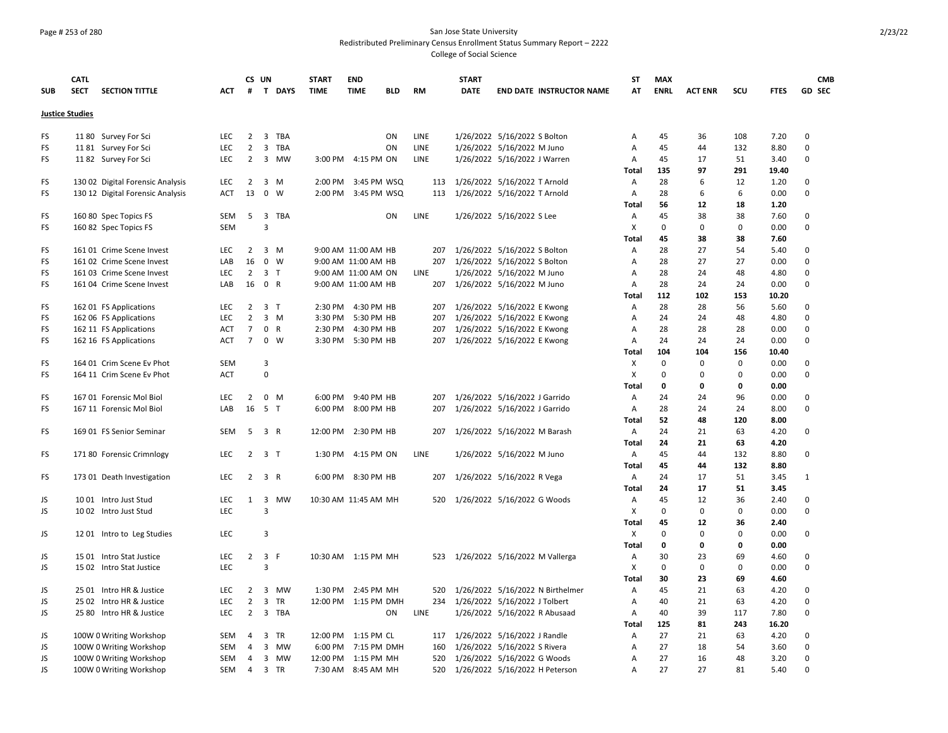### Page # 253 of 280 San Jose State University Redistributed Preliminary Census Enrollment Status Summary Report – 2222 College of Social Science

|            | <b>CATL</b>            |                                  |            | CS UN               |                     |             | <b>START</b> | <b>END</b>           |            |           | <b>START</b> |                                      | <b>ST</b>         | <b>MAX</b>  |                |             |              | <b>CMB</b>    |
|------------|------------------------|----------------------------------|------------|---------------------|---------------------|-------------|--------------|----------------------|------------|-----------|--------------|--------------------------------------|-------------------|-------------|----------------|-------------|--------------|---------------|
| <b>SUB</b> | <b>SECT</b>            | <b>SECTION TITTLE</b>            | ACT        | #                   |                     | T DAYS      | <b>TIME</b>  | <b>TIME</b>          | <b>BLD</b> | <b>RM</b> | <b>DATE</b>  | <b>END DATE INSTRUCTOR NAME</b>      | AT                | <b>ENRL</b> | <b>ACT ENR</b> | scu         | <b>FTES</b>  | <b>GD SEC</b> |
|            | <b>Justice Studies</b> |                                  |            |                     |                     |             |              |                      |            |           |              |                                      |                   |             |                |             |              |               |
| FS         |                        | 11 80 Survey For Sci             | LEC        | $\overline{2}$      |                     | 3 TBA       |              |                      | ON         | LINE      |              | 1/26/2022 5/16/2022 S Bolton         | Α                 | 45          | 36             | 108         | 7.20         | $\mathbf 0$   |
| FS         |                        | 1181 Survey For Sci              | LEC        | $\overline{2}$      | $\overline{3}$      | TBA         |              |                      | ON         | LINE      |              | 1/26/2022 5/16/2022 M Juno           | Α                 | 45          | 44             | 132         | 8.80         | 0             |
| FS         |                        | 1182 Survey For Sci              | LEC        | $\overline{2}$      |                     | 3 MW        |              | 3:00 PM 4:15 PM ON   |            | LINE      |              | 1/26/2022 5/16/2022 J Warren         | Α                 | 45          | 17             | 51          | 3.40         | 0             |
|            |                        |                                  |            |                     |                     |             |              |                      |            |           |              |                                      | Total             | 135         | 97             | 291         | 19.40        |               |
| FS         |                        | 130 02 Digital Forensic Analysis | LEC        | 2                   |                     | 3 M         |              | 2:00 PM 3:45 PM WSQ  |            | 113       |              | 1/26/2022 5/16/2022 T Arnold         | A                 | 28          | 6              | 12          | 1.20         | $\mathbf 0$   |
| FS         |                        | 130 12 Digital Forensic Analysis | <b>ACT</b> | 13                  |                     | $0 \quad W$ |              | 2:00 PM 3:45 PM WSQ  |            | 113       |              | 1/26/2022 5/16/2022 T Arnold         | Α                 | 28          | 6              | 6           | 0.00         | $\Omega$      |
|            |                        |                                  |            |                     |                     |             |              |                      |            |           |              |                                      | Total             | 56          | 12             | 18          | 1.20         |               |
| FS         |                        | 160 80 Spec Topics FS            | SEM        | 5                   |                     | 3 TBA       |              |                      | ON         | LINE      |              | 1/26/2022 5/16/2022 S Lee            | Α                 | 45          | 38             | 38          | 7.60         | 0             |
| FS         |                        | 160 82 Spec Topics FS            | <b>SEM</b> |                     | 3                   |             |              |                      |            |           |              |                                      | X                 | $\Omega$    | $\Omega$       | $\Omega$    | 0.00         | $\mathbf 0$   |
|            |                        |                                  |            |                     |                     |             |              |                      |            |           |              |                                      | <b>Total</b>      | 45          | 38             | 38          | 7.60         |               |
| FS         |                        | 161 01 Crime Scene Invest        | <b>LEC</b> | $\overline{2}$      |                     | 3 M         |              | 9:00 AM 11:00 AM HB  |            |           |              | 207 1/26/2022 5/16/2022 S Bolton     | Α                 | 28          | 27             | 54          | 5.40         | 0             |
| FS         |                        | 161 02 Crime Scene Invest        | LAB        | 16                  |                     | 0 W         |              | 9:00 AM 11:00 AM HB  |            | 207       |              | 1/26/2022 5/16/2022 S Bolton         | Α                 | 28          | 27             | 27          | 0.00         | $\mathbf 0$   |
| FS         |                        | 161 03 Crime Scene Invest        | LEC        | $\overline{2}$      |                     | 3 T         |              | 9:00 AM 11:00 AM ON  |            | LINE      |              | 1/26/2022 5/16/2022 M Juno           | Α                 | 28          | 24             | 48          | 4.80         | $\mathbf 0$   |
| FS         |                        | 161 04 Crime Scene Invest        | LAB        | 16                  | 0 R                 |             |              | 9:00 AM 11:00 AM HB  |            |           |              | 207 1/26/2022 5/16/2022 M Juno       | Α                 | 28          | 24             | 24          | 0.00         | 0             |
|            |                        |                                  |            |                     |                     |             |              |                      |            |           |              |                                      | Total             | 112         | 102            | 153         | 10.20        |               |
| FS         |                        | 162 01 FS Applications           | LEC        | $\overline{2}$      |                     | 3 T         |              | 2:30 PM 4:30 PM HB   |            |           |              | 207 1/26/2022 5/16/2022 E Kwong      | Α                 | 28          | 28             | 56          | 5.60         | 0             |
| FS         |                        | 162 06 FS Applications           | LEC        | $\overline{2}$      |                     | $3 \, M$    |              | 3:30 PM 5:30 PM HB   |            | 207       |              | 1/26/2022 5/16/2022 E Kwong          | Α                 | 24          | 24             | 48          | 4.80         | $\mathbf 0$   |
| FS         |                        | 162 11 FS Applications           | <b>ACT</b> | $\overline{7}$      |                     | 0 R         |              | 2:30 PM 4:30 PM HB   |            |           |              | 207 1/26/2022 5/16/2022 E Kwong      | Α                 | 28          | 28             | 28          | 0.00         | $\mathbf 0$   |
| FS         |                        | 162 16 FS Applications           | <b>ACT</b> | 7 <sup>7</sup>      |                     | $0 \quad W$ |              | 3:30 PM 5:30 PM HB   |            |           |              | 207 1/26/2022 5/16/2022 E Kwong      | Α                 | 24          | 24             | 24          | 0.00         | 0             |
|            |                        |                                  |            |                     |                     |             |              |                      |            |           |              |                                      | Total             | 104         | 104            | 156         | 10.40        |               |
| FS         |                        | 164 01 Crim Scene Ev Phot        | SEM        |                     | 3                   |             |              |                      |            |           |              |                                      | Х                 | 0           | 0              | $\Omega$    | 0.00         | 0             |
| FS         |                        | 164 11 Crim Scene Ev Phot        | <b>ACT</b> |                     | $\mathbf 0$         |             |              |                      |            |           |              |                                      | X                 | $\mathbf 0$ | 0              | $\Omega$    | 0.00         | 0             |
|            |                        |                                  |            |                     |                     |             |              |                      |            |           |              |                                      | Total             | $\mathbf 0$ | 0              | 0           | 0.00         |               |
| FS         |                        | 167 01 Forensic Mol Biol         | LEC        | 2                   |                     | 0 M         |              | 6:00 PM 9:40 PM HB   |            | 207       |              | 1/26/2022 5/16/2022 J Garrido        | Α                 | 24          | 24             | 96          | 0.00         | 0             |
| FS         |                        | 167 11 Forensic Mol Biol         | LAB        | 16                  | 5 T                 |             |              | 6:00 PM 8:00 PM HB   |            | 207       |              | 1/26/2022 5/16/2022 J Garrido        | A                 | 28          | 24             | 24          | 8.00         | $\mathbf 0$   |
|            |                        |                                  |            |                     |                     |             |              |                      |            |           |              |                                      | Total             | 52          | 48             | 120         | 8.00         |               |
| FS         |                        | 169 01 FS Senior Seminar         | SEM        | - 5                 |                     | 3 R         |              | 12:00 PM 2:30 PM HB  |            | 207       |              | 1/26/2022 5/16/2022 M Barash         | A                 | 24<br>24    | 21<br>21       | 63<br>63    | 4.20         | 0             |
|            |                        |                                  | LEC        | $2 \quad 3 \quad T$ |                     |             |              | 1:30 PM 4:15 PM ON   |            | LINE      |              | 1/26/2022 5/16/2022 M Juno           | <b>Total</b><br>Α | 45          | 44             | 132         | 4.20<br>8.80 | 0             |
| FS         |                        | 171 80 Forensic Crimnlogy        |            |                     |                     |             |              |                      |            |           |              |                                      | Total             | 45          | 44             | 132         | 8.80         |               |
| FS         |                        | 173 01 Death Investigation       | <b>LEC</b> |                     | $2 \quad 3 \quad R$ |             |              | 6:00 PM 8:30 PM HB   |            |           |              | 207 1/26/2022 5/16/2022 R Vega       | A                 | 24          | 17             | 51          | 3.45         | $\mathbf{1}$  |
|            |                        |                                  |            |                     |                     |             |              |                      |            |           |              |                                      | Total             | 24          | 17             | 51          | 3.45         |               |
| JS         |                        | 1001 Intro Just Stud             | LEC        | 1                   | $\overline{3}$      | MW          |              | 10:30 AM 11:45 AM MH |            |           |              | 520 1/26/2022 5/16/2022 G Woods      | Α                 | 45          | 12             | 36          | 2.40         | $\mathbf 0$   |
| JS         |                        | 1002 Intro Just Stud             | LEC        |                     | 3                   |             |              |                      |            |           |              |                                      | X                 | $\mathbf 0$ | 0              | $\mathbf 0$ | 0.00         | 0             |
|            |                        |                                  |            |                     |                     |             |              |                      |            |           |              |                                      | <b>Total</b>      | 45          | 12             | 36          | 2.40         |               |
| JS         |                        | 1201 Intro to Leg Studies        | LEC.       |                     | 3                   |             |              |                      |            |           |              |                                      | X                 | $\mathbf 0$ | 0              | $\Omega$    | 0.00         | $\Omega$      |
|            |                        |                                  |            |                     |                     |             |              |                      |            |           |              |                                      | Total             | $\mathbf 0$ | 0              | 0           | 0.00         |               |
| JS         |                        | 15 01 Intro Stat Justice         | LEC        | $\overline{2}$      | 3 F                 |             |              | 10:30 AM 1:15 PM MH  |            |           |              | 523 1/26/2022 5/16/2022 M Vallerga   | Α                 | 30          | 23             | 69          | 4.60         | 0             |
| JS         |                        | 15 02 Intro Stat Justice         | LEC        |                     | 3                   |             |              |                      |            |           |              |                                      | X                 | $\mathbf 0$ | 0              | $\Omega$    | 0.00         | $\mathbf 0$   |
|            |                        |                                  |            |                     |                     |             |              |                      |            |           |              |                                      | Total             | 30          | 23             | 69          | 4.60         |               |
| JS         |                        | 25 01 Intro HR & Justice         | LEC.       |                     |                     | 2 3 MW      |              | 1:30 PM 2:45 PM MH   |            |           |              | 520 1/26/2022 5/16/2022 N Birthelmer | A                 | 45          | 21             | 63          | 4.20         | $\Omega$      |
| JS         |                        | 25 02 Intro HR & Justice         | LEC        | $\overline{2}$      | $\overline{3}$      | <b>TR</b>   |              | 12:00 PM 1:15 PM DMH |            | 234       |              | 1/26/2022 5/16/2022 J Tolbert        | Α                 | 40          | 21             | 63          | 4.20         | $\Omega$      |
| JS         |                        | 25 80 Intro HR & Justice         | LEC        | $\overline{2}$      |                     | 3 TBA       |              |                      | ON         | LINE      |              | 1/26/2022 5/16/2022 R Abusaad        | Α                 | 40          | 39             | 117         | 7.80         | 0             |
|            |                        |                                  |            |                     |                     |             |              |                      |            |           |              |                                      | Total             | 125         | 81             | 243         | 16.20        |               |
| JS         |                        | 100W 0 Writing Workshop          | SEM        | 4                   |                     | 3 TR        |              | 12:00 PM 1:15 PM CL  |            | 117       |              | 1/26/2022 5/16/2022 J Randle         | Α                 | 27          | 21             | 63          | 4.20         | 0             |
| JS         |                        | 100W 0 Writing Workshop          | <b>SEM</b> | $\overline{4}$      |                     | 3 MW        |              | 6:00 PM 7:15 PM DMH  |            | 160       |              | 1/26/2022 5/16/2022 S Rivera         | A                 | 27          | 18             | 54          | 3.60         | $\mathbf 0$   |
| JS         |                        | 100W 0 Writing Workshop          | SEM        | $\overline{4}$      |                     | 3 MW        |              | 12:00 PM 1:15 PM MH  |            | 520       |              | 1/26/2022 5/16/2022 G Woods          | A                 | 27          | 16             | 48          | 3.20         | $\Omega$      |
| <b>JS</b>  |                        | 100W 0 Writing Workshop          | SEM        | $\overline{4}$      |                     | 3 TR        |              | 7:30 AM 8:45 AM MH   |            | 520       |              | 1/26/2022 5/16/2022 H Peterson       | A                 | 27          | 27             | 81          | 5.40         | $\Omega$      |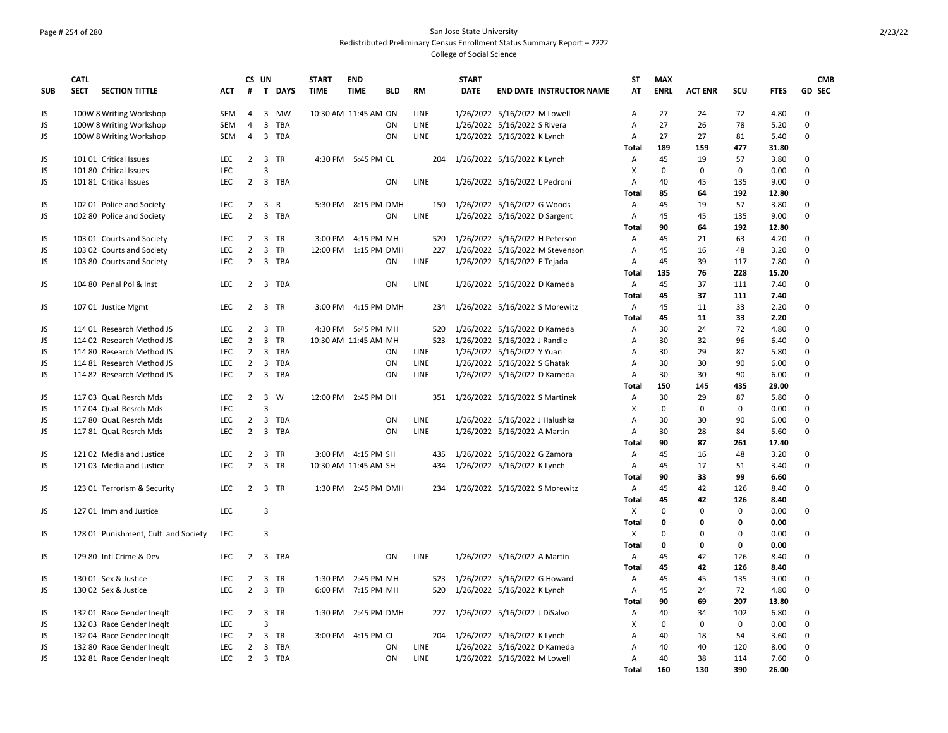### Page # 254 of 280 San Jose State University Redistributed Preliminary Census Enrollment Status Summary Report – 2222 College of Social Science

|            | <b>CATL</b>                          |            |                | CS UN                   |           | <b>START</b> | <b>END</b>           |             | <b>START</b> |                                     | <b>ST</b>      | <b>MAX</b>     |                |                |               | <b>CMB</b>    |
|------------|--------------------------------------|------------|----------------|-------------------------|-----------|--------------|----------------------|-------------|--------------|-------------------------------------|----------------|----------------|----------------|----------------|---------------|---------------|
| <b>SUB</b> | <b>SECT</b><br><b>SECTION TITTLE</b> | ACT        | #              |                         | T DAYS    | <b>TIME</b>  | <b>TIME</b><br>BLD   | RM          | <b>DATE</b>  | <b>END DATE INSTRUCTOR NAME</b>     | AT             | <b>ENRL</b>    | <b>ACT ENR</b> | SCU            | <b>FTES</b>   | <b>GD SEC</b> |
| JS         | 100W 8 Writing Workshop              | SEM        | $\overline{4}$ | $\overline{3}$          | <b>MW</b> |              | 10:30 AM 11:45 AM ON | LINE        |              | 1/26/2022 5/16/2022 M Lowell        | A              | 27             | 24             | 72             | 4.80          | $\Omega$      |
| JS         | 100W 8 Writing Workshop              | <b>SEM</b> | $\overline{4}$ | $\overline{3}$          | TBA       |              | ON                   | LINE        |              | 1/26/2022 5/16/2022 S Rivera        | Α              | 27             | 26             | 78             | 5.20          | $\Omega$      |
| JS.        | 100W 8 Writing Workshop              | <b>SEM</b> | $\overline{4}$ | $\overline{3}$          | TBA       |              | ON                   | LINE        |              | 1/26/2022 5/16/2022 K Lynch         | A              | 27             | 27             | 81             | 5.40          | $\mathbf 0$   |
|            |                                      |            |                |                         |           |              |                      |             |              |                                     | Total          | 189            | 159            | 477            | 31.80         |               |
| JS.        | 101 01 Critical Issues               | LEC        | $2^{\circ}$    | $\overline{\mathbf{3}}$ | <b>TR</b> |              | 4:30 PM 5:45 PM CL   |             |              | 204 1/26/2022 5/16/2022 K Lynch     | A              | 45             | 19             | 57             | 3.80          | $\Omega$      |
| JS         | 101 80 Critical Issues               | LEC        |                | 3                       |           |              |                      |             |              |                                     | X              | $\mathsf 0$    | 0              | $\mathsf 0$    | 0.00          | 0             |
| JS.        | 101 81 Critical Issues               | <b>LEC</b> | $\overline{2}$ |                         | 3 TBA     |              | ON                   | LINE        |              | 1/26/2022 5/16/2022 L Pedroni       | A              | 40             | 45             | 135            | 9.00          | $\mathbf 0$   |
|            |                                      |            |                |                         |           |              |                      |             |              |                                     | Total          | 85             | 64             | 192            | 12.80         |               |
| JS.        | 102 01 Police and Society            | LEC        | $2^{\circ}$    |                         | 3 R       |              | 5:30 PM 8:15 PM DMH  |             |              | 150 1/26/2022 5/16/2022 G Woods     | A              | 45             | 19             | 57             | 3.80          | 0             |
| JS         | 102 80 Police and Society            | <b>LEC</b> | $\overline{2}$ |                         | 3 TBA     |              | ON                   | LINE        |              | 1/26/2022 5/16/2022 D Sargent       | A              | 45             | 45             | 135            | 9.00          | $\mathbf 0$   |
|            |                                      |            |                |                         |           |              |                      |             |              |                                     | Total          | 90             | 64             | 192            | 12.80         |               |
| JS         | 103 01 Courts and Society            | LEC        | $\overline{2}$ |                         | 3 TR      | 3:00 PM      | 4:15 PM MH           |             |              | 520 1/26/2022 5/16/2022 H Peterson  | A              | 45             | 21             | 63             | 4.20          | $\mathbf 0$   |
| JS         | 103 02 Courts and Society            | <b>LEC</b> | $\overline{2}$ |                         | 3 TR      |              | 12:00 PM 1:15 PM DMH |             |              | 227 1/26/2022 5/16/2022 M Stevenson | A              | 45             | 16             | 48             | 3.20          | $\Omega$      |
| JS         | 103 80 Courts and Society            | LEC        |                |                         | 2 3 TBA   |              | ON                   | LINE        |              | 1/26/2022 5/16/2022 E Tejada        | Α              | 45             | 39             | 117            | 7.80          | 0             |
|            |                                      |            |                |                         |           |              |                      |             |              |                                     | Total          | 135            | 76             | 228            | 15.20         |               |
| JS         | 104 80 Penal Pol & Inst              | <b>LEC</b> | $\overline{2}$ |                         | 3 TBA     |              | ON                   | <b>LINE</b> |              | 1/26/2022 5/16/2022 D Kameda        | $\mathsf{A}$   | 45             | 37             | 111            | 7.40          | $\mathbf 0$   |
|            |                                      |            |                |                         |           |              |                      |             |              |                                     | Total          | 45             | 37             | 111            | 7.40          |               |
| JS         | 107 01 Justice Mgmt                  | LEC        |                |                         | 2 3 TR    |              | 3:00 PM 4:15 PM DMH  |             |              | 234 1/26/2022 5/16/2022 S Morewitz  | A              | 45             | 11             | 33             | 2.20          | $\mathbf 0$   |
|            |                                      |            |                |                         |           |              |                      |             |              |                                     | Total          | 45             | 11             | 33             | 2.20          |               |
| JS         | 114 01 Research Method JS            | <b>LEC</b> | $\overline{2}$ |                         | 3 TR      |              | 4:30 PM 5:45 PM MH   | 520         |              | 1/26/2022 5/16/2022 D Kameda        | A              | 30             | 24             | 72             | 4.80          | $\mathbf 0$   |
| JS.        | 114 02 Research Method JS            | <b>LEC</b> | $2^{\circ}$    |                         | 3 TR      |              | 10:30 AM 11:45 AM MH |             |              | 523 1/26/2022 5/16/2022 J Randle    | A              | 30             | 32             | 96             | 6.40          | $\Omega$      |
| <b>JS</b>  | 114 80 Research Method JS            | LEC        | $\overline{2}$ | $\overline{3}$          | TBA       |              | ON                   | LINE        |              | 1/26/2022 5/16/2022 Y Yuan          | А              | 30             | 29             | 87             | 5.80          | $\mathbf 0$   |
| JS         | 114 81 Research Method JS            | LEC        | $\overline{2}$ | $\overline{3}$          | TBA       |              | ON                   | LINE        |              | 1/26/2022 5/16/2022 S Ghatak        | А              | 30             | 30             | 90             | 6.00          | 0             |
| JS         | 114 82 Research Method JS            | <b>LEC</b> | $\overline{2}$ |                         | 3 TBA     |              | ON                   | LINE        |              | 1/26/2022 5/16/2022 D Kameda        | A              | 30             | 30             | 90             | 6.00          | $\mathbf 0$   |
|            |                                      |            |                |                         |           |              |                      |             |              |                                     | <b>Total</b>   | 150            | 145            | 435            | 29.00         |               |
| JS         | 117 03 QuaL Resrch Mds               | LEC        | $2^{\circ}$    | 3                       | 3 W       |              | 12:00 PM 2:45 PM DH  |             |              | 351 1/26/2022 5/16/2022 S Martinek  | Α              | 30<br>$\Omega$ | 29<br>$\Omega$ | 87<br>$\Omega$ | 5.80          | 0<br>$\Omega$ |
| JS         | 117 04 QuaL Resrch Mds               | LEC<br>LEC | $\overline{2}$ |                         | 3 TBA     |              | ON                   | LINE        |              |                                     | X<br>A         | 30             | 30             | 90             | 0.00<br>6.00  | $\mathbf 0$   |
| JS         | 117 80 QuaL Resrch Mds               | <b>LEC</b> | $\overline{2}$ |                         | 3 TBA     |              | ON                   | <b>LINE</b> |              | 1/26/2022 5/16/2022 J Halushka      | $\overline{A}$ | 30             | 28             | 84             |               | 0             |
| JS         | 117 81 QuaL Resrch Mds               |            |                |                         |           |              |                      |             |              | 1/26/2022 5/16/2022 A Martin        | <b>Total</b>   | 90             | 87             | 261            | 5.60<br>17.40 |               |
| JS         | 121 02 Media and Justice             | LEC        | $2^{\circ}$    |                         | 3 TR      |              | 3:00 PM 4:15 PM SH   |             |              | 435 1/26/2022 5/16/2022 G Zamora    | A              | 45             | 16             | 48             | 3.20          | 0             |
| JS         | 12103 Media and Justice              | <b>LEC</b> | $\overline{2}$ |                         | 3 TR      |              | 10:30 AM 11:45 AM SH | 434         |              | 1/26/2022 5/16/2022 K Lynch         | $\overline{A}$ | 45             | 17             | 51             | 3.40          | $\Omega$      |
|            |                                      |            |                |                         |           |              |                      |             |              |                                     | Total          | 90             | 33             | 99             | 6.60          |               |
| JS         | 123 01 Terrorism & Security          | LEC        | $2^{\circ}$    |                         | 3 TR      |              | 1:30 PM 2:45 PM DMH  |             |              | 234 1/26/2022 5/16/2022 S Morewitz  | A              | 45             | 42             | 126            | 8.40          | 0             |
|            |                                      |            |                |                         |           |              |                      |             |              |                                     | Total          | 45             | 42             | 126            | 8.40          |               |
| JS         | 127 01 Imm and Justice               | LEC        |                | 3                       |           |              |                      |             |              |                                     | X              | $\Omega$       | $\Omega$       | $\Omega$       | 0.00          | $\mathbf 0$   |
|            |                                      |            |                |                         |           |              |                      |             |              |                                     | Total          | $\mathbf{0}$   | 0              | $\mathbf{0}$   | 0.00          |               |
| JS.        | 128 01 Punishment, Cult and Society  | LEC        |                | $\overline{3}$          |           |              |                      |             |              |                                     | X              | $\mathbf 0$    | $\mathbf 0$    | $\mathbf 0$    | 0.00          | $\mathbf 0$   |
|            |                                      |            |                |                         |           |              |                      |             |              |                                     | Total          | $\mathbf 0$    | 0              | $\mathbf 0$    | 0.00          |               |
| JS         | 129 80 Intl Crime & Dev              | <b>LEC</b> | $\overline{2}$ |                         | 3 TBA     |              | ON                   | LINE        |              | 1/26/2022 5/16/2022 A Martin        | Α              | 45             | 42             | 126            | 8.40          | $\mathbf 0$   |
|            |                                      |            |                |                         |           |              |                      |             |              |                                     | Total          | 45             | 42             | 126            | 8.40          |               |
| JS         | 130 01 Sex & Justice                 | <b>LEC</b> | $\overline{2}$ |                         | 3 TR      |              | 1:30 PM 2:45 PM MH   |             |              | 523 1/26/2022 5/16/2022 G Howard    | $\overline{A}$ | 45             | 45             | 135            | 9.00          | 0             |
| JS.        | 130 02 Sex & Justice                 | <b>LEC</b> | $2^{\circ}$    |                         | 3 TR      |              | 6:00 PM 7:15 PM MH   |             |              | 520 1/26/2022 5/16/2022 K Lynch     | $\overline{A}$ | 45             | 24             | 72             | 4.80          | $\mathbf 0$   |
|            |                                      |            |                |                         |           |              |                      |             |              |                                     | Total          | 90             | 69             | 207            | 13.80         |               |
| JS         | 132 01 Race Gender Ineglt            | LEC.       | $\overline{2}$ |                         | 3 TR      |              | 1:30 PM 2:45 PM DMH  |             |              | 227 1/26/2022 5/16/2022 J DiSalvo   | Α              | 40             | 34             | 102            | 6.80          | 0             |
| JS         | 132 03 Race Gender Ineglt            | <b>LEC</b> |                | $\overline{3}$          |           |              |                      |             |              |                                     | X              | $\mathbf 0$    | $\mathbf 0$    | $\mathbf 0$    | 0.00          | $\Omega$      |
| JS.        | 132 04 Race Gender Ineglt            | LEC        | $2^{\circ}$    |                         | 3 TR      |              | 3:00 PM 4:15 PM CL   |             |              | 204 1/26/2022 5/16/2022 K Lynch     | Α              | 40             | 18             | 54             | 3.60          | 0             |
| JS         | 132 80 Race Gender Ineglt            | LEC.       | $\overline{2}$ |                         | 3 TBA     |              | ON                   | <b>LINE</b> |              | 1/26/2022 5/16/2022 D Kameda        | A              | 40             | 40             | 120            | 8.00          | $\mathbf 0$   |
| JS.        | 132 81 Race Gender Ineglt            | <b>LEC</b> | $\overline{2}$ |                         | 3 TBA     |              | ON                   | <b>LINE</b> |              | 1/26/2022 5/16/2022 M Lowell        | A              | 40             | 38             | 114            | 7.60          | $\Omega$      |
|            |                                      |            |                |                         |           |              |                      |             |              |                                     | Total          | 160            | 130            | 390            | 26.00         |               |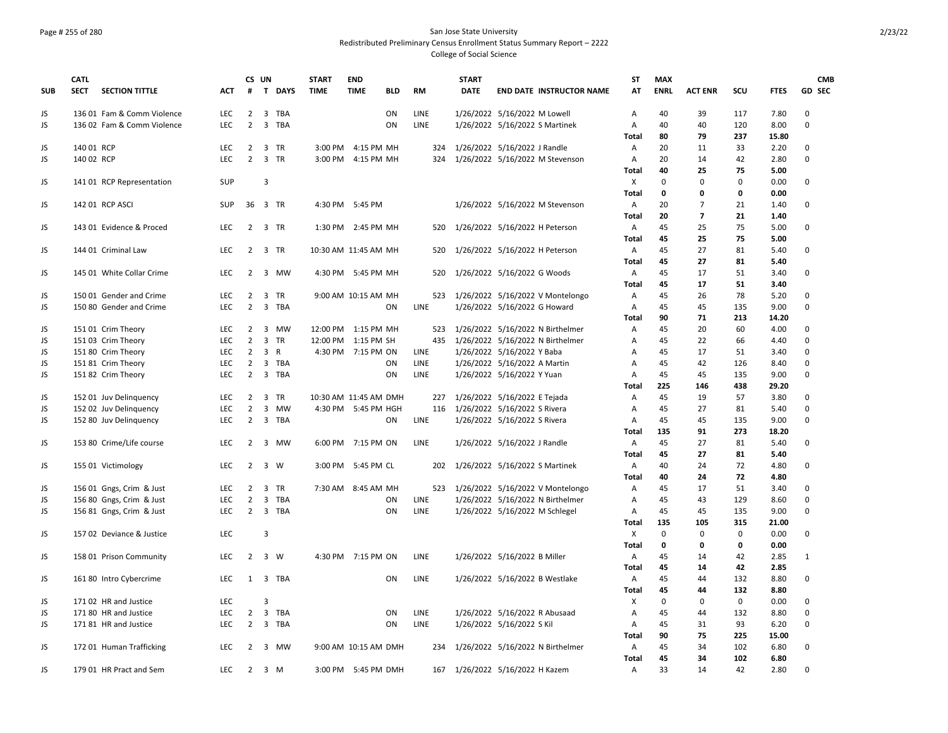### Page # 255 of 280 San Jose State University Redistributed Preliminary Census Enrollment Status Summary Report – 2222 College of Social Science

|            | <b>CATL</b> |                            |            |                | CS UN                   |                     | <b>START</b> | <b>END</b>                |             | <b>START</b> |                                      | <b>ST</b>      | <b>MAX</b>  |                |             |             | <b>CMB</b>    |
|------------|-------------|----------------------------|------------|----------------|-------------------------|---------------------|--------------|---------------------------|-------------|--------------|--------------------------------------|----------------|-------------|----------------|-------------|-------------|---------------|
| <b>SUB</b> | <b>SECT</b> | <b>SECTION TITTLE</b>      | ACT        | #              |                         | T DAYS              | <b>TIME</b>  | <b>TIME</b><br><b>BLD</b> | RM          | <b>DATE</b>  | <b>END DATE INSTRUCTOR NAME</b>      | AT             | <b>ENRL</b> | <b>ACT ENR</b> | SCU         | <b>FTES</b> | <b>GD SEC</b> |
| JS         |             | 136 01 Fam & Comm Violence | <b>LEC</b> |                |                         | 2 3 TBA             |              | ON                        | <b>LINE</b> |              | 1/26/2022 5/16/2022 M Lowell         | A              | 40          | 39             | 117         | 7.80        | $\Omega$      |
| <b>JS</b>  |             | 136 02 Fam & Comm Violence | LEC        | $\overline{2}$ | $\overline{3}$          | <b>TBA</b>          |              | ON                        | <b>LINE</b> |              | 1/26/2022 5/16/2022 S Martinek       | A              | 40          | 40             | 120         | 8.00        | $\Omega$      |
|            |             |                            |            |                |                         |                     |              |                           |             |              |                                      | Total          | 80          | 79             | 237         | 15.80       |               |
| JS         | 140 01 RCP  |                            | LEC        | $\overline{2}$ |                         | 3 TR                |              | 3:00 PM 4:15 PM MH        |             |              | 324 1/26/2022 5/16/2022 J Randle     | Α              | 20          | 11             | 33          | 2.20        | 0             |
| JS         | 140 02 RCP  |                            | LEC        | $\overline{2}$ |                         | 3 TR                |              | 3:00 PM 4:15 PM MH        | 324         |              | 1/26/2022 5/16/2022 M Stevenson      | Α              | 20          | 14             | 42          | 2.80        | 0             |
|            |             |                            |            |                |                         |                     |              |                           |             |              |                                      | <b>Total</b>   | 40          | 25             | 75          | 5.00        |               |
| JS         |             | 141 01 RCP Representation  | SUP        |                | 3                       |                     |              |                           |             |              |                                      | X              | $\Omega$    | $\Omega$       | $\Omega$    | 0.00        | 0             |
|            |             |                            |            |                |                         |                     |              |                           |             |              |                                      | <b>Total</b>   | $\mathbf 0$ | $\mathbf{0}$   | 0           | 0.00        |               |
| JS         |             | 142 01 RCP ASCI            | <b>SUP</b> |                |                         | 36 3 TR             |              | 4:30 PM 5:45 PM           |             |              | 1/26/2022 5/16/2022 M Stevenson      | $\mathsf{A}$   | 20          | $\overline{7}$ | 21          | 1.40        | 0             |
|            |             |                            |            |                |                         |                     |              |                           |             |              |                                      | Total          | 20          | $\overline{7}$ | 21          | 1.40        |               |
| JS         |             | 143 01 Evidence & Proced   | LEC.       |                |                         | 2 3 TR              |              | 1:30 PM 2:45 PM MH        |             |              | 520 1/26/2022 5/16/2022 H Peterson   | A              | 45          | 25             | 75          | 5.00        | 0             |
|            |             |                            |            |                |                         |                     |              |                           |             |              |                                      | Total          | 45          | 25             | 75          | 5.00        |               |
| <b>JS</b>  |             | 144 01 Criminal Law        | LEC        |                |                         | 2 3 TR              |              | 10:30 AM 11:45 AM MH      | 520         |              | 1/26/2022 5/16/2022 H Peterson       | A              | 45          | 27             | 81          | 5.40        | 0             |
|            |             |                            |            |                |                         |                     |              |                           |             |              |                                      | <b>Total</b>   | 45          | 27             | 81          | 5.40        |               |
| JS         |             | 145 01 White Collar Crime  | LEC        | 2              |                         | 3 MW                |              | 4:30 PM 5:45 PM MH        | 520         |              | 1/26/2022 5/16/2022 G Woods          | A              | 45          | 17             | 51          | 3.40        | 0             |
|            |             |                            |            |                |                         |                     |              |                           |             |              |                                      | <b>Total</b>   | 45          | 17             | 51          | 3.40        |               |
| JS         |             | 150 01 Gender and Crime    | LEC        | $\overline{2}$ | $\overline{\mathbf{3}}$ | TR                  |              | 9:00 AM 10:15 AM MH       | 523         |              | 1/26/2022 5/16/2022 V Montelongo     | Α              | 45          | 26             | 78          | 5.20        | 0             |
| JS         |             | 150 80 Gender and Crime    | LEC        | $\overline{2}$ |                         | 3 TBA               |              | ON                        | LINE        |              | 1/26/2022 5/16/2022 G Howard         | Α              | 45          | 45             | 135         | 9.00        | 0             |
|            |             |                            |            |                |                         |                     |              |                           |             |              |                                      | Total          | 90          | 71             | 213         | 14.20       |               |
| JS         |             | 15101 Crim Theory          | LEC        | $\overline{2}$ | $\overline{\mathbf{3}}$ | MW                  |              | 12:00 PM 1:15 PM MH       |             |              | 523 1/26/2022 5/16/2022 N Birthelmer | Α              | 45          | 20             | 60          | 4.00        | 0             |
| JS         |             | 151 03 Crim Theory         | LEC.       | $\overline{2}$ |                         | 3 TR                |              | 12:00 PM 1:15 PM SH       |             |              | 435 1/26/2022 5/16/2022 N Birthelmer | Α              | 45          | 22             | 66          | 4.40        | $\Omega$      |
| JS         |             | 151 80 Crim Theory         | <b>LEC</b> | $\overline{2}$ |                         | 3 R                 |              | 4:30 PM 7:15 PM ON        | LINE        |              | 1/26/2022 5/16/2022 Y Baba           | Α              | 45          | 17             | 51          | 3.40        | $\Omega$      |
| JS         |             | 15181 Crim Theory          | LEC        | $\overline{2}$ |                         | 3 TBA               |              | ON                        | LINE        |              | 1/26/2022 5/16/2022 A Martin         | A              | 45          | 42             | 126         | 8.40        | 0             |
| JS         |             | 151 82 Crim Theory         | <b>LEC</b> | $\overline{2}$ |                         | 3 TBA               |              | ON                        | <b>LINE</b> |              | 1/26/2022 5/16/2022 Y Yuan           | A              | 45          | 45             | 135         | 9.00        | 0             |
|            |             |                            |            |                |                         |                     |              |                           |             |              |                                      | Total          | 225         | 146            | 438         | 29.20       |               |
|            |             |                            | LEC.       |                |                         | 2 3 TR              |              | 10:30 AM 11:45 AM DMH     | 227         |              | 1/26/2022 5/16/2022 E Tejada         | A              | 45          | 19             | 57          | 3.80        | 0             |
| JS         |             | 152 01 Juv Delinguency     | LEC        | $\overline{2}$ | $\overline{\mathbf{3}}$ |                     |              | 4:30 PM 5:45 PM HGH       |             |              |                                      |                | 45          | 27             |             |             | 0             |
| JS         |             | 152 02 Juv Delinguency     |            | $\overline{2}$ |                         | MW                  |              | ON                        | 116         |              | 1/26/2022 5/16/2022 S Rivera         | Α              | 45          |                | 81<br>135   | 5.40        | 0             |
| JS         |             | 152 80 Juv Delinquency     | LEC        |                |                         | 3 TBA               |              |                           | LINE        |              | 1/26/2022 5/16/2022 S Rivera         | Α              |             | 45             |             | 9.00        |               |
|            |             |                            |            |                |                         |                     |              |                           |             |              |                                      | <b>Total</b>   | 135         | 91             | 273         | 18.20       |               |
| JS         |             | 153 80 Crime/Life course   | LEC        | $\overline{2}$ |                         | 3 MW                |              | 6:00 PM 7:15 PM ON        | LINE        |              | 1/26/2022 5/16/2022 J Randle         | Α              | 45          | 27             | 81          | 5.40        | 0             |
|            |             |                            |            |                |                         |                     |              |                           |             |              |                                      | <b>Total</b>   | 45          | 27             | 81          | 5.40        |               |
| JS         |             | 155 01 Victimology         | LEC        | $\overline{2}$ |                         | 3 W                 |              | 3:00 PM 5:45 PM CL        |             |              | 202 1/26/2022 5/16/2022 S Martinek   | Α              | 40          | 24             | 72          | 4.80        | 0             |
|            |             |                            |            |                |                         |                     |              |                           |             |              |                                      | <b>Total</b>   | 40          | 24             | 72          | 4.80        |               |
| JS         |             | 156 01 Gngs, Crim & Just   | <b>LEC</b> | $\overline{2}$ |                         | 3 TR                |              | 7:30 AM 8:45 AM MH        | 523         |              | 1/26/2022 5/16/2022 V Montelongo     | Α              | 45          | 17             | 51          | 3.40        | 0             |
| JS         |             | 156 80 Gngs, Crim & Just   | <b>LEC</b> | $\overline{2}$ |                         | 3 TBA               |              | ON                        | <b>LINE</b> |              | 1/26/2022 5/16/2022 N Birthelmer     | A              | 45          | 43             | 129         | 8.60        | 0             |
| JS         |             | 156 81 Gngs, Crim & Just   | LEC        |                |                         | 2 3 TBA             |              | ON                        | LINE        |              | 1/26/2022 5/16/2022 M Schlegel       | A              | 45          | 45             | 135         | 9.00        | 0             |
|            |             |                            |            |                |                         |                     |              |                           |             |              |                                      | Total          | 135         | 105            | 315         | 21.00       |               |
| JS         |             | 157 02 Deviance & Justice  | LEC        |                | 3                       |                     |              |                           |             |              |                                      | X              | $\mathbf 0$ | 0              | 0           | 0.00        | 0             |
|            |             |                            |            |                |                         |                     |              |                           |             |              |                                      | Total          | $\mathbf 0$ | 0              | 0           | 0.00        |               |
| JS         |             | 158 01 Prison Community    | LEC        | $\overline{2}$ |                         | 3 W                 |              | 4:30 PM 7:15 PM ON        | <b>LINE</b> |              | 1/26/2022 5/16/2022 B Miller         | $\overline{A}$ | 45          | 14             | 42          | 2.85        | $\mathbf{1}$  |
|            |             |                            |            |                |                         |                     |              |                           |             |              |                                      | <b>Total</b>   | 45          | 14             | 42          | 2.85        |               |
| JS         |             | 161 80 Intro Cybercrime    | LEC        | 1              |                         | 3 TBA               |              | ON                        | LINE        |              | 1/26/2022 5/16/2022 B Westlake       | A              | 45          | 44             | 132         | 8.80        | 0             |
|            |             |                            |            |                |                         |                     |              |                           |             |              |                                      | <b>Total</b>   | 45          | 44             | 132         | 8.80        |               |
| JS         |             | 171 02 HR and Justice      | LEC        |                | 3                       |                     |              |                           |             |              |                                      | X              | $\mathbf 0$ | $\mathbf 0$    | $\mathbf 0$ | 0.00        | 0             |
| JS         |             | 171 80 HR and Justice      | LEC        | $\overline{2}$ |                         | 3 TBA               |              | ON                        | LINE        |              | 1/26/2022 5/16/2022 R Abusaad        | Α              | 45          | 44             | 132         | 8.80        | 0             |
| JS         |             | 17181 HR and Justice       | <b>LEC</b> | $\overline{2}$ |                         | 3 TBA               |              | ON                        | LINE        |              | 1/26/2022 5/16/2022 S Kil            | Α              | 45          | 31             | 93          | 6.20        | 0             |
|            |             |                            |            |                |                         |                     |              |                           |             |              |                                      | Total          | 90          | 75             | 225         | 15.00       |               |
| JS         |             | 172 01 Human Trafficking   | LEC.       | $\overline{2}$ |                         | 3 MW                |              | 9:00 AM 10:15 AM DMH      |             |              | 234 1/26/2022 5/16/2022 N Birthelmer | A              | 45          | 34             | 102         | 6.80        | 0             |
|            |             |                            |            |                |                         |                     |              |                           |             |              |                                      | Total          | 45          | 34             | 102         | 6.80        |               |
| JS         |             | 179 01 HR Pract and Sem    | <b>LEC</b> |                |                         | $2 \quad 3 \quad M$ |              | 3:00 PM 5:45 PM DMH       |             |              | 167 1/26/2022 5/16/2022 H Kazem      | A              | 33          | 14             | 42          | 2.80        | $\Omega$      |
|            |             |                            |            |                |                         |                     |              |                           |             |              |                                      |                |             |                |             |             |               |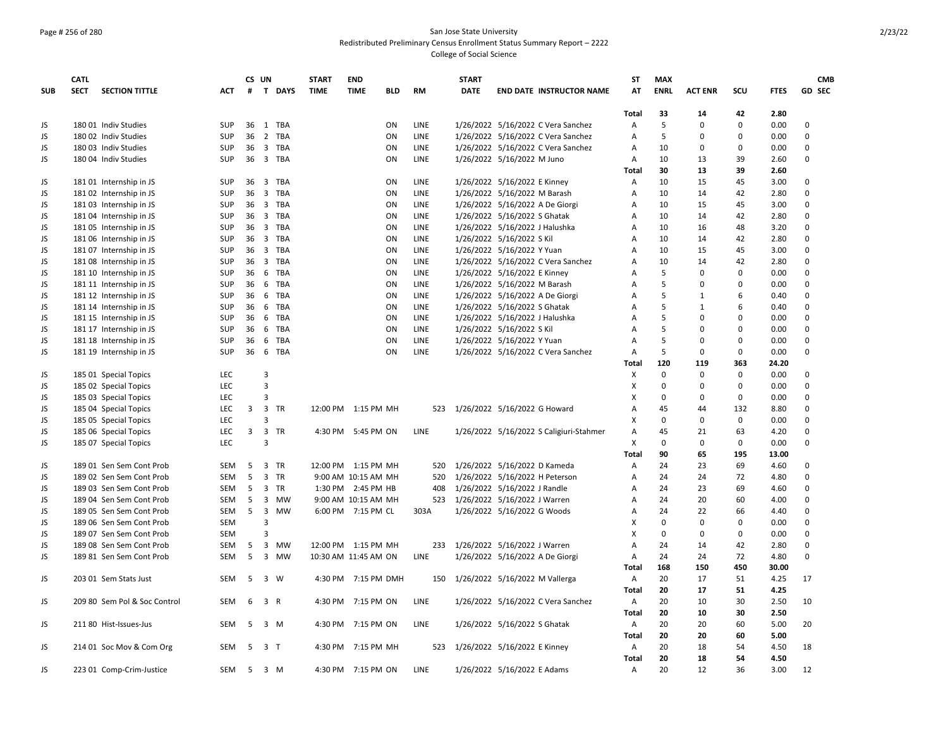### Page # 256 of 280 San Jose State University Redistributed Preliminary Census Enrollment Status Summary Report – 2222 College of Social Science

|            | <b>CATL</b> |                              |            |     | CS UN          |           | <b>START</b> | <b>END</b>                |             | <b>START</b> |                                         | <b>ST</b>                 | <b>MAX</b>  |                |             |             | <b>CMB</b>    |
|------------|-------------|------------------------------|------------|-----|----------------|-----------|--------------|---------------------------|-------------|--------------|-----------------------------------------|---------------------------|-------------|----------------|-------------|-------------|---------------|
| <b>SUB</b> | <b>SECT</b> | <b>SECTION TITTLE</b>        | <b>ACT</b> | #   |                | T DAYS    | <b>TIME</b>  | <b>TIME</b><br><b>BLD</b> | <b>RM</b>   | <b>DATE</b>  | <b>END DATE INSTRUCTOR NAME</b>         | AT                        | <b>ENRL</b> | <b>ACT ENR</b> | scu         | <b>FTES</b> | <b>GD SEC</b> |
|            |             |                              |            |     |                |           |              |                           |             |              |                                         | Total                     | 33          | 14             | 42          | 2.80        |               |
| JS         |             | 180 01 Indiv Studies         | SUP        | 36  |                | 1 TBA     |              | ON                        | LINE        |              | 1/26/2022 5/16/2022 C Vera Sanchez      | Α                         | 5           | $\Omega$       | $\mathbf 0$ | 0.00        | 0             |
| <b>JS</b>  |             | 180 02 Indiv Studies         | SUP        |     |                | 36 2 TBA  |              | ON                        | LINE        |              | 1/26/2022 5/16/2022 C Vera Sanchez      | A                         | 5           | $\Omega$       | $\mathbf 0$ | 0.00        | $\mathbf 0$   |
| JS         |             | 180 03 Indiv Studies         | SUP        |     |                | 36 3 TBA  |              | ON                        | LINE        |              | 1/26/2022 5/16/2022 C Vera Sanchez      | Α                         | 10          | 0              | 0           | 0.00        | 0             |
| JS         |             | 180 04 Indiv Studies         | SUP        |     |                | 36 3 TBA  |              | ON                        | LINE        |              | 1/26/2022 5/16/2022 M Juno              | $\overline{A}$            | 10          | 13             | 39          | 2.60        | $\mathbf 0$   |
|            |             |                              |            |     |                |           |              |                           |             |              |                                         | Total                     | 30          | 13             | 39          | 2.60        |               |
| JS         |             | 181 01 Internship in JS      | <b>SUP</b> | 36  |                | 3 TBA     |              | ON                        | LINE        |              | 1/26/2022 5/16/2022 E Kinney            | Α                         | 10          | 15             | 45          | 3.00        | 0             |
| <b>JS</b>  |             | 181 02 Internship in JS      | SUP        | 36  |                | 3 TBA     |              | ON                        | LINE        |              | 1/26/2022 5/16/2022 M Barash            | Α                         | 10          | 14             | 42          | 2.80        | $\mathbf{0}$  |
| <b>JS</b>  |             | 181 03 Internship in JS      | SUP        |     |                | 36 3 TBA  |              | ON                        | LINE        |              | 1/26/2022 5/16/2022 A De Giorgi         | Α                         | 10          | 15             | 45          | 3.00        | $\mathbf{0}$  |
| JS         |             | 181 04 Internship in JS      | SUP        | 36  |                | 3 TBA     |              | ON                        | LINE        |              | 1/26/2022 5/16/2022 S Ghatak            | Α                         | 10          | 14             | 42          | 2.80        | $\mathbf 0$   |
| <b>JS</b>  |             | 18105 Internship in JS       | SUP        |     |                | 36 3 TBA  |              | ON                        | LINE        |              | 1/26/2022 5/16/2022 J Halushka          | A                         | 10          | 16             | 48          | 3.20        | $\mathbf 0$   |
| <b>JS</b>  |             | 181 06 Internship in JS      | SUP        | 36  |                | 3 TBA     |              | ON                        | LINE        |              | 1/26/2022 5/16/2022 S Kil               | A                         | 10          | 14             | 42          | 2.80        | $\mathbf 0$   |
| JS         |             | 181 07 Internship in JS      | SUP        |     |                | 36 3 TBA  |              | ON                        | LINE        |              | 1/26/2022 5/16/2022 Y Yuan              | A                         | 10          | 15             | 45          | 3.00        | $\Omega$      |
| JS         |             | 18108 Internship in JS       | SUP        |     |                | 36 3 TBA  |              | ON                        | LINE        |              | 1/26/2022 5/16/2022 C Vera Sanchez      | Α                         | 10          | 14             | 42          | 2.80        | $\mathbf 0$   |
| JS         |             | 181 10 Internship in JS      | SUP        | 36  |                | 6 TBA     |              | ON                        | LINE        |              | 1/26/2022 5/16/2022 E Kinney            | A                         | 5           | $\Omega$       | $\Omega$    | 0.00        | $\Omega$      |
| <b>JS</b>  |             | 181 11 Internship in JS      | <b>SUP</b> | 36  |                | 6 TBA     |              | ON                        | <b>LINE</b> |              | 1/26/2022 5/16/2022 M Barash            | A                         | 5           | $\Omega$       | $\mathbf 0$ | 0.00        | $\Omega$      |
| JS         |             | 181 12 Internship in JS      | SUP        | 36  |                | 6 TBA     |              | ON                        | LINE        |              | 1/26/2022 5/16/2022 A De Giorgi         | Α                         | 5           | $\mathbf{1}$   | 6           | 0.40        | $\mathbf 0$   |
| JS         |             | 181 14 Internship in JS      | SUP        | 36  |                | 6 TBA     |              | ON                        | LINE        |              | 1/26/2022 5/16/2022 S Ghatak            | A                         | 5           | $\mathbf{1}$   | 6           | 0.40        | $\mathbf 0$   |
| <b>JS</b>  |             |                              | SUP        | 36  | 6              | TBA       |              | ON                        | LINE        |              | 1/26/2022 5/16/2022 J Halushka          | Α                         | 5           | $\Omega$       | $\mathbf 0$ | 0.00        | $\Omega$      |
| <b>JS</b>  |             | 181 15 Internship in JS      | SUP        | 36  |                | 6 TBA     |              | ON                        | LINE        |              |                                         | A                         | 5           | $\Omega$       | $\Omega$    | 0.00        | $\mathbf 0$   |
|            |             | 181 17 Internship in JS      |            |     |                |           |              | ON                        |             |              | 1/26/2022 5/16/2022 S Kil               |                           | 5           | $\Omega$       | $\mathbf 0$ |             | $\mathbf 0$   |
| JS         |             | 181 18 Internship in JS      | SUP        | 36  |                | 6 TBA     |              |                           | LINE        |              | 1/26/2022 5/16/2022 Y Yuan              | A                         |             |                |             | 0.00        |               |
| <b>JS</b>  |             | 181 19 Internship in JS      | <b>SUP</b> | 36  |                | 6 TBA     |              | ON                        | LINE        |              | 1/26/2022 5/16/2022 C Vera Sanchez      | Α                         | 5           | $\Omega$       | $\mathbf 0$ | 0.00        | $\Omega$      |
|            |             |                              |            |     |                |           |              |                           |             |              |                                         | <b>Total</b>              | 120         | 119            | 363         | 24.20       |               |
| JS         |             | 185 01 Special Topics        | <b>LEC</b> |     | 3              |           |              |                           |             |              |                                         | X                         | $\mathbf 0$ | $\Omega$       | $\mathbf 0$ | 0.00        | 0             |
| JS         |             | 185 02 Special Topics        | <b>LEC</b> |     | 3              |           |              |                           |             |              |                                         | X                         | $\mathbf 0$ | $\mathbf 0$    | $\mathbf 0$ | 0.00        | $\mathbf 0$   |
| JS         |             | 185 03 Special Topics        | LEC        |     | 3              |           |              |                           |             |              |                                         | X                         | 0           | $\mathbf 0$    | $\mathbf 0$ | 0.00        | $\mathbf 0$   |
| JS         |             | 185 04 Special Topics        | LEC        | 3   | $\mathbf{3}$   | TR        |              | 12:00 PM 1:15 PM MH       | 523         |              | 1/26/2022 5/16/2022 G Howard            | Α                         | 45          | 44             | 132         | 8.80        | $\mathbf 0$   |
| JS         |             | 185 05 Special Topics        | LEC        |     | 3              |           |              |                           |             |              |                                         | X                         | $\mathbf 0$ | $\mathbf 0$    | 0           | 0.00        | $\mathbf 0$   |
| JS         |             | 185 06 Special Topics        | <b>LEC</b> | 3   |                | 3 TR      |              | 4:30 PM 5:45 PM ON        | LINE        |              | 1/26/2022 5/16/2022 S Caligiuri-Stahmer | Α                         | 45          | 21             | 63          | 4.20        | 0             |
| JS         |             | 185 07 Special Topics        | LEC        |     | 3              |           |              |                           |             |              |                                         | X                         | $\mathbf 0$ | $\mathbf 0$    | $\mathsf 0$ | 0.00        | $\mathbf 0$   |
|            |             |                              |            |     |                |           |              |                           |             |              |                                         | <b>Total</b>              | 90          | 65             | 195         | 13.00       |               |
| JS         |             | 189 01 Sen Sem Cont Prob     | <b>SEM</b> | -5  |                | 3 TR      |              | 12:00 PM 1:15 PM MH       | 520         |              | 1/26/2022 5/16/2022 D Kameda            | $\overline{A}$            | 24          | 23             | 69          | 4.60        | $\Omega$      |
| <b>JS</b>  |             | 189 02 Sen Sem Cont Prob     | <b>SEM</b> | 5   |                | 3 TR      |              | 9:00 AM 10:15 AM MH       | 520         |              | 1/26/2022 5/16/2022 H Peterson          | Α                         | 24          | 24             | 72          | 4.80        | $\mathbf 0$   |
| JS         |             | 189 03 Sen Sem Cont Prob     | SEM        | 5   |                | 3 TR      |              | 1:30 PM 2:45 PM HB        | 408         |              | 1/26/2022 5/16/2022 J Randle            | Α                         | 24          | 23             | 69          | 4.60        | $\mathbf 0$   |
| <b>JS</b>  |             | 189 04 Sen Sem Cont Prob     | SEM        | 5   |                | 3 MW      |              | 9:00 AM 10:15 AM MH       | 523         |              | 1/26/2022 5/16/2022 J Warren            | Α                         | 24          | 20             | 60          | 4.00        | $\Omega$      |
| JS         |             | 189 05 Sen Sem Cont Prob     | <b>SEM</b> | 5   | $\overline{3}$ | <b>MW</b> |              | 6:00 PM 7:15 PM CL        | 303A        |              | 1/26/2022 5/16/2022 G Woods             | A                         | 24          | 22             | 66          | 4.40        | $\mathbf 0$   |
| JS         |             | 189 06 Sen Sem Cont Prob     | <b>SEM</b> |     | 3              |           |              |                           |             |              |                                         | х                         | $\Omega$    | $\Omega$       | $\Omega$    | 0.00        | $\Omega$      |
| <b>JS</b>  |             | 189 07 Sen Sem Cont Prob     | <b>SEM</b> |     | 3              |           |              |                           |             |              |                                         | $\boldsymbol{\mathsf{x}}$ | $\mathbf 0$ | $\mathbf 0$    | $\mathbf 0$ | 0.00        | $\mathbf{0}$  |
| JS         |             | 189 08 Sen Sem Cont Prob     | SEM        | 5   | $\overline{3}$ | MW        |              | 12:00 PM 1:15 PM MH       | 233         |              | 1/26/2022 5/16/2022 J Warren            | Α                         | 24          | 14             | 42          | 2.80        | $\mathbf 0$   |
| JS         |             | 189 81 Sen Sem Cont Prob     | <b>SEM</b> | 5   |                | 3 MW      |              | 10:30 AM 11:45 AM ON      | LINE        |              | 1/26/2022 5/16/2022 A De Giorgi         | $\overline{A}$            | 24          | 24             | 72          | 4.80        | $\Omega$      |
|            |             |                              |            |     |                |           |              |                           |             |              |                                         | Total                     | 168         | 150            | 450         | 30.00       |               |
| JS         |             | 203 01 Sem Stats Just        | <b>SEM</b> | - 5 |                | 3 W       |              | 4:30 PM 7:15 PM DMH       |             |              | 150 1/26/2022 5/16/2022 M Vallerga      | Α                         | 20          | 17             | 51          | 4.25        | 17            |
|            |             |                              |            |     |                |           |              |                           |             |              |                                         | <b>Total</b>              | 20          | 17             | 51          | 4.25        |               |
| JS         |             | 209 80 Sem Pol & Soc Control | <b>SEM</b> | 6   |                | 3 R       | 4:30 PM      | 7:15 PM ON                | LINE        |              | 1/26/2022 5/16/2022 C Vera Sanchez      | Α                         | 20          | 10             | 30          | 2.50        | 10            |
|            |             |                              |            |     |                |           |              |                           |             |              |                                         | Total                     | 20          | 10             | 30          | 2.50        |               |
| JS         |             | 211 80 Hist-Issues-Jus       | <b>SEM</b> | -5  |                | 3 M       | 4:30 PM      | 7:15 PM ON                | <b>LINE</b> |              | 1/26/2022 5/16/2022 S Ghatak            | Α                         | 20          | 20             | 60          | 5.00        | 20            |
|            |             |                              |            |     |                |           |              |                           |             |              |                                         | <b>Total</b>              | 20          | 20             | 60          | 5.00        |               |
| JS         |             | 214 01 Soc Mov & Com Org     | <b>SEM</b> |     | 5 3 T          |           |              | 4:30 PM 7:15 PM MH        | 523         |              | 1/26/2022 5/16/2022 E Kinney            | $\overline{A}$            | 20          | 18             | 54          | 4.50        | 18            |
|            |             |                              |            |     |                |           |              |                           |             |              |                                         | <b>Total</b>              | 20          | 18             | 54          | 4.50        |               |
| JS         |             | 223 01 Comp-Crim-Justice     | SEM        |     | 5 3 M          |           |              | 4:30 PM 7:15 PM ON        | LINE        |              | 1/26/2022 5/16/2022 E Adams             | Α                         | 20          | 12             | 36          | 3.00        | 12            |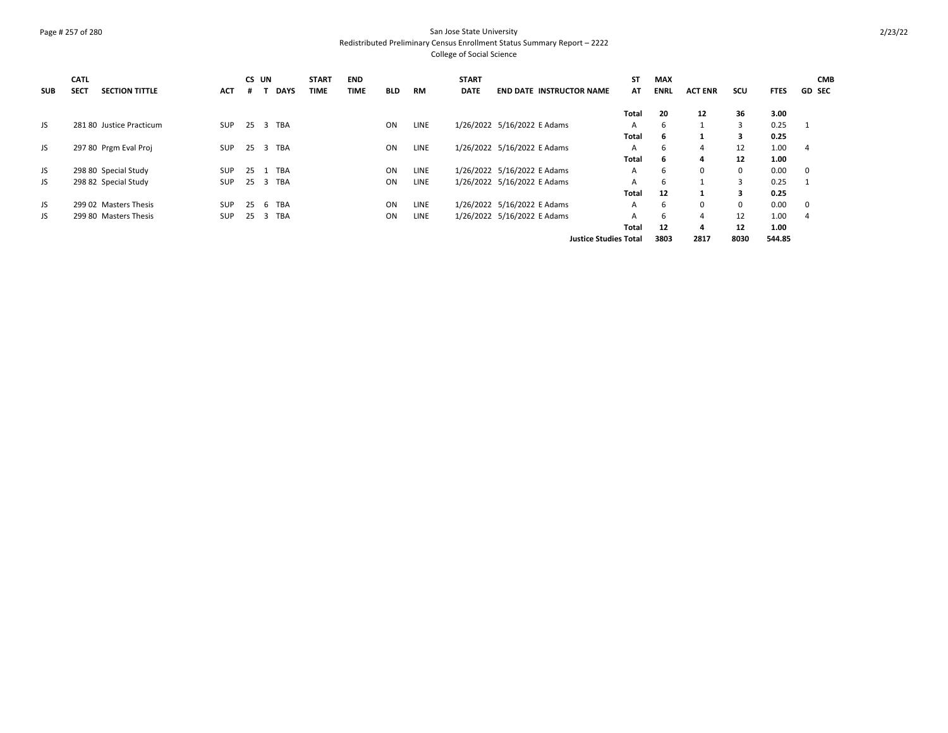### Page # 257 of 280 San Jose State University Redistributed Preliminary Census Enrollment Status Summary Report – 2222 College of Social Science

|            | <b>CATL</b> |                          |            |     | CS UN                   |             | <b>START</b> | <b>END</b>  |            |             | <b>START</b> |                                 | <b>ST</b>                    | <b>MAX</b>  |                |                |             | <b>CMB</b>              |
|------------|-------------|--------------------------|------------|-----|-------------------------|-------------|--------------|-------------|------------|-------------|--------------|---------------------------------|------------------------------|-------------|----------------|----------------|-------------|-------------------------|
| <b>SUB</b> | <b>SECT</b> | <b>SECTION TITTLE</b>    | <b>ACT</b> |     |                         | <b>DAYS</b> | <b>TIME</b>  | <b>TIME</b> | <b>BLD</b> | <b>RM</b>   | <b>DATE</b>  | <b>END DATE INSTRUCTOR NAME</b> | AT                           | <b>ENRL</b> | <b>ACT ENR</b> | scu            | <b>FTES</b> | <b>GD SEC</b>           |
|            |             |                          |            |     |                         |             |              |             |            |             |              |                                 | Total                        | 20          | 12             | 36             | 3.00        |                         |
| JS         |             | 281 80 Justice Practicum | <b>SUP</b> | 25  | $\overline{\mathbf{3}}$ | TBA         |              |             | ON         | LINE        |              | 1/26/2022 5/16/2022 E Adams     | $\mathsf{A}$                 | 6           |                | 3              | 0.25        | $\overline{1}$          |
|            |             |                          |            |     |                         |             |              |             |            |             |              |                                 | Total                        | 6           |                | 3              | 0.25        |                         |
| JS         |             | 297 80 Prgm Eval Proj    | <b>SUP</b> | 25  | $\overline{\mathbf{3}}$ | TBA         |              |             | ON         | <b>LINE</b> |              | 1/26/2022 5/16/2022 E Adams     | A                            | 6           | 4              | 12             | 1.00        | 4                       |
|            |             |                          |            |     |                         |             |              |             |            |             |              |                                 | Total                        | 6           | 4              | 12             | 1.00        |                         |
| JS         |             | 298 80 Special Study     | <b>SUP</b> | 25  |                         | TBA         |              |             | ON         | <b>LINE</b> |              | 1/26/2022 5/16/2022 E Adams     | A                            | 6           | $\Omega$       | $\mathbf 0$    | 0.00        | $\overline{\mathbf{0}}$ |
| JS.        |             | 298 82 Special Study     | <b>SUP</b> | 25  | $\overline{3}$          | TBA         |              |             | ON         | LINE        |              | 1/26/2022 5/16/2022 E Adams     | A                            | 6           |                | $\overline{3}$ | 0.25        |                         |
|            |             |                          |            |     |                         |             |              |             |            |             |              |                                 | Total                        | 12          |                | 3              | 0.25        |                         |
| JS.        |             | 299 02 Masters Thesis    | <b>SUP</b> | -25 | -6                      | TBA         |              |             | <b>ON</b>  | <b>LINE</b> |              | 1/26/2022 5/16/2022 E Adams     | A                            | 6           | $\Omega$       | $\mathbf 0$    | 0.00        | $\overline{\mathbf{0}}$ |
| JS.        |             | 299 80 Masters Thesis    | <b>SUP</b> | 25  | $\overline{\mathbf{3}}$ | TBA         |              |             | ON         | LINE        |              | 1/26/2022 5/16/2022 E Adams     | A                            | 6           | 4              | 12             | 1.00        | 4                       |
|            |             |                          |            |     |                         |             |              |             |            |             |              |                                 | Total                        | 12          | 4              | 12             | 1.00        |                         |
|            |             |                          |            |     |                         |             |              |             |            |             |              |                                 | <b>Justice Studies Total</b> | 3803        | 2817           | 8030           | 544.85      |                         |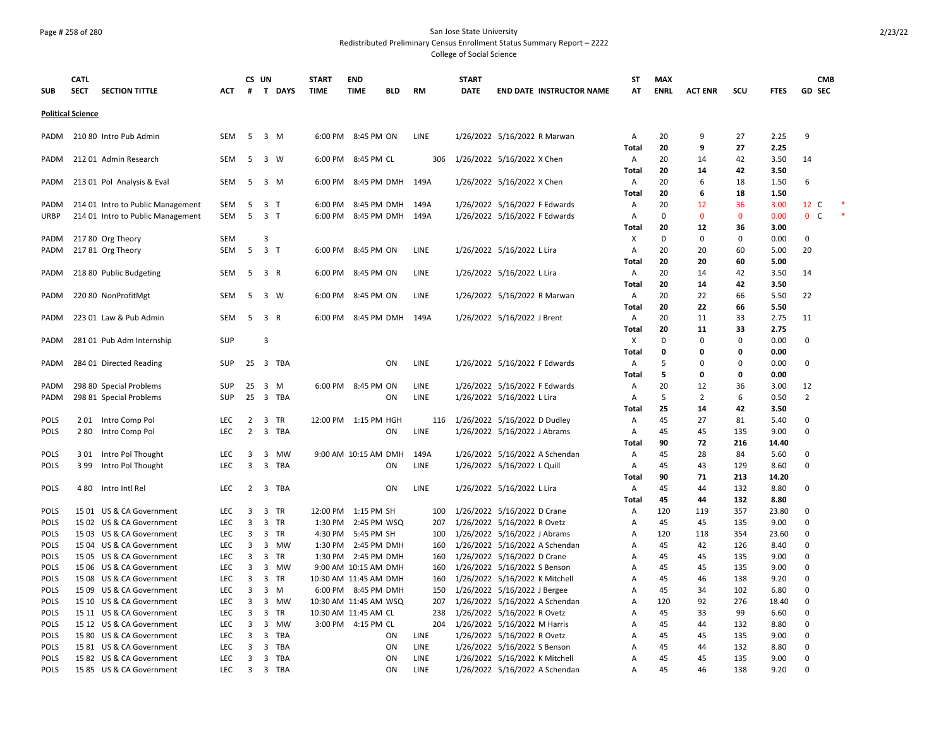### Page # 258 of 280 San Jose State University Redistributed Preliminary Census Enrollment Status Summary Report – 2222 College of Social Science

| <b>SECT</b><br><b>SECTION TITTLE</b><br>T DAYS<br><b>TIME</b><br><b>RM</b><br><b>DATE</b><br><b>ENRL</b><br><b>ACT ENR</b><br>SCU<br><b>GD SEC</b><br><b>ACT</b><br>#<br><b>TIME</b><br><b>BLD</b><br><b>END DATE INSTRUCTOR NAME</b><br>АΤ<br><b>FTES</b><br><b>SUB</b><br><b>Political Science</b><br>210 80 Intro Pub Admin<br>5<br>3 M<br>1/26/2022 5/16/2022 R Marwan<br>2.25<br>9<br><b>SEM</b><br>6:00 PM 8:45 PM ON<br>LINE<br>20<br>9<br>27<br>PADM<br>А<br>20<br>9<br>27<br>2.25<br>Total<br>212 01 Admin Research<br><b>SEM</b><br>5<br>3 W<br>6:00 PM 8:45 PM CL<br>306<br>1/26/2022 5/16/2022 X Chen<br>20<br>42<br>3.50<br>14<br><b>PADM</b><br>Α<br>14<br>Total<br>20<br>42<br>3.50<br>14<br>213 01 Pol Analysis & Eval<br>8:45 PM DMH<br>149A<br>1/26/2022 5/16/2022 X Chen<br>20<br>18<br>6<br>SEM<br>5<br>3 M<br>6:00 PM<br>А<br>6<br>1.50<br>PADM<br>20<br><b>Total</b><br>6<br>18<br>1.50<br>20<br>214 01 Intro to Public Management<br>SEM<br>5<br>3 <sub>1</sub><br>6:00 PM<br>8:45 PM DMH<br>149A<br>1/26/2022 5/16/2022 F Edwards<br>А<br>12<br>36<br>3.00<br>12 C<br>PADM<br>5<br>3 <sub>1</sub><br>1/26/2022 5/16/2022 F Edwards<br>$\mathbf 0$<br>$\mathbf{0}$<br>0.00<br>0 <sup>o</sup><br>214 01 Intro to Public Management<br>SEM<br>6:00 PM 8:45 PM DMH<br>149A<br>$\mathbf{0}$<br>URBP<br>А<br>20<br>12<br>36<br>Total<br>3.00<br>$\mathbf 0$<br><b>SEM</b><br>3<br>X<br>$\mathbf 0$<br>$\mathbf 0$<br>0.00<br>217 80 Org Theory<br>$\mathbf 0$<br>PADM<br>217 81 Org Theory<br>5<br>3 <sub>1</sub><br>LINE<br>1/26/2022 5/16/2022 L Lira<br>20<br>5.00<br>20<br>SEM<br>6:00 PM 8:45 PM ON<br>Α<br>20<br>60<br>PADM<br>20<br>20<br>60<br>5.00<br>Total<br>218 80 Public Budgeting<br>LINE<br>1/26/2022 5/16/2022 L Lira<br>20<br>42<br>PADM<br>SEM<br>5<br>3 R<br>6:00 PM 8:45 PM ON<br>Α<br>14<br>3.50<br>14<br>Total<br>20<br>42<br>3.50<br>14<br>20<br>22<br>66<br>220 80 NonProfitMgt<br>SEM<br>5<br>3 W<br>6:00 PM 8:45 PM ON<br>LINE<br>1/26/2022 5/16/2022 R Marwan<br>Α<br>5.50<br>22<br>PADM<br>22<br>5.50<br><b>Total</b><br>20<br>66<br>1/26/2022 5/16/2022 J Brent<br>20<br>33<br>PADM<br>223 01 Law & Pub Admin<br><b>SEM</b><br>5<br>3 R<br>6:00 PM 8:45 PM DMH<br>149A<br>Α<br>11<br>2.75<br>11<br>20<br>33<br>11<br>2.75<br>Total<br>281 01 Pub Adm Internship<br>SUP<br>3<br>X<br>$\mathbf 0$<br>$\mathbf 0$<br>$\mathbf 0$<br>0.00<br>$\Omega$<br>PADM<br><b>Total</b><br>0<br>0.00<br>$\Omega$<br>0<br>25<br>LINE<br>1/26/2022 5/16/2022 F Edwards<br>5<br>0<br>0.00<br>0<br>284 01 Directed Reading<br><b>SUP</b><br>3 TBA<br>ON<br>Α<br>0<br>PADM<br>5<br>Total<br>0<br>0<br>0.00<br>298 80 Special Problems<br><b>SUP</b><br>25<br>LINE<br>1/26/2022 5/16/2022 F Edwards<br>20<br>36<br>3.00<br>12<br>PADM<br>3 M<br>6:00 PM 8:45 PM ON<br>А<br>12<br>1/26/2022 5/16/2022 L Lira<br>5<br>$\overline{2}$<br>$\overline{2}$<br>298 81 Special Problems<br><b>SUP</b><br>25 3 TBA<br>ON<br>LINE<br>6<br>0.50<br>PADM<br>А<br>25<br>42<br>Total<br>14<br>3.50<br>1/26/2022 5/16/2022 D Dudley<br>27<br><b>POLS</b><br>201 Intro Comp Pol<br>LEC<br>$\overline{2}$<br>3 TR<br>12:00 PM 1:15 PM HGH<br>Α<br>45<br>81<br>5.40<br>0<br>116<br><b>LEC</b><br>$\overline{2}$<br>LINE<br>1/26/2022 5/16/2022 J Abrams<br>45<br>0<br><b>POLS</b><br>280<br>Intro Comp Pol<br>3 TBA<br>ON<br>Α<br>45<br>135<br>9.00<br><b>Total</b><br>90<br>72<br>216<br>14.40<br>POLS<br>Intro Pol Thought<br>LEC<br>3<br>3 MW<br>9:00 AM 10:15 AM DMH<br>149A<br>1/26/2022 5/16/2022 A Schendan<br>45<br>28<br>$\Omega$<br>301<br>А<br>84<br>5.60<br>399<br>Intro Pol Thought<br><b>LEC</b><br>3<br>3 TBA<br>LINE<br>1/26/2022 5/16/2022 L Quill<br>129<br>8.60<br>$\Omega$<br><b>POLS</b><br>ON<br>А<br>45<br>43<br>90<br>Total<br>71<br>213<br>14.20<br><b>LEC</b><br>1/26/2022 5/16/2022 L Lira<br>45<br><b>POLS</b><br>Intro Intl Rel<br>2<br>3 TBA<br>ON<br>LINE<br>А<br>44<br>132<br>8.80<br>0<br>480<br><b>Total</b><br>45<br>44<br>132<br>8.80<br>15 01 US & CA Government<br>LEC<br>1/26/2022 5/16/2022 D Crane<br>120<br>357<br>$\Omega$<br><b>POLS</b><br>3<br>3 TR<br>12:00 PM 1:15 PM SH<br>100<br>Α<br>119<br>23.80<br>15 02 US & CA Government<br><b>LEC</b><br>3<br>3 TR<br>1:30 PM 2:45 PM WSQ<br>1/26/2022 5/16/2022 R Ovetz<br>45<br>45<br>135<br>9.00<br>$\Omega$<br><b>POLS</b><br>207<br>А<br>3<br>3 TR<br>1/26/2022 5/16/2022 J Abrams<br>$\Omega$<br><b>POLS</b><br>15 03 US & CA Government<br><b>LEC</b><br>4:30 PM 5:45 PM SH<br>120<br>118<br>354<br>23.60<br>100<br>A<br>1/26/2022 5/16/2022 A Schendan<br>$\Omega$<br><b>POLS</b><br>15 04 US & CA Government<br><b>LEC</b><br>3<br>3 MW<br>1:30 PM 2:45 PM DMH<br>45<br>42<br>126<br>8.40<br>160<br>A<br><b>POLS</b><br>15 05 US & CA Government<br><b>LEC</b><br>3<br>3 TR<br>1:30 PM 2:45 PM DMH<br>1/26/2022 5/16/2022 D Crane<br>45<br>45<br>135<br>9.00<br>0<br>160<br>Α<br>3<br>3 MW<br>1/26/2022 5/16/2022 S Benson<br>45<br>$\Omega$<br><b>POLS</b><br>15 06 US & CA Government<br>LEC<br>9:00 AM 10:15 AM DMH<br>160<br>А<br>45<br>135<br>9.00<br>LEC<br>3<br>3 TR<br>1/26/2022 5/16/2022 K Mitchell<br>138<br>9.20<br>$\Omega$<br><b>POLS</b><br>15 08 US & CA Government<br>10:30 AM 11:45 AM DMH<br>160<br>А<br>45<br>46<br>15 09 US & CA Government<br>LEC<br>3<br>$3 \, M$<br>1/26/2022 5/16/2022 J Bergee<br>34<br>102<br>$\Omega$<br><b>POLS</b><br>6:00 PM 8:45 PM DMH<br>150<br>А<br>45<br>6.80<br>1/26/2022 5/16/2022 A Schendan<br>$\Omega$<br>15 10 US & CA Government<br><b>LEC</b><br>3<br>3<br>MW<br>10:30 AM 11:45 AM WSQ<br>207<br>120<br>92<br>276<br><b>POLS</b><br>Α<br>18.40<br>POLS<br>15 11 US & CA Government<br><b>LEC</b><br>3<br>3 TR<br>10:30 AM 11:45 AM CL<br>1/26/2022 5/16/2022 R Ovetz<br>45<br>33<br>99<br>6.60<br>$\Omega$<br>238<br>Α<br>15 12 US & CA Government<br><b>LEC</b><br>3<br>3 MW<br>3:00 PM 4:15 PM CL<br>204<br>1/26/2022 5/16/2022 M Harris<br>45<br>132<br>$\Omega$<br><b>POLS</b><br>A<br>44<br>8.80<br>LEC<br>TBA<br>LINE<br>1/26/2022 5/16/2022 R Ovetz<br>135<br>9.00<br>0<br><b>POLS</b><br>15 80 US & CA Government<br>3<br>3<br>ON<br>А<br>45<br>45<br><b>POLS</b><br>1581 US & CA Government<br><b>LEC</b><br>3<br>3 TBA<br>ON<br><b>LINE</b><br>1/26/2022 5/16/2022 S Benson<br>45<br>44<br>132<br>8.80<br>O<br>A<br>$\Omega$<br><b>POLS</b><br>15 82 US & CA Government<br><b>LEC</b><br>3<br>3 TBA<br>ON<br><b>LINE</b><br>1/26/2022 5/16/2022 K Mitchell<br>A<br>45<br>45<br>135<br>9.00<br><b>LEC</b><br>$\overline{3}$<br>1/26/2022 5/16/2022 A Schendan<br>45<br>138<br>$\Omega$<br>3 TBA<br>46<br>1585 US & CA Government<br>A |             | <b>CATL</b> |  | CS UN | <b>START</b> | <b>END</b> |    |      | <b>START</b> | SΤ | <b>MAX</b> |  |      | <b>CMB</b> |  |
|-----------------------------------------------------------------------------------------------------------------------------------------------------------------------------------------------------------------------------------------------------------------------------------------------------------------------------------------------------------------------------------------------------------------------------------------------------------------------------------------------------------------------------------------------------------------------------------------------------------------------------------------------------------------------------------------------------------------------------------------------------------------------------------------------------------------------------------------------------------------------------------------------------------------------------------------------------------------------------------------------------------------------------------------------------------------------------------------------------------------------------------------------------------------------------------------------------------------------------------------------------------------------------------------------------------------------------------------------------------------------------------------------------------------------------------------------------------------------------------------------------------------------------------------------------------------------------------------------------------------------------------------------------------------------------------------------------------------------------------------------------------------------------------------------------------------------------------------------------------------------------------------------------------------------------------------------------------------------------------------------------------------------------------------------------------------------------------------------------------------------------------------------------------------------------------------------------------------------------------------------------------------------------------------------------------------------------------------------------------------------------------------------------------------------------------------------------------------------------------------------------------------------------------------------------------------------------------------------------------------------------------------------------------------------------------------------------------------------------------------------------------------------------------------------------------------------------------------------------------------------------------------------------------------------------------------------------------------------------------------------------------------------------------------------------------------------------------------------------------------------------------------------------------------------------------------------------------------------------------------------------------------------------------------------------------------------------------------------------------------------------------------------------------------------------------------------------------------------------------------------------------------------------------------------------------------------------------------------------------------------------------------------------------------------------------------------------------------------------------------------------------------------------------------------------------------------------------------------------------------------------------------------------------------------------------------------------------------------------------------------------------------------------------------------------------------------------------------------------------------------------------------------------------------------------------------------------------------------------------------------------------------------------------------------------------------------------------------------------------------------------------------------------------------------------------------------------------------------------------------------------------------------------------------------------------------------------------------------------------------------------------------------------------------------------------------------------------------------------------------------------------------------------------------------------------------------------------------------------------------------------------------------------------------------------------------------------------------------------------------------------------------------------------------------------------------------------------------------------------------------------------------------------------------------------------------------------------------------------------------------------------------------------------------------------------------------------------------------------------------------------------------------------------------------------------------------------------------------------------------------------------------------------------------------------------------------------------------------------------------------------------------------------------------------------------------------------------------------------------------------------------------------------------------------------------------------------------------------------------------------------------------------------------------------------------------------------------------------------------------------------------------------------------------------------------------------------------------------------------------------------------------------------------------------------------------------------------------------------------------------------------------------------------------------------------------------------------------------------------------------------------------------------------------------------------------------------------------------------------------------------------------------------------------------------------------------------------------------------------------------|-------------|-------------|--|-------|--------------|------------|----|------|--------------|----|------------|--|------|------------|--|
|                                                                                                                                                                                                                                                                                                                                                                                                                                                                                                                                                                                                                                                                                                                                                                                                                                                                                                                                                                                                                                                                                                                                                                                                                                                                                                                                                                                                                                                                                                                                                                                                                                                                                                                                                                                                                                                                                                                                                                                                                                                                                                                                                                                                                                                                                                                                                                                                                                                                                                                                                                                                                                                                                                                                                                                                                                                                                                                                                                                                                                                                                                                                                                                                                                                                                                                                                                                                                                                                                                                                                                                                                                                                                                                                                                                                                                                                                                                                                                                                                                                                                                                                                                                                                                                                                                                                                                                                                                                                                                                                                                                                                                                                                                                                                                                                                                                                                                                                                                                                                                                                                                                                                                                                                                                                                                                                                                                                                                                                                                                                                                                                                                                                                                                                                                                                                                                                                                                                                                                                                                                                                                                                                                                                                                                                                                                                                                                                                                                                                                                                                                                                                       |             |             |  |       |              |            |    |      |              |    |            |  |      |            |  |
|                                                                                                                                                                                                                                                                                                                                                                                                                                                                                                                                                                                                                                                                                                                                                                                                                                                                                                                                                                                                                                                                                                                                                                                                                                                                                                                                                                                                                                                                                                                                                                                                                                                                                                                                                                                                                                                                                                                                                                                                                                                                                                                                                                                                                                                                                                                                                                                                                                                                                                                                                                                                                                                                                                                                                                                                                                                                                                                                                                                                                                                                                                                                                                                                                                                                                                                                                                                                                                                                                                                                                                                                                                                                                                                                                                                                                                                                                                                                                                                                                                                                                                                                                                                                                                                                                                                                                                                                                                                                                                                                                                                                                                                                                                                                                                                                                                                                                                                                                                                                                                                                                                                                                                                                                                                                                                                                                                                                                                                                                                                                                                                                                                                                                                                                                                                                                                                                                                                                                                                                                                                                                                                                                                                                                                                                                                                                                                                                                                                                                                                                                                                                                       |             |             |  |       |              |            |    |      |              |    |            |  |      |            |  |
|                                                                                                                                                                                                                                                                                                                                                                                                                                                                                                                                                                                                                                                                                                                                                                                                                                                                                                                                                                                                                                                                                                                                                                                                                                                                                                                                                                                                                                                                                                                                                                                                                                                                                                                                                                                                                                                                                                                                                                                                                                                                                                                                                                                                                                                                                                                                                                                                                                                                                                                                                                                                                                                                                                                                                                                                                                                                                                                                                                                                                                                                                                                                                                                                                                                                                                                                                                                                                                                                                                                                                                                                                                                                                                                                                                                                                                                                                                                                                                                                                                                                                                                                                                                                                                                                                                                                                                                                                                                                                                                                                                                                                                                                                                                                                                                                                                                                                                                                                                                                                                                                                                                                                                                                                                                                                                                                                                                                                                                                                                                                                                                                                                                                                                                                                                                                                                                                                                                                                                                                                                                                                                                                                                                                                                                                                                                                                                                                                                                                                                                                                                                                                       |             |             |  |       |              |            |    |      |              |    |            |  |      |            |  |
|                                                                                                                                                                                                                                                                                                                                                                                                                                                                                                                                                                                                                                                                                                                                                                                                                                                                                                                                                                                                                                                                                                                                                                                                                                                                                                                                                                                                                                                                                                                                                                                                                                                                                                                                                                                                                                                                                                                                                                                                                                                                                                                                                                                                                                                                                                                                                                                                                                                                                                                                                                                                                                                                                                                                                                                                                                                                                                                                                                                                                                                                                                                                                                                                                                                                                                                                                                                                                                                                                                                                                                                                                                                                                                                                                                                                                                                                                                                                                                                                                                                                                                                                                                                                                                                                                                                                                                                                                                                                                                                                                                                                                                                                                                                                                                                                                                                                                                                                                                                                                                                                                                                                                                                                                                                                                                                                                                                                                                                                                                                                                                                                                                                                                                                                                                                                                                                                                                                                                                                                                                                                                                                                                                                                                                                                                                                                                                                                                                                                                                                                                                                                                       |             |             |  |       |              |            |    |      |              |    |            |  |      |            |  |
|                                                                                                                                                                                                                                                                                                                                                                                                                                                                                                                                                                                                                                                                                                                                                                                                                                                                                                                                                                                                                                                                                                                                                                                                                                                                                                                                                                                                                                                                                                                                                                                                                                                                                                                                                                                                                                                                                                                                                                                                                                                                                                                                                                                                                                                                                                                                                                                                                                                                                                                                                                                                                                                                                                                                                                                                                                                                                                                                                                                                                                                                                                                                                                                                                                                                                                                                                                                                                                                                                                                                                                                                                                                                                                                                                                                                                                                                                                                                                                                                                                                                                                                                                                                                                                                                                                                                                                                                                                                                                                                                                                                                                                                                                                                                                                                                                                                                                                                                                                                                                                                                                                                                                                                                                                                                                                                                                                                                                                                                                                                                                                                                                                                                                                                                                                                                                                                                                                                                                                                                                                                                                                                                                                                                                                                                                                                                                                                                                                                                                                                                                                                                                       |             |             |  |       |              |            |    |      |              |    |            |  |      |            |  |
|                                                                                                                                                                                                                                                                                                                                                                                                                                                                                                                                                                                                                                                                                                                                                                                                                                                                                                                                                                                                                                                                                                                                                                                                                                                                                                                                                                                                                                                                                                                                                                                                                                                                                                                                                                                                                                                                                                                                                                                                                                                                                                                                                                                                                                                                                                                                                                                                                                                                                                                                                                                                                                                                                                                                                                                                                                                                                                                                                                                                                                                                                                                                                                                                                                                                                                                                                                                                                                                                                                                                                                                                                                                                                                                                                                                                                                                                                                                                                                                                                                                                                                                                                                                                                                                                                                                                                                                                                                                                                                                                                                                                                                                                                                                                                                                                                                                                                                                                                                                                                                                                                                                                                                                                                                                                                                                                                                                                                                                                                                                                                                                                                                                                                                                                                                                                                                                                                                                                                                                                                                                                                                                                                                                                                                                                                                                                                                                                                                                                                                                                                                                                                       |             |             |  |       |              |            |    |      |              |    |            |  |      |            |  |
|                                                                                                                                                                                                                                                                                                                                                                                                                                                                                                                                                                                                                                                                                                                                                                                                                                                                                                                                                                                                                                                                                                                                                                                                                                                                                                                                                                                                                                                                                                                                                                                                                                                                                                                                                                                                                                                                                                                                                                                                                                                                                                                                                                                                                                                                                                                                                                                                                                                                                                                                                                                                                                                                                                                                                                                                                                                                                                                                                                                                                                                                                                                                                                                                                                                                                                                                                                                                                                                                                                                                                                                                                                                                                                                                                                                                                                                                                                                                                                                                                                                                                                                                                                                                                                                                                                                                                                                                                                                                                                                                                                                                                                                                                                                                                                                                                                                                                                                                                                                                                                                                                                                                                                                                                                                                                                                                                                                                                                                                                                                                                                                                                                                                                                                                                                                                                                                                                                                                                                                                                                                                                                                                                                                                                                                                                                                                                                                                                                                                                                                                                                                                                       |             |             |  |       |              |            |    |      |              |    |            |  |      |            |  |
|                                                                                                                                                                                                                                                                                                                                                                                                                                                                                                                                                                                                                                                                                                                                                                                                                                                                                                                                                                                                                                                                                                                                                                                                                                                                                                                                                                                                                                                                                                                                                                                                                                                                                                                                                                                                                                                                                                                                                                                                                                                                                                                                                                                                                                                                                                                                                                                                                                                                                                                                                                                                                                                                                                                                                                                                                                                                                                                                                                                                                                                                                                                                                                                                                                                                                                                                                                                                                                                                                                                                                                                                                                                                                                                                                                                                                                                                                                                                                                                                                                                                                                                                                                                                                                                                                                                                                                                                                                                                                                                                                                                                                                                                                                                                                                                                                                                                                                                                                                                                                                                                                                                                                                                                                                                                                                                                                                                                                                                                                                                                                                                                                                                                                                                                                                                                                                                                                                                                                                                                                                                                                                                                                                                                                                                                                                                                                                                                                                                                                                                                                                                                                       |             |             |  |       |              |            |    |      |              |    |            |  |      |            |  |
|                                                                                                                                                                                                                                                                                                                                                                                                                                                                                                                                                                                                                                                                                                                                                                                                                                                                                                                                                                                                                                                                                                                                                                                                                                                                                                                                                                                                                                                                                                                                                                                                                                                                                                                                                                                                                                                                                                                                                                                                                                                                                                                                                                                                                                                                                                                                                                                                                                                                                                                                                                                                                                                                                                                                                                                                                                                                                                                                                                                                                                                                                                                                                                                                                                                                                                                                                                                                                                                                                                                                                                                                                                                                                                                                                                                                                                                                                                                                                                                                                                                                                                                                                                                                                                                                                                                                                                                                                                                                                                                                                                                                                                                                                                                                                                                                                                                                                                                                                                                                                                                                                                                                                                                                                                                                                                                                                                                                                                                                                                                                                                                                                                                                                                                                                                                                                                                                                                                                                                                                                                                                                                                                                                                                                                                                                                                                                                                                                                                                                                                                                                                                                       |             |             |  |       |              |            |    |      |              |    |            |  |      |            |  |
|                                                                                                                                                                                                                                                                                                                                                                                                                                                                                                                                                                                                                                                                                                                                                                                                                                                                                                                                                                                                                                                                                                                                                                                                                                                                                                                                                                                                                                                                                                                                                                                                                                                                                                                                                                                                                                                                                                                                                                                                                                                                                                                                                                                                                                                                                                                                                                                                                                                                                                                                                                                                                                                                                                                                                                                                                                                                                                                                                                                                                                                                                                                                                                                                                                                                                                                                                                                                                                                                                                                                                                                                                                                                                                                                                                                                                                                                                                                                                                                                                                                                                                                                                                                                                                                                                                                                                                                                                                                                                                                                                                                                                                                                                                                                                                                                                                                                                                                                                                                                                                                                                                                                                                                                                                                                                                                                                                                                                                                                                                                                                                                                                                                                                                                                                                                                                                                                                                                                                                                                                                                                                                                                                                                                                                                                                                                                                                                                                                                                                                                                                                                                                       |             |             |  |       |              |            |    |      |              |    |            |  |      |            |  |
|                                                                                                                                                                                                                                                                                                                                                                                                                                                                                                                                                                                                                                                                                                                                                                                                                                                                                                                                                                                                                                                                                                                                                                                                                                                                                                                                                                                                                                                                                                                                                                                                                                                                                                                                                                                                                                                                                                                                                                                                                                                                                                                                                                                                                                                                                                                                                                                                                                                                                                                                                                                                                                                                                                                                                                                                                                                                                                                                                                                                                                                                                                                                                                                                                                                                                                                                                                                                                                                                                                                                                                                                                                                                                                                                                                                                                                                                                                                                                                                                                                                                                                                                                                                                                                                                                                                                                                                                                                                                                                                                                                                                                                                                                                                                                                                                                                                                                                                                                                                                                                                                                                                                                                                                                                                                                                                                                                                                                                                                                                                                                                                                                                                                                                                                                                                                                                                                                                                                                                                                                                                                                                                                                                                                                                                                                                                                                                                                                                                                                                                                                                                                                       |             |             |  |       |              |            |    |      |              |    |            |  |      |            |  |
|                                                                                                                                                                                                                                                                                                                                                                                                                                                                                                                                                                                                                                                                                                                                                                                                                                                                                                                                                                                                                                                                                                                                                                                                                                                                                                                                                                                                                                                                                                                                                                                                                                                                                                                                                                                                                                                                                                                                                                                                                                                                                                                                                                                                                                                                                                                                                                                                                                                                                                                                                                                                                                                                                                                                                                                                                                                                                                                                                                                                                                                                                                                                                                                                                                                                                                                                                                                                                                                                                                                                                                                                                                                                                                                                                                                                                                                                                                                                                                                                                                                                                                                                                                                                                                                                                                                                                                                                                                                                                                                                                                                                                                                                                                                                                                                                                                                                                                                                                                                                                                                                                                                                                                                                                                                                                                                                                                                                                                                                                                                                                                                                                                                                                                                                                                                                                                                                                                                                                                                                                                                                                                                                                                                                                                                                                                                                                                                                                                                                                                                                                                                                                       |             |             |  |       |              |            |    |      |              |    |            |  |      |            |  |
|                                                                                                                                                                                                                                                                                                                                                                                                                                                                                                                                                                                                                                                                                                                                                                                                                                                                                                                                                                                                                                                                                                                                                                                                                                                                                                                                                                                                                                                                                                                                                                                                                                                                                                                                                                                                                                                                                                                                                                                                                                                                                                                                                                                                                                                                                                                                                                                                                                                                                                                                                                                                                                                                                                                                                                                                                                                                                                                                                                                                                                                                                                                                                                                                                                                                                                                                                                                                                                                                                                                                                                                                                                                                                                                                                                                                                                                                                                                                                                                                                                                                                                                                                                                                                                                                                                                                                                                                                                                                                                                                                                                                                                                                                                                                                                                                                                                                                                                                                                                                                                                                                                                                                                                                                                                                                                                                                                                                                                                                                                                                                                                                                                                                                                                                                                                                                                                                                                                                                                                                                                                                                                                                                                                                                                                                                                                                                                                                                                                                                                                                                                                                                       |             |             |  |       |              |            |    |      |              |    |            |  |      |            |  |
|                                                                                                                                                                                                                                                                                                                                                                                                                                                                                                                                                                                                                                                                                                                                                                                                                                                                                                                                                                                                                                                                                                                                                                                                                                                                                                                                                                                                                                                                                                                                                                                                                                                                                                                                                                                                                                                                                                                                                                                                                                                                                                                                                                                                                                                                                                                                                                                                                                                                                                                                                                                                                                                                                                                                                                                                                                                                                                                                                                                                                                                                                                                                                                                                                                                                                                                                                                                                                                                                                                                                                                                                                                                                                                                                                                                                                                                                                                                                                                                                                                                                                                                                                                                                                                                                                                                                                                                                                                                                                                                                                                                                                                                                                                                                                                                                                                                                                                                                                                                                                                                                                                                                                                                                                                                                                                                                                                                                                                                                                                                                                                                                                                                                                                                                                                                                                                                                                                                                                                                                                                                                                                                                                                                                                                                                                                                                                                                                                                                                                                                                                                                                                       |             |             |  |       |              |            |    |      |              |    |            |  |      |            |  |
|                                                                                                                                                                                                                                                                                                                                                                                                                                                                                                                                                                                                                                                                                                                                                                                                                                                                                                                                                                                                                                                                                                                                                                                                                                                                                                                                                                                                                                                                                                                                                                                                                                                                                                                                                                                                                                                                                                                                                                                                                                                                                                                                                                                                                                                                                                                                                                                                                                                                                                                                                                                                                                                                                                                                                                                                                                                                                                                                                                                                                                                                                                                                                                                                                                                                                                                                                                                                                                                                                                                                                                                                                                                                                                                                                                                                                                                                                                                                                                                                                                                                                                                                                                                                                                                                                                                                                                                                                                                                                                                                                                                                                                                                                                                                                                                                                                                                                                                                                                                                                                                                                                                                                                                                                                                                                                                                                                                                                                                                                                                                                                                                                                                                                                                                                                                                                                                                                                                                                                                                                                                                                                                                                                                                                                                                                                                                                                                                                                                                                                                                                                                                                       |             |             |  |       |              |            |    |      |              |    |            |  |      |            |  |
|                                                                                                                                                                                                                                                                                                                                                                                                                                                                                                                                                                                                                                                                                                                                                                                                                                                                                                                                                                                                                                                                                                                                                                                                                                                                                                                                                                                                                                                                                                                                                                                                                                                                                                                                                                                                                                                                                                                                                                                                                                                                                                                                                                                                                                                                                                                                                                                                                                                                                                                                                                                                                                                                                                                                                                                                                                                                                                                                                                                                                                                                                                                                                                                                                                                                                                                                                                                                                                                                                                                                                                                                                                                                                                                                                                                                                                                                                                                                                                                                                                                                                                                                                                                                                                                                                                                                                                                                                                                                                                                                                                                                                                                                                                                                                                                                                                                                                                                                                                                                                                                                                                                                                                                                                                                                                                                                                                                                                                                                                                                                                                                                                                                                                                                                                                                                                                                                                                                                                                                                                                                                                                                                                                                                                                                                                                                                                                                                                                                                                                                                                                                                                       |             |             |  |       |              |            |    |      |              |    |            |  |      |            |  |
|                                                                                                                                                                                                                                                                                                                                                                                                                                                                                                                                                                                                                                                                                                                                                                                                                                                                                                                                                                                                                                                                                                                                                                                                                                                                                                                                                                                                                                                                                                                                                                                                                                                                                                                                                                                                                                                                                                                                                                                                                                                                                                                                                                                                                                                                                                                                                                                                                                                                                                                                                                                                                                                                                                                                                                                                                                                                                                                                                                                                                                                                                                                                                                                                                                                                                                                                                                                                                                                                                                                                                                                                                                                                                                                                                                                                                                                                                                                                                                                                                                                                                                                                                                                                                                                                                                                                                                                                                                                                                                                                                                                                                                                                                                                                                                                                                                                                                                                                                                                                                                                                                                                                                                                                                                                                                                                                                                                                                                                                                                                                                                                                                                                                                                                                                                                                                                                                                                                                                                                                                                                                                                                                                                                                                                                                                                                                                                                                                                                                                                                                                                                                                       |             |             |  |       |              |            |    |      |              |    |            |  |      |            |  |
|                                                                                                                                                                                                                                                                                                                                                                                                                                                                                                                                                                                                                                                                                                                                                                                                                                                                                                                                                                                                                                                                                                                                                                                                                                                                                                                                                                                                                                                                                                                                                                                                                                                                                                                                                                                                                                                                                                                                                                                                                                                                                                                                                                                                                                                                                                                                                                                                                                                                                                                                                                                                                                                                                                                                                                                                                                                                                                                                                                                                                                                                                                                                                                                                                                                                                                                                                                                                                                                                                                                                                                                                                                                                                                                                                                                                                                                                                                                                                                                                                                                                                                                                                                                                                                                                                                                                                                                                                                                                                                                                                                                                                                                                                                                                                                                                                                                                                                                                                                                                                                                                                                                                                                                                                                                                                                                                                                                                                                                                                                                                                                                                                                                                                                                                                                                                                                                                                                                                                                                                                                                                                                                                                                                                                                                                                                                                                                                                                                                                                                                                                                                                                       |             |             |  |       |              |            |    |      |              |    |            |  |      |            |  |
|                                                                                                                                                                                                                                                                                                                                                                                                                                                                                                                                                                                                                                                                                                                                                                                                                                                                                                                                                                                                                                                                                                                                                                                                                                                                                                                                                                                                                                                                                                                                                                                                                                                                                                                                                                                                                                                                                                                                                                                                                                                                                                                                                                                                                                                                                                                                                                                                                                                                                                                                                                                                                                                                                                                                                                                                                                                                                                                                                                                                                                                                                                                                                                                                                                                                                                                                                                                                                                                                                                                                                                                                                                                                                                                                                                                                                                                                                                                                                                                                                                                                                                                                                                                                                                                                                                                                                                                                                                                                                                                                                                                                                                                                                                                                                                                                                                                                                                                                                                                                                                                                                                                                                                                                                                                                                                                                                                                                                                                                                                                                                                                                                                                                                                                                                                                                                                                                                                                                                                                                                                                                                                                                                                                                                                                                                                                                                                                                                                                                                                                                                                                                                       |             |             |  |       |              |            |    |      |              |    |            |  |      |            |  |
|                                                                                                                                                                                                                                                                                                                                                                                                                                                                                                                                                                                                                                                                                                                                                                                                                                                                                                                                                                                                                                                                                                                                                                                                                                                                                                                                                                                                                                                                                                                                                                                                                                                                                                                                                                                                                                                                                                                                                                                                                                                                                                                                                                                                                                                                                                                                                                                                                                                                                                                                                                                                                                                                                                                                                                                                                                                                                                                                                                                                                                                                                                                                                                                                                                                                                                                                                                                                                                                                                                                                                                                                                                                                                                                                                                                                                                                                                                                                                                                                                                                                                                                                                                                                                                                                                                                                                                                                                                                                                                                                                                                                                                                                                                                                                                                                                                                                                                                                                                                                                                                                                                                                                                                                                                                                                                                                                                                                                                                                                                                                                                                                                                                                                                                                                                                                                                                                                                                                                                                                                                                                                                                                                                                                                                                                                                                                                                                                                                                                                                                                                                                                                       |             |             |  |       |              |            |    |      |              |    |            |  |      |            |  |
|                                                                                                                                                                                                                                                                                                                                                                                                                                                                                                                                                                                                                                                                                                                                                                                                                                                                                                                                                                                                                                                                                                                                                                                                                                                                                                                                                                                                                                                                                                                                                                                                                                                                                                                                                                                                                                                                                                                                                                                                                                                                                                                                                                                                                                                                                                                                                                                                                                                                                                                                                                                                                                                                                                                                                                                                                                                                                                                                                                                                                                                                                                                                                                                                                                                                                                                                                                                                                                                                                                                                                                                                                                                                                                                                                                                                                                                                                                                                                                                                                                                                                                                                                                                                                                                                                                                                                                                                                                                                                                                                                                                                                                                                                                                                                                                                                                                                                                                                                                                                                                                                                                                                                                                                                                                                                                                                                                                                                                                                                                                                                                                                                                                                                                                                                                                                                                                                                                                                                                                                                                                                                                                                                                                                                                                                                                                                                                                                                                                                                                                                                                                                                       |             |             |  |       |              |            |    |      |              |    |            |  |      |            |  |
|                                                                                                                                                                                                                                                                                                                                                                                                                                                                                                                                                                                                                                                                                                                                                                                                                                                                                                                                                                                                                                                                                                                                                                                                                                                                                                                                                                                                                                                                                                                                                                                                                                                                                                                                                                                                                                                                                                                                                                                                                                                                                                                                                                                                                                                                                                                                                                                                                                                                                                                                                                                                                                                                                                                                                                                                                                                                                                                                                                                                                                                                                                                                                                                                                                                                                                                                                                                                                                                                                                                                                                                                                                                                                                                                                                                                                                                                                                                                                                                                                                                                                                                                                                                                                                                                                                                                                                                                                                                                                                                                                                                                                                                                                                                                                                                                                                                                                                                                                                                                                                                                                                                                                                                                                                                                                                                                                                                                                                                                                                                                                                                                                                                                                                                                                                                                                                                                                                                                                                                                                                                                                                                                                                                                                                                                                                                                                                                                                                                                                                                                                                                                                       |             |             |  |       |              |            |    |      |              |    |            |  |      |            |  |
|                                                                                                                                                                                                                                                                                                                                                                                                                                                                                                                                                                                                                                                                                                                                                                                                                                                                                                                                                                                                                                                                                                                                                                                                                                                                                                                                                                                                                                                                                                                                                                                                                                                                                                                                                                                                                                                                                                                                                                                                                                                                                                                                                                                                                                                                                                                                                                                                                                                                                                                                                                                                                                                                                                                                                                                                                                                                                                                                                                                                                                                                                                                                                                                                                                                                                                                                                                                                                                                                                                                                                                                                                                                                                                                                                                                                                                                                                                                                                                                                                                                                                                                                                                                                                                                                                                                                                                                                                                                                                                                                                                                                                                                                                                                                                                                                                                                                                                                                                                                                                                                                                                                                                                                                                                                                                                                                                                                                                                                                                                                                                                                                                                                                                                                                                                                                                                                                                                                                                                                                                                                                                                                                                                                                                                                                                                                                                                                                                                                                                                                                                                                                                       |             |             |  |       |              |            |    |      |              |    |            |  |      |            |  |
|                                                                                                                                                                                                                                                                                                                                                                                                                                                                                                                                                                                                                                                                                                                                                                                                                                                                                                                                                                                                                                                                                                                                                                                                                                                                                                                                                                                                                                                                                                                                                                                                                                                                                                                                                                                                                                                                                                                                                                                                                                                                                                                                                                                                                                                                                                                                                                                                                                                                                                                                                                                                                                                                                                                                                                                                                                                                                                                                                                                                                                                                                                                                                                                                                                                                                                                                                                                                                                                                                                                                                                                                                                                                                                                                                                                                                                                                                                                                                                                                                                                                                                                                                                                                                                                                                                                                                                                                                                                                                                                                                                                                                                                                                                                                                                                                                                                                                                                                                                                                                                                                                                                                                                                                                                                                                                                                                                                                                                                                                                                                                                                                                                                                                                                                                                                                                                                                                                                                                                                                                                                                                                                                                                                                                                                                                                                                                                                                                                                                                                                                                                                                                       |             |             |  |       |              |            |    |      |              |    |            |  |      |            |  |
|                                                                                                                                                                                                                                                                                                                                                                                                                                                                                                                                                                                                                                                                                                                                                                                                                                                                                                                                                                                                                                                                                                                                                                                                                                                                                                                                                                                                                                                                                                                                                                                                                                                                                                                                                                                                                                                                                                                                                                                                                                                                                                                                                                                                                                                                                                                                                                                                                                                                                                                                                                                                                                                                                                                                                                                                                                                                                                                                                                                                                                                                                                                                                                                                                                                                                                                                                                                                                                                                                                                                                                                                                                                                                                                                                                                                                                                                                                                                                                                                                                                                                                                                                                                                                                                                                                                                                                                                                                                                                                                                                                                                                                                                                                                                                                                                                                                                                                                                                                                                                                                                                                                                                                                                                                                                                                                                                                                                                                                                                                                                                                                                                                                                                                                                                                                                                                                                                                                                                                                                                                                                                                                                                                                                                                                                                                                                                                                                                                                                                                                                                                                                                       |             |             |  |       |              |            |    |      |              |    |            |  |      |            |  |
|                                                                                                                                                                                                                                                                                                                                                                                                                                                                                                                                                                                                                                                                                                                                                                                                                                                                                                                                                                                                                                                                                                                                                                                                                                                                                                                                                                                                                                                                                                                                                                                                                                                                                                                                                                                                                                                                                                                                                                                                                                                                                                                                                                                                                                                                                                                                                                                                                                                                                                                                                                                                                                                                                                                                                                                                                                                                                                                                                                                                                                                                                                                                                                                                                                                                                                                                                                                                                                                                                                                                                                                                                                                                                                                                                                                                                                                                                                                                                                                                                                                                                                                                                                                                                                                                                                                                                                                                                                                                                                                                                                                                                                                                                                                                                                                                                                                                                                                                                                                                                                                                                                                                                                                                                                                                                                                                                                                                                                                                                                                                                                                                                                                                                                                                                                                                                                                                                                                                                                                                                                                                                                                                                                                                                                                                                                                                                                                                                                                                                                                                                                                                                       |             |             |  |       |              |            |    |      |              |    |            |  |      |            |  |
|                                                                                                                                                                                                                                                                                                                                                                                                                                                                                                                                                                                                                                                                                                                                                                                                                                                                                                                                                                                                                                                                                                                                                                                                                                                                                                                                                                                                                                                                                                                                                                                                                                                                                                                                                                                                                                                                                                                                                                                                                                                                                                                                                                                                                                                                                                                                                                                                                                                                                                                                                                                                                                                                                                                                                                                                                                                                                                                                                                                                                                                                                                                                                                                                                                                                                                                                                                                                                                                                                                                                                                                                                                                                                                                                                                                                                                                                                                                                                                                                                                                                                                                                                                                                                                                                                                                                                                                                                                                                                                                                                                                                                                                                                                                                                                                                                                                                                                                                                                                                                                                                                                                                                                                                                                                                                                                                                                                                                                                                                                                                                                                                                                                                                                                                                                                                                                                                                                                                                                                                                                                                                                                                                                                                                                                                                                                                                                                                                                                                                                                                                                                                                       |             |             |  |       |              |            |    |      |              |    |            |  |      |            |  |
|                                                                                                                                                                                                                                                                                                                                                                                                                                                                                                                                                                                                                                                                                                                                                                                                                                                                                                                                                                                                                                                                                                                                                                                                                                                                                                                                                                                                                                                                                                                                                                                                                                                                                                                                                                                                                                                                                                                                                                                                                                                                                                                                                                                                                                                                                                                                                                                                                                                                                                                                                                                                                                                                                                                                                                                                                                                                                                                                                                                                                                                                                                                                                                                                                                                                                                                                                                                                                                                                                                                                                                                                                                                                                                                                                                                                                                                                                                                                                                                                                                                                                                                                                                                                                                                                                                                                                                                                                                                                                                                                                                                                                                                                                                                                                                                                                                                                                                                                                                                                                                                                                                                                                                                                                                                                                                                                                                                                                                                                                                                                                                                                                                                                                                                                                                                                                                                                                                                                                                                                                                                                                                                                                                                                                                                                                                                                                                                                                                                                                                                                                                                                                       |             |             |  |       |              |            |    |      |              |    |            |  |      |            |  |
|                                                                                                                                                                                                                                                                                                                                                                                                                                                                                                                                                                                                                                                                                                                                                                                                                                                                                                                                                                                                                                                                                                                                                                                                                                                                                                                                                                                                                                                                                                                                                                                                                                                                                                                                                                                                                                                                                                                                                                                                                                                                                                                                                                                                                                                                                                                                                                                                                                                                                                                                                                                                                                                                                                                                                                                                                                                                                                                                                                                                                                                                                                                                                                                                                                                                                                                                                                                                                                                                                                                                                                                                                                                                                                                                                                                                                                                                                                                                                                                                                                                                                                                                                                                                                                                                                                                                                                                                                                                                                                                                                                                                                                                                                                                                                                                                                                                                                                                                                                                                                                                                                                                                                                                                                                                                                                                                                                                                                                                                                                                                                                                                                                                                                                                                                                                                                                                                                                                                                                                                                                                                                                                                                                                                                                                                                                                                                                                                                                                                                                                                                                                                                       |             |             |  |       |              |            |    |      |              |    |            |  |      |            |  |
|                                                                                                                                                                                                                                                                                                                                                                                                                                                                                                                                                                                                                                                                                                                                                                                                                                                                                                                                                                                                                                                                                                                                                                                                                                                                                                                                                                                                                                                                                                                                                                                                                                                                                                                                                                                                                                                                                                                                                                                                                                                                                                                                                                                                                                                                                                                                                                                                                                                                                                                                                                                                                                                                                                                                                                                                                                                                                                                                                                                                                                                                                                                                                                                                                                                                                                                                                                                                                                                                                                                                                                                                                                                                                                                                                                                                                                                                                                                                                                                                                                                                                                                                                                                                                                                                                                                                                                                                                                                                                                                                                                                                                                                                                                                                                                                                                                                                                                                                                                                                                                                                                                                                                                                                                                                                                                                                                                                                                                                                                                                                                                                                                                                                                                                                                                                                                                                                                                                                                                                                                                                                                                                                                                                                                                                                                                                                                                                                                                                                                                                                                                                                                       |             |             |  |       |              |            |    |      |              |    |            |  |      |            |  |
|                                                                                                                                                                                                                                                                                                                                                                                                                                                                                                                                                                                                                                                                                                                                                                                                                                                                                                                                                                                                                                                                                                                                                                                                                                                                                                                                                                                                                                                                                                                                                                                                                                                                                                                                                                                                                                                                                                                                                                                                                                                                                                                                                                                                                                                                                                                                                                                                                                                                                                                                                                                                                                                                                                                                                                                                                                                                                                                                                                                                                                                                                                                                                                                                                                                                                                                                                                                                                                                                                                                                                                                                                                                                                                                                                                                                                                                                                                                                                                                                                                                                                                                                                                                                                                                                                                                                                                                                                                                                                                                                                                                                                                                                                                                                                                                                                                                                                                                                                                                                                                                                                                                                                                                                                                                                                                                                                                                                                                                                                                                                                                                                                                                                                                                                                                                                                                                                                                                                                                                                                                                                                                                                                                                                                                                                                                                                                                                                                                                                                                                                                                                                                       |             |             |  |       |              |            |    |      |              |    |            |  |      |            |  |
|                                                                                                                                                                                                                                                                                                                                                                                                                                                                                                                                                                                                                                                                                                                                                                                                                                                                                                                                                                                                                                                                                                                                                                                                                                                                                                                                                                                                                                                                                                                                                                                                                                                                                                                                                                                                                                                                                                                                                                                                                                                                                                                                                                                                                                                                                                                                                                                                                                                                                                                                                                                                                                                                                                                                                                                                                                                                                                                                                                                                                                                                                                                                                                                                                                                                                                                                                                                                                                                                                                                                                                                                                                                                                                                                                                                                                                                                                                                                                                                                                                                                                                                                                                                                                                                                                                                                                                                                                                                                                                                                                                                                                                                                                                                                                                                                                                                                                                                                                                                                                                                                                                                                                                                                                                                                                                                                                                                                                                                                                                                                                                                                                                                                                                                                                                                                                                                                                                                                                                                                                                                                                                                                                                                                                                                                                                                                                                                                                                                                                                                                                                                                                       |             |             |  |       |              |            |    |      |              |    |            |  |      |            |  |
|                                                                                                                                                                                                                                                                                                                                                                                                                                                                                                                                                                                                                                                                                                                                                                                                                                                                                                                                                                                                                                                                                                                                                                                                                                                                                                                                                                                                                                                                                                                                                                                                                                                                                                                                                                                                                                                                                                                                                                                                                                                                                                                                                                                                                                                                                                                                                                                                                                                                                                                                                                                                                                                                                                                                                                                                                                                                                                                                                                                                                                                                                                                                                                                                                                                                                                                                                                                                                                                                                                                                                                                                                                                                                                                                                                                                                                                                                                                                                                                                                                                                                                                                                                                                                                                                                                                                                                                                                                                                                                                                                                                                                                                                                                                                                                                                                                                                                                                                                                                                                                                                                                                                                                                                                                                                                                                                                                                                                                                                                                                                                                                                                                                                                                                                                                                                                                                                                                                                                                                                                                                                                                                                                                                                                                                                                                                                                                                                                                                                                                                                                                                                                       |             |             |  |       |              |            |    |      |              |    |            |  |      |            |  |
|                                                                                                                                                                                                                                                                                                                                                                                                                                                                                                                                                                                                                                                                                                                                                                                                                                                                                                                                                                                                                                                                                                                                                                                                                                                                                                                                                                                                                                                                                                                                                                                                                                                                                                                                                                                                                                                                                                                                                                                                                                                                                                                                                                                                                                                                                                                                                                                                                                                                                                                                                                                                                                                                                                                                                                                                                                                                                                                                                                                                                                                                                                                                                                                                                                                                                                                                                                                                                                                                                                                                                                                                                                                                                                                                                                                                                                                                                                                                                                                                                                                                                                                                                                                                                                                                                                                                                                                                                                                                                                                                                                                                                                                                                                                                                                                                                                                                                                                                                                                                                                                                                                                                                                                                                                                                                                                                                                                                                                                                                                                                                                                                                                                                                                                                                                                                                                                                                                                                                                                                                                                                                                                                                                                                                                                                                                                                                                                                                                                                                                                                                                                                                       |             |             |  |       |              |            |    |      |              |    |            |  |      |            |  |
|                                                                                                                                                                                                                                                                                                                                                                                                                                                                                                                                                                                                                                                                                                                                                                                                                                                                                                                                                                                                                                                                                                                                                                                                                                                                                                                                                                                                                                                                                                                                                                                                                                                                                                                                                                                                                                                                                                                                                                                                                                                                                                                                                                                                                                                                                                                                                                                                                                                                                                                                                                                                                                                                                                                                                                                                                                                                                                                                                                                                                                                                                                                                                                                                                                                                                                                                                                                                                                                                                                                                                                                                                                                                                                                                                                                                                                                                                                                                                                                                                                                                                                                                                                                                                                                                                                                                                                                                                                                                                                                                                                                                                                                                                                                                                                                                                                                                                                                                                                                                                                                                                                                                                                                                                                                                                                                                                                                                                                                                                                                                                                                                                                                                                                                                                                                                                                                                                                                                                                                                                                                                                                                                                                                                                                                                                                                                                                                                                                                                                                                                                                                                                       |             |             |  |       |              |            |    |      |              |    |            |  |      |            |  |
|                                                                                                                                                                                                                                                                                                                                                                                                                                                                                                                                                                                                                                                                                                                                                                                                                                                                                                                                                                                                                                                                                                                                                                                                                                                                                                                                                                                                                                                                                                                                                                                                                                                                                                                                                                                                                                                                                                                                                                                                                                                                                                                                                                                                                                                                                                                                                                                                                                                                                                                                                                                                                                                                                                                                                                                                                                                                                                                                                                                                                                                                                                                                                                                                                                                                                                                                                                                                                                                                                                                                                                                                                                                                                                                                                                                                                                                                                                                                                                                                                                                                                                                                                                                                                                                                                                                                                                                                                                                                                                                                                                                                                                                                                                                                                                                                                                                                                                                                                                                                                                                                                                                                                                                                                                                                                                                                                                                                                                                                                                                                                                                                                                                                                                                                                                                                                                                                                                                                                                                                                                                                                                                                                                                                                                                                                                                                                                                                                                                                                                                                                                                                                       |             |             |  |       |              |            |    |      |              |    |            |  |      |            |  |
|                                                                                                                                                                                                                                                                                                                                                                                                                                                                                                                                                                                                                                                                                                                                                                                                                                                                                                                                                                                                                                                                                                                                                                                                                                                                                                                                                                                                                                                                                                                                                                                                                                                                                                                                                                                                                                                                                                                                                                                                                                                                                                                                                                                                                                                                                                                                                                                                                                                                                                                                                                                                                                                                                                                                                                                                                                                                                                                                                                                                                                                                                                                                                                                                                                                                                                                                                                                                                                                                                                                                                                                                                                                                                                                                                                                                                                                                                                                                                                                                                                                                                                                                                                                                                                                                                                                                                                                                                                                                                                                                                                                                                                                                                                                                                                                                                                                                                                                                                                                                                                                                                                                                                                                                                                                                                                                                                                                                                                                                                                                                                                                                                                                                                                                                                                                                                                                                                                                                                                                                                                                                                                                                                                                                                                                                                                                                                                                                                                                                                                                                                                                                                       |             |             |  |       |              |            |    |      |              |    |            |  |      |            |  |
|                                                                                                                                                                                                                                                                                                                                                                                                                                                                                                                                                                                                                                                                                                                                                                                                                                                                                                                                                                                                                                                                                                                                                                                                                                                                                                                                                                                                                                                                                                                                                                                                                                                                                                                                                                                                                                                                                                                                                                                                                                                                                                                                                                                                                                                                                                                                                                                                                                                                                                                                                                                                                                                                                                                                                                                                                                                                                                                                                                                                                                                                                                                                                                                                                                                                                                                                                                                                                                                                                                                                                                                                                                                                                                                                                                                                                                                                                                                                                                                                                                                                                                                                                                                                                                                                                                                                                                                                                                                                                                                                                                                                                                                                                                                                                                                                                                                                                                                                                                                                                                                                                                                                                                                                                                                                                                                                                                                                                                                                                                                                                                                                                                                                                                                                                                                                                                                                                                                                                                                                                                                                                                                                                                                                                                                                                                                                                                                                                                                                                                                                                                                                                       |             |             |  |       |              |            |    |      |              |    |            |  |      |            |  |
|                                                                                                                                                                                                                                                                                                                                                                                                                                                                                                                                                                                                                                                                                                                                                                                                                                                                                                                                                                                                                                                                                                                                                                                                                                                                                                                                                                                                                                                                                                                                                                                                                                                                                                                                                                                                                                                                                                                                                                                                                                                                                                                                                                                                                                                                                                                                                                                                                                                                                                                                                                                                                                                                                                                                                                                                                                                                                                                                                                                                                                                                                                                                                                                                                                                                                                                                                                                                                                                                                                                                                                                                                                                                                                                                                                                                                                                                                                                                                                                                                                                                                                                                                                                                                                                                                                                                                                                                                                                                                                                                                                                                                                                                                                                                                                                                                                                                                                                                                                                                                                                                                                                                                                                                                                                                                                                                                                                                                                                                                                                                                                                                                                                                                                                                                                                                                                                                                                                                                                                                                                                                                                                                                                                                                                                                                                                                                                                                                                                                                                                                                                                                                       |             |             |  |       |              |            |    |      |              |    |            |  |      |            |  |
|                                                                                                                                                                                                                                                                                                                                                                                                                                                                                                                                                                                                                                                                                                                                                                                                                                                                                                                                                                                                                                                                                                                                                                                                                                                                                                                                                                                                                                                                                                                                                                                                                                                                                                                                                                                                                                                                                                                                                                                                                                                                                                                                                                                                                                                                                                                                                                                                                                                                                                                                                                                                                                                                                                                                                                                                                                                                                                                                                                                                                                                                                                                                                                                                                                                                                                                                                                                                                                                                                                                                                                                                                                                                                                                                                                                                                                                                                                                                                                                                                                                                                                                                                                                                                                                                                                                                                                                                                                                                                                                                                                                                                                                                                                                                                                                                                                                                                                                                                                                                                                                                                                                                                                                                                                                                                                                                                                                                                                                                                                                                                                                                                                                                                                                                                                                                                                                                                                                                                                                                                                                                                                                                                                                                                                                                                                                                                                                                                                                                                                                                                                                                                       |             |             |  |       |              |            |    |      |              |    |            |  |      |            |  |
|                                                                                                                                                                                                                                                                                                                                                                                                                                                                                                                                                                                                                                                                                                                                                                                                                                                                                                                                                                                                                                                                                                                                                                                                                                                                                                                                                                                                                                                                                                                                                                                                                                                                                                                                                                                                                                                                                                                                                                                                                                                                                                                                                                                                                                                                                                                                                                                                                                                                                                                                                                                                                                                                                                                                                                                                                                                                                                                                                                                                                                                                                                                                                                                                                                                                                                                                                                                                                                                                                                                                                                                                                                                                                                                                                                                                                                                                                                                                                                                                                                                                                                                                                                                                                                                                                                                                                                                                                                                                                                                                                                                                                                                                                                                                                                                                                                                                                                                                                                                                                                                                                                                                                                                                                                                                                                                                                                                                                                                                                                                                                                                                                                                                                                                                                                                                                                                                                                                                                                                                                                                                                                                                                                                                                                                                                                                                                                                                                                                                                                                                                                                                                       |             |             |  |       |              |            |    |      |              |    |            |  |      |            |  |
|                                                                                                                                                                                                                                                                                                                                                                                                                                                                                                                                                                                                                                                                                                                                                                                                                                                                                                                                                                                                                                                                                                                                                                                                                                                                                                                                                                                                                                                                                                                                                                                                                                                                                                                                                                                                                                                                                                                                                                                                                                                                                                                                                                                                                                                                                                                                                                                                                                                                                                                                                                                                                                                                                                                                                                                                                                                                                                                                                                                                                                                                                                                                                                                                                                                                                                                                                                                                                                                                                                                                                                                                                                                                                                                                                                                                                                                                                                                                                                                                                                                                                                                                                                                                                                                                                                                                                                                                                                                                                                                                                                                                                                                                                                                                                                                                                                                                                                                                                                                                                                                                                                                                                                                                                                                                                                                                                                                                                                                                                                                                                                                                                                                                                                                                                                                                                                                                                                                                                                                                                                                                                                                                                                                                                                                                                                                                                                                                                                                                                                                                                                                                                       |             |             |  |       |              |            |    |      |              |    |            |  |      |            |  |
|                                                                                                                                                                                                                                                                                                                                                                                                                                                                                                                                                                                                                                                                                                                                                                                                                                                                                                                                                                                                                                                                                                                                                                                                                                                                                                                                                                                                                                                                                                                                                                                                                                                                                                                                                                                                                                                                                                                                                                                                                                                                                                                                                                                                                                                                                                                                                                                                                                                                                                                                                                                                                                                                                                                                                                                                                                                                                                                                                                                                                                                                                                                                                                                                                                                                                                                                                                                                                                                                                                                                                                                                                                                                                                                                                                                                                                                                                                                                                                                                                                                                                                                                                                                                                                                                                                                                                                                                                                                                                                                                                                                                                                                                                                                                                                                                                                                                                                                                                                                                                                                                                                                                                                                                                                                                                                                                                                                                                                                                                                                                                                                                                                                                                                                                                                                                                                                                                                                                                                                                                                                                                                                                                                                                                                                                                                                                                                                                                                                                                                                                                                                                                       |             |             |  |       |              |            |    |      |              |    |            |  |      |            |  |
|                                                                                                                                                                                                                                                                                                                                                                                                                                                                                                                                                                                                                                                                                                                                                                                                                                                                                                                                                                                                                                                                                                                                                                                                                                                                                                                                                                                                                                                                                                                                                                                                                                                                                                                                                                                                                                                                                                                                                                                                                                                                                                                                                                                                                                                                                                                                                                                                                                                                                                                                                                                                                                                                                                                                                                                                                                                                                                                                                                                                                                                                                                                                                                                                                                                                                                                                                                                                                                                                                                                                                                                                                                                                                                                                                                                                                                                                                                                                                                                                                                                                                                                                                                                                                                                                                                                                                                                                                                                                                                                                                                                                                                                                                                                                                                                                                                                                                                                                                                                                                                                                                                                                                                                                                                                                                                                                                                                                                                                                                                                                                                                                                                                                                                                                                                                                                                                                                                                                                                                                                                                                                                                                                                                                                                                                                                                                                                                                                                                                                                                                                                                                                       |             |             |  |       |              |            |    |      |              |    |            |  |      |            |  |
|                                                                                                                                                                                                                                                                                                                                                                                                                                                                                                                                                                                                                                                                                                                                                                                                                                                                                                                                                                                                                                                                                                                                                                                                                                                                                                                                                                                                                                                                                                                                                                                                                                                                                                                                                                                                                                                                                                                                                                                                                                                                                                                                                                                                                                                                                                                                                                                                                                                                                                                                                                                                                                                                                                                                                                                                                                                                                                                                                                                                                                                                                                                                                                                                                                                                                                                                                                                                                                                                                                                                                                                                                                                                                                                                                                                                                                                                                                                                                                                                                                                                                                                                                                                                                                                                                                                                                                                                                                                                                                                                                                                                                                                                                                                                                                                                                                                                                                                                                                                                                                                                                                                                                                                                                                                                                                                                                                                                                                                                                                                                                                                                                                                                                                                                                                                                                                                                                                                                                                                                                                                                                                                                                                                                                                                                                                                                                                                                                                                                                                                                                                                                                       |             |             |  |       |              |            |    |      |              |    |            |  |      |            |  |
|                                                                                                                                                                                                                                                                                                                                                                                                                                                                                                                                                                                                                                                                                                                                                                                                                                                                                                                                                                                                                                                                                                                                                                                                                                                                                                                                                                                                                                                                                                                                                                                                                                                                                                                                                                                                                                                                                                                                                                                                                                                                                                                                                                                                                                                                                                                                                                                                                                                                                                                                                                                                                                                                                                                                                                                                                                                                                                                                                                                                                                                                                                                                                                                                                                                                                                                                                                                                                                                                                                                                                                                                                                                                                                                                                                                                                                                                                                                                                                                                                                                                                                                                                                                                                                                                                                                                                                                                                                                                                                                                                                                                                                                                                                                                                                                                                                                                                                                                                                                                                                                                                                                                                                                                                                                                                                                                                                                                                                                                                                                                                                                                                                                                                                                                                                                                                                                                                                                                                                                                                                                                                                                                                                                                                                                                                                                                                                                                                                                                                                                                                                                                                       |             |             |  |       |              |            |    |      |              |    |            |  |      |            |  |
|                                                                                                                                                                                                                                                                                                                                                                                                                                                                                                                                                                                                                                                                                                                                                                                                                                                                                                                                                                                                                                                                                                                                                                                                                                                                                                                                                                                                                                                                                                                                                                                                                                                                                                                                                                                                                                                                                                                                                                                                                                                                                                                                                                                                                                                                                                                                                                                                                                                                                                                                                                                                                                                                                                                                                                                                                                                                                                                                                                                                                                                                                                                                                                                                                                                                                                                                                                                                                                                                                                                                                                                                                                                                                                                                                                                                                                                                                                                                                                                                                                                                                                                                                                                                                                                                                                                                                                                                                                                                                                                                                                                                                                                                                                                                                                                                                                                                                                                                                                                                                                                                                                                                                                                                                                                                                                                                                                                                                                                                                                                                                                                                                                                                                                                                                                                                                                                                                                                                                                                                                                                                                                                                                                                                                                                                                                                                                                                                                                                                                                                                                                                                                       | <b>POLS</b> |             |  |       |              |            | ON | LINE |              |    |            |  | 9.20 |            |  |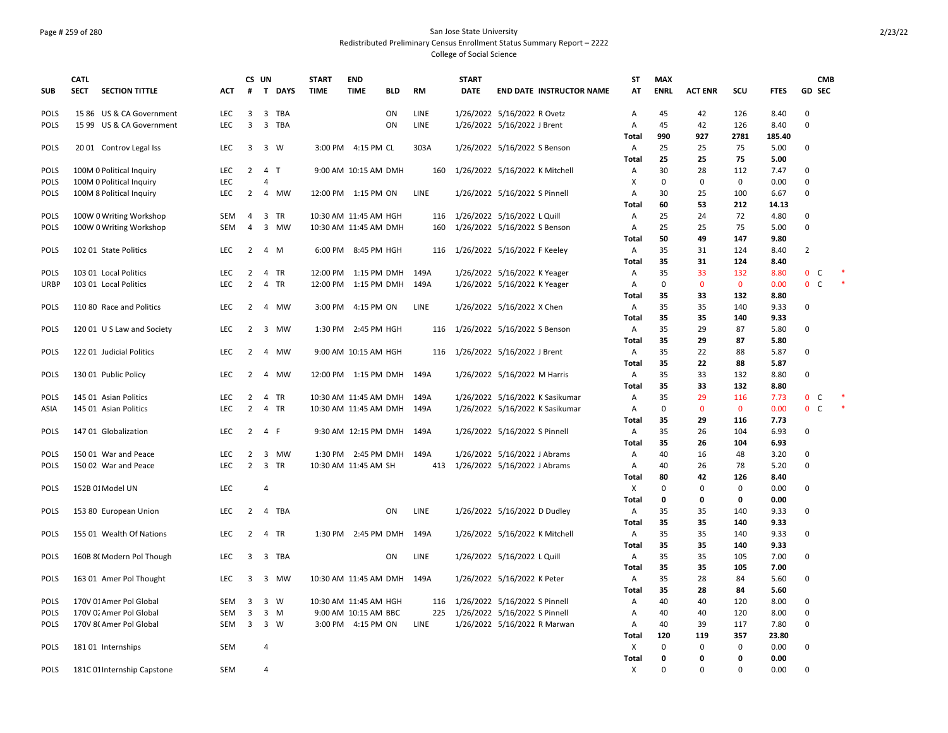### Page # 259 of 280 San Jose State University Redistributed Preliminary Census Enrollment Status Summary Report – 2222 College of Social Science

|             | <b>CATL</b> |                             |            |                | CS UN          |          | <b>START</b>          | <b>END</b>            |            |             | <b>START</b> |                                 | <b>ST</b>    | <b>MAX</b>  |                |              |             | <b>CMB</b>     |  |
|-------------|-------------|-----------------------------|------------|----------------|----------------|----------|-----------------------|-----------------------|------------|-------------|--------------|---------------------------------|--------------|-------------|----------------|--------------|-------------|----------------|--|
| <b>SUB</b>  | <b>SECT</b> | <b>SECTION TITTLE</b>       | <b>ACT</b> | #              |                | T DAYS   | <b>TIME</b>           | <b>TIME</b>           | <b>BLD</b> | <b>RM</b>   | <b>DATE</b>  | <b>END DATE INSTRUCTOR NAME</b> | AT           | <b>ENRL</b> | <b>ACT ENR</b> | SCU          | <b>FTES</b> | <b>GD SEC</b>  |  |
| <b>POLS</b> |             | 15 86 US & CA Government    | LEC        | 3              |                | 3 TBA    |                       |                       | ON         | LINE        |              | 1/26/2022 5/16/2022 R Ovetz     | Α            | 45          | 42             | 126          | 8.40        | $\Omega$       |  |
| POLS        |             | 15 99 US & CA Government    | LEC        | 3              |                | 3 TBA    |                       |                       | ON         | LINE        |              | 1/26/2022 5/16/2022 J Brent     | Α            | 45          | 42             | 126          | 8.40        | 0              |  |
|             |             |                             |            |                |                |          |                       |                       |            |             |              |                                 | Total        | 990         | 927            | 2781         | 185.40      |                |  |
| POLS        |             | 2001 Controv Legal Iss      | <b>LEC</b> | 3              |                | 3 W      |                       | 3:00 PM 4:15 PM CL    |            | 303A        |              | 1/26/2022 5/16/2022 S Benson    | Α            | 25          | 25             | 75           | 5.00        | 0              |  |
|             |             |                             |            |                |                |          |                       |                       |            |             |              |                                 | Total        | 25          | 25             | 75           | 5.00        |                |  |
| <b>POLS</b> |             | 100M 0 Political Inquiry    | LEC        | $\overline{2}$ | 4 T            |          |                       | 9:00 AM 10:15 AM DMH  |            | 160         |              | 1/26/2022 5/16/2022 K Mitchell  | Α            | 30          | 28             | 112          | 7.47        | $\Omega$       |  |
| <b>POLS</b> |             | 100M 0 Political Inquiry    | LEC        |                | 4              |          |                       |                       |            |             |              |                                 | X            | $\mathsf 0$ | $\mathbf 0$    | $\mathbf 0$  | 0.00        | 0              |  |
| <b>POLS</b> |             | 100M 8 Political Inquiry    | LEC        | $\overline{2}$ |                | 4 MW     |                       | 12:00 PM 1:15 PM ON   |            | LINE        |              | 1/26/2022 5/16/2022 S Pinnell   | Α            | 30          | 25             | 100          | 6.67        | 0              |  |
|             |             |                             |            |                |                |          |                       |                       |            |             |              |                                 | <b>Total</b> | 60          | 53             | 212          | 14.13       |                |  |
| <b>POLS</b> |             | 100W 0 Writing Workshop     | SEM        | $\overline{4}$ |                | 3 TR     | 10:30 AM 11:45 AM HGH |                       |            |             |              | 116 1/26/2022 5/16/2022 L Quill | Α            | 25          | 24             | 72           | 4.80        | 0              |  |
| <b>POLS</b> |             | 100W 0 Writing Workshop     | SEM        | 4              |                | 3 MW     |                       | 10:30 AM 11:45 AM DMH |            | 160         |              | 1/26/2022 5/16/2022 S Benson    | Α            | 25          | 25             | 75           | 5.00        | 0              |  |
|             |             |                             |            |                |                |          |                       |                       |            |             |              |                                 | Total        | 50          | 49             | 147          | 9.80        |                |  |
| <b>POLS</b> |             | 102 01 State Politics       | <b>LEC</b> | $\overline{2}$ |                | 4 M      |                       | 6:00 PM 8:45 PM HGH   |            | 116         |              | 1/26/2022 5/16/2022 F Keeley    | Α            | 35          | 31             | 124          | 8.40        | $\overline{2}$ |  |
|             |             |                             |            |                |                |          |                       |                       |            |             |              |                                 | Total        | 35          | 31             | 124          | 8.40        |                |  |
| <b>POLS</b> |             | 103 01 Local Politics       | <b>LEC</b> | 2              |                | 4 TR     |                       | 12:00 PM 1:15 PM DMH  |            | 149A        |              | 1/26/2022 5/16/2022 K Yeager    | Α            | 35          | 33             | 132          | 8.80        | $0\quad C$     |  |
| <b>URBP</b> |             | 103 01 Local Politics       | <b>LEC</b> | $\overline{2}$ |                | 4 TR     |                       | 12:00 PM 1:15 PM DMH  |            | 149A        |              | 1/26/2022 5/16/2022 K Yeager    | Α            | $\mathbf 0$ | $\mathbf{0}$   | $\mathbf{0}$ | 0.00        | 0 <sup>o</sup> |  |
|             |             |                             |            |                |                |          |                       |                       |            |             |              |                                 | Total        | 35          | 33             | 132          | 8.80        |                |  |
| <b>POLS</b> |             | 110 80 Race and Politics    | <b>LEC</b> | 2              |                | 4 MW     |                       | 3:00 PM 4:15 PM ON    |            | <b>LINE</b> |              | 1/26/2022 5/16/2022 X Chen      | Α            | 35          | 35             | 140          | 9.33        | 0              |  |
|             |             |                             |            |                |                |          |                       |                       |            |             |              |                                 | <b>Total</b> | 35          | 35             | 140          | 9.33        |                |  |
| <b>POLS</b> |             | 120 01 U S Law and Society  | LEC        | $\overline{2}$ |                | 3 MW     |                       | 1:30 PM 2:45 PM HGH   |            | 116         |              | 1/26/2022 5/16/2022 S Benson    | Α            | 35          | 29             | 87           | 5.80        | 0              |  |
|             |             |                             |            |                |                |          |                       |                       |            |             |              |                                 | Total        | 35          | 29             | 87           | 5.80        |                |  |
| <b>POLS</b> |             | 122 01 Judicial Politics    | <b>LEC</b> | 2              |                | 4 MW     |                       | 9:00 AM 10:15 AM HGH  |            | 116         |              | 1/26/2022 5/16/2022 J Brent     | Α            | 35          | 22             | 88           | 5.87        | 0              |  |
|             |             |                             |            |                |                |          |                       |                       |            |             |              |                                 | <b>Total</b> | 35          | 22             | 88           | 5.87        |                |  |
| <b>POLS</b> |             | 130 01 Public Policy        | <b>LEC</b> | 2              |                | 4 MW     |                       | 12:00 PM 1:15 PM DMH  |            | 149A        |              | 1/26/2022 5/16/2022 M Harris    | Α            | 35          | 33             | 132          | 8.80        | 0              |  |
|             |             |                             |            |                |                |          |                       |                       |            |             |              |                                 | <b>Total</b> | 35          | 33             | 132          | 8.80        |                |  |
| <b>POLS</b> |             | 145 01 Asian Politics       | LEC        | $\overline{2}$ |                | 4 TR     | 10:30 AM 11:45 AM DMH |                       |            | 149A        |              | 1/26/2022 5/16/2022 K Sasikumar | Α            | 35          | 29             | 116          | 7.73        | 0 <sup>o</sup> |  |
| ASIA        |             | 145 01 Asian Politics       | LEC        | $\overline{2}$ |                | 4 TR     | 10:30 AM 11:45 AM DMH |                       |            | 149A        |              | 1/26/2022 5/16/2022 K Sasikumar | Α            | $\mathsf 0$ | $\mathbf 0$    | $\mathbf 0$  | 0.00        | 0 <sup>o</sup> |  |
|             |             |                             |            |                |                |          |                       |                       |            |             |              |                                 | <b>Total</b> | 35          | 29             | 116          | 7.73        |                |  |
| <b>POLS</b> |             | 147 01 Globalization        | LEC        | $\overline{2}$ | 4 F            |          |                       | 9:30 AM 12:15 PM DMH  |            | 149A        |              | 1/26/2022 5/16/2022 S Pinnell   | Α            | 35          | 26             | 104          | 6.93        | 0              |  |
|             |             |                             |            |                |                |          |                       |                       |            |             |              |                                 | <b>Total</b> | 35          | 26             | 104          | 6.93        |                |  |
| <b>POLS</b> |             | 150 01 War and Peace        | <b>LEC</b> | $\overline{2}$ |                | 3 MW     |                       | 1:30 PM 2:45 PM DMH   |            | 149A        |              | 1/26/2022 5/16/2022 J Abrams    | Α            | 40          | 16             | 48           | 3.20        | $\Omega$       |  |
| <b>POLS</b> |             | 150 02 War and Peace        | <b>LEC</b> | $\overline{2}$ |                | 3 TR     | 10:30 AM 11:45 AM SH  |                       |            | 413         |              | 1/26/2022 5/16/2022 J Abrams    | Α            | 40          | 26             | 78           | 5.20        | 0              |  |
|             |             |                             |            |                |                |          |                       |                       |            |             |              |                                 | <b>Total</b> | 80          | 42             | 126          | 8.40        |                |  |
| <b>POLS</b> |             | 152B 01 Model UN            | LEC        |                | 4              |          |                       |                       |            |             |              |                                 | Χ            | $\mathbf 0$ | $\Omega$       | 0            | 0.00        | 0              |  |
|             |             |                             |            |                |                |          |                       |                       |            |             |              |                                 | <b>Total</b> | $\mathbf 0$ | 0              | 0            | 0.00        |                |  |
| <b>POLS</b> |             | 153 80 European Union       | LEC        | $\overline{2}$ |                | 4 TBA    |                       |                       | ON         | LINE        |              | 1/26/2022 5/16/2022 D Dudley    | Α            | 35          | 35             | 140          | 9.33        | $\Omega$       |  |
|             |             |                             |            |                |                |          |                       |                       |            |             |              |                                 | Total        | 35          | 35             | 140          | 9.33        |                |  |
| <b>POLS</b> |             | 155 01 Wealth Of Nations    | <b>LEC</b> | $\overline{2}$ |                | 4 TR     |                       | 1:30 PM 2:45 PM DMH   |            | 149A        |              | 1/26/2022 5/16/2022 K Mitchell  | Α            | 35          | 35             | 140          | 9.33        | 0              |  |
|             |             |                             |            |                |                |          |                       |                       |            |             |              |                                 | <b>Total</b> | 35          | 35             | 140          | 9.33        |                |  |
| <b>POLS</b> |             | 160B 8( Modern Pol Though   | LEC        | 3              |                | 3 TBA    |                       |                       | ON         | LINE        |              | 1/26/2022 5/16/2022 L Quill     | Α            | 35          | 35             | 105          | 7.00        | 0              |  |
|             |             |                             |            |                |                |          |                       |                       |            |             |              |                                 | <b>Total</b> | 35          | 35             | 105          | 7.00        |                |  |
| <b>POLS</b> |             | 163 01 Amer Pol Thought     | LEC        | 3              |                | 3 MW     | 10:30 AM 11:45 AM DMH |                       |            | 149A        |              | 1/26/2022 5/16/2022 K Peter     | Α            | 35          | 28             | 84           | 5.60        | 0              |  |
|             |             |                             |            |                |                |          |                       |                       |            |             |              |                                 | <b>Total</b> | 35          | 28             | 84           | 5.60        |                |  |
| POLS        |             | 170V 01 Amer Pol Global     | <b>SEM</b> | $\overline{3}$ |                | 3 W      | 10:30 AM 11:45 AM HGH |                       |            | 116         |              | 1/26/2022 5/16/2022 S Pinnell   | Α            | 40          | 40             | 120          | 8.00        | 0              |  |
| POLS        |             | 170V 02 Amer Pol Global     | SEM        | 3              |                | $3 \, M$ |                       | 9:00 AM 10:15 AM BBC  |            | 225         |              | 1/26/2022 5/16/2022 S Pinnell   | Α            | 40          | 40             | 120          | 8.00        | 0              |  |
| <b>POLS</b> |             | 170V 8( Amer Pol Global     | <b>SEM</b> | 3 <sup>7</sup> |                | 3 W      |                       | 3:00 PM 4:15 PM ON    |            | LINE        |              | 1/26/2022 5/16/2022 R Marwan    | Α            | 40          | 39             | 117          | 7.80        | 0              |  |
|             |             |                             |            |                |                |          |                       |                       |            |             |              |                                 | Total        | 120         | 119            | 357          | 23.80       |                |  |
| <b>POLS</b> |             | 18101 Internships           | SEM        |                | $\overline{4}$ |          |                       |                       |            |             |              |                                 | Х            | 0           | 0              | 0            | 0.00        | 0              |  |
|             |             |                             |            |                |                |          |                       |                       |            |             |              |                                 | <b>Total</b> | 0           | $\Omega$       | 0            | 0.00        |                |  |
| <b>POLS</b> |             | 181C 01 Internship Capstone | <b>SEM</b> |                | $\overline{4}$ |          |                       |                       |            |             |              |                                 | X            | $\Omega$    | $\Omega$       | $\Omega$     | 0.00        | $\mathbf 0$    |  |
|             |             |                             |            |                |                |          |                       |                       |            |             |              |                                 |              |             |                |              |             |                |  |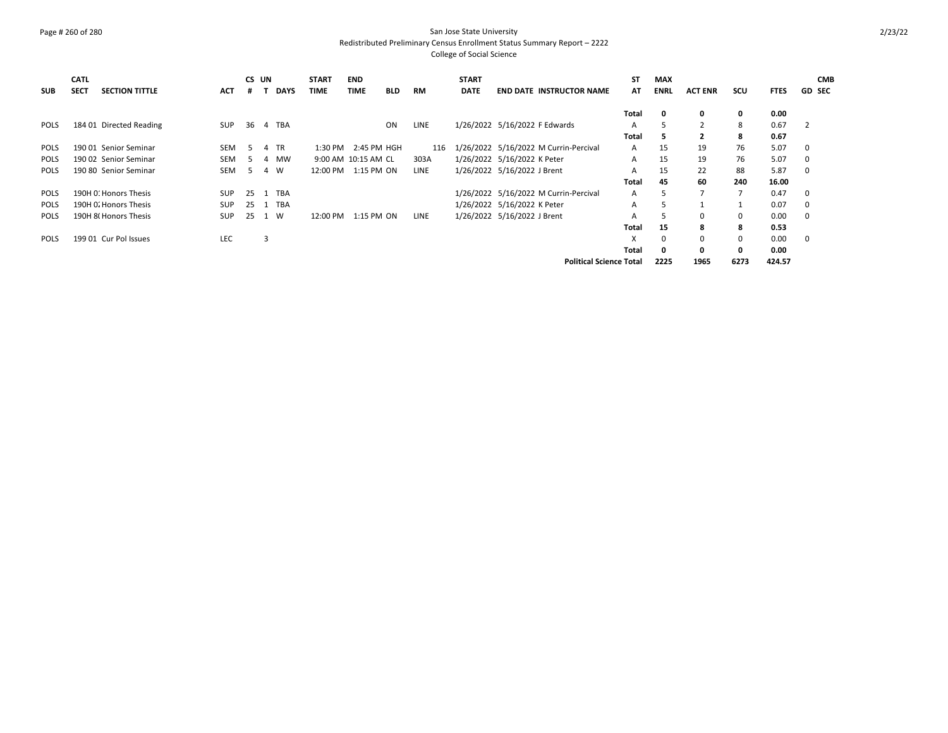### Page # 260 of 280 San Jose State University Redistributed Preliminary Census Enrollment Status Summary Report – 2222 College of Social Science

| <b>SUB</b>  | <b>CATL</b><br><b>SECT</b> | <b>SECTION TITTLE</b>   | <b>ACT</b> | CS UN |   | <b>DAYS</b> | <b>START</b><br><b>TIME</b> | <b>END</b><br><b>TIME</b> | <b>BLD</b> | <b>RM</b>   | <b>START</b><br><b>DATE</b> | <b>END DATE INSTRUCTOR NAME</b>       | <b>ST</b><br>AT | <b>MAX</b><br><b>ENRL</b> | <b>ACT ENR</b>           | scu                      | <b>FTES</b> | <b>CMB</b><br><b>GD SEC</b> |
|-------------|----------------------------|-------------------------|------------|-------|---|-------------|-----------------------------|---------------------------|------------|-------------|-----------------------------|---------------------------------------|-----------------|---------------------------|--------------------------|--------------------------|-------------|-----------------------------|
|             |                            |                         |            |       |   |             |                             |                           |            |             |                             |                                       | Total           | 0                         | 0                        | 0                        | 0.00        |                             |
| POLS        |                            | 184 01 Directed Reading | <b>SUP</b> | 36    |   | 4 TBA       |                             |                           | <b>ON</b>  | LINE        |                             | 1/26/2022 5/16/2022 F Edwards         | A               | 5                         | 2                        | 8                        | 0.67        | $\overline{2}$              |
|             |                            |                         |            |       |   |             |                             |                           |            |             |                             |                                       | Total           | 5                         | $\overline{2}$           | 8                        | 0.67        |                             |
| <b>POLS</b> |                            | 190 01 Senior Seminar   | <b>SEM</b> | -5    |   | 4 TR        | $1:30$ PM                   | 2:45 PM HGH               |            | 116         |                             | 1/26/2022 5/16/2022 M Currin-Percival | $\mathsf{A}$    | 15                        | 19                       | 76                       | 5.07        | $\mathbf 0$                 |
| <b>POLS</b> |                            | 190 02 Senior Seminar   | <b>SEM</b> | 5     |   | 4 MW        |                             | 9:00 AM 10:15 AM CL       |            | 303A        |                             | 1/26/2022 5/16/2022 K Peter           | A               | 15                        | 19                       | 76                       | 5.07        | 0                           |
| <b>POLS</b> |                            | 190 80 Senior Seminar   | <b>SEM</b> | 5.    | 4 | <b>W</b>    | 12:00 PM                    | 1:15 PM ON                |            | <b>LINE</b> |                             | 1/26/2022 5/16/2022 J Brent           | A               | 15                        | 22                       | 88                       | 5.87        | $\mathbf 0$                 |
|             |                            |                         |            |       |   |             |                             |                           |            |             |                             |                                       | Total           | 45                        | 60                       | 240                      | 16.00       |                             |
| <b>POLS</b> |                            | 190H O: Honors Thesis   | <b>SUP</b> | 25    | 1 | TBA         |                             |                           |            |             |                             | 1/26/2022 5/16/2022 M Currin-Percival | A               | 5                         | $\overline{\phantom{a}}$ | $\overline{\phantom{a}}$ | 0.47        | $\mathbf 0$                 |
| <b>POLS</b> |                            | 190H O. Honors Thesis   | <b>SUP</b> | 25    | 1 | TBA         |                             |                           |            |             |                             | 1/26/2022 5/16/2022 K Peter           | A               | 5                         |                          |                          | 0.07        | 0                           |
| <b>POLS</b> |                            | 190H 8(Honors Thesis    | <b>SUP</b> | 25    |   | 1 W         | 12:00 PM                    | 1:15 PM ON                |            | <b>LINE</b> |                             | 1/26/2022 5/16/2022 J Brent           | A               | 5                         | $\Omega$                 | 0                        | 0.00        | $\mathbf 0$                 |
|             |                            |                         |            |       |   |             |                             |                           |            |             |                             |                                       | Total           | 15                        | 8                        | 8                        | 0.53        |                             |
| <b>POLS</b> |                            | 199 01 Cur Pol Issues   | LEC        |       | 3 |             |                             |                           |            |             |                             |                                       | X               | 0                         | $\Omega$                 | $\mathbf 0$              | 0.00        | $\mathbf 0$                 |
|             |                            |                         |            |       |   |             |                             |                           |            |             |                             |                                       | Total           | 0                         | 0                        | $\mathbf{0}$             | 0.00        |                             |
|             |                            |                         |            |       |   |             |                             |                           |            |             |                             | <b>Political Science Total</b>        |                 | 2225                      | 1965                     | 6273                     | 424.57      |                             |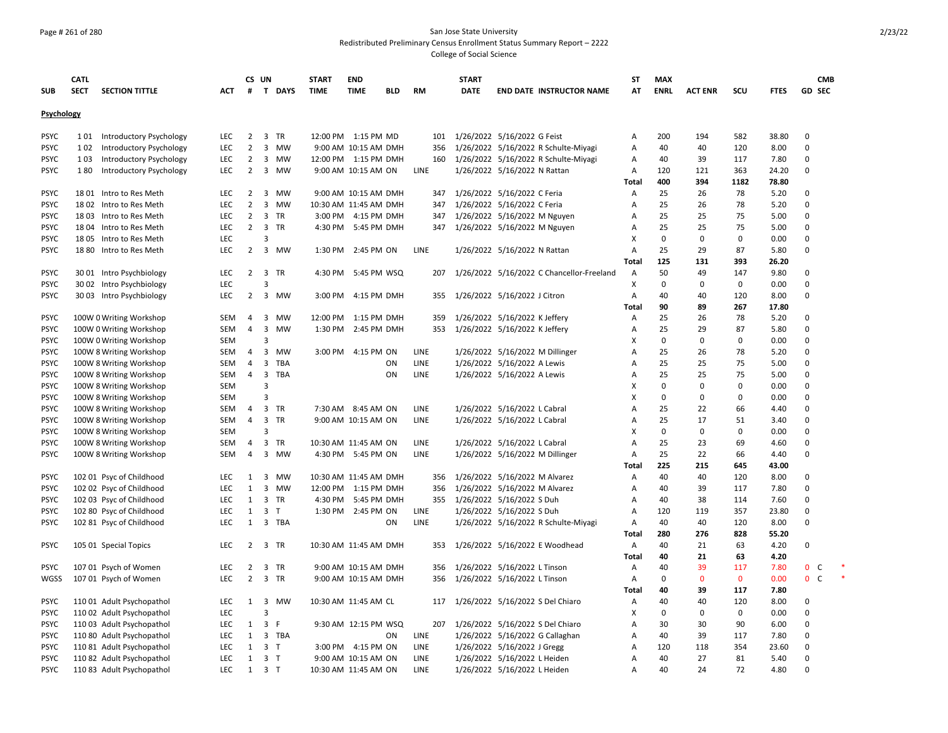### Page # 261 of 280 San Jose State University Redistributed Preliminary Census Enrollment Status Summary Report – 2222 College of Social Science

|             | <b>CATL</b> |                                |            |                | CS UN          |           | <b>START</b> | <b>END</b>            |            |             | <b>START</b> |                                           | <b>ST</b>    | <b>MAX</b>  |                |             |             | <b>CMB</b>                   |  |
|-------------|-------------|--------------------------------|------------|----------------|----------------|-----------|--------------|-----------------------|------------|-------------|--------------|-------------------------------------------|--------------|-------------|----------------|-------------|-------------|------------------------------|--|
| <b>SUB</b>  | <b>SECT</b> | <b>SECTION TITTLE</b>          | ACT        | #              |                | T DAYS    | <b>TIME</b>  | <b>TIME</b>           | <b>BLD</b> | <b>RM</b>   | <b>DATE</b>  | <b>END DATE INSTRUCTOR NAME</b>           | AT           | <b>ENRL</b> | <b>ACT ENR</b> | SCU         | <b>FTES</b> | <b>GD SEC</b>                |  |
|             |             |                                |            |                |                |           |              |                       |            |             |              |                                           |              |             |                |             |             |                              |  |
| Psychology  |             |                                |            |                |                |           |              |                       |            |             |              |                                           |              |             |                |             |             |                              |  |
| <b>PSYC</b> | 1 0 1       | Introductory Psychology        | LEC        | $\overline{2}$ |                | 3 TR      |              | 12:00 PM 1:15 PM MD   |            | 101         |              | 1/26/2022 5/16/2022 G Feist               | А            | 200         | 194            | 582         | 38.80       | 0                            |  |
| <b>PSYC</b> | 102         | Introductory Psychology        | LEC        | $\overline{2}$ |                | 3 MW      |              | 9:00 AM 10:15 AM DMH  |            | 356         |              | 1/26/2022 5/16/2022 R Schulte-Miyagi      | Α            | 40          | 40             | 120         | 8.00        | 0                            |  |
| <b>PSYC</b> | 103         | <b>Introductory Psychology</b> | LEC        | $\overline{2}$ |                | 3 MW      |              | 12:00 PM 1:15 PM DMH  |            | 160         |              | 1/26/2022 5/16/2022 R Schulte-Miyagi      | Α            | 40          | 39             | 117         | 7.80        | 0                            |  |
| <b>PSYC</b> | 180         | Introductory Psychology        | <b>LEC</b> | $\overline{2}$ |                | 3 MW      |              | 9:00 AM 10:15 AM ON   |            | LINE        |              | 1/26/2022 5/16/2022 N Rattan              | Α            | 120         | 121            | 363         | 24.20       | 0                            |  |
|             |             |                                |            |                |                |           |              |                       |            |             |              |                                           | Total        | 400         | 394            | 1182        | 78.80       |                              |  |
| <b>PSYC</b> |             | 1801 Intro to Res Meth         | LEC        | $\overline{2}$ |                | 3 MW      |              | 9:00 AM 10:15 AM DMH  |            | 347         |              | 1/26/2022 5/16/2022 C Feria               | Α            | 25          | 26             | 78          | 5.20        | 0                            |  |
| <b>PSYC</b> |             | 1802 Intro to Res Meth         | LEC        | $\overline{2}$ |                | 3 MW      |              | 10:30 AM 11:45 AM DMH |            | 347         |              | 1/26/2022 5/16/2022 C Feria               | Α            | 25          | 26             | 78          | 5.20        | $\Omega$                     |  |
| <b>PSYC</b> |             | 1803 Intro to Res Meth         | LEC        | $\overline{2}$ |                | 3 TR      |              | 3:00 PM 4:15 PM DMH   |            | 347         |              | 1/26/2022 5/16/2022 M Nguyen              | А            | 25          | 25             | 75          | 5.00        | 0                            |  |
| <b>PSYC</b> |             | 18 04 Intro to Res Meth        | <b>LEC</b> | $\overline{2}$ |                | 3 TR      |              | 4:30 PM 5:45 PM DMH   |            |             |              | 347 1/26/2022 5/16/2022 M Nguyen          | A            | 25          | 25             | 75          | 5.00        | $\Omega$                     |  |
| <b>PSYC</b> |             | 1805 Intro to Res Meth         | <b>LEC</b> |                | 3              |           |              |                       |            |             |              |                                           | X            | $\mathbf 0$ | $\Omega$       | 0           | 0.00        | $\Omega$                     |  |
| <b>PSYC</b> |             | 18 80 Intro to Res Meth        | LEC        | $\overline{2}$ |                | 3 MW      |              | 1:30 PM 2:45 PM ON    |            | LINE        |              | 1/26/2022 5/16/2022 N Rattan              | Α            | 25          | 29             | 87          | 5.80        | 0                            |  |
|             |             |                                |            |                |                |           |              |                       |            |             |              |                                           | <b>Total</b> | 125         | 131            | 393         | 26.20       |                              |  |
| <b>PSYC</b> |             | 30 01 Intro Psychbiology       | LEC        | $\overline{2}$ |                | 3 TR      |              | 4:30 PM 5:45 PM WSQ   |            | 207         |              | 1/26/2022 5/16/2022 C Chancellor-Freeland | Α            | 50          | 49             | 147         | 9.80        | 0                            |  |
| <b>PSYC</b> |             | 30 02 Intro Psychbiology       | LEC        |                | 3              |           |              |                       |            |             |              |                                           | X            | 0           | $\Omega$       | 0           | 0.00        | 0                            |  |
| <b>PSYC</b> |             | 30 03 Intro Psychbiology       | <b>LEC</b> | 2              |                | 3 MW      | 3:00 PM      | 4:15 PM DMH           |            | 355         |              | 1/26/2022 5/16/2022 J Citron              | A            | 40          | 40             | 120         | 8.00        | 0                            |  |
|             |             |                                |            |                |                |           |              |                       |            |             |              |                                           | <b>Total</b> | 90          | 89             | 267         | 17.80       |                              |  |
| <b>PSYC</b> |             | 100W 0 Writing Workshop        | SEM        | 4              |                | 3 MW      |              | 12:00 PM 1:15 PM DMH  |            | 359         |              | 1/26/2022 5/16/2022 K Jeffery             | Α            | 25          | 26             | 78          | 5.20        | 0                            |  |
| <b>PSYC</b> |             | 100W 0 Writing Workshop        | SEM        | 4              | $\overline{3}$ | MW        |              | 1:30 PM 2:45 PM DMH   |            | 353         |              | 1/26/2022 5/16/2022 K Jeffery             | Α            | 25          | 29             | 87          | 5.80        | 0                            |  |
| <b>PSYC</b> |             |                                | <b>SEM</b> |                | 3              |           |              |                       |            |             |              |                                           | х            | 0           | $\Omega$       | 0           | 0.00        | 0                            |  |
|             |             | 100W 0 Writing Workshop        |            |                |                |           |              |                       |            |             |              |                                           |              | 25          |                |             |             | $\Omega$                     |  |
| <b>PSYC</b> |             | 100W 8 Writing Workshop        | <b>SEM</b> | $\overline{4}$ | $\mathbf{3}$   | MW        |              | 3:00 PM 4:15 PM ON    |            | LINE        |              | 1/26/2022 5/16/2022 M Dillinger           | А            |             | 26             | 78          | 5.20        |                              |  |
| <b>PSYC</b> |             | 100W 8 Writing Workshop        | SEM        | $\overline{4}$ |                | 3 TBA     |              |                       | ON         | LINE        |              | 1/26/2022 5/16/2022 A Lewis               | A            | 25          | 25             | 75          | 5.00        | 0                            |  |
| <b>PSYC</b> |             | 100W 8 Writing Workshop        | SEM        | $\overline{4}$ | $\mathbf{3}$   | TBA       |              |                       | ON         | LINE        |              | 1/26/2022 5/16/2022 A Lewis               | А            | 25          | 25             | 75          | 5.00        | 0                            |  |
| <b>PSYC</b> |             | 100W 8 Writing Workshop        | <b>SEM</b> |                | 3              |           |              |                       |            |             |              |                                           | x            | 0           | $\Omega$       | 0           | 0.00        | 0                            |  |
| <b>PSYC</b> |             | 100W 8 Writing Workshop        | <b>SEM</b> |                | 3              |           |              |                       |            |             |              |                                           | x            | 0           | 0              | 0           | 0.00        | 0                            |  |
| <b>PSYC</b> |             | 100W 8 Writing Workshop        | <b>SEM</b> | 4              |                | 3 TR      |              | 7:30 AM 8:45 AM ON    |            | LINE        |              | 1/26/2022 5/16/2022 L Cabral              | A            | 25          | 22             | 66          | 4.40        | $\Omega$                     |  |
| <b>PSYC</b> |             | 100W 8 Writing Workshop        | SEM        | 4              |                | 3 TR      |              | 9:00 AM 10:15 AM ON   |            | LINE        |              | 1/26/2022 5/16/2022 L Cabral              | A            | 25          | 17             | 51          | 3.40        | 0                            |  |
| <b>PSYC</b> |             | 100W 8 Writing Workshop        | <b>SEM</b> |                | 3              |           |              |                       |            |             |              |                                           | X            | 0           | $\mathbf 0$    | 0           | 0.00        | 0                            |  |
| <b>PSYC</b> |             | 100W 8 Writing Workshop        | SEM        | 4              | $\mathbf{3}$   | <b>TR</b> |              | 10:30 AM 11:45 AM ON  |            | LINE        |              | 1/26/2022 5/16/2022 L Cabral              | А            | 25          | 23             | 69          | 4.60        | 0                            |  |
| <b>PSYC</b> |             | 100W 8 Writing Workshop        | <b>SEM</b> | $\overline{4}$ |                | 3 MW      |              | 4:30 PM 5:45 PM ON    |            | LINE        |              | 1/26/2022 5/16/2022 M Dillinger           | А            | 25          | 22             | 66          | 4.40        | 0                            |  |
|             |             |                                |            |                |                |           |              |                       |            |             |              |                                           | <b>Total</b> | 225         | 215            | 645         | 43.00       |                              |  |
| <b>PSYC</b> |             | 102 01 Psyc of Childhood       | <b>LEC</b> | 1              |                | 3 MW      |              | 10:30 AM 11:45 AM DMH |            | 356         |              | 1/26/2022 5/16/2022 M Alvarez             | Α            | 40          | 40             | 120         | 8.00        | $\Omega$                     |  |
| <b>PSYC</b> |             | 102 02 Psyc of Childhood       | LEC        | 1              |                | 3 MW      |              | 12:00 PM 1:15 PM DMH  |            | 356         |              | 1/26/2022 5/16/2022 M Alvarez             | A            | 40          | 39             | 117         | 7.80        | 0                            |  |
| <b>PSYC</b> |             | 102 03 Psyc of Childhood       | <b>LEC</b> | $\mathbf{1}$   |                | 3 TR      |              | 4:30 PM 5:45 PM DMH   |            |             |              | 355 1/26/2022 5/16/2022 S Duh             | Α            | 40          | 38             | 114         | 7.60        | 0                            |  |
| <b>PSYC</b> |             | 102 80 Psyc of Childhood       | LEC        | $\mathbf{1}$   | 3 <sub>7</sub> |           |              | 1:30 PM 2:45 PM ON    |            | <b>LINE</b> |              | 1/26/2022 5/16/2022 S Duh                 | Α            | 120         | 119            | 357         | 23.80       | 0                            |  |
| <b>PSYC</b> |             | 102 81 Psyc of Childhood       | LEC        | $\mathbf{1}$   |                | 3 TBA     |              |                       | ON         | LINE        |              | 1/26/2022 5/16/2022 R Schulte-Miyagi      | Α            | 40          | 40             | 120         | 8.00        | 0                            |  |
|             |             |                                |            |                |                |           |              |                       |            |             |              |                                           | <b>Total</b> | 280         | 276            | 828         | 55.20       |                              |  |
| <b>PSYC</b> |             | 105 01 Special Topics          | LEC        | 2              |                | 3 TR      |              | 10:30 AM 11:45 AM DMH |            | 353         |              | 1/26/2022 5/16/2022 E Woodhead            | А            | 40          | 21             | 63          | 4.20        | 0                            |  |
|             |             |                                |            |                |                |           |              |                       |            |             |              |                                           | <b>Total</b> | 40          | 21             | 63          | 4.20        |                              |  |
| <b>PSYC</b> |             | 107 01 Psych of Women          | LEC        | 2              |                | 3 TR      |              | 9:00 AM 10:15 AM DMH  |            | 356         |              | 1/26/2022 5/16/2022 L Tinson              | Α            | 40          | 39             | 117         | 7.80        | $\mathbf{0}$<br>$\mathsf{C}$ |  |
| WGSS        |             | 107 01 Psych of Women          | LEC        | $\overline{2}$ |                | 3 TR      |              | 9:00 AM 10:15 AM DMH  |            | 356         |              | 1/26/2022 5/16/2022 L Tinson              | Α            | 0           | $\mathbf 0$    | $\mathbf 0$ | 0.00        | $0\quad C$                   |  |
|             |             |                                |            |                |                |           |              |                       |            |             |              |                                           | <b>Total</b> | 40          | 39             | 117         | 7.80        |                              |  |
| <b>PSYC</b> |             | 110 01 Adult Psychopathol      | LEC        | 1              | 3              | MW        |              | 10:30 AM 11:45 AM CL  |            | 117         |              | 1/26/2022 5/16/2022 S Del Chiaro          | Α            | 40          | 40             | 120         | 8.00        | 0                            |  |
| <b>PSYC</b> |             | 110 02 Adult Psychopathol      | LEC        |                | 3              |           |              |                       |            |             |              |                                           | X            | 0           | $\mathbf 0$    | 0           | 0.00        | 0                            |  |
| <b>PSYC</b> |             | 110 03 Adult Psychopathol      | LEC        | 1              | 3 F            |           |              | 9:30 AM 12:15 PM WSQ  |            | 207         |              | 1/26/2022 5/16/2022 S Del Chiaro          | Α            | 30          | 30             | 90          | 6.00        | 0                            |  |
| <b>PSYC</b> |             | 110 80 Adult Psychopathol      | LEC        | 1              |                | 3 TBA     |              |                       | ON         | LINE        |              | 1/26/2022 5/16/2022 G Callaghan           | А            | 40          | 39             | 117         | 7.80        | 0                            |  |
| <b>PSYC</b> |             |                                | <b>LEC</b> | 1              | 3 <sub>1</sub> |           |              | 3:00 PM 4:15 PM ON    |            | LINE        |              | 1/26/2022 5/16/2022 J Gregg               | Α            | 120         | 118            | 354         | 23.60       | $\Omega$                     |  |
|             |             | 110 81 Adult Psychopathol      |            |                |                |           |              |                       |            | LINE        |              |                                           |              | 40          | 27             | 81          |             | $\Omega$                     |  |
| <b>PSYC</b> |             | 110 82 Adult Psychopathol      | <b>LEC</b> | 1              | 3 <sub>1</sub> |           |              | 9:00 AM 10:15 AM ON   |            |             |              | 1/26/2022 5/16/2022 L Heiden              | A            |             |                |             | 5.40        | $\Omega$                     |  |
| <b>PSYC</b> |             | 110 83 Adult Psychopathol      | LEC        | 1              | 3 <sub>1</sub> |           |              | 10:30 AM 11:45 AM ON  |            | LINE        |              | 1/26/2022 5/16/2022 L Heiden              | A            | 40          | 24             | 72          | 4.80        |                              |  |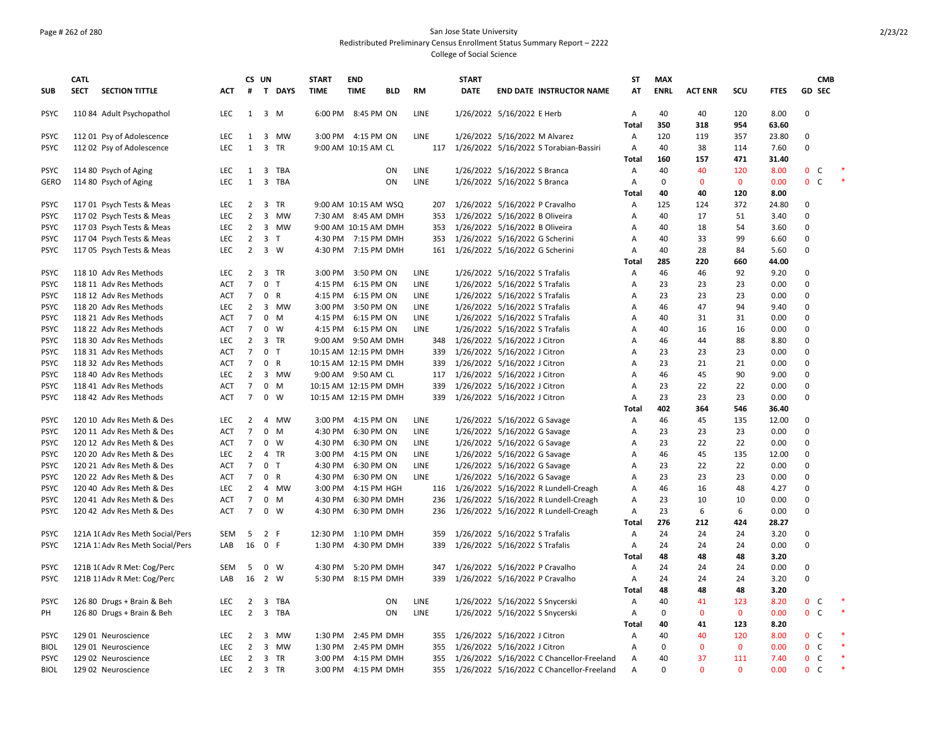### Page # 262 of 280 San Jose State University Redistributed Preliminary Census Enrollment Status Summary Report – 2222 College of Social Science

|             | <b>CATL</b> |                                  |            |                | CS UN                   |              | <b>START</b>          | <b>END</b>           |           |             | <b>START</b> |                                           | <b>ST</b>      | <b>MAX</b>  |                |             |             |                              | <b>CMB</b> |  |
|-------------|-------------|----------------------------------|------------|----------------|-------------------------|--------------|-----------------------|----------------------|-----------|-------------|--------------|-------------------------------------------|----------------|-------------|----------------|-------------|-------------|------------------------------|------------|--|
| <b>SUB</b>  | <b>SECT</b> | <b>SECTION TITTLE</b>            | ACT        | #              |                         | T DAYS       | <b>TIME</b>           | <b>TIME</b>          | BLD       | <b>RM</b>   | <b>DATE</b>  | <b>END DATE INSTRUCTOR NAME</b>           | AT             | <b>ENRL</b> | <b>ACT ENR</b> | scu         | <b>FTES</b> | <b>GD SEC</b>                |            |  |
| <b>PSYC</b> |             | 110 84 Adult Psychopathol        | LEC.       |                | $1 \quad 3 \quad M$     |              |                       | 6:00 PM 8:45 PM ON   |           | LINE        |              | 1/26/2022 5/16/2022 E Herb                | A              | 40          | 40             | 120         | 8.00        | $\Omega$                     |            |  |
|             |             |                                  |            |                |                         |              |                       |                      |           |             |              |                                           | Total          | 350         | 318            | 954         | 63.60       |                              |            |  |
| <b>PSYC</b> |             | 112 01 Psy of Adolescence        | LEC.       | 1              |                         | 3 MW         |                       | 3:00 PM 4:15 PM ON   |           | <b>LINE</b> |              | 1/26/2022 5/16/2022 M Alvarez             | A              | 120         | 119            | 357         | 23.80       | $\Omega$                     |            |  |
| <b>PSYC</b> |             | 112 02 Psy of Adolescence        | <b>LEC</b> | $\mathbf{1}$   |                         | 3 TR         |                       | 9:00 AM 10:15 AM CL  |           | 117         |              | 1/26/2022 5/16/2022 S Torabian-Bassiri    | $\overline{A}$ | 40          | 38             | 114         | 7.60        | $\mathbf 0$                  |            |  |
|             |             |                                  |            |                |                         |              |                       |                      |           |             |              |                                           | Total          | 160         | 157            | 471         | 31.40       |                              |            |  |
| <b>PSYC</b> |             | 114 80 Psych of Aging            | LEC        | 1              |                         | 3 TBA        |                       |                      | ON        | LINE        |              | 1/26/2022 5/16/2022 S Branca              | A              | 40          | 40             | 120         | 8.00        | $\mathbf{0}$<br>C            |            |  |
| <b>GERO</b> |             | 114 80 Psych of Aging            | LEC        | $\mathbf{1}$   |                         | 3 TBA        |                       |                      | ON        | LINE        |              | 1/26/2022 5/16/2022 S Branca              | A              | $\Omega$    | $\mathbf 0$    | $\mathbf 0$ | 0.00        | $\mathbf 0$<br>C             |            |  |
|             |             |                                  |            |                |                         |              |                       |                      |           |             |              |                                           | Total          | 40          | 40             | 120         | 8.00        |                              |            |  |
| <b>PSYC</b> |             | 117 01 Psych Tests & Meas        | <b>LEC</b> | $\overline{2}$ |                         | 3 TR         |                       | 9:00 AM 10:15 AM WSQ |           | 207         |              | 1/26/2022 5/16/2022 P Cravalho            | Α              | 125         | 124            | 372         | 24.80       | 0                            |            |  |
| <b>PSYC</b> |             | 117 02 Psych Tests & Meas        | LEC.       | $\overline{2}$ |                         | 3 MW         |                       | 7:30 AM 8:45 AM DMH  |           | 353         |              | 1/26/2022 5/16/2022 B Oliveira            | A              | 40          | 17             | 51          | 3.40        | $\Omega$                     |            |  |
| <b>PSYC</b> |             | 117 03 Psych Tests & Meas        | LEC        | $\overline{2}$ |                         | 3 MW         |                       | 9:00 AM 10:15 AM DMH |           | 353         |              | 1/26/2022 5/16/2022 B Oliveira            | Α              | 40          | 18             | 54          | 3.60        | $\Omega$                     |            |  |
| <b>PSYC</b> |             | 117 04 Psych Tests & Meas        | LEC        | $\overline{2}$ | 3 <sub>7</sub>          |              |                       | 4:30 PM 7:15 PM DMH  |           | 353         |              | 1/26/2022 5/16/2022 G Scherini            | Α              | 40          | 33             | 99          | 6.60        | $\mathbf 0$                  |            |  |
| <b>PSYC</b> |             | 117 05 Psych Tests & Meas        | <b>LEC</b> | $\overline{2}$ |                         | 3 W          |                       | 4:30 PM 7:15 PM DMH  |           | 161         |              | 1/26/2022 5/16/2022 G Scherini            | A              | 40          | 28             | 84          | 5.60        | $\Omega$                     |            |  |
|             |             |                                  |            |                |                         |              |                       |                      |           |             |              |                                           | Total          | 285         | 220            | 660         | 44.00       |                              |            |  |
| <b>PSYC</b> |             | 118 10 Adv Res Methods           | LEC        | $\overline{2}$ |                         | 3 TR         |                       | 3:00 PM 3:50 PM ON   |           | LINE        |              | 1/26/2022 5/16/2022 S Trafalis            | Α              | 46          | 46             | 92          | 9.20        | $\Omega$                     |            |  |
| <b>PSYC</b> |             | 118 11 Adv Res Methods           | <b>ACT</b> | $\overline{7}$ | $\mathbf{0}$            | T            | 4:15 PM               | 6:15 PM ON           |           | <b>LINE</b> |              | 1/26/2022 5/16/2022 S Trafalis            | $\overline{A}$ | 23          | 23             | 23          | 0.00        | $\Omega$                     |            |  |
| <b>PSYC</b> |             | 118 12 Adv Res Methods           | ACT        | $\overline{7}$ | $\mathbf 0$             | R            | 4:15 PM               | 6:15 PM ON           |           | LINE        |              | 1/26/2022 5/16/2022 S Trafalis            | Α              | 23          | 23             | 23          | 0.00        | $\mathbf 0$                  |            |  |
| <b>PSYC</b> |             | 118 20 Adv Res Methods           | <b>LEC</b> | $\overline{2}$ |                         | 3 MW         | 3:00 PM               | 3:50 PM ON           |           | <b>LINE</b> |              | 1/26/2022 5/16/2022 S Trafalis            | $\overline{A}$ | 46          | 47             | 94          | 9.40        | $\Omega$                     |            |  |
| <b>PSYC</b> |             | 118 21 Adv Res Methods           | <b>ACT</b> | $\overline{7}$ |                         | $0$ M        | 4:15 PM               | 6:15 PM ON           |           | <b>LINE</b> |              | 1/26/2022 5/16/2022 S Trafalis            | Α              | 40          | 31             | 31          | 0.00        | $\mathbf 0$                  |            |  |
| <b>PSYC</b> |             | 118 22 Adv Res Methods           | <b>ACT</b> | $\overline{7}$ | $\mathbf 0$             | <b>W</b>     | 4:15 PM               | 6:15 PM ON           |           | LINE        |              | 1/26/2022 5/16/2022 S Trafalis            | A              | 40          | 16             | 16          | 0.00        | $\mathbf 0$                  |            |  |
| <b>PSYC</b> |             |                                  | LEC        | $\overline{2}$ |                         | 3 TR         |                       |                      |           |             |              |                                           | A              | 46          | 44             | 88          | 8.80        | $\Omega$                     |            |  |
|             |             | 118 30 Adv Res Methods           |            |                |                         | T            |                       | 9:00 AM 9:50 AM DMH  |           |             |              | 348 1/26/2022 5/16/2022 J Citron          |                |             |                |             |             | $\Omega$                     |            |  |
| <b>PSYC</b> |             | 118 31 Adv Res Methods           | <b>ACT</b> | $\overline{7}$ | $\mathbf 0$             |              | 10:15 AM 12:15 PM DMH |                      |           | 339         |              | 1/26/2022 5/16/2022 J Citron              | Α              | 23          | 23             | 23          | 0.00        |                              |            |  |
| <b>PSYC</b> |             | 118 32 Adv Res Methods           | <b>ACT</b> | $\overline{7}$ | $\mathbf 0$             | R            | 10:15 AM 12:15 PM DMH |                      |           | 339         |              | 1/26/2022 5/16/2022 J Citron              | A              | 23          | 21             | 21          | 0.00        | $\Omega$                     |            |  |
| <b>PSYC</b> |             | 118 40 Adv Res Methods           | <b>LEC</b> | $\overline{2}$ |                         | 3 MW         |                       | 9:00 AM 9:50 AM CL   |           | 117         |              | 1/26/2022 5/16/2022 J Citron              | Α              | 46          | 45             | 90          | 9.00        | $\Omega$                     |            |  |
| <b>PSYC</b> |             | 118 41 Adv Res Methods           | <b>ACT</b> | $\overline{7}$ |                         | $0$ M        | 10:15 AM 12:15 PM DMH |                      |           | 339         |              | 1/26/2022 5/16/2022 J Citron              | $\overline{A}$ | 23          | 22             | 22          | 0.00        | $\mathbf 0$                  |            |  |
| <b>PSYC</b> |             | 118 42 Adv Res Methods           | <b>ACT</b> | $\overline{7}$ |                         | $0 \quad W$  | 10:15 AM 12:15 PM DMH |                      |           | 339         |              | 1/26/2022 5/16/2022 J Citron              | $\overline{A}$ | 23          | 23             | 23          | 0.00        | $\Omega$                     |            |  |
|             |             |                                  |            |                |                         |              |                       |                      |           |             |              |                                           | Total          | 402         | 364            | 546         | 36.40       |                              |            |  |
| <b>PSYC</b> |             | 120 10 Adv Res Meth & Des        | LEC.       | $\overline{2}$ |                         | 4 MW         |                       | 3:00 PM 4:15 PM ON   |           | <b>LINE</b> |              | 1/26/2022 5/16/2022 G Savage              | A              | 46          | 45             | 135         | 12.00       | $\mathbf 0$                  |            |  |
| <b>PSYC</b> |             | 120 11 Adv Res Meth & Des        | ACT        | $\overline{7}$ |                         | $0$ M        | 4:30 PM               | 6:30 PM ON           |           | <b>LINE</b> |              | 1/26/2022 5/16/2022 G Savage              | Α              | 23          | 23             | 23          | 0.00        | $\Omega$                     |            |  |
| <b>PSYC</b> |             | 120 12 Adv Res Meth & Des        | <b>ACT</b> | $\overline{7}$ | $\mathbf{0}$            | W            | 4:30 PM               | 6:30 PM ON           |           | LINE        |              | 1/26/2022 5/16/2022 G Savage              | A              | 23          | 22             | 22          | 0.00        | $\Omega$                     |            |  |
| <b>PSYC</b> |             | 120 20 Adv Res Meth & Des        | LEC.       | 2              |                         | 4 TR         | 3:00 PM               | 4:15 PM ON           |           | <b>LINE</b> |              | 1/26/2022 5/16/2022 G Savage              | A              | 46          | 45             | 135         | 12.00       | $\mathbf 0$                  |            |  |
| <b>PSYC</b> |             | 120 21 Adv Res Meth & Des        | <b>ACT</b> | $\overline{7}$ | $\mathbf 0$             | $\top$       | 4:30 PM               | 6:30 PM ON           |           | <b>LINE</b> |              | 1/26/2022 5/16/2022 G Savage              | Α              | 23          | 22             | 22          | 0.00        | $\mathbf 0$                  |            |  |
| <b>PSYC</b> |             | 120 22 Adv Res Meth & Des        | <b>ACT</b> | $\overline{7}$ | $\mathbf 0$             | $\mathsf{R}$ | 4:30 PM               | 6:30 PM ON           |           | <b>LINE</b> |              | 1/26/2022 5/16/2022 G Savage              | $\overline{A}$ | 23          | 23             | 23          | 0.00        | $\mathbf 0$                  |            |  |
| <b>PSYC</b> |             | 120 40 Adv Res Meth & Des        | <b>LEC</b> | $\overline{2}$ |                         | 4 MW         | 3:00 PM               | 4:15 PM HGH          |           | 116         |              | 1/26/2022 5/16/2022 R Lundell-Creagh      | Α              | 46          | 16             | 48          | 4.27        | $\mathbf 0$                  |            |  |
| <b>PSYC</b> |             | 120 41 Adv Res Meth & Des        | <b>ACT</b> | $\overline{7}$ |                         | $0$ M        | 4:30 PM               | 6:30 PM DMH          |           | 236         |              | 1/26/2022 5/16/2022 R Lundell-Creagh      | Α              | 23          | 10             | 10          | 0.00        | $\mathbf 0$                  |            |  |
| <b>PSYC</b> |             | 120 42 Adv Res Meth & Des        | <b>ACT</b> | $\overline{7}$ |                         | $0 \quad W$  |                       | 4:30 PM 6:30 PM DMH  |           | 236         |              | 1/26/2022 5/16/2022 R Lundell-Creagh      | Α              | 23          | 6              | 6           | 0.00        | $\Omega$                     |            |  |
|             |             |                                  |            |                |                         |              |                       |                      |           |             |              |                                           | <b>Total</b>   | 276         | 212            | 424         | 28.27       |                              |            |  |
| <b>PSYC</b> |             | 121A 1(Adv Res Meth Social/Pers  | SEM        | 5              | 2 F                     |              | 12:30 PM 1:10 PM DMH  |                      |           | 359         |              | 1/26/2022 5/16/2022 S Trafalis            | A              | 24          | 24             | 24          | 3.20        | $\Omega$                     |            |  |
| <b>PSYC</b> |             | 121A 11 Adv Res Meth Social/Pers | LAB        | 16             | 0 F                     |              |                       | 1:30 PM 4:30 PM DMH  |           | 339         |              | 1/26/2022 5/16/2022 S Trafalis            | $\overline{A}$ | 24          | 24             | 24          | 0.00        | $\Omega$                     |            |  |
|             |             |                                  |            |                |                         |              |                       |                      |           |             |              |                                           | <b>Total</b>   | 48          | 48             | 48          | 3.20        |                              |            |  |
| <b>PSYC</b> |             | 121B 1(Adv R Met: Cog/Perc       | SEM        | - 5            |                         | $0 \quad W$  |                       | 4:30 PM 5:20 PM DMH  |           | 347         |              | 1/26/2022 5/16/2022 P Cravalho            | Α              | 24          | 24             | 24          | 0.00        | $\mathbf 0$                  |            |  |
| <b>PSYC</b> |             | 121B 11 Adv R Met: Cog/Perc      | LAB        | 16             |                         | 2 W          |                       | 5:30 PM 8:15 PM DMH  |           | 339         |              | 1/26/2022 5/16/2022 P Cravalho            | A              | 24          | 24             | 24          | 3.20        | $\mathbf 0$                  |            |  |
|             |             |                                  |            |                |                         |              |                       |                      |           |             |              |                                           | Total          | 48          | 48             | 48          | 3.20        |                              |            |  |
| <b>PSYC</b> |             | 126 80 Drugs + Brain & Beh       | <b>LEC</b> | $\overline{2}$ | $\overline{\mathbf{3}}$ | TBA          |                       |                      | <b>ON</b> | <b>LINE</b> |              | 1/26/2022 5/16/2022 S Snycerski           | A              | 40          | 41             | 123         | 8.20        | $\mathbf{0}$<br>C            |            |  |
| PH          |             | 126 80 Drugs + Brain & Beh       | LEC.       | $\overline{2}$ |                         | 3 TBA        |                       |                      | <b>ON</b> | LINE        |              | 1/26/2022 5/16/2022 S Snycerski           | A              | $\mathbf 0$ | $\mathbf{0}$   | $\mathbf 0$ | 0.00        | 0 <sup>o</sup>               |            |  |
|             |             |                                  |            |                |                         |              |                       |                      |           |             |              |                                           | Total          | 40          | 41             | 123         | 8.20        |                              |            |  |
| <b>PSYC</b> |             | 129 01 Neuroscience              | LEC        | 2              | 3                       | MW           | 1:30 PM               | 2:45 PM DMH          |           | 355         |              | 1/26/2022 5/16/2022 J Citron              | A              | 40          | 40             | 120         | 8.00        | $\mathbf 0$<br><sub>c</sub>  |            |  |
| <b>BIOL</b> |             | 129 01 Neuroscience              | LEC        | $\overline{2}$ |                         | 3 MW         |                       | 1:30 PM 2:45 PM DMH  |           | 355         |              | 1/26/2022 5/16/2022 J Citron              | A              | $\mathbf 0$ | $\mathbf 0$    | $\mathbf 0$ | 0.00        | $\mathbf{0}$<br><sub>c</sub> |            |  |
|             |             |                                  |            |                |                         |              |                       |                      |           |             |              |                                           |                |             |                |             |             |                              |            |  |
| <b>PSYC</b> |             | 129 02 Neuroscience              | <b>LEC</b> | $\overline{2}$ |                         | 3 TR         |                       | 3:00 PM 4:15 PM DMH  |           | 355         |              | 1/26/2022 5/16/2022 C Chancellor-Freeland | A              | 40          | 37             | 111         | 7.40        | 0<br>C                       |            |  |
| <b>BIOL</b> |             | 129 02 Neuroscience              | LEC        | $\overline{2}$ |                         | 3 TR         | 3:00 PM               | 4:15 PM DMH          |           | 355         |              | 1/26/2022 5/16/2022 C Chancellor-Freeland | $\overline{A}$ | $\Omega$    | $\Omega$       | $\Omega$    | 0.00        | $\mathbf{0}$<br><sub>c</sub> |            |  |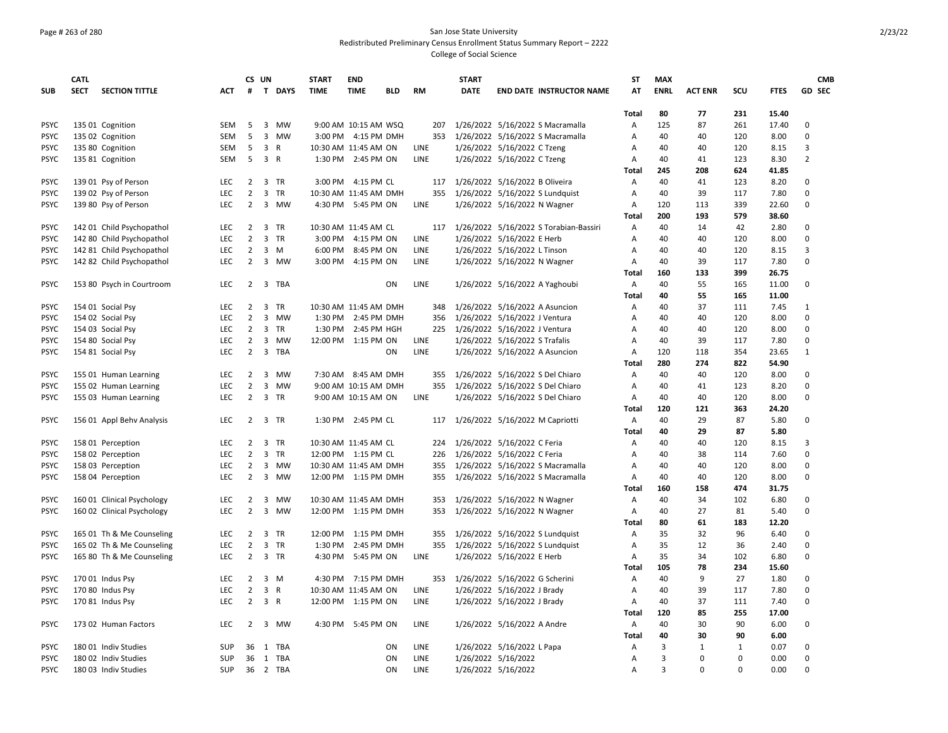### Page # 263 of 280 San Jose State University Redistributed Preliminary Census Enrollment Status Summary Report – 2222 College of Social Science

|             | <b>CATL</b> |                            |            |                     | CS UN          |          | <b>START</b> | <b>END</b>            |     |             | <b>START</b> |                                            | <b>ST</b>  | <b>MAX</b>     |                |            |                | <b>CMB</b>     |
|-------------|-------------|----------------------------|------------|---------------------|----------------|----------|--------------|-----------------------|-----|-------------|--------------|--------------------------------------------|------------|----------------|----------------|------------|----------------|----------------|
| <b>SUB</b>  | <b>SECT</b> | <b>SECTION TITTLE</b>      | ACT        | #                   |                | T DAYS   | <b>TIME</b>  | <b>TIME</b>           | BLD | <b>RM</b>   | <b>DATE</b>  | <b>END DATE INSTRUCTOR NAME</b>            | AT         | <b>ENRL</b>    | <b>ACT ENR</b> | SCU        | <b>FTES</b>    | GD SEC         |
|             |             |                            |            |                     |                |          |              |                       |     |             |              |                                            |            |                |                |            |                |                |
| <b>PSYC</b> |             | 135 01 Cognition           | SEM        | -5                  |                | 3 MW     |              | 9:00 AM 10:15 AM WSQ  |     | 207         |              | 1/26/2022 5/16/2022 S Macramalla           | Total<br>А | 80<br>125      | 77<br>87       | 231<br>261 | 15.40<br>17.40 | $\Omega$       |
| <b>PSYC</b> |             | 135 02 Cognition           | <b>SEM</b> | 5                   |                | 3 MW     |              | 3:00 PM 4:15 PM DMH   |     |             |              | 353 1/26/2022 5/16/2022 S Macramalla       | A          | 40             | 40             | 120        | 8.00           | $\mathbf 0$    |
|             |             |                            |            |                     |                |          |              |                       |     |             |              |                                            |            |                |                |            |                | 3              |
| <b>PSYC</b> |             | 135 80 Cognition           | SEM        | 5                   |                | 3 R      |              | 10:30 AM 11:45 AM ON  |     | LINE        |              | 1/26/2022 5/16/2022 C Tzeng                | Α          | 40             | 40             | 120        | 8.15           |                |
| <b>PSYC</b> |             | 135 81 Cognition           | SEM        | 5                   | 3 R            |          |              | 1:30 PM 2:45 PM ON    |     | LINE        |              | 1/26/2022 5/16/2022 C Tzeng                | Α<br>Total | 40<br>245      | 41<br>208      | 123<br>624 | 8.30<br>41.85  | $\overline{2}$ |
|             |             |                            |            |                     |                | 3 TR     |              | 3:00 PM 4:15 PM CL    |     |             |              | 117 1/26/2022 5/16/2022 B Oliveira         | A          | 40             | 41             | 123        | 8.20           | $\Omega$       |
| <b>PSYC</b> |             | 139 01 Psy of Person       | LEC<br>LEC | 2<br>$\overline{2}$ |                |          |              | 10:30 AM 11:45 AM DMH |     |             |              |                                            | A          | 40             | 39             | 117        |                | $\mathbf 0$    |
| <b>PSYC</b> |             | 139 02 Psy of Person       |            |                     |                | 3 TR     |              |                       |     |             |              | 355 1/26/2022 5/16/2022 S Lundquist        |            |                |                |            | 7.80           |                |
| <b>PSYC</b> |             | 139 80 Psy of Person       | <b>LEC</b> | $\overline{2}$      |                | 3 MW     |              | 4:30 PM 5:45 PM ON    |     | LINE        |              | 1/26/2022 5/16/2022 N Wagner               | Α<br>Total | 120<br>200     | 113<br>193     | 339<br>579 | 22.60<br>38.60 | 0              |
| <b>PSYC</b> |             | 142 01 Child Psychopathol  | <b>LEC</b> | $2^{\circ}$         |                | 3 TR     |              | 10:30 AM 11:45 AM CL  |     |             |              | 117 1/26/2022 5/16/2022 S Torabian-Bassiri | A          | 40             | 14             | 42         | 2.80           | $\Omega$       |
|             |             |                            | <b>LEC</b> | $\overline{2}$      |                | 3 TR     |              |                       |     | LINE        |              |                                            |            |                |                |            |                | $\Omega$       |
| <b>PSYC</b> |             | 142 80 Child Psychopathol  |            |                     |                |          |              | 3:00 PM 4:15 PM ON    |     |             |              | 1/26/2022 5/16/2022 E Herb                 | A          | 40             | 40             | 120        | 8.00           | 3              |
| <b>PSYC</b> |             | 142 81 Child Psychopathol  | LEC        | $\overline{2}$      |                | 3 M      |              | 6:00 PM 8:45 PM ON    |     | LINE        |              | 1/26/2022 5/16/2022 L Tinson               | Α          | 40             | 40             | 120        | 8.15           | $\Omega$       |
| <b>PSYC</b> |             | 142 82 Child Psychopathol  | <b>LEC</b> | $\overline{2}$      |                | 3 MW     |              | 3:00 PM 4:15 PM ON    |     | <b>LINE</b> |              | 1/26/2022 5/16/2022 N Wagner               | Α          | 40             | 39             | 117        | 7.80           |                |
|             |             |                            |            |                     |                |          |              |                       |     |             |              |                                            | Total      | 160            | 133            | 399        | 26.75          |                |
| <b>PSYC</b> |             | 153 80 Psych in Courtroom  | LEC        |                     |                | 2 3 TBA  |              |                       | ON  | LINE        |              | 1/26/2022 5/16/2022 A Yaghoubi             | Α          | 40             | 55             | 165        | 11.00          | 0              |
|             |             |                            |            |                     |                |          |              |                       |     |             |              |                                            | Total      | 40             | 55             | 165        | 11.00          |                |
| <b>PSYC</b> |             | 154 01 Social Psy          | <b>LEC</b> | $\mathbf{2}$        |                | 3 TR     |              | 10:30 AM 11:45 AM DMH |     | 348         |              | 1/26/2022 5/16/2022 A Asuncion             | Α          | 40             | 37             | 111        | 7.45           | 1              |
| <b>PSYC</b> |             | 154 02 Social Psy          | <b>LEC</b> | $\overline{2}$      |                | 3 MW     |              | 1:30 PM 2:45 PM DMH   |     | 356         |              | 1/26/2022 5/16/2022 J Ventura              | Α          | 40             | 40             | 120        | 8.00           | $\mathbf 0$    |
| <b>PSYC</b> |             | 154 03 Social Psy          | LEC        | $\overline{2}$      |                | 3 TR     |              | 1:30 PM 2:45 PM HGH   |     |             |              | 225 1/26/2022 5/16/2022 J Ventura          | Α          | 40             | 40             | 120        | 8.00           | $\mathbf 0$    |
| <b>PSYC</b> |             | 154 80 Social Psy          | LEC        | $\overline{2}$      |                | 3 MW     |              | 12:00 PM 1:15 PM ON   |     | LINE        |              | 1/26/2022 5/16/2022 S Trafalis             | Α          | 40             | 39             | 117        | 7.80           | $\Omega$       |
| <b>PSYC</b> |             | 154 81 Social Psy          | <b>LEC</b> | $\overline{2}$      | $\overline{3}$ | TBA      |              |                       | ON  | <b>LINE</b> |              | 1/26/2022 5/16/2022 A Asuncion             | A          | 120            | 118            | 354        | 23.65          | 1              |
|             |             |                            |            |                     |                |          |              |                       |     |             |              |                                            | Total      | 280            | 274            | 822        | 54.90          |                |
| <b>PSYC</b> |             | 155 01 Human Learning      | LEC        | $\overline{2}$      |                | 3 MW     |              | 7:30 AM 8:45 AM DMH   |     | 355         |              | 1/26/2022 5/16/2022 S Del Chiaro           | A          | 40             | 40             | 120        | 8.00           | 0              |
| <b>PSYC</b> |             | 155 02 Human Learning      | LEC        | $\overline{2}$      |                | 3 MW     |              | 9:00 AM 10:15 AM DMH  |     | 355         |              | 1/26/2022 5/16/2022 S Del Chiaro           | Α          | 40             | 41             | 123        | 8.20           | $\mathbf 0$    |
| <b>PSYC</b> |             | 155 03 Human Learning      | LEC        | $\overline{2}$      |                | 3 TR     |              | 9:00 AM 10:15 AM ON   |     | LINE        |              | 1/26/2022 5/16/2022 S Del Chiaro           | Α          | 40             | 40             | 120        | 8.00           | 0              |
|             |             |                            |            |                     |                |          |              |                       |     |             |              |                                            | Total      | 120            | 121            | 363        | 24.20          |                |
| <b>PSYC</b> |             | 156 01 Appl Behv Analysis  | <b>LEC</b> |                     |                | 2 3 TR   |              | 1:30 PM 2:45 PM CL    |     | 117         |              | 1/26/2022 5/16/2022 M Capriotti            | Α          | 40             | 29             | 87         | 5.80           | $\Omega$       |
|             |             |                            |            |                     |                |          |              |                       |     |             |              |                                            | Total      | 40             | 29             | 87         | 5.80           |                |
| <b>PSYC</b> |             | 158 01 Perception          | <b>LEC</b> | $\overline{2}$      |                | 3 TR     |              | 10:30 AM 11:45 AM CL  |     | 224         |              | 1/26/2022 5/16/2022 C Feria                | Α          | 40             | 40             | 120        | 8.15           | 3              |
| <b>PSYC</b> |             | 158 02 Perception          | LEC        |                     |                | 2 3 TR   |              | 12:00 PM 1:15 PM CL   |     | 226         |              | 1/26/2022 5/16/2022 C Feria                | Α          | 40             | 38             | 114        | 7.60           | $\mathbf 0$    |
| <b>PSYC</b> |             | 158 03 Perception          | LEC        | $\overline{2}$      |                | 3 MW     |              | 10:30 AM 11:45 AM DMH |     | 355         |              | 1/26/2022 5/16/2022 S Macramalla           | Α          | 40             | 40             | 120        | 8.00           | $\Omega$       |
| <b>PSYC</b> |             | 158 04 Perception          | <b>LEC</b> | $\overline{2}$      |                | 3 MW     |              | 12:00 PM 1:15 PM DMH  |     | 355         |              | 1/26/2022 5/16/2022 S Macramalla           | A          | 40             | 40             | 120        | 8.00           | $\Omega$       |
|             |             |                            |            |                     |                |          |              |                       |     |             |              |                                            | Total      | 160            | 158            | 474        | 31.75          |                |
| <b>PSYC</b> |             | 160 01 Clinical Psychology | <b>LEC</b> | $\overline{2}$      |                | 3 MW     |              | 10:30 AM 11:45 AM DMH |     | 353         |              | 1/26/2022 5/16/2022 N Wagner               | Α          | 40             | 34             | 102        | 6.80           | 0              |
| <b>PSYC</b> |             | 160 02 Clinical Psychology | LEC        | $\overline{2}$      |                | 3 MW     |              | 12:00 PM 1:15 PM DMH  |     | 353         |              | 1/26/2022 5/16/2022 N Wagner               | Α          | 40             | 27             | 81         | 5.40           | $\mathbf 0$    |
|             |             |                            |            |                     |                |          |              |                       |     |             |              |                                            | Total      | 80             | 61             | 183        | 12.20          |                |
| <b>PSYC</b> |             | 165 01 Th & Me Counseling  | <b>LEC</b> | $\mathbf{2}$        |                | 3 TR     |              | 12:00 PM 1:15 PM DMH  |     | 355         |              | 1/26/2022 5/16/2022 S Lundquist            | A          | 35             | 32             | 96         | 6.40           | $\Omega$       |
| <b>PSYC</b> |             | 165 02 Th & Me Counseling  | LEC        | $\overline{2}$      |                | 3 TR     | 1:30 PM      | 2:45 PM DMH           |     | 355         |              | 1/26/2022 5/16/2022 S Lundquist            | Α          | 35             | 12             | 36         | 2.40           | 0              |
| <b>PSYC</b> |             | 165 80 Th & Me Counseling  | LEC        | $\overline{2}$      |                | 3 TR     | 4:30 PM      | 5:45 PM ON            |     | LINE        |              | 1/26/2022 5/16/2022 E Herb                 | Α          | 35             | 34             | 102        | 6.80           | 0              |
|             |             |                            |            |                     |                |          |              |                       |     |             |              |                                            | Total      | 105            | 78             | 234        | 15.60          |                |
| <b>PSYC</b> |             | 170 01 Indus Psy           | LEC        | $\overline{2}$      |                | 3 M      |              | 4:30 PM 7:15 PM DMH   |     |             |              | 353 1/26/2022 5/16/2022 G Scherini         | Α          | 40             | 9              | 27         | 1.80           | $\Omega$       |
| <b>PSYC</b> |             | 170 80 Indus Psy           | <b>LEC</b> | $\overline{2}$      |                | 3 R      |              | 10:30 AM 11:45 AM ON  |     | LINE        |              | 1/26/2022 5/16/2022 J Brady                | A          | 40             | 39             | 117        | 7.80           | $\Omega$       |
| <b>PSYC</b> |             | 170 81 Indus Psy           | <b>LEC</b> | $\overline{2}$      |                | 3 R      |              | 12:00 PM 1:15 PM ON   |     | LINE        |              | 1/26/2022 5/16/2022 J Brady                | А          | 40             | 37             | 111        | 7.40           | 0              |
|             |             |                            |            |                     |                |          |              |                       |     |             |              |                                            | Total      | 120            | 85             | 255        | 17.00          |                |
| <b>PSYC</b> |             | 173 02 Human Factors       | <b>LEC</b> | $\overline{2}$      |                | 3 MW     |              | 4:30 PM 5:45 PM ON    |     | <b>LINE</b> |              | 1/26/2022 5/16/2022 A Andre                | Α          | 40             | 30             | 90         | 6.00           | 0              |
|             |             |                            |            |                     |                |          |              |                       |     |             |              |                                            | Total      | 40             | 30             | 90         | 6.00           |                |
| <b>PSYC</b> |             | 180 01 Indiv Studies       | SUP        |                     |                | 36 1 TBA |              |                       | ON  | <b>LINE</b> |              | 1/26/2022 5/16/2022 L Papa                 | A          | 3              | 1              | 1          | 0.07           | $\Omega$       |
| <b>PSYC</b> |             | 180 02 Indiv Studies       | SUP        |                     |                | 36 1 TBA |              |                       | ON  | <b>LINE</b> |              | 1/26/2022 5/16/2022                        | A          | 3              | $\Omega$       | $\Omega$   | 0.00           | $\Omega$       |
| <b>PSYC</b> |             | 180 03 Indiv Studies       | <b>SUP</b> |                     |                | 36 2 TBA |              |                       | ON  | <b>LINE</b> |              | 1/26/2022 5/16/2022                        | A          | $\overline{3}$ | $\Omega$       | $\Omega$   | 0.00           | $\mathbf 0$    |
|             |             |                            |            |                     |                |          |              |                       |     |             |              |                                            |            |                |                |            |                |                |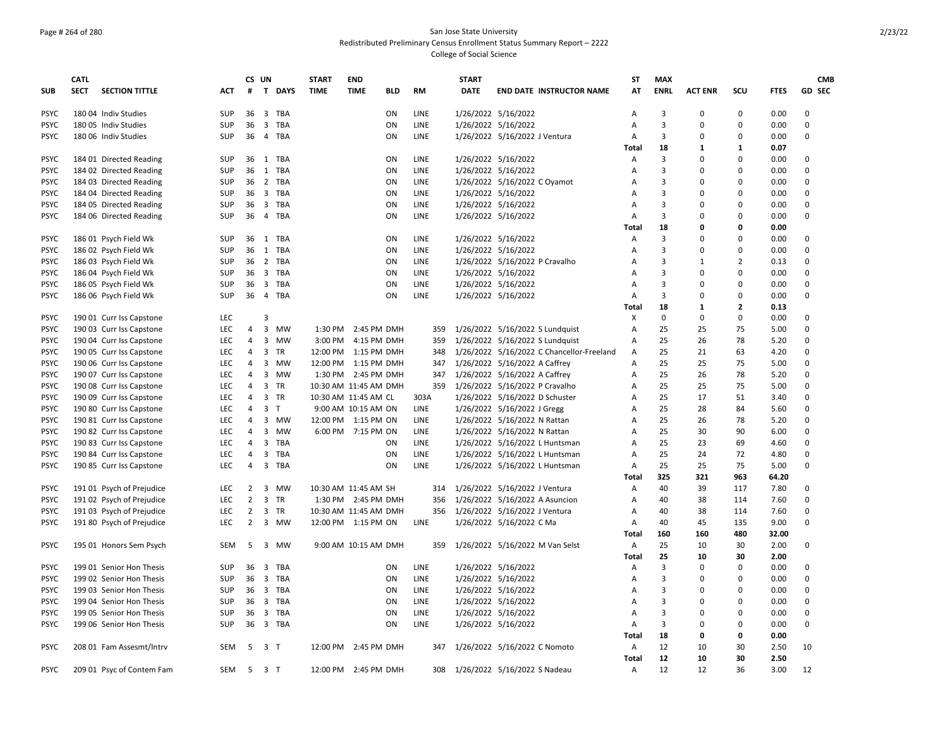### Page # 264 of 280 San Jose State University Redistributed Preliminary Census Enrollment Status Summary Report – 2222 College of Social Science

|             | <b>CATL</b> |                           |                          | CS UN          |                |                   | <b>START</b> | <b>END</b>            |           |              | <b>START</b> |                                 |                                           | ST    | <b>MAX</b>  |                |                     |             |                  | <b>CMB</b>    |
|-------------|-------------|---------------------------|--------------------------|----------------|----------------|-------------------|--------------|-----------------------|-----------|--------------|--------------|---------------------------------|-------------------------------------------|-------|-------------|----------------|---------------------|-------------|------------------|---------------|
| <b>SUB</b>  | <b>SECT</b> | <b>SECTION TITTLE</b>     | ACT                      | #              |                | T DAYS            | <b>TIME</b>  | <b>TIME</b>           | BLD       | RM           | <b>DATE</b>  | <b>END DATE INSTRUCTOR NAME</b> |                                           | AT    | <b>ENRL</b> | <b>ACT ENR</b> | SCU                 | <b>FTES</b> |                  | <b>GD SEC</b> |
| <b>PSYC</b> |             | 180 04 Indiv Studies      | SUP                      |                |                | 36 3 TBA          |              |                       | ON        | <b>LINE</b>  |              | 1/26/2022 5/16/2022             |                                           | A     | 3           | $\mathbf 0$    | $\Omega$            | 0.00        | $\Omega$         |               |
| <b>PSYC</b> |             | 180 05 Indiv Studies      | <b>SUP</b>               | 36             |                | 3 TBA             |              |                       | ON        | LINE         |              | 1/26/2022 5/16/2022             |                                           | Α     | 3           | 0              | $\mathbf 0$         | 0.00        | $\mathbf 0$      |               |
| <b>PSYC</b> |             | 180 06 Indiv Studies      | <b>SUP</b>               | 36             |                | 4 TBA             |              |                       | ON        | LINE         |              | 1/26/2022 5/16/2022 J Ventura   |                                           | Α     | 3           | $\Omega$       | $\Omega$            | 0.00        | $\Omega$         |               |
|             |             |                           |                          |                |                |                   |              |                       |           |              |              |                                 |                                           | Total | 18          | 1              | 1                   | 0.07        |                  |               |
|             |             |                           |                          |                |                |                   |              |                       |           |              |              | 1/26/2022 5/16/2022             |                                           |       | 3           | 0              | $\Omega$            |             | $\Omega$         |               |
| <b>PSYC</b> |             | 184 01 Directed Reading   | <b>SUP</b><br><b>SUP</b> | 36             | 1              | TBA<br>36 1 TBA   |              |                       | ON<br>ON  | LINE<br>LINE |              |                                 |                                           | Α     | 3           | $\Omega$       | $\Omega$            | 0.00        | $\mathbf 0$      |               |
| <b>PSYC</b> |             | 184 02 Directed Reading   |                          |                |                |                   |              |                       |           |              |              | 1/26/2022 5/16/2022             |                                           | A     |             | $\Omega$       | $\Omega$            | 0.00        | $\mathbf 0$      |               |
| <b>PSYC</b> |             | 184 03 Directed Reading   | <b>SUP</b>               | 36             |                | 2 TBA<br>36 3 TBA |              |                       | ON<br>ON  | LINE         |              | 1/26/2022 5/16/2022 C Oyamot    |                                           | Α     | 3<br>3      | $\Omega$       | $\Omega$            | 0.00        | $\Omega$         |               |
| <b>PSYC</b> |             | 184 04 Directed Reading   | SUP                      |                |                |                   |              |                       |           | LINE         |              | 1/26/2022 5/16/2022             |                                           | Α     |             |                |                     | 0.00        | $\Omega$         |               |
| <b>PSYC</b> |             | 184 05 Directed Reading   | SUP                      |                |                | 36 3 TBA          |              |                       | ON        | LINE         |              | 1/26/2022 5/16/2022             |                                           | A     | 3           | 0              | $\Omega$            | 0.00        |                  |               |
| <b>PSYC</b> |             | 184 06 Directed Reading   | <b>SUP</b>               | 36             | 4              | TBA               |              |                       | ON        | <b>LINE</b>  |              | 1/26/2022 5/16/2022             |                                           | A     | 3           | 0<br>0         | $\Omega$<br>0       | 0.00        | 0                |               |
|             |             |                           |                          |                |                |                   |              |                       |           |              |              |                                 |                                           | Total | 18          | $\Omega$       | $\Omega$            | 0.00        |                  |               |
| <b>PSYC</b> |             | 186 01 Psych Field Wk     | SUP                      |                |                | 36 1 TBA          |              |                       | ON        | LINE         |              | 1/26/2022 5/16/2022             |                                           | Α     | 3           |                |                     | 0.00        | 0<br>$\mathbf 0$ |               |
| <b>PSYC</b> |             | 186 02 Psych Field Wk     | <b>SUP</b>               |                |                | 36 1 TBA          |              |                       | ON        | LINE         |              | 1/26/2022 5/16/2022             |                                           | Α     | 3           | $\mathbf 0$    | 0<br>$\overline{2}$ | 0.00        | $\Omega$         |               |
| <b>PSYC</b> |             | 186 03 Psych Field Wk     | SUP                      |                |                | 36 2 TBA          |              |                       | ON        | <b>LINE</b>  |              | 1/26/2022 5/16/2022 P Cravalho  |                                           | A     | 3           | 1              |                     | 0.13        |                  |               |
| <b>PSYC</b> |             | 186 04 Psych Field Wk     | <b>SUP</b>               | $36 \quad 3$   |                | TBA               |              |                       | ON        | <b>LINE</b>  |              | 1/26/2022 5/16/2022             |                                           | A     | 3           | $\Omega$       | $\Omega$            | 0.00        | $\Omega$         |               |
| <b>PSYC</b> |             | 186 05 Psych Field Wk     | SUP                      | 36             |                | 3 TBA             |              |                       | ON        | <b>LINE</b>  |              | 1/26/2022 5/16/2022             |                                           | Α     | 3           | 0              | $\Omega$            | 0.00        | $\mathbf 0$      |               |
| <b>PSYC</b> |             | 186 06 Psych Field Wk     | <b>SUP</b>               | 36             |                | 4 TBA             |              |                       | ON        | LINE         |              | 1/26/2022 5/16/2022             |                                           | Α     | 3           | $\Omega$       | $\Omega$            | 0.00        | $\mathbf 0$      |               |
|             |             |                           |                          |                |                |                   |              |                       |           |              |              |                                 |                                           | Total | 18          | 1              | $\mathbf{z}$        | 0.13        |                  |               |
| <b>PSYC</b> |             | 190 01 Curr Iss Capstone  | LEC                      |                | 3              |                   |              |                       |           |              |              |                                 |                                           | х     | 0           | $\Omega$       | 0                   | 0.00        | $\Omega$         |               |
| <b>PSYC</b> |             | 190 03 Curr Iss Capstone  | <b>LEC</b>               | 4              | 3              | MW                | 1:30 PM      | 2:45 PM DMH           |           | 359          |              | 1/26/2022 5/16/2022 S Lundquist |                                           | A     | 25          | 25             | 75                  | 5.00        | $\Omega$         |               |
| <b>PSYC</b> |             | 190 04 Curr Iss Capstone  | LEC                      | 4              |                | 3 MW              | 3:00 PM      | 4:15 PM DMH           |           | 359          |              | 1/26/2022 5/16/2022 S Lundquist |                                           | Α     | 25          | 26             | 78                  | 5.20        | $\mathbf 0$      |               |
| <b>PSYC</b> |             | 190 05 Curr Iss Capstone  | LEC                      | 4              |                | 3 TR              |              | 12:00 PM 1:15 PM DMH  |           | 348          |              |                                 | 1/26/2022 5/16/2022 C Chancellor-Freeland | Α     | 25          | 21             | 63                  | 4.20        | $\mathbf 0$      |               |
| <b>PSYC</b> |             | 190 06 Curr Iss Capstone  | LEC                      | 4              | 3              | MW                | 12:00 PM     | 1:15 PM DMH           |           | 347          |              | 1/26/2022 5/16/2022 A Caffrey   |                                           | Α     | 25          | 25             | 75                  | 5.00        | $\mathbf 0$      |               |
| <b>PSYC</b> |             | 190 07 Curr Iss Capstone  | LEC                      | $\overline{4}$ |                | 3 MW              |              | 1:30 PM 2:45 PM DMH   |           | 347          |              | 1/26/2022 5/16/2022 A Caffrey   |                                           | Α     | 25          | 26             | 78                  | 5.20        | $\Omega$         |               |
| <b>PSYC</b> |             | 190 08 Curr Iss Capstone  | <b>LEC</b>               | 4              |                | 3 TR              |              | 10:30 AM 11:45 AM DMH |           | 359          |              | 1/26/2022 5/16/2022 P Cravalho  |                                           | A     | 25          | 25             | 75                  | 5.00        | $\Omega$         |               |
| <b>PSYC</b> |             | 190 09 Curr Iss Capstone  | <b>LEC</b>               | 4              |                | 3 TR              |              | 10:30 AM 11:45 AM CL  |           | 303A         |              | 1/26/2022 5/16/2022 D Schuster  |                                           | A     | 25          | 17             | 51                  | 3.40        | $\Omega$         |               |
| <b>PSYC</b> |             | 190 80 Curr Iss Capstone  | LEC                      | 4              |                | 3 <sub>T</sub>    |              | 9:00 AM 10:15 AM ON   |           | LINE         |              | 1/26/2022 5/16/2022 J Gregg     |                                           | Α     | 25          | 28             | 84                  | 5.60        | $\mathbf 0$      |               |
| <b>PSYC</b> |             | 190 81 Curr Iss Capstone  | LEC                      | 4              |                | 3 MW              |              | 12:00 PM 1:15 PM ON   |           | <b>LINE</b>  |              | 1/26/2022 5/16/2022 N Rattan    |                                           | Α     | 25          | 26             | 78                  | 5.20        | $\mathbf 0$      |               |
| <b>PSYC</b> |             | 190 82 Curr Iss Capstone  | LEC                      | 4              | $\overline{3}$ | MW                |              | 6:00 PM 7:15 PM ON    |           | LINE         |              | 1/26/2022 5/16/2022 N Rattan    |                                           | Α     | 25          | 30             | 90                  | 6.00        | $\mathbf 0$      |               |
| <b>PSYC</b> |             | 190 83 Curr Iss Capstone  | <b>LEC</b>               | 4              | $\overline{3}$ | TBA               |              |                       | ON        | <b>LINE</b>  |              | 1/26/2022 5/16/2022 L Huntsman  |                                           | A     | 25          | 23             | 69                  | 4.60        | $\Omega$         |               |
| <b>PSYC</b> |             | 190 84 Curr Iss Capstone  | LEC                      | 4              | $\mathbf{3}$   | TBA               |              |                       | ON        | <b>LINE</b>  |              | 1/26/2022 5/16/2022 L Huntsman  |                                           | A     | 25          | 24             | 72                  | 4.80        | $\Omega$         |               |
| <b>PSYC</b> |             | 190 85 Curr Iss Capstone  | LEC                      | 4              |                | 3 TBA             |              |                       | ON        | <b>LINE</b>  |              | 1/26/2022 5/16/2022 L Huntsman  |                                           | Α     | 25          | 25             | 75                  | 5.00        | $\mathbf 0$      |               |
|             |             |                           |                          |                |                |                   |              |                       |           |              |              |                                 |                                           | Total | 325         | 321            | 963                 | 64.20       |                  |               |
| <b>PSYC</b> |             | 191 01 Psych of Prejudice | LEC                      | $\overline{2}$ |                | 3 MW              |              | 10:30 AM 11:45 AM SH  |           | 314          |              | 1/26/2022 5/16/2022 J Ventura   |                                           | Α     | 40          | 39             | 117                 | 7.80        | 0                |               |
| <b>PSYC</b> |             | 191 02 Psych of Prejudice | <b>LEC</b>               | $\overline{2}$ | $\overline{3}$ | <b>TR</b>         |              | 1:30 PM 2:45 PM DMH   |           | 356          |              | 1/26/2022 5/16/2022 A Asuncion  |                                           | A     | 40          | 38             | 114                 | 7.60        | $\Omega$         |               |
| <b>PSYC</b> |             | 191 03 Psych of Prejudice | <b>LEC</b>               | $\overline{2}$ |                | 3 TR              |              | 10:30 AM 11:45 AM DMH |           | 356          |              | 1/26/2022 5/16/2022 J Ventura   |                                           | A     | 40          | 38             | 114                 | 7.60        | $\Omega$         |               |
| <b>PSYC</b> |             | 191 80 Psych of Prejudice | LEC                      | $\overline{2}$ | $\mathbf{3}$   | MW                |              | 12:00 PM 1:15 PM ON   |           | LINE         |              | 1/26/2022 5/16/2022 C Ma        |                                           | Α     | 40          | 45             | 135                 | 9.00        | $\mathbf 0$      |               |
|             |             |                           |                          |                |                |                   |              |                       |           |              |              |                                 |                                           | Total | 160         | 160            | 480                 | 32.00       |                  |               |
| <b>PSYC</b> |             | 195 01 Honors Sem Psych   | SEM                      | 5              |                | 3 MW              |              | 9:00 AM 10:15 AM DMH  |           | 359          |              | 1/26/2022 5/16/2022 M Van Selst |                                           | Α     | 25          | 10             | 30                  | 2.00        | 0                |               |
|             |             |                           |                          |                |                |                   |              |                       |           |              |              |                                 |                                           | Total | 25          | 10             | 30                  | 2.00        |                  |               |
| <b>PSYC</b> |             | 199 01 Senior Hon Thesis  | <b>SUP</b>               |                |                | 36 3 TBA          |              |                       | ON        | <b>LINE</b>  |              | 1/26/2022 5/16/2022             |                                           | A     | 3           | 0              | $\Omega$            | 0.00        | $\Omega$         |               |
| <b>PSYC</b> |             | 199 02 Senior Hon Thesis  | SUP                      | 36             |                | 3 TBA             |              |                       | ON        | LINE         |              | 1/26/2022 5/16/2022             |                                           | Α     | 3           | 0              | $\Omega$            | 0.00        | $\mathbf 0$      |               |
| <b>PSYC</b> |             | 199 03 Senior Hon Thesis  | SUP                      |                |                | 36 3 TBA          |              |                       | ON        | LINE         |              | 1/26/2022 5/16/2022             |                                           | Α     | 3           | $\mathbf 0$    | $\Omega$            | 0.00        | $\mathbf 0$      |               |
| <b>PSYC</b> |             | 199 04 Senior Hon Thesis  | <b>SUP</b>               | 36             |                | 3 TBA             |              |                       | ON        | LINE         |              | 1/26/2022 5/16/2022             |                                           | Α     | 3           | $\Omega$       | $\Omega$            | 0.00        | $\mathbf 0$      |               |
| <b>PSYC</b> |             | 199 05 Senior Hon Thesis  | SUP                      | 36             |                | 3 TBA             |              |                       | ON        | LINE         |              | 1/26/2022 5/16/2022             |                                           | Α     | 3           | $\Omega$       | $\Omega$            | 0.00        | $\Omega$         |               |
| <b>PSYC</b> |             | 199 06 Senior Hon Thesis  | <b>SUP</b>               |                |                | 36 3 TBA          |              |                       | <b>ON</b> | LINE         |              | 1/26/2022 5/16/2022             |                                           | A     | 3           | 0              | 0                   | 0.00        | $\Omega$         |               |
|             |             |                           |                          |                |                |                   |              |                       |           |              |              |                                 |                                           | Total | 18          | 0              | 0                   | 0.00        |                  |               |
| <b>PSYC</b> |             | 208 01 Fam Assesmt/Intrv  | <b>SEM</b>               | 5              | 3 <sub>T</sub> |                   |              | 12:00 PM 2:45 PM DMH  |           | 347          |              | 1/26/2022 5/16/2022 C Nomoto    |                                           | Α     | 12          | 10             | 30                  | 2.50        | 10               |               |
|             |             |                           |                          |                |                |                   |              |                       |           |              |              |                                 |                                           | Total | 12          | 10             | 30                  | 2.50        |                  |               |
| <b>PSYC</b> |             | 209 01 Psyc of Contem Fam | SEM                      | 5 3 T          |                |                   |              | 12:00 PM 2:45 PM DMH  |           | 308          |              | 1/26/2022 5/16/2022 S Nadeau    |                                           | Α     | 12          | 12             | 36                  | 3.00        | 12               |               |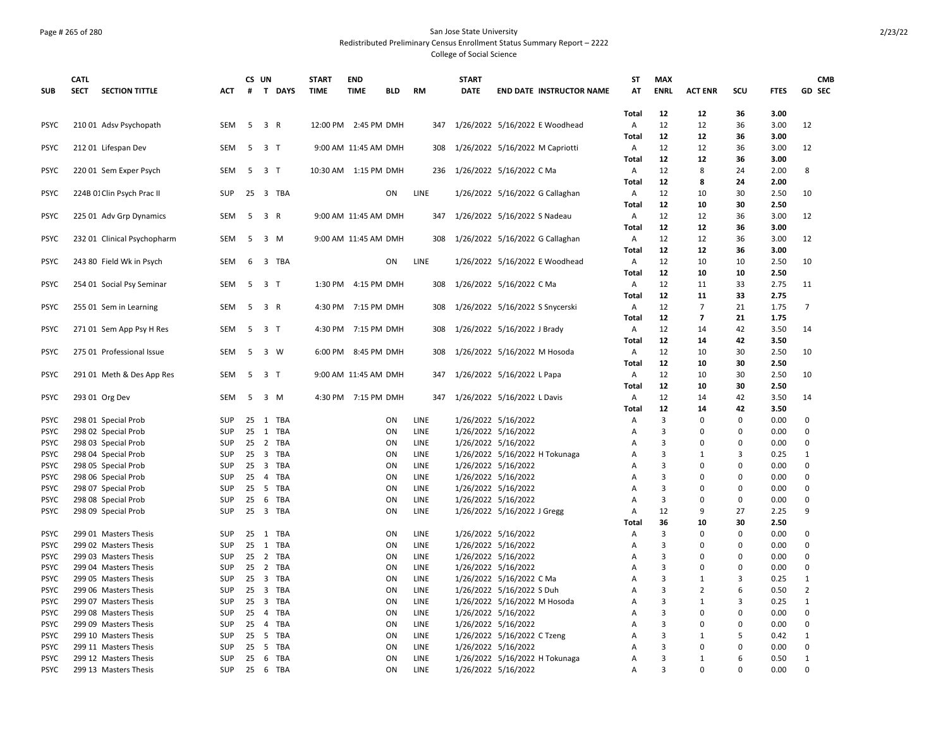### Page # 265 of 280 San Jose State University Redistributed Preliminary Census Enrollment Status Summary Report – 2222 College of Social Science

|                            | <b>CATL</b> |                                            |                          |                 | CS UN                   |                 | <b>START</b> | <b>END</b>           |                 |                     | <b>START</b> |                                            | <b>ST</b>      | <b>MAX</b>     |                |                      |              | <b>CMB</b>     |
|----------------------------|-------------|--------------------------------------------|--------------------------|-----------------|-------------------------|-----------------|--------------|----------------------|-----------------|---------------------|--------------|--------------------------------------------|----------------|----------------|----------------|----------------------|--------------|----------------|
| <b>SUB</b>                 | <b>SECT</b> | <b>SECTION TITTLE</b>                      | ACT                      | #               |                         | T DAYS          | <b>TIME</b>  | <b>TIME</b>          | <b>BLD</b>      | RM                  | <b>DATE</b>  | <b>END DATE INSTRUCTOR NAME</b>            | AT             | <b>ENRL</b>    | <b>ACT ENR</b> | SCU                  | <b>FTES</b>  | <b>GD SEC</b>  |
|                            |             |                                            |                          |                 |                         |                 |              |                      |                 |                     |              |                                            | Total          | 12             | 12             | 36                   | 3.00         |                |
| <b>PSYC</b>                |             | 210 01 Adsv Psychopath                     | SEM                      | 5               |                         | 3 R             |              | 12:00 PM 2:45 PM DMH |                 | 347                 |              | 1/26/2022 5/16/2022 E Woodhead             | Α              | 12             | 12             | 36                   | 3.00         | 12             |
|                            |             |                                            |                          |                 |                         |                 |              |                      |                 |                     |              |                                            | <b>Total</b>   | 12             | 12             | 36                   | 3.00         |                |
| <b>PSYC</b>                |             | 212 01 Lifespan Dev                        | SEM                      | 5               |                         | 3 T             |              | 9:00 AM 11:45 AM DMH |                 | 308                 |              | 1/26/2022 5/16/2022 M Capriotti            | A              | 12             | 12             | 36                   | 3.00         | 12             |
|                            |             |                                            |                          |                 |                         |                 |              |                      |                 |                     |              |                                            | Total          | 12             | 12             | 36                   | 3.00         |                |
| <b>PSYC</b>                |             | 220 01 Sem Exper Psych                     | SEM                      |                 | 5 3 T                   |                 |              | 10:30 AM 1:15 PM DMH |                 |                     |              | 236 1/26/2022 5/16/2022 C Ma               | Α              | 12             | 8              | 24                   | 2.00         | 8              |
|                            |             |                                            |                          |                 |                         |                 |              |                      |                 |                     |              |                                            | Total          | 12             | 8              | 24                   | 2.00         |                |
| <b>PSYC</b>                |             | 224B 01 Clin Psych Prac II                 | <b>SUP</b>               | 25              |                         | 3 TBA           |              |                      | ON              | LINE                |              | 1/26/2022 5/16/2022 G Callaghan            | Α              | 12             | 10             | 30                   | 2.50         | 10             |
|                            |             |                                            |                          |                 |                         |                 |              |                      |                 |                     |              |                                            | <b>Total</b>   | 12             | 10             | 30                   | 2.50         |                |
| <b>PSYC</b>                |             | 225 01 Adv Grp Dynamics                    | <b>SEM</b>               | 5               |                         | 3 R             |              | 9:00 AM 11:45 AM DMH |                 | 347                 |              | 1/26/2022 5/16/2022 S Nadeau               | A              | 12             | 12             | 36                   | 3.00         | 12             |
|                            |             |                                            |                          |                 |                         |                 |              |                      |                 |                     |              |                                            | Total          | 12             | 12             | 36                   | 3.00         |                |
| <b>PSYC</b>                |             | 232 01 Clinical Psychopharm                | SEM                      | 5               |                         | 3 M             |              | 9:00 AM 11:45 AM DMH |                 | 308                 |              | 1/26/2022 5/16/2022 G Callaghan            | Α              | 12             | 12             | 36                   | 3.00         | 12             |
|                            |             |                                            |                          |                 |                         |                 |              |                      |                 |                     |              |                                            | Total          | 12             | 12             | 36                   | 3.00         |                |
| <b>PSYC</b>                |             | 243 80 Field Wk in Psych                   | <b>SEM</b>               | 6               |                         | 3 TBA           |              |                      | ON              | <b>LINE</b>         |              | 1/26/2022 5/16/2022 E Woodhead             | A              | 12             | 10             | 10                   | 2.50         | 10             |
|                            |             |                                            |                          |                 |                         |                 |              |                      |                 |                     |              |                                            | Total          | 12             | 10             | 10                   | 2.50         |                |
| <b>PSYC</b>                |             | 254 01 Social Psy Seminar                  | SEM                      |                 | 5 3 T                   |                 |              | 1:30 PM 4:15 PM DMH  |                 | 308                 |              | 1/26/2022 5/16/2022 C Ma                   | A              | 12             | 11             | 33                   | 2.75         | 11             |
|                            |             |                                            |                          |                 |                         |                 |              |                      |                 |                     |              |                                            | Total          | 12             | 11             | 33                   | 2.75         |                |
| <b>PSYC</b>                |             | 255 01 Sem in Learning                     | <b>SEM</b>               | 5               |                         | 3 R             |              | 4:30 PM 7:15 PM DMH  |                 | 308                 |              | 1/26/2022 5/16/2022 S Snycerski            | Α              | 12             | $\overline{7}$ | 21                   | 1.75         | 7              |
|                            |             |                                            |                          |                 |                         |                 |              |                      |                 |                     |              |                                            | Total          | 12             | $\overline{7}$ | 21                   | 1.75         |                |
| <b>PSYC</b>                |             | 271 01 Sem App Psy H Res                   | SEM                      | 5               |                         | 3 T             |              | 4:30 PM 7:15 PM DMH  |                 | 308                 |              | 1/26/2022 5/16/2022 J Brady                | A              | 12             | 14             | 42                   | 3.50         | 14             |
|                            |             |                                            |                          |                 |                         |                 |              |                      |                 |                     |              |                                            | <b>Total</b>   | 12             | 14             | 42                   | 3.50         |                |
| <b>PSYC</b>                |             | 275 01 Professional Issue                  | <b>SEM</b>               | 5               |                         | 3 W             |              | 6:00 PM 8:45 PM DMH  |                 | 308                 |              | 1/26/2022 5/16/2022 M Hosoda               | $\overline{A}$ | 12             | 10             | 30                   | 2.50         | 10             |
|                            |             |                                            |                          |                 |                         |                 |              |                      |                 |                     |              |                                            | <b>Total</b>   | 12             | 10             | 30                   | 2.50         |                |
| <b>PSYC</b>                |             | 291 01 Meth & Des App Res                  | <b>SEM</b>               | 5               |                         | 3 <sub>1</sub>  |              | 9:00 AM 11:45 AM DMH |                 | 347                 |              | 1/26/2022 5/16/2022 L Papa                 | Α              | 12             | 10             | 30                   | 2.50         | 10             |
|                            |             |                                            |                          |                 |                         |                 |              |                      |                 |                     |              |                                            | Total          | 12             | 10             | 30                   | 2.50         |                |
| <b>PSYC</b>                |             | 293 01 Org Dev                             | SEM                      | 5               |                         | 3 M             |              | 4:30 PM 7:15 PM DMH  |                 | 347                 |              | 1/26/2022 5/16/2022 L Davis                | Α              | 12             | 14             | 42                   | 3.50         | 14             |
|                            |             |                                            |                          |                 |                         |                 |              |                      |                 |                     |              |                                            | Total          | 12             | 14             | 42                   | 3.50         |                |
| <b>PSYC</b>                |             | 298 01 Special Prob                        | <b>SUP</b>               |                 |                         | 25 1 TBA        |              |                      | ON              | LINE                |              | 1/26/2022 5/16/2022                        | А              | 3              | 0              | 0                    | 0.00         | 0<br>$\Omega$  |
| <b>PSYC</b>                |             | 298 02 Special Prob                        | <b>SUP</b><br><b>SUP</b> |                 |                         | 25 1 TBA<br>TBA |              |                      | ON<br><b>ON</b> | LINE<br><b>LINE</b> |              | 1/26/2022 5/16/2022                        | Α              | 3<br>3         | 0<br>$\Omega$  | $\Omega$<br>$\Omega$ | 0.00<br>0.00 | $\Omega$       |
| <b>PSYC</b><br><b>PSYC</b> |             | 298 03 Special Prob                        | SUP                      | $25 \quad 2$    |                         | 25 3 TBA        |              |                      | ON              | LINE                |              | 1/26/2022 5/16/2022                        | A              | 3              | 1              | 3                    | 0.25         | $\mathbf{1}$   |
| <b>PSYC</b>                |             | 298 04 Special Prob                        | <b>SUP</b>               | $25 \quad 3$    |                         | TBA             |              |                      | <b>ON</b>       | <b>LINE</b>         |              | 1/26/2022 5/16/2022 H Tokunaga             | Α<br>A         | 3              | 0              | $\Omega$             | 0.00         | $\Omega$       |
| <b>PSYC</b>                |             | 298 05 Special Prob<br>298 06 Special Prob | <b>SUP</b>               | 25              | 4                       | TBA             |              |                      | ON              | LINE                |              | 1/26/2022 5/16/2022<br>1/26/2022 5/16/2022 | A              | 3              | $\Omega$       | $\Omega$             | 0.00         | $\mathbf 0$    |
| <b>PSYC</b>                |             | 298 07 Special Prob                        | SUP                      | 25              | 5                       | TBA             |              |                      | ON              | LINE                |              | 1/26/2022 5/16/2022                        | Α              | 3              | 0              | $\Omega$             | 0.00         | 0              |
| <b>PSYC</b>                |             | 298 08 Special Prob                        | <b>SUP</b>               | 25              |                         | 6 TBA           |              |                      | <b>ON</b>       | LINE                |              | 1/26/2022 5/16/2022                        | A              | 3              | $\Omega$       | $\Omega$             | 0.00         | $\Omega$       |
| <b>PSYC</b>                |             | 298 09 Special Prob                        | <b>SUP</b>               |                 |                         | 25 3 TBA        |              |                      | <b>ON</b>       | LINE                |              | 1/26/2022 5/16/2022 J Gregg                | A              | 12             | 9              | 27                   | 2.25         | 9              |
|                            |             |                                            |                          |                 |                         |                 |              |                      |                 |                     |              |                                            | Total          | 36             | 10             | 30                   | 2.50         |                |
| <b>PSYC</b>                |             | 299 01 Masters Thesis                      | <b>SUP</b>               |                 |                         | 25 1 TBA        |              |                      | ON              | LINE                |              | 1/26/2022 5/16/2022                        | Α              | 3              | $\mathbf 0$    | $\Omega$             | 0.00         | 0              |
| <b>PSYC</b>                |             | 299 02 Masters Thesis                      | <b>SUP</b>               | 25              |                         | 1 TBA           |              |                      | ON              | LINE                |              | 1/26/2022 5/16/2022                        | Α              | 3              | $\mathbf 0$    | $\Omega$             | 0.00         | 0              |
| <b>PSYC</b>                |             | 299 03 Masters Thesis                      | <b>SUP</b>               |                 |                         | 25 2 TBA        |              |                      | ON              | LINE                |              | 1/26/2022 5/16/2022                        | Α              | 3              | $\Omega$       | $\Omega$             | 0.00         | 0              |
| <b>PSYC</b>                |             | 299 04 Masters Thesis                      | <b>SUP</b>               | 25              |                         | 2 TBA           |              |                      | ON              | LINE                |              | 1/26/2022 5/16/2022                        | A              | 3              | $\Omega$       | $\Omega$             | 0.00         | $\Omega$       |
| <b>PSYC</b>                |             | 299 05 Masters Thesis                      | <b>SUP</b>               | $25 \quad 3$    |                         | TBA             |              |                      | <b>ON</b>       | LINE                |              | 1/26/2022 5/16/2022 C Ma                   | A              | 3              | 1              | 3                    | 0.25         | 1              |
| <b>PSYC</b>                |             | 299 06 Masters Thesis                      | <b>SUP</b>               | $25 \quad 3$    |                         | TBA             |              |                      | <b>ON</b>       | LINE                |              | 1/26/2022 5/16/2022 S Duh                  | A              | 3              | $\overline{2}$ | 6                    | 0.50         | $\overline{2}$ |
| <b>PSYC</b>                |             | 299 07 Masters Thesis                      | <b>SUP</b>               | 25              | $\overline{\mathbf{3}}$ | TBA             |              |                      | ON              | LINE                |              | 1/26/2022 5/16/2022 M Hosoda               | Α              | 3              | $\mathbf{1}$   | 3                    | 0.25         | $\mathbf{1}$   |
| <b>PSYC</b>                |             | 299 08 Masters Thesis                      | <b>SUP</b>               | 25              |                         | 4 TBA           |              |                      | ON              | LINE                |              | 1/26/2022 5/16/2022                        | A              | 3              | $\mathbf 0$    | $\Omega$             | 0.00         | 0              |
| <b>PSYC</b>                |             | 299 09 Masters Thesis                      | <b>SUP</b>               | 25              | $\overline{4}$          | TBA             |              |                      | ON              | LINE                |              | 1/26/2022 5/16/2022                        | Α              | 3              | $\Omega$       | 0                    | 0.00         | $\mathbf 0$    |
| <b>PSYC</b>                |             | 299 10 Masters Thesis                      | SUP                      | 25 <sub>5</sub> |                         | TBA             |              |                      | <b>ON</b>       | LINE                |              | 1/26/2022 5/16/2022 C Tzeng                | A              | 3              | 1              | 5                    | 0.42         | 1              |
| <b>PSYC</b>                |             | 299 11 Masters Thesis                      | <b>SUP</b>               | 25              | - 5                     | TBA             |              |                      | ON              | LINE                |              | 1/26/2022 5/16/2022                        | A              | 3              | 0              | $\Omega$             | 0.00         | $\Omega$       |
| <b>PSYC</b>                |             | 299 12 Masters Thesis                      | <b>SUP</b>               | 25              | 6                       | TBA             |              |                      | ON              | LINE                |              | 1/26/2022 5/16/2022 H Tokunaga             | A              | 3              | $\mathbf{1}$   | 6                    | 0.50         | $\mathbf{1}$   |
| <b>PSYC</b>                |             | 299 13 Masters Thesis                      | <b>SUP</b>               |                 |                         | 25 6 TBA        |              |                      | ON              | <b>LINE</b>         |              | 1/26/2022 5/16/2022                        | A              | $\overline{3}$ | $\Omega$       | $\Omega$             | 0.00         | $\Omega$       |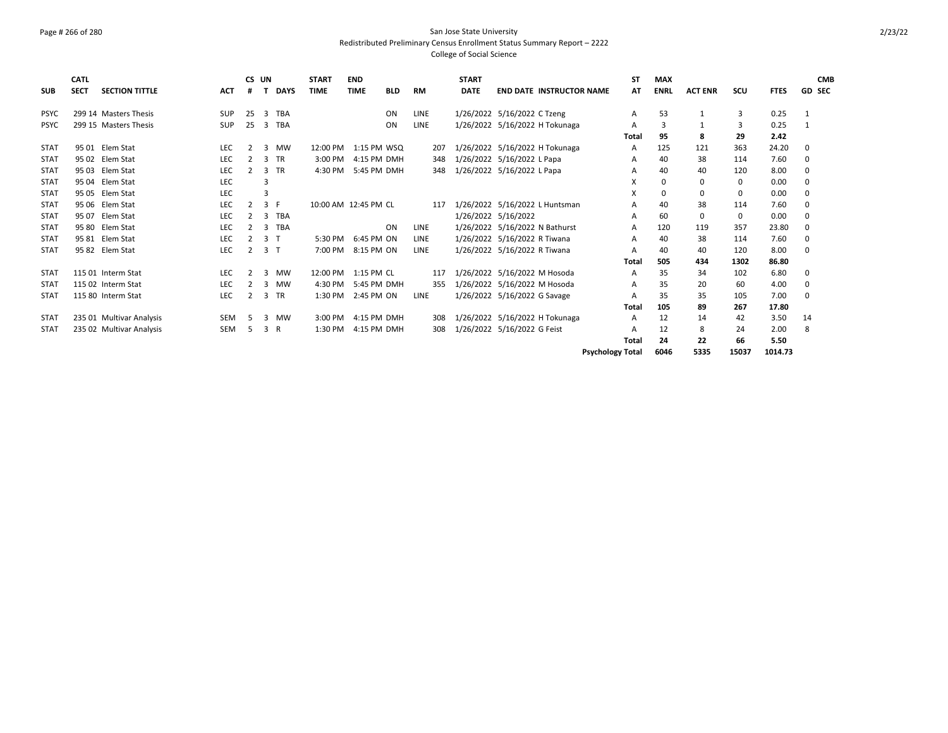### Page # 266 of 280 San Jose State University Redistributed Preliminary Census Enrollment Status Summary Report – 2222 College of Social Science

| <b>SUB</b>  | <b>CATL</b><br><b>SECT</b> | <b>SECTION TITTLE</b>    | <b>ACT</b> |                | CS UN          | <b>DAYS</b> | <b>START</b><br><b>TIME</b> | <b>END</b><br><b>TIME</b> | <b>BLD</b> | <b>RM</b>   | <b>START</b><br><b>DATE</b> | <b>END DATE INSTRUCTOR NAME</b> |                         | <b>ST</b><br>AT | <b>MAX</b><br><b>ENRL</b> | <b>ACT ENR</b> | SCU         | <b>FTES</b> | <b>CMB</b><br><b>GD SEC</b> |
|-------------|----------------------------|--------------------------|------------|----------------|----------------|-------------|-----------------------------|---------------------------|------------|-------------|-----------------------------|---------------------------------|-------------------------|-----------------|---------------------------|----------------|-------------|-------------|-----------------------------|
| <b>PSYC</b> |                            | 299 14 Masters Thesis    | <b>SUP</b> | 25             | 3              | TBA         |                             |                           | ON         | <b>LINE</b> |                             | 1/26/2022 5/16/2022 C Tzeng     |                         | А               | 53                        |                | 3           | 0.25        | 1                           |
| <b>PSYC</b> |                            | 299 15 Masters Thesis    | SUP        | 25             | 3              | TBA         |                             |                           | ON         | <b>LINE</b> |                             | 1/26/2022 5/16/2022 H Tokunaga  |                         | A               | 3                         |                | 3           | 0.25        | $\mathbf{1}$                |
|             |                            |                          |            |                |                |             |                             |                           |            |             |                             |                                 |                         | Total           | 95                        | 8              | 29          | 2.42        |                             |
| <b>STAT</b> |                            | 95 01 Elem Stat          | LEC        | $\overline{2}$ | 3              | MW          | 12:00 PM                    | 1:15 PM WSQ               |            | 207         |                             | 1/26/2022 5/16/2022 H Tokunaga  |                         | A               | 125                       | 121            | 363         | 24.20       | 0                           |
| <b>STAT</b> |                            | 95 02 Elem Stat          | <b>LEC</b> |                | $\mathbf{R}$   | <b>TR</b>   | 3:00 PM                     | 4:15 PM DMH               |            | 348         |                             | 1/26/2022 5/16/2022 L Papa      |                         | A               | 40                        | 38             | 114         | 7.60        | 0                           |
| <b>STAT</b> |                            | 95 03 Elem Stat          | <b>LEC</b> | 2              |                | 3 TR        | 4:30 PM                     | 5:45 PM DMH               |            | 348         |                             | 1/26/2022 5/16/2022 L Papa      |                         | A               | 40                        | 40             | 120         | 8.00        | 0                           |
| <b>STAT</b> |                            | 95 04 Elem Stat          | <b>LEC</b> |                |                |             |                             |                           |            |             |                             |                                 |                         | X               | $\Omega$                  | $\mathbf 0$    | 0           | 0.00        | 0                           |
| <b>STAT</b> |                            | 95 05 Elem Stat          | LEC        |                |                |             |                             |                           |            |             |                             |                                 |                         | X               | $\Omega$                  | $\mathbf 0$    | $\Omega$    | 0.00        | $\mathbf 0$                 |
| <b>STAT</b> |                            | 95 06 Elem Stat          | <b>LEC</b> |                | 3              | - F         | 10:00 AM 12:45 PM CL        |                           |            | 117         |                             | 1/26/2022 5/16/2022 L Huntsman  |                         | A               | 40                        | 38             | 114         | 7.60        | 0                           |
| <b>STAT</b> |                            | 95 07 Elem Stat          | <b>LEC</b> | $\overline{2}$ | 3              | TBA         |                             |                           |            |             |                             | 1/26/2022 5/16/2022             |                         | A               | 60                        | $\mathbf 0$    | $\mathbf 0$ | 0.00        | 0                           |
| <b>STAT</b> |                            | 95 80 Elem Stat          | LEC        |                | $\mathbf{R}$   | TBA         |                             |                           | ON         | <b>LINE</b> |                             | 1/26/2022 5/16/2022 N Bathurst  |                         | A               | 120                       | 119            | 357         | 23.80       | 0                           |
| <b>STAT</b> |                            | 95 81 Elem Stat          | <b>LEC</b> |                | 3 <sub>1</sub> |             | 5:30 PM                     | 6:45 PM ON                |            | <b>LINE</b> |                             | 1/26/2022 5/16/2022 R Tiwana    |                         | A               | 40                        | 38             | 114         | 7.60        | 0                           |
| <b>STAT</b> |                            | 95 82 Elem Stat          | <b>LEC</b> |                | 3 <sub>1</sub> |             | 7:00 PM                     | 8:15 PM ON                |            | <b>LINE</b> |                             | 1/26/2022 5/16/2022 R Tiwana    |                         |                 | 40                        | 40             | 120         | 8.00        | 0                           |
|             |                            |                          |            |                |                |             |                             |                           |            |             |                             |                                 |                         | Total           | 505                       | 434            | 1302        | 86.80       |                             |
| <b>STAT</b> |                            | 115 01 Interm Stat       | <b>LEC</b> | $\overline{2}$ | 3              | MW          | 12:00 PM                    | 1:15 PM CL                |            | 117         |                             | 1/26/2022 5/16/2022 M Hosoda    |                         | A               | 35                        | 34             | 102         | 6.80        | 0                           |
| <b>STAT</b> |                            | 115 02 Interm Stat       | LEC        |                | 3              | MW          | 4:30 PM                     | 5:45 PM DMH               |            | 355         |                             | 1/26/2022 5/16/2022 M Hosoda    |                         | Α               | 35                        | 20             | 60          | 4.00        | 0                           |
| <b>STAT</b> |                            | 115 80 Interm Stat       | <b>LEC</b> |                | 3              | <b>TR</b>   | 1:30 PM                     | 2:45 PM ON                |            | <b>LINE</b> |                             | 1/26/2022 5/16/2022 G Savage    |                         |                 | 35                        | 35             | 105         | 7.00        | 0                           |
|             |                            |                          |            |                |                |             |                             |                           |            |             |                             |                                 |                         | Total           | 105                       | 89             | 267         | 17.80       |                             |
| <b>STAT</b> |                            | 235 01 Multivar Analysis | <b>SEM</b> | 5.             | 3              | MW          | 3:00 PM                     | 4:15 PM DMH               |            | 308         |                             | 1/26/2022 5/16/2022 H Tokunaga  |                         | A               | 12                        | 14             | 42          | 3.50        | 14                          |
| <b>STAT</b> |                            | 235 02 Multivar Analysis | <b>SEM</b> | 5              | 3              | R           | 1:30 PM                     | 4:15 PM DMH               |            | 308         |                             | 1/26/2022 5/16/2022 G Feist     |                         |                 | 12                        | 8              | 24          | 2.00        | 8                           |
|             |                            |                          |            |                |                |             |                             |                           |            |             |                             |                                 |                         | Total           | 24                        | 22             | 66          | 5.50        |                             |
|             |                            |                          |            |                |                |             |                             |                           |            |             |                             |                                 | <b>Psychology Total</b> |                 | 6046                      | 5335           | 15037       | 1014.73     |                             |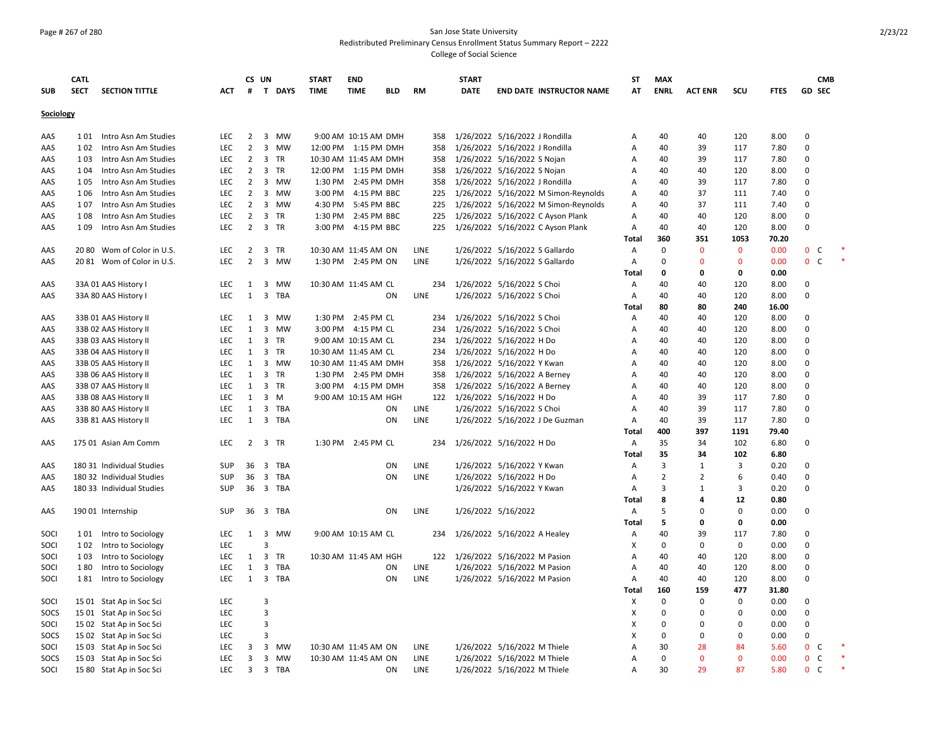### Page # 267 of 280 San Jose State University Redistributed Preliminary Census Enrollment Status Summary Report – 2222 College of Social Science

|            | <b>CATL</b> |                            |            |                | CS UN                   |        | <b>START</b> | <b>END</b>            |            |             | <b>START</b> |                                      | ST             | <b>MAX</b>     |                |              |             |                              | <b>CMB</b> |        |
|------------|-------------|----------------------------|------------|----------------|-------------------------|--------|--------------|-----------------------|------------|-------------|--------------|--------------------------------------|----------------|----------------|----------------|--------------|-------------|------------------------------|------------|--------|
| <b>SUB</b> | <b>SECT</b> | <b>SECTION TITTLE</b>      | <b>ACT</b> | #              |                         | T DAYS | <b>TIME</b>  | <b>TIME</b>           | <b>BLD</b> | <b>RM</b>   | <b>DATE</b>  | <b>END DATE INSTRUCTOR NAME</b>      | AT             | <b>ENRL</b>    | <b>ACT ENR</b> | SCU          | <b>FTES</b> | <b>GD SEC</b>                |            |        |
| Sociology  |             |                            |            |                |                         |        |              |                       |            |             |              |                                      |                |                |                |              |             |                              |            |        |
| AAS        | 101         | Intro Asn Am Studies       | <b>LEC</b> | 2              |                         | 3 MW   |              | 9:00 AM 10:15 AM DMH  |            | 358         |              | 1/26/2022 5/16/2022 J Rondilla       | А              | 40             | 40             | 120          | 8.00        | $\Omega$                     |            |        |
| AAS        | 102         | Intro Asn Am Studies       | <b>LEC</b> | $\overline{2}$ |                         | 3 MW   |              | 12:00 PM 1:15 PM DMH  |            | 358         |              | 1/26/2022 5/16/2022 J Rondilla       | А              | 40             | 39             | 117          | 7.80        | $\mathbf 0$                  |            |        |
| AAS        | 103         | Intro Asn Am Studies       | <b>LEC</b> | $\overline{2}$ | 3 TR                    |        |              | 10:30 AM 11:45 AM DMH |            | 358         |              | 1/26/2022 5/16/2022 S Nojan          | A              | 40             | 39             | 117          | 7.80        | $\mathbf 0$                  |            |        |
| AAS        | 104         | Intro Asn Am Studies       | <b>LEC</b> | $\overline{2}$ | 3 TR                    |        |              | 12:00 PM 1:15 PM DMH  |            | 358         |              | 1/26/2022 5/16/2022 S Nojan          | А              | 40             | 40             | 120          | 8.00        | $\mathbf 0$                  |            |        |
| AAS        | 105         | Intro Asn Am Studies       | <b>LEC</b> | $\overline{2}$ | $\overline{3}$          | MW     | 1:30 PM      | 2:45 PM DMH           |            | 358         |              | 1/26/2022 5/16/2022 J Rondilla       | А              | 40             | 39             | 117          | 7.80        | $\mathbf 0$                  |            |        |
| AAS        | 1 0 6       | Intro Asn Am Studies       | LEC        | $\overline{2}$ |                         | 3 MW   | 3:00 PM      | 4:15 PM BBC           |            | 225         |              | 1/26/2022 5/16/2022 M Simon-Reynolds | Α              | 40             | 37             | 111          | 7.40        | $\Omega$                     |            |        |
| AAS        | 107         | Intro Asn Am Studies       | <b>LEC</b> | $\overline{2}$ |                         | 3 MW   | 4:30 PM      | 5:45 PM BBC           |            | 225         |              | 1/26/2022 5/16/2022 M Simon-Reynolds | Α              | 40             | 37             | 111          | 7.40        | $\Omega$                     |            |        |
| AAS        | 108         | Intro Asn Am Studies       | <b>LEC</b> | $\overline{2}$ | 3                       | TR     | 1:30 PM      | 2:45 PM BBC           |            | 225         |              | 1/26/2022 5/16/2022 C Ayson Plank    | $\overline{A}$ | 40             | 40             | 120          | 8.00        | $\Omega$                     |            |        |
| AAS        | 109         | Intro Asn Am Studies       | LEC        | $\overline{2}$ | 3 TR                    |        | 3:00 PM      | 4:15 PM BBC           |            | 225         |              | 1/26/2022 5/16/2022 C Ayson Plank    | А              | 40             | 40             | 120          | 8.00        | $\mathbf 0$                  |            |        |
|            |             |                            |            |                |                         |        |              |                       |            |             |              |                                      | Total          | 360            | 351            | 1053         | 70.20       |                              |            |        |
| AAS        |             | 20 80 Wom of Color in U.S. | LEC        | $\overline{2}$ | $\overline{\mathbf{3}}$ | TR     |              | 10:30 AM 11:45 AM ON  |            | LINE        |              | 1/26/2022 5/16/2022 S Gallardo       | Α              | $\mathbf 0$    | $\mathbf 0$    | $\mathbf 0$  | 0.00        | 0 <sub>c</sub>               |            |        |
| AAS        |             | 2081 Wom of Color in U.S.  | <b>LEC</b> | $\overline{2}$ |                         | 3 MW   |              | 1:30 PM 2:45 PM ON    |            | LINE        |              | 1/26/2022 5/16/2022 S Gallardo       | Α              | 0              | 0              | 0            | 0.00        | $\mathbf{0}$<br>C            |            |        |
|            |             |                            |            |                |                         |        |              |                       |            |             |              |                                      | Total          | 0              | 0              | 0            | 0.00        |                              |            |        |
| AAS        |             | 33A 01 AAS History I       | <b>LEC</b> | 1              |                         | 3 MW   |              | 10:30 AM 11:45 AM CL  |            | 234         |              | 1/26/2022 5/16/2022 S Choi           | A              | 40             | 40             | 120          | 8.00        | $\Omega$                     |            |        |
| AAS        |             | 33A 80 AAS History I       | LEC        | 1              | $\overline{3}$          | TBA    |              |                       | ON         | LINE        |              | 1/26/2022 5/16/2022 S Choi           | A              | 40             | 40             | 120          | 8.00        | $\Omega$                     |            |        |
|            |             |                            |            |                |                         |        |              |                       |            |             |              |                                      | Total          | 80             | 80             | 240          | 16.00       |                              |            |        |
| AAS        |             | 33B 01 AAS History II      | LEC        | $\mathbf{1}$   |                         | 3 MW   |              | 1:30 PM 2:45 PM CL    |            | 234         |              | 1/26/2022 5/16/2022 S Choi           | Α              | 40             | 40             | 120          | 8.00        | $\mathbf 0$                  |            |        |
| AAS        |             | 33B 02 AAS History II      | LEC        | $\mathbf{1}$   |                         | 3 MW   |              | 3:00 PM 4:15 PM CL    |            | 234         |              | 1/26/2022 5/16/2022 S Choi           | Α              | 40             | 40             | 120          | 8.00        | $\mathbf 0$                  |            |        |
| AAS        |             | 33B 03 AAS History II      | LEC        | $\mathbf{1}$   | 3 TR                    |        |              | 9:00 AM 10:15 AM CL   |            | 234         |              | 1/26/2022 5/16/2022 H Do             | А              | 40             | 40             | 120          | 8.00        | $\Omega$                     |            |        |
| AAS        |             | 33B 04 AAS History II      | <b>LEC</b> | 1              | 3 TR                    |        |              | 10:30 AM 11:45 AM CL  |            | 234         |              | 1/26/2022 5/16/2022 H Do             | Α              | 40             | 40             | 120          | 8.00        | $\Omega$                     |            |        |
| AAS        |             | 33B 05 AAS History II      | <b>LEC</b> | 1              |                         | 3 MW   |              | 10:30 AM 11:45 AM DMH |            | 358         |              | 1/26/2022 5/16/2022 Y Kwan           | A              | 40             | 40             | 120          | 8.00        | $\Omega$                     |            |        |
| AAS        |             | 33B 06 AAS History II      | <b>LEC</b> | 1              | $\overline{3}$          | TR     |              | 1:30 PM 2:45 PM DMH   |            | 358         |              | 1/26/2022 5/16/2022 A Berney         | А              | 40             | 40             | 120          | 8.00        | $\mathbf 0$                  |            |        |
| AAS        |             | 33B 07 AAS History II      | LEC        | $\mathbf{1}$   | 3 TR                    |        |              | 3:00 PM 4:15 PM DMH   |            | 358         |              | 1/26/2022 5/16/2022 A Berney         | Α              | 40             | 40             | 120          | 8.00        | $\mathbf 0$                  |            |        |
| AAS        |             | 33B 08 AAS History II      | <b>LEC</b> | $\mathbf{1}$   | $3 \, M$                |        |              | 9:00 AM 10:15 AM HGH  |            | 122         |              | 1/26/2022 5/16/2022 H Do             | А              | 40             | 39             | 117          | 7.80        | $\mathbf 0$                  |            |        |
| AAS        |             | 33B 80 AAS History II      | LEC        | $\mathbf{1}$   | $\overline{\mathbf{3}}$ | TBA    |              |                       | ON         | LINE        |              | 1/26/2022 5/16/2022 S Choi           | Α              | 40             | 39             | 117          | 7.80        | $\mathbf 0$                  |            |        |
| AAS        |             | 33B 81 AAS History II      | <b>LEC</b> | 1              |                         | 3 TBA  |              |                       | ON         | LINE        |              | 1/26/2022 5/16/2022 J De Guzman      | $\mathsf{A}$   | 40             | 39             | 117          | 7.80        | $\Omega$                     |            |        |
|            |             |                            |            |                |                         |        |              |                       |            |             |              |                                      | Total          | 400            | 397            | 1191         | 79.40       |                              |            |        |
| AAS        |             | 175 01 Asian Am Comm       | <b>LEC</b> | 2              | 3 TR                    |        |              | 1:30 PM 2:45 PM CL    |            | 234         |              | 1/26/2022 5/16/2022 H Do             | A              | 35             | 34             | 102          | 6.80        | $\Omega$                     |            |        |
|            |             |                            |            |                |                         |        |              |                       |            |             |              |                                      | Total          | 35             | 34             | 102          | 6.80        |                              |            |        |
| AAS        |             | 180 31 Individual Studies  | SUP        | 36             |                         | 3 TBA  |              |                       | ON         | LINE        |              | 1/26/2022 5/16/2022 Y Kwan           | Α              | 3              | 1              | 3            | 0.20        | $\mathbf 0$                  |            |        |
| AAS        |             | 180 32 Individual Studies  | SUP        | 36             |                         | 3 TBA  |              |                       | ON         | LINE        |              | 1/26/2022 5/16/2022 H Do             | Α              | $\overline{2}$ | $\overline{2}$ | 6            | 0.40        | $\mathbf 0$                  |            |        |
| AAS        |             | 180 33 Individual Studies  | SUP        | 36             |                         | 3 TBA  |              |                       |            |             |              | 1/26/2022 5/16/2022 Y Kwan           | Α              | 3              | $\mathbf{1}$   | 3            | 0.20        | $\Omega$                     |            |        |
|            |             |                            |            |                |                         |        |              |                       |            |             |              |                                      | Total          | 8              | 4              | 12           | 0.80        |                              |            |        |
| AAS        |             | 19001 Internship           | <b>SUP</b> | 36             |                         | 3 TBA  |              |                       | ON         | <b>LINE</b> |              | 1/26/2022 5/16/2022                  | Α              | 5              | $\Omega$       | 0            | 0.00        | 0                            |            |        |
|            |             |                            |            |                |                         |        |              |                       |            |             |              |                                      | Total          | 5              | 0              | 0            | 0.00        |                              |            |        |
| SOCI       |             | 101 Intro to Sociology     | LEC        | $\mathbf{1}$   |                         | 3 MW   |              | 9:00 AM 10:15 AM CL   |            |             |              | 234 1/26/2022 5/16/2022 A Healey     | А              | 40             | 39             | 117          | 7.80        | $\mathbf 0$                  |            |        |
| SOCI       | 102         | Intro to Sociology         | LEC        |                | 3                       |        |              |                       |            |             |              |                                      | Χ              | 0              | 0              | 0            | 0.00        | $\mathbf 0$                  |            |        |
| SOCI       | 103         | Intro to Sociology         | LEC        | $\mathbf{1}$   | 3                       | TR     |              | 10:30 AM 11:45 AM HGH |            |             |              | 122 1/26/2022 5/16/2022 M Pasion     | Α              | 40             | 40             | 120          | 8.00        | $\Omega$                     |            |        |
| SOCI       | 180         | Intro to Sociology         | <b>LEC</b> | $\mathbf{1}$   | 3                       | TBA    |              |                       | ON         | <b>LINE</b> |              | 1/26/2022 5/16/2022 M Pasion         | Α              | 40             | 40             | 120          | 8.00        | $\Omega$                     |            |        |
| SOCI       |             | 181 Intro to Sociology     | <b>LEC</b> | 1              |                         | 3 TBA  |              |                       | ON         | LINE        |              | 1/26/2022 5/16/2022 M Pasion         | Α              | 40             | 40             | 120          | 8.00        | $\mathbf 0$                  |            |        |
|            |             |                            |            |                |                         |        |              |                       |            |             |              |                                      | <b>Total</b>   | 160            | 159            | 477          | 31.80       |                              |            |        |
| SOCI       |             | 15 01 Stat Ap in Soc Sci   | LEC        |                | 3                       |        |              |                       |            |             |              |                                      | X              | $\mathbf 0$    | $\Omega$       | 0            | 0.00        | $\mathbf 0$                  |            |        |
| SOCS       |             | 15 01 Stat Ap in Soc Sci   | LEC        |                | 3                       |        |              |                       |            |             |              |                                      | X              | 0              | 0              | 0            | 0.00        | $\mathbf 0$                  |            |        |
| SOCI       |             | 15 02 Stat Ap in Soc Sci   | <b>LEC</b> |                | 3                       |        |              |                       |            |             |              |                                      | X              | $\Omega$       | $\Omega$       | 0            | 0.00        | $\mathbf 0$                  |            |        |
| SOCS       |             | 15 02 Stat Ap in Soc Sci   | LEC        |                | 3                       |        |              |                       |            |             |              |                                      | X              | 0              | 0              | 0            | 0.00        | $\mathbf 0$                  |            |        |
| SOCI       |             | 15 03 Stat Ap in Soc Sci   | <b>LEC</b> | 3              |                         | 3 MW   |              | 10:30 AM 11:45 AM ON  |            | <b>LINE</b> |              | 1/26/2022 5/16/2022 M Thiele         | A              | 30             | 28             | 84           | 5.60        | $\mathbf{0}$<br>- C          |            |        |
| SOCS       |             | 1503 Stat Ap in Soc Sci    | <b>LEC</b> | 3              |                         | 3 MW   |              | 10:30 AM 11:45 AM ON  |            | <b>LINE</b> |              | 1/26/2022 5/16/2022 M Thiele         | A              | 0              | $\Omega$       | $\mathbf{0}$ | 0.00        | $\mathbf{0}$<br>C            |            |        |
| SOCI       |             | 15 80 Stat Ap in Soc Sci   | LEC        | 3              | $\overline{\mathbf{3}}$ | TBA    |              |                       | ON         | LINE        |              | 1/26/2022 5/16/2022 M Thiele         | А              | 30             | 29             | 87           | 5.80        | $\mathbf{0}$<br><sub>c</sub> |            | $\ast$ |
|            |             |                            |            |                |                         |        |              |                       |            |             |              |                                      |                |                |                |              |             |                              |            |        |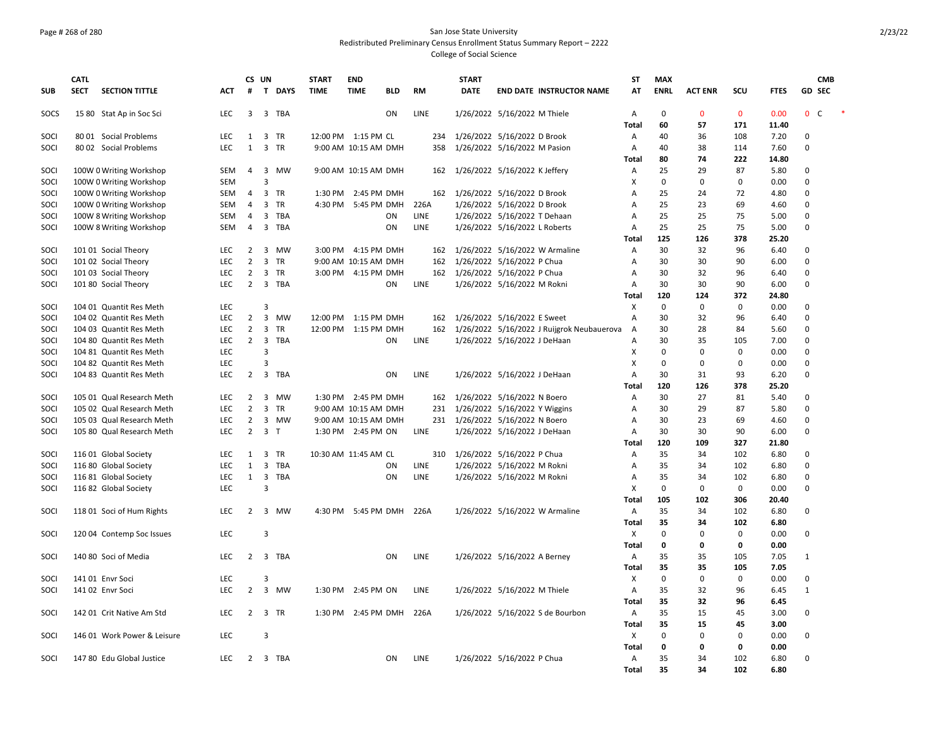### Page # 268 of 280 San Jose State University Redistributed Preliminary Census Enrollment Status Summary Report – 2222 College of Social Science

|            | <b>CATL</b> |                             |            | CS UN          |                         |         | <b>START</b>         | <b>END</b>           |            |             | <b>START</b> |                                            | <b>ST</b>    | <b>MAX</b>        |                |             |             | <b>CMB</b>     |  |
|------------|-------------|-----------------------------|------------|----------------|-------------------------|---------|----------------------|----------------------|------------|-------------|--------------|--------------------------------------------|--------------|-------------------|----------------|-------------|-------------|----------------|--|
| <b>SUB</b> | <b>SECT</b> | <b>SECTION TITTLE</b>       | АСТ        | #              |                         | T DAYS  | <b>TIME</b>          | <b>TIME</b>          | <b>BLD</b> | <b>RM</b>   | <b>DATE</b>  | <b>END DATE INSTRUCTOR NAME</b>            | AT           | <b>ENRL</b>       | <b>ACT ENR</b> | SCU         | <b>FTES</b> | GD SEC         |  |
| SOCS       |             | 15 80 Stat Ap in Soc Sci    | LEC        | 3              |                         | 3 TBA   |                      |                      | ON         | LINE        |              | 1/26/2022 5/16/2022 M Thiele               | А            | 0                 | $\mathbf{0}$   | $\mathbf 0$ | 0.00        | 0 <sup>o</sup> |  |
|            |             |                             |            |                |                         |         |                      |                      |            |             |              |                                            | Total        | 60                | 57             | 171         | 11.40       |                |  |
| SOCI       |             | 80 01 Social Problems       | <b>LEC</b> | 1              |                         | 3 TR    | 12:00 PM 1:15 PM CL  |                      |            | 234         |              | 1/26/2022 5/16/2022 D Brook                | А            | 40                | 36             | 108         | 7.20        | 0              |  |
| SOCI       |             | 80 02 Social Problems       | LEC        | 1              |                         | 3 TR    |                      | 9:00 AM 10:15 AM DMH |            | 358         |              | 1/26/2022 5/16/2022 M Pasion               | А            | 40                | 38             | 114         | 7.60        | 0              |  |
|            |             |                             |            |                |                         |         |                      |                      |            |             |              |                                            | <b>Total</b> | 80                | 74             | 222         | 14.80       |                |  |
| SOCI       |             | 100W 0 Writing Workshop     | SEM        | 4              |                         | 3 MW    |                      | 9:00 AM 10:15 AM DMH |            | 162         |              | 1/26/2022 5/16/2022 K Jeffery              | Α            | 25                | 29             | 87          | 5.80        | 0              |  |
| SOCI       |             | 100W 0 Writing Workshop     | <b>SEM</b> |                | 3                       |         |                      |                      |            |             |              |                                            | X            | $\mathbf 0$       | $\Omega$       | $\mathbf 0$ | 0.00        | 0              |  |
| SOCI       |             | 100W 0 Writing Workshop     | <b>SEM</b> | 4              |                         | 3 TR    |                      | 1:30 PM 2:45 PM DMH  |            |             |              | 162 1/26/2022 5/16/2022 D Brook            | А            | 25                | 24             | 72          | 4.80        | 0              |  |
| SOCI       |             | 100W 0 Writing Workshop     | SEM        | $\overline{4}$ |                         | 3 TR    |                      | 4:30 PM 5:45 PM DMH  |            | 226A        |              | 1/26/2022 5/16/2022 D Brook                | Α            | 25                | 23             | 69          | 4.60        | 0              |  |
| SOCI       |             | 100W 8 Writing Workshop     | SEM        | 4              |                         | 3 TBA   |                      |                      | ON         | <b>LINE</b> |              | 1/26/2022 5/16/2022 T Dehaan               | А            | 25                | 25             | 75          | 5.00        | 0              |  |
| SOCI       |             | 100W 8 Writing Workshop     | <b>SEM</b> | $\overline{4}$ |                         | 3 TBA   |                      |                      | ON         | LINE        |              | 1/26/2022 5/16/2022 L Roberts              | Α            | 25                | 25             | 75          | 5.00        | 0              |  |
|            |             |                             |            |                |                         |         |                      |                      |            |             |              |                                            | Total        | 125               | 126            | 378         | 25.20       |                |  |
| SOCI       |             | 101 01 Social Theory        | <b>LEC</b> | $\overline{2}$ | 3                       | MW      |                      | 3:00 PM 4:15 PM DMH  |            | 162         |              | 1/26/2022 5/16/2022 W Armaline             | Α            | 30                | 32             | 96          | 6.40        | $\Omega$       |  |
| SOCI       |             | 101 02 Social Theory        | LEC        | $\overline{2}$ |                         | 3 TR    |                      | 9:00 AM 10:15 AM DMH |            | 162         |              | 1/26/2022 5/16/2022 P Chua                 | А            | 30                | 30             | 90          | 6.00        | 0              |  |
| SOCI       |             | 101 03 Social Theory        | <b>LEC</b> | $\overline{2}$ |                         | 3 TR    |                      | 3:00 PM 4:15 PM DMH  |            |             |              | 162 1/26/2022 5/16/2022 P Chua             | A            | 30                | 32             | 96          | 6.40        | 0              |  |
| SOCI       |             | 101 80 Social Theory        | <b>LEC</b> | $\overline{2}$ |                         | 3 TBA   |                      |                      | ON         | LINE        |              | 1/26/2022 5/16/2022 M Rokni                | A            | 30                | 30             | 90          | 6.00        | 0              |  |
|            |             |                             |            |                |                         |         |                      |                      |            |             |              |                                            | <b>Total</b> | 120               | 124            | 372         | 24.80       |                |  |
| SOCI       |             | 104 01 Quantit Res Meth     | <b>LEC</b> |                | 3                       |         |                      |                      |            |             |              |                                            | X            | $\mathbf 0$       | $\mathbf 0$    | 0           | 0.00        | 0              |  |
| SOCI       |             | 104 02 Quantit Res Meth     | LEC        | $\overline{2}$ |                         | 3 MW    | 12:00 PM 1:15 PM DMH |                      |            | 162         |              | 1/26/2022 5/16/2022 E Sweet                | А            | 30                | 32             | 96          | 6.40        | 0              |  |
| SOCI       |             | 104 03 Quantit Res Meth     | <b>LEC</b> | $\overline{2}$ |                         | 3 TR    | 12:00 PM 1:15 PM DMH |                      |            | 162         |              | 1/26/2022 5/16/2022 J Ruijgrok Neubauerova | Α            | 30                | 28             | 84          | 5.60        | 0              |  |
| SOCI       |             | 104 80 Quantit Res Meth     | <b>LEC</b> | $\overline{2}$ |                         | 3 TBA   |                      |                      | ON         | LINE        |              | 1/26/2022 5/16/2022 J DeHaan               | A            | 30                | 35             | 105         | 7.00        | $\Omega$       |  |
| SOCI       |             | 104 81 Quantit Res Meth     | LEC        |                | $\overline{3}$          |         |                      |                      |            |             |              |                                            | Χ            | 0                 | $\mathbf 0$    | $\mathbf 0$ | 0.00        | 0              |  |
| SOCI       |             | 104 82 Quantit Res Meth     | LEC        |                | 3                       |         |                      |                      |            |             |              |                                            | Χ            | 0                 | 0              | 0           | 0.00        | 0              |  |
| SOCI       |             | 104 83 Quantit Res Meth     | <b>LEC</b> | 2              |                         | 3 TBA   |                      |                      | ON         | <b>LINE</b> |              | 1/26/2022 5/16/2022 J DeHaan               | A            | 30                | 31             | 93          | 6.20        | 0              |  |
|            |             |                             |            |                |                         |         |                      |                      |            |             |              |                                            | <b>Total</b> | 120               | 126            | 378         | 25.20       |                |  |
| SOCI       |             | 105 01 Qual Research Meth   | <b>LEC</b> | $\overline{2}$ |                         | 3 MW    |                      | 1:30 PM 2:45 PM DMH  |            | 162         |              | 1/26/2022 5/16/2022 N Boero                | А            | 30                | 27             | 81          | 5.40        | $\Omega$       |  |
| SOCI       |             | 105 02 Qual Research Meth   | LEC        | $\overline{2}$ | $\overline{\mathbf{3}}$ | TR      |                      | 9:00 AM 10:15 AM DMH |            | 231         |              | 1/26/2022 5/16/2022 Y Wiggins              | А            | 30                | 29             | 87          | 5.80        | 0              |  |
| SOCI       |             | 105 03 Qual Research Meth   | LEC        | $\overline{2}$ |                         | 3 MW    |                      | 9:00 AM 10:15 AM DMH |            |             |              | 231 1/26/2022 5/16/2022 N Boero            | А            | 30                | 23             | 69          | 4.60        | 0              |  |
| SOCI       |             | 105 80 Qual Research Meth   | <b>LEC</b> | $\overline{2}$ | 3 <sub>7</sub>          |         |                      | 1:30 PM 2:45 PM ON   |            | LINE        |              | 1/26/2022 5/16/2022 J DeHaan               | А            | 30                | 30             | 90          | 6.00        | 0              |  |
|            |             |                             |            |                |                         |         |                      |                      |            |             |              |                                            | <b>Total</b> | 120               | 109            | 327         | 21.80       |                |  |
| SOCI       |             | 116 01 Global Society       | LEC        |                | 1 3 TR                  |         | 10:30 AM 11:45 AM CL |                      |            | 310         |              | 1/26/2022 5/16/2022 P Chua                 | Α            | 35                | 34             | 102         | 6.80        | 0              |  |
| SOCI       |             | 116 80 Global Society       | LEC.       | $\mathbf{1}$   |                         | 3 TBA   |                      |                      | ON         | LINE        |              | 1/26/2022 5/16/2022 M Rokni                | A            | 35                | 34             | 102         | 6.80        | $\Omega$       |  |
| SOCI       |             | 116 81 Global Society       | <b>LEC</b> | $\mathbf{1}$   |                         | 3 TBA   |                      |                      | ON         | LINE        |              | 1/26/2022 5/16/2022 M Rokni                | А            | 35                | 34             | 102         | 6.80        | 0              |  |
| SOCI       |             | 116 82 Global Society       | <b>LEC</b> |                | $\overline{3}$          |         |                      |                      |            |             |              |                                            | X            | 0                 | $\mathbf 0$    | 0           | 0.00        | 0              |  |
|            |             |                             |            |                |                         |         |                      |                      |            |             |              |                                            | Total        | 105               | 102            | 306         | 20.40       |                |  |
| SOCI       |             | 118 01 Soci of Hum Rights   | <b>LEC</b> |                |                         | 2 3 MW  |                      | 4:30 PM 5:45 PM DMH  |            | 226A        |              | 1/26/2022 5/16/2022 W Armaline             | Α            | 35                | 34             | 102         | 6.80        | 0              |  |
|            |             |                             |            |                |                         |         |                      |                      |            |             |              |                                            | <b>Total</b> | 35                | 34             | 102         | 6.80        |                |  |
| SOCI       |             | 120 04 Contemp Soc Issues   | LEC        |                | $\overline{3}$          |         |                      |                      |            |             |              |                                            | X            | 0                 | $\mathbf 0$    | 0           | 0.00        | 0              |  |
|            |             |                             |            |                |                         |         |                      |                      |            |             |              |                                            | Total        | 0                 | $\mathbf 0$    | 0           | 0.00        |                |  |
| SOCI       |             | 140 80 Soci of Media        | LEC.       |                |                         | 2 3 TBA |                      |                      | ON         | LINE        |              | 1/26/2022 5/16/2022 A Berney               | Α            | 35                | 35             | 105         | 7.05        | $\mathbf{1}$   |  |
|            |             |                             |            |                |                         |         |                      |                      |            |             |              |                                            | Total        | 35                | 35             | 105         | 7.05        |                |  |
| SOCI       |             | 141 01 Envr Soci            | LEC        |                | 3                       |         |                      |                      |            |             |              |                                            | X            | $\mathbf 0$       | $\mathbf 0$    | $\mathbf 0$ | 0.00        | 0              |  |
| SOCI       |             | 141 02 Envr Soci            | <b>LEC</b> | $\overline{2}$ |                         | 3 MW    |                      | 1:30 PM 2:45 PM ON   |            | LINE        |              | 1/26/2022 5/16/2022 M Thiele               | А            | 35                | 32             | 96          | 6.45        | $\mathbf{1}$   |  |
|            |             |                             |            |                |                         |         |                      |                      |            |             |              |                                            | Total        | 35                | 32             | 96          | 6.45        |                |  |
| SOCI       |             | 142 01 Crit Native Am Std   | <b>LEC</b> |                | 2 3 TR                  |         |                      | 1:30 PM 2:45 PM DMH  |            | 226A        |              |                                            | Α            | 35                | 15             | 45          |             | 0              |  |
|            |             |                             |            |                |                         |         |                      |                      |            |             |              | 1/26/2022 5/16/2022 S de Bourbon           |              |                   |                |             | 3.00        |                |  |
|            |             |                             |            |                | $\overline{3}$          |         |                      |                      |            |             |              |                                            | Total        | 35                | 15             | 45          | 3.00        |                |  |
| SOCI       |             | 146 01 Work Power & Leisure | LEC        |                |                         |         |                      |                      |            |             |              |                                            | X            | 0<br>$\mathbf{0}$ | $\mathbf 0$    | $\mathbf 0$ | 0.00        | $\mathsf 0$    |  |
|            |             |                             |            |                |                         |         |                      |                      |            |             |              |                                            | <b>Total</b> |                   | 0              | $\mathbf 0$ | 0.00        |                |  |
| SOCI       |             | 147 80 Edu Global Justice   | <b>LEC</b> |                |                         | 2 3 TBA |                      |                      | ON         | <b>LINE</b> |              | 1/26/2022 5/16/2022 P Chua                 | A            | 35                | 34             | 102         | 6.80        | 0              |  |
|            |             |                             |            |                |                         |         |                      |                      |            |             |              |                                            | Total        | 35                | 34             | 102         | 6.80        |                |  |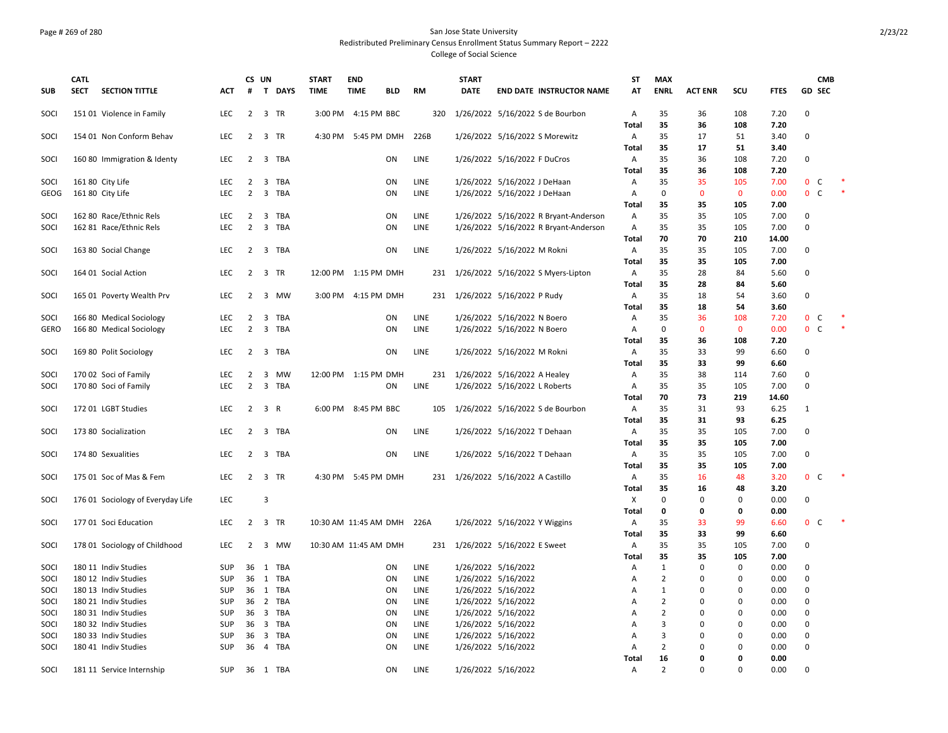### Page # 269 of 280 San Jose State University Redistributed Preliminary Census Enrollment Status Summary Report – 2222 College of Social Science

|              | <b>CATL</b> |                                   |                   |                     | CS UN                   |                | <b>START</b>               | <b>END</b>           |            |              | <b>START</b> |                                                              | ST           | <b>MAX</b>        |                |                    |              |                   | <b>CMB</b> |
|--------------|-------------|-----------------------------------|-------------------|---------------------|-------------------------|----------------|----------------------------|----------------------|------------|--------------|--------------|--------------------------------------------------------------|--------------|-------------------|----------------|--------------------|--------------|-------------------|------------|
| <b>SUB</b>   | <b>SECT</b> | <b>SECTION TITTLE</b>             | ACT               | #                   |                         | <b>T DAYS</b>  | <b>TIME</b>                | <b>TIME</b>          | <b>BLD</b> | RM           | <b>DATE</b>  | <b>END DATE INSTRUCTOR NAME</b>                              | AT           | <b>ENRL</b>       | <b>ACT ENR</b> | scu                | FTES         | <b>GD SEC</b>     |            |
| SOCI         |             | 151 01 Violence in Family         | LEC               | $\overline{2}$      |                         | 3 TR           |                            | 3:00 PM 4:15 PM BBC  |            | 320          |              | 1/26/2022 5/16/2022 S de Bourbon                             | Α<br>Total   | 35<br>35          | 36<br>36       | 108<br>108         | 7.20<br>7.20 | 0                 |            |
| SOCI         |             | 154 01 Non Conform Behav          | <b>LEC</b>        | $\overline{2}$      |                         | 3 TR           |                            | 4:30 PM 5:45 PM DMH  |            | 226B         |              | 1/26/2022 5/16/2022 S Morewitz                               | Α            | 35                | 17             | 51                 | 3.40         | 0                 |            |
|              |             |                                   |                   |                     |                         |                |                            |                      |            |              |              |                                                              | Total        | 35                | 17             | 51                 | 3.40         |                   |            |
| SOCI         |             | 160 80 Immigration & Identy       | LEC               | 2                   |                         | 3 TBA          |                            |                      | ON         | LINE         |              | 1/26/2022 5/16/2022 F DuCros                                 | Α            | 35                | 36             | 108                | 7.20         | 0                 |            |
|              |             |                                   |                   |                     |                         |                |                            |                      |            |              |              |                                                              | <b>Total</b> | 35<br>35          | 36<br>35       | 108                | 7.20         | $\mathbf{0}$<br>C |            |
| SOCI<br>GEOG |             | 161 80 City Life                  | <b>LEC</b><br>LEC | 2<br>$\overline{2}$ |                         | 3 TBA<br>3 TBA |                            |                      | ON<br>ON   | LINE<br>LINE |              | 1/26/2022 5/16/2022 J DeHaan<br>1/26/2022 5/16/2022 J DeHaan | Α<br>Α       | $\mathbf 0$       | $\mathbf 0$    | 105<br>$\mathbf 0$ | 7.00<br>0.00 | 0 <sup>o</sup>    |            |
|              |             | 161 80 City Life                  |                   |                     |                         |                |                            |                      |            |              |              |                                                              | Total        | 35                | 35             | 105                | 7.00         |                   |            |
| SOCI         |             | 162 80 Race/Ethnic Rels           | LEC               | 2                   |                         | 3 TBA          |                            |                      | ON         | LINE         |              | 1/26/2022 5/16/2022 R Bryant-Anderson                        | A            | 35                | 35             | 105                | 7.00         | 0                 |            |
| SOCI         |             | 162 81 Race/Ethnic Rels           | LEC               | $\overline{2}$      |                         | 3 TBA          |                            |                      | ON         | LINE         |              | 1/26/2022 5/16/2022 R Bryant-Anderson                        | Α            | 35                | 35             | 105                | 7.00         | $\mathbf 0$       |            |
|              |             |                                   |                   |                     |                         |                |                            |                      |            |              |              |                                                              | Total        | 70                | 70             | 210                | 14.00        |                   |            |
| SOCI         |             | 163 80 Social Change              | LEC               | $\overline{2}$      |                         | 3 TBA          |                            |                      | ON         | LINE         |              | 1/26/2022 5/16/2022 M Rokni                                  | Α            | 35                | 35             | 105                | 7.00         | $\mathbf 0$       |            |
|              |             |                                   |                   |                     |                         |                |                            |                      |            |              |              |                                                              | Total        | 35                | 35             | 105                | 7.00         |                   |            |
| SOCI         |             | 164 01 Social Action              | <b>LEC</b>        | 2                   |                         | 3 TR           |                            | 12:00 PM 1:15 PM DMH |            |              |              | 231 1/26/2022 5/16/2022 S Myers-Lipton                       | A            | 35                | 28             | 84                 | 5.60         | 0                 |            |
|              |             |                                   |                   |                     |                         |                |                            |                      |            |              |              |                                                              | Total        | 35                | 28             | 84                 | 5.60         |                   |            |
| SOCI         |             | 165 01 Poverty Wealth Prv         | <b>LEC</b>        | $\overline{2}$      |                         | 3 MW           |                            | 3:00 PM 4:15 PM DMH  |            |              |              | 231 1/26/2022 5/16/2022 P Rudy                               | Α            | 35                | 18             | 54                 | 3.60         | 0                 |            |
|              |             |                                   |                   |                     |                         |                |                            |                      |            |              |              |                                                              | Total        | 35                | 18             | 54                 | 3.60         |                   |            |
| SOCI         |             | 166 80 Medical Sociology          | LEC               | $\overline{2}$      |                         | 3 TBA          |                            |                      | ON         | LINE         |              | 1/26/2022 5/16/2022 N Boero                                  | Α            | 35                | 36             | 108                | 7.20         | 0 <sup>o</sup>    |            |
| GERO         |             | 166 80 Medical Sociology          | LEC.              | $\overline{2}$      |                         | 3 TBA          |                            |                      | ON         | LINE         |              | 1/26/2022 5/16/2022 N Boero                                  | A            | $\mathbf 0$       | $\mathbf{0}$   | $\mathbf{0}$       | 0.00         | 0 <sup>o</sup>    | $\ast$     |
|              |             |                                   |                   |                     |                         |                |                            |                      |            |              |              |                                                              | Total        | 35                | 36             | 108                | 7.20         |                   |            |
| SOCI         |             | 169 80 Polit Sociology            | LEC               | $\overline{2}$      |                         | 3 TBA          |                            |                      | ON         | LINE         |              | 1/26/2022 5/16/2022 M Rokni                                  | A            | 35                | 33             | 99                 | 6.60         | 0                 |            |
|              |             |                                   |                   |                     |                         |                |                            |                      |            |              |              |                                                              | Total        | 35                | 33             | 99                 | 6.60         |                   |            |
| SOCI         |             | 170 02 Soci of Family             | LEC               | $\overline{2}$      |                         | 3 MW           |                            | 12:00 PM 1:15 PM DMH |            |              |              | 231 1/26/2022 5/16/2022 A Healey                             | Α            | 35                | 38             | 114                | 7.60         | $\mathbf 0$       |            |
| SOCI         |             | 170 80 Soci of Family             | <b>LEC</b>        | $\overline{2}$      |                         | 3 TBA          |                            |                      | <b>ON</b>  | LINE         |              | 1/26/2022 5/16/2022 L Roberts                                | A            | 35                | 35             | 105                | 7.00         | $\mathbf 0$       |            |
|              |             |                                   |                   |                     |                         |                |                            |                      |            |              |              |                                                              | Total        | 70                | 73             | 219                | 14.60        |                   |            |
| SOCI         |             | 172 01 LGBT Studies               | LEC               | $\overline{2}$      | 3 R                     |                |                            | 6:00 PM 8:45 PM BBC  |            | 105          |              | 1/26/2022 5/16/2022 S de Bourbon                             | A            | 35                | 31             | 93                 | 6.25         | 1                 |            |
|              |             |                                   |                   |                     |                         |                |                            |                      |            |              |              |                                                              | Total        | 35                | 31             | 93                 | 6.25         |                   |            |
| SOCI         |             | 173 80 Socialization              | LEC               |                     |                         | 2 3 TBA        |                            |                      | ON         | LINE         |              | 1/26/2022 5/16/2022 T Dehaan                                 | Α            | 35                | 35             | 105                | 7.00         | 0                 |            |
|              |             |                                   |                   |                     |                         |                |                            |                      |            |              |              |                                                              | Total        | 35                | 35             | 105                | 7.00         |                   |            |
| SOCI         |             | 174 80 Sexualities                | <b>LEC</b>        |                     |                         | 2 3 TBA        |                            |                      | ON         | LINE         |              | 1/26/2022 5/16/2022 T Dehaan                                 | Α            | 35                | 35             | 105                | 7.00         | 0                 |            |
|              |             |                                   |                   |                     |                         |                |                            |                      |            |              |              |                                                              | Total        | 35                | 35             | 105                | 7.00         |                   |            |
| SOCI         |             | 175 01 Soc of Mas & Fem           | <b>LEC</b>        | $2^{\circ}$         |                         | 3 TR           |                            | 4:30 PM 5:45 PM DMH  |            |              |              | 231 1/26/2022 5/16/2022 A Castillo                           | Α            | 35                | 16             | 48                 | 3.20         | $\mathbf{0}$<br>C |            |
| SOCI         |             |                                   | LEC               |                     | $\overline{\mathbf{3}}$ |                |                            |                      |            |              |              |                                                              | Total<br>Χ   | 35<br>$\mathbf 0$ | 16<br>$\Omega$ | 48<br>$\mathbf 0$  | 3.20<br>0.00 | 0                 |            |
|              |             | 176 01 Sociology of Everyday Life |                   |                     |                         |                |                            |                      |            |              |              |                                                              | Total        | 0                 | 0              | 0                  | 0.00         |                   |            |
| SOCI         |             | 177 01 Soci Education             | LEC               | 2                   |                         | 3 TR           | 10:30 AM 11:45 AM DMH 226A |                      |            |              |              | 1/26/2022 5/16/2022 Y Wiggins                                | Α            | 35                | 33             | 99                 | 6.60         | 0 <sup>o</sup>    |            |
|              |             |                                   |                   |                     |                         |                |                            |                      |            |              |              |                                                              | <b>Total</b> | 35                | 33             | 99                 | 6.60         |                   |            |
| SOCI         |             | 178 01 Sociology of Childhood     | <b>LEC</b>        | $2^{\circ}$         |                         | 3 MW           | 10:30 AM 11:45 AM DMH      |                      |            | 231          |              | 1/26/2022 5/16/2022 E Sweet                                  | Α            | 35                | 35             | 105                | 7.00         | 0                 |            |
|              |             |                                   |                   |                     |                         |                |                            |                      |            |              |              |                                                              | <b>Total</b> | 35                | 35             | 105                | 7.00         |                   |            |
| SOCI         |             | 180 11 Indiv Studies              | <b>SUP</b>        |                     |                         | 36 1 TBA       |                            |                      | ON         | LINE         |              | 1/26/2022 5/16/2022                                          | А            | $\mathbf{1}$      | 0              | $\mathbf 0$        | 0.00         | $\Omega$          |            |
| SOCI         |             | 180 12 Indiv Studies              | SUP               | 36                  |                         | 1 TBA          |                            |                      | ON         | LINE         |              | 1/26/2022 5/16/2022                                          | А            | $\overline{2}$    | 0              | 0                  | 0.00         | $\mathsf 0$       |            |
| SOCI         |             | 180 13 Indiv Studies              | SUP               |                     |                         | 36 1 TBA       |                            |                      | ON         | LINE         |              | 1/26/2022 5/16/2022                                          | А            | $\mathbf{1}$      | 0              | 0                  | 0.00         | $\mathbf 0$       |            |
| SOCI         |             | 180 21 Indiv Studies              | SUP               |                     |                         | 36 2 TBA       |                            |                      | ON         | LINE         |              | 1/26/2022 5/16/2022                                          | А            | $\mathbf 2$       | 0              | 0                  | 0.00         | $\mathbf 0$       |            |
| SOCI         |             | 180 31 Indiv Studies              | SUP               |                     |                         | 36 3 TBA       |                            |                      | ON         | LINE         |              | 1/26/2022 5/16/2022                                          | Α            | $\overline{2}$    | $\Omega$       | 0                  | 0.00         | $\mathbf 0$       |            |
| SOCI         |             | 180 32 Indiv Studies              | <b>SUP</b>        |                     |                         | 36 3 TBA       |                            |                      | ON         | LINE         |              | 1/26/2022 5/16/2022                                          | A            | 3                 | $\Omega$       | $\mathbf 0$        | 0.00         | $\Omega$          |            |
| SOCI         |             | 180 33 Indiv Studies              | SUP               | 36                  |                         | 3 TBA          |                            |                      | ON         | LINE         |              | 1/26/2022 5/16/2022                                          | А            | 3                 | 0              | $\mathbf 0$        | 0.00         | 0                 |            |
| SOCI         |             | 180 41 Indiv Studies              | SUP               |                     |                         | 36 4 TBA       |                            |                      | ON         | LINE         |              | 1/26/2022 5/16/2022                                          | А            | $\overline{2}$    | 0              | $\mathbf 0$        | 0.00         | $\mathbf 0$       |            |
|              |             |                                   |                   |                     |                         |                |                            |                      |            |              |              |                                                              | Total        | 16                | 0              | 0                  | 0.00         |                   |            |
| SOCI         |             | 181 11 Service Internship         | SUP               |                     |                         | 36 1 TBA       |                            |                      | ON         | LINE         |              | 1/26/2022 5/16/2022                                          | Α            | $\overline{2}$    | $\mathbf 0$    | $\mathbf 0$        | 0.00         | $\mathbf 0$       |            |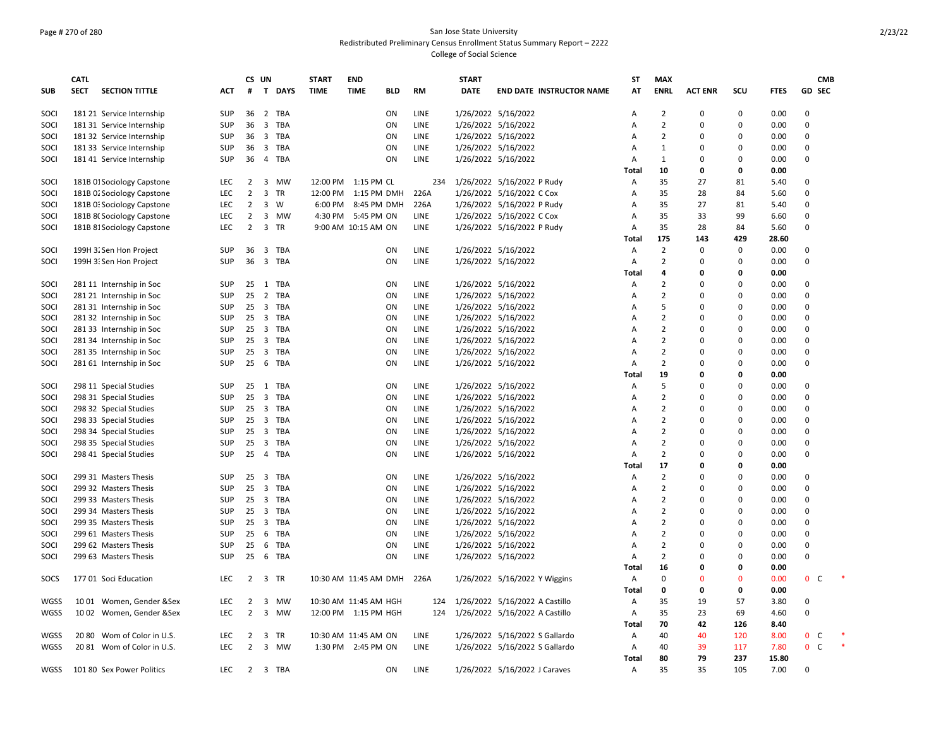### Page # 270 of 280 San Jose State University Redistributed Preliminary Census Enrollment Status Summary Report – 2222 College of Social Science

|             | <b>CATL</b> |                            |            |                | CS UN                   |             | <b>START</b>          | <b>END</b>            |     |             | <b>START</b> |                                 | <b>ST</b> | <b>MAX</b>     |                |             |             | <b>CMB</b>        |  |
|-------------|-------------|----------------------------|------------|----------------|-------------------------|-------------|-----------------------|-----------------------|-----|-------------|--------------|---------------------------------|-----------|----------------|----------------|-------------|-------------|-------------------|--|
| <b>SUB</b>  | <b>SECT</b> | <b>SECTION TITTLE</b>      | ACT.       | #              |                         | T DAYS      | <b>TIME</b>           | <b>TIME</b>           | BLD | RM          | <b>DATE</b>  | <b>END DATE INSTRUCTOR NAME</b> | AT        | <b>ENRL</b>    | <b>ACT ENR</b> | scu         | <b>FTES</b> | <b>GD SEC</b>     |  |
|             |             |                            |            |                |                         |             |                       |                       |     |             |              |                                 |           |                |                |             |             |                   |  |
| SOCI        |             | 181 21 Service Internship  | SUP        | 36             |                         | 2 TBA       |                       |                       | ON  | LINE        |              | 1/26/2022 5/16/2022             | Α         | $\overline{2}$ | $\Omega$       | 0           | 0.00        | 0                 |  |
| SOCI        |             | 181 31 Service Internship  | SUP        | 36             |                         | 3 TBA       |                       |                       | ON  | LINE        |              | 1/26/2022 5/16/2022             | Α         | $\overline{2}$ | $\Omega$       | $\mathsf 0$ | 0.00        | 0                 |  |
| SOCI        |             | 181 32 Service Internship  | SUP        | 36             |                         | 3 TBA       |                       |                       | ON  | LINE        |              | 1/26/2022 5/16/2022             | Α         | $\overline{2}$ | $\Omega$       | $\mathbf 0$ | 0.00        | $\mathbf 0$       |  |
| SOCI        |             | 181 33 Service Internship  | SUP        | 36             |                         | 3 TBA       |                       |                       | ON  | LINE        |              | 1/26/2022 5/16/2022             | Α         | $\mathbf{1}$   | $\Omega$       | 0           | 0.00        | $\mathbf 0$       |  |
| SOCI        |             | 181 41 Service Internship  | SUP        | 36             |                         | 4 TBA       |                       |                       | ON  | LINE        |              | 1/26/2022 5/16/2022             | Α         | $\mathbf{1}$   | $\Omega$       | 0           | 0.00        | 0                 |  |
|             |             |                            |            |                |                         |             |                       |                       |     |             |              |                                 | Total     | 10             | 0              | $\mathbf 0$ | 0.00        |                   |  |
| SOCI        |             | 181B 01 Sociology Capstone | <b>LEC</b> | 2              |                         | 3 MW        |                       | 12:00 PM 1:15 PM CL   |     | 234         |              | 1/26/2022 5/16/2022 P Rudy      | Α         | 35             | 27             | 81          | 5.40        | $\Omega$          |  |
| SOCI        |             | 181B 02 Sociology Capstone | <b>LEC</b> | $\overline{2}$ | $\overline{3}$          | TR          | 12:00 PM              | 1:15 PM DMH           |     | 226A        |              | 1/26/2022 5/16/2022 C Cox       | Α         | 35             | 28             | 84          | 5.60        | 0                 |  |
| SOCI        |             | 181B 0: Sociology Capstone | LEC        | $\overline{2}$ |                         | $3 \quad W$ |                       | 6:00 PM 8:45 PM DMH   |     | 226A        |              | 1/26/2022 5/16/2022 P Rudy      | Α         | 35             | 27             | 81          | 5.40        | $\mathbf 0$       |  |
| SOCI        |             | 181B 8( Sociology Capstone | LEC        | $\overline{2}$ | $\mathbf{3}$            | MW          |                       | 4:30 PM 5:45 PM ON    |     | LINE        |              | 1/26/2022 5/16/2022 C Cox       | Α         | 35             | 33             | 99          | 6.60        | $\Omega$          |  |
| SOCI        |             | 181B 81 Sociology Capstone | LEC        | $\overline{2}$ |                         | 3 TR        |                       | 9:00 AM 10:15 AM ON   |     | LINE        |              | 1/26/2022 5/16/2022 P Rudy      | Α         | 35             | 28             | 84          | 5.60        | $\mathbf 0$       |  |
|             |             |                            |            |                |                         |             |                       |                       |     |             |              |                                 | Total     | 175            | 143            | 429         | 28.60       |                   |  |
| SOCI        |             | 199H 3. Sen Hon Project    | <b>SUP</b> | 36             | $\overline{\mathbf{3}}$ | TBA         |                       |                       | ON  | <b>LINE</b> |              | 1/26/2022 5/16/2022             | A         | 2              | $\Omega$       | 0           | 0.00        | $\Omega$          |  |
| SOCI        |             | 199H 3: Sen Hon Project    | SUP        | 36             |                         | 3 TBA       |                       |                       | ON  | LINE        |              | 1/26/2022 5/16/2022             | Α         | $\overline{2}$ | $\Omega$       | $\mathbf 0$ | 0.00        | $\mathbf 0$       |  |
|             |             |                            |            |                |                         |             |                       |                       |     |             |              |                                 | Total     | 4              | O              | 0           | 0.00        |                   |  |
| SOCI        |             | 281 11 Internship in Soc   | <b>SUP</b> | 25             |                         | 1 TBA       |                       |                       | ON  | LINE        |              | 1/26/2022 5/16/2022             | Α         | $\overline{2}$ | $\Omega$       | $\mathbf 0$ | 0.00        | $\Omega$          |  |
|             |             |                            |            |                |                         |             |                       |                       |     |             |              |                                 |           | $\overline{2}$ | $\Omega$       |             |             | $\mathbf 0$       |  |
| SOCI        |             | 281 21 Internship in Soc   | SUP        | 25             |                         | 2 TBA       |                       |                       | ON  | LINE        |              | 1/26/2022 5/16/2022             | Α         | 5              |                | 0           | 0.00        |                   |  |
| SOCI        |             | 281 31 Internship in Soc   | SUP        | 25             |                         | 3 TBA       |                       |                       | ON  | LINE        |              | 1/26/2022 5/16/2022             | Α         |                | $\Omega$       | 0           | 0.00        | $\Omega$          |  |
| SOCI        |             | 281 32 Internship in Soc   | <b>SUP</b> | 25             |                         | 3 TBA       |                       |                       | ON  | LINE        |              | 1/26/2022 5/16/2022             | A         | $\overline{2}$ | $\Omega$       | $\Omega$    | 0.00        | $\Omega$          |  |
| SOCI        |             | 281 33 Internship in Soc   | <b>SUP</b> | 25             | $\overline{\mathbf{3}}$ | TBA         |                       |                       | ON  | LINE        |              | 1/26/2022 5/16/2022             | A         | $\overline{2}$ | $\Omega$       | 0           | 0.00        | $\Omega$          |  |
| SOCI        |             | 281 34 Internship in Soc   | SUP        | 25             |                         | 3 TBA       |                       |                       | ON  | LINE        |              | 1/26/2022 5/16/2022             | Α         | $\overline{2}$ | $\Omega$       | $\mathbf 0$ | 0.00        | $\Omega$          |  |
| SOCI        |             | 281 35 Internship in Soc   | SUP        | 25             |                         | 3 TBA       |                       |                       | ON  | LINE        |              | 1/26/2022 5/16/2022             | Α         | $\overline{2}$ | $\Omega$       | $\mathsf 0$ | 0.00        | $\mathbf 0$       |  |
| SOCI        |             | 281 61 Internship in Soc   | SUP        | 25             | 6                       | TBA         |                       |                       | ON  | LINE        |              | 1/26/2022 5/16/2022             | Α         | $\overline{2}$ | $\Omega$       | 0           | 0.00        | $\Omega$          |  |
|             |             |                            |            |                |                         |             |                       |                       |     |             |              |                                 | Total     | 19             | $\Omega$       | 0           | 0.00        |                   |  |
| SOCI        |             | 298 11 Special Studies     | <b>SUP</b> | 25             |                         | 1 TBA       |                       |                       | ON  | <b>LINE</b> |              | 1/26/2022 5/16/2022             | A         | 5              | $\Omega$       | 0           | 0.00        | $\Omega$          |  |
| SOCI        |             | 298 31 Special Studies     | <b>SUP</b> | 25             | $\overline{\mathbf{3}}$ | TBA         |                       |                       | ON  | <b>LINE</b> |              | 1/26/2022 5/16/2022             | A         | $\overline{2}$ | $\Omega$       | $\mathbf 0$ | 0.00        | $\Omega$          |  |
| SOCI        |             | 298 32 Special Studies     | SUP        | 25             | $\overline{\mathbf{3}}$ | TBA         |                       |                       | ON  | LINE        |              | 1/26/2022 5/16/2022             | Α         | $\overline{2}$ | $\Omega$       | $\mathbf 0$ | 0.00        | 0                 |  |
| SOCI        |             | 298 33 Special Studies     | SUP        | 25             |                         | 3 TBA       |                       |                       | ON  | LINE        |              | 1/26/2022 5/16/2022             | A         | $\overline{2}$ | $\Omega$       | 0           | 0.00        | $\Omega$          |  |
| SOCI        |             | 298 34 Special Studies     | SUP        | 25             |                         | 3 TBA       |                       |                       | ON  | LINE        |              | 1/26/2022 5/16/2022             | Α         | $\overline{2}$ | $\Omega$       | $\mathbf 0$ | 0.00        | $\Omega$          |  |
| SOCI        |             | 298 35 Special Studies     | SUP        | 25             | $\overline{\mathbf{3}}$ | TBA         |                       |                       | ON  | LINE        |              | 1/26/2022 5/16/2022             | Α         | $\overline{2}$ | $\Omega$       | $\mathbf 0$ | 0.00        | $\Omega$          |  |
| SOCI        |             | 298 41 Special Studies     | SUP        | 25             |                         | 4 TBA       |                       |                       | ON  | LINE        |              | 1/26/2022 5/16/2022             | Α         | $\overline{2}$ | $\Omega$       | 0           | 0.00        | $\Omega$          |  |
|             |             |                            |            |                |                         |             |                       |                       |     |             |              |                                 | Total     | 17             | 0              | $\mathbf 0$ | 0.00        |                   |  |
| SOCI        |             | 299 31 Masters Thesis      | <b>SUP</b> | 25             | $\overline{\mathbf{3}}$ | TBA         |                       |                       | ON  | LINE        |              | 1/26/2022 5/16/2022             | Α         | $\overline{2}$ | $\Omega$       | 0           | 0.00        | $\Omega$          |  |
| SOCI        |             | 299 32 Masters Thesis      | SUP        | 25             |                         | 3 TBA       |                       |                       | ON  | LINE        |              | 1/26/2022 5/16/2022             | Α         | $\overline{2}$ | $\Omega$       | $\mathbf 0$ | 0.00        | $\mathbf 0$       |  |
| SOCI        |             | 299 33 Masters Thesis      | SUP        | 25             |                         | 3 TBA       |                       |                       | ON  | LINE        |              | 1/26/2022 5/16/2022             | Α         | $\overline{2}$ | $\Omega$       | $\mathbf 0$ | 0.00        | $\Omega$          |  |
|             |             |                            |            |                |                         |             |                       |                       |     |             |              |                                 |           | $\overline{2}$ | $\Omega$       |             |             | $\Omega$          |  |
| SOCI        |             | 299 34 Masters Thesis      | SUP        | 25             |                         | 3 TBA       |                       |                       | ON  | LINE        |              | 1/26/2022 5/16/2022             | A         | $\overline{2}$ | $\Omega$       | 0           | 0.00        |                   |  |
| SOCI        |             | 299 35 Masters Thesis      | SUP        | 25             | $\overline{\mathbf{3}}$ | TBA         |                       |                       | ON  | LINE        |              | 1/26/2022 5/16/2022             | Α         |                |                | $\mathbf 0$ | 0.00        | 0                 |  |
| SOCI        |             | 299 61 Masters Thesis      | <b>SUP</b> | 25             |                         | 6 TBA       |                       |                       | ON  | LINE        |              | 1/26/2022 5/16/2022             | A         | $\overline{2}$ | $\Omega$       | 0           | 0.00        | $\Omega$          |  |
| SOCI        |             | 299 62 Masters Thesis      | <b>SUP</b> | 25             |                         | 6 TBA       |                       |                       | ON  | <b>LINE</b> |              | 1/26/2022 5/16/2022             | A         | $\overline{2}$ | $\Omega$       | $\Omega$    | 0.00        | $\Omega$          |  |
| SOCI        |             | 299 63 Masters Thesis      | SUP        | 25             | 6                       | TBA         |                       |                       | ON  | LINE        |              | 1/26/2022 5/16/2022             | Α         | $\overline{2}$ | $\Omega$       | $\mathbf 0$ | 0.00        | $\mathbf 0$       |  |
|             |             |                            |            |                |                         |             |                       |                       |     |             |              |                                 | Total     | 16             | 0              | $\mathbf 0$ | 0.00        |                   |  |
| SOCS        |             | 177 01 Soci Education      | LEC        | $\overline{2}$ | $\overline{\mathbf{3}}$ | TR          | 10:30 AM 11:45 AM DMH |                       |     | 226A        |              | 1/26/2022 5/16/2022 Y Wiggins   | Α         | $\mathbf 0$    | $\Omega$       | $\mathbf 0$ | 0.00        | $0-$              |  |
|             |             |                            |            |                |                         |             |                       |                       |     |             |              |                                 | Total     | 0              | $\Omega$       | 0           | 0.00        |                   |  |
| WGSS        |             | 1001 Women, Gender &Sex    | LEC        | $\overline{2}$ |                         | 3 MW        |                       | 10:30 AM 11:45 AM HGH |     | 124         |              | 1/26/2022 5/16/2022 A Castillo  | Α         | 35             | 19             | 57          | 3.80        | $\Omega$          |  |
| <b>WGSS</b> |             | 1002 Women, Gender &Sex    | <b>LEC</b> | 2              |                         | 3 MW        |                       | 12:00 PM 1:15 PM HGH  |     | 124         |              | 1/26/2022 5/16/2022 A Castillo  | Α         | 35             | 23             | 69          | 4.60        | $\mathbf 0$       |  |
|             |             |                            |            |                |                         |             |                       |                       |     |             |              |                                 | Total     | 70             | 42             | 126         | 8.40        |                   |  |
| WGSS        | 2080        | Wom of Color in U.S.       | LEC        | 2              | 3                       | TR          |                       | 10:30 AM 11:45 AM ON  |     | LINE        |              | 1/26/2022 5/16/2022 S Gallardo  | Α         | 40             | 40             | 120         | 8.00        | 0<br>C            |  |
| <b>WGSS</b> |             | 20 81 Wom of Color in U.S. | <b>LEC</b> | $\overline{2}$ |                         | 3 MW        |                       | 1:30 PM 2:45 PM ON    |     | LINE        |              | 1/26/2022 5/16/2022 S Gallardo  | Α         | 40             | 39             | 117         | 7.80        | $\mathbf{0}$<br>C |  |
|             |             |                            |            |                |                         |             |                       |                       |     |             |              |                                 | Total     | 80             | 79             | 237         | 15.80       |                   |  |
| WGSS        |             | 101 80 Sex Power Politics  | LEC        |                |                         | 2 3 TBA     |                       |                       | ON  | LINE        |              | 1/26/2022 5/16/2022 J Caraves   | Α         | 35             | 35             | 105         | 7.00        | $\Omega$          |  |
|             |             |                            |            |                |                         |             |                       |                       |     |             |              |                                 |           |                |                |             |             |                   |  |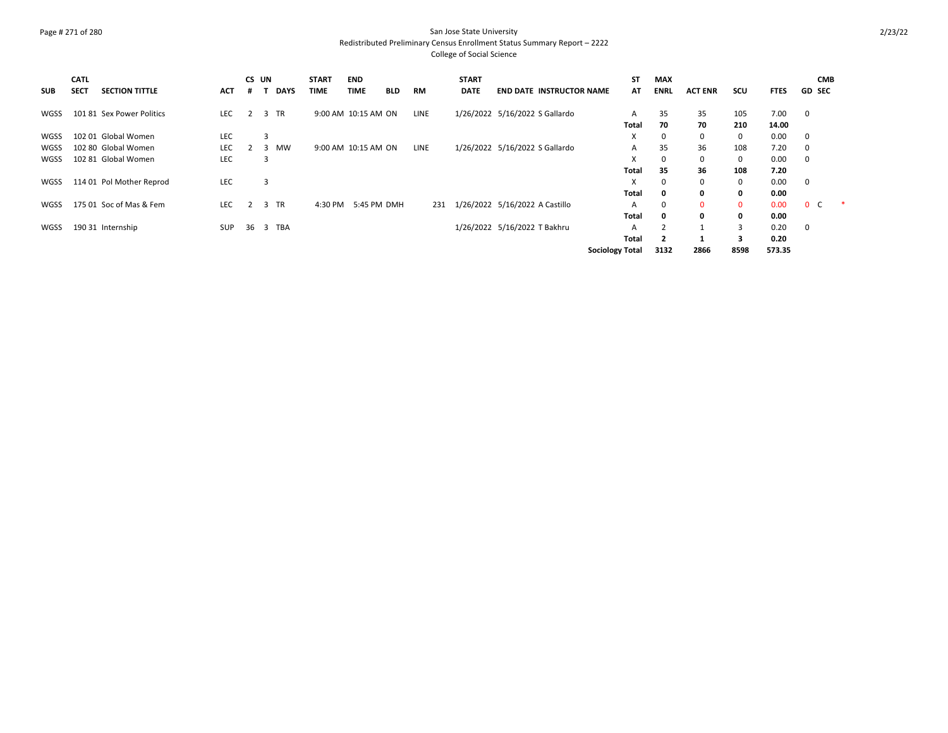### Page # 271 of 280 San Jose State University Redistributed Preliminary Census Enrollment Status Summary Report – 2222 College of Social Science

| <b>SUB</b>  | <b>CATL</b><br><b>SECT</b> | <b>SECTION TITTLE</b>     | <b>ACT</b> | CS UN<br>#     |          | <b>DAYS</b> | <b>START</b><br><b>TIME</b> | <b>END</b><br><b>TIME</b> | <b>BLD</b> | <b>RM</b> | <b>START</b><br><b>DATE</b> | <b>END DATE INSTRUCTOR NAME</b> | ST<br>AT               | <b>MAX</b><br><b>ENRL</b> | <b>ACT ENR</b> | scu          | <b>FTES</b> | <b>CMB</b><br><b>GD SEC</b> |  |
|-------------|----------------------------|---------------------------|------------|----------------|----------|-------------|-----------------------------|---------------------------|------------|-----------|-----------------------------|---------------------------------|------------------------|---------------------------|----------------|--------------|-------------|-----------------------------|--|
| <b>WGSS</b> |                            | 101 81 Sex Power Politics | <b>LEC</b> | $\overline{2}$ | 3 TR     |             |                             | 9:00 AM 10:15 AM ON       |            | LINE      |                             | 1/26/2022 5/16/2022 S Gallardo  | $\mathsf{A}$           | 35                        | 35             | 105          | 7.00        | 0                           |  |
|             |                            |                           |            |                |          |             |                             |                           |            |           |                             |                                 | Total                  | 70                        | 70             | 210          | 14.00       |                             |  |
| <b>WGSS</b> |                            | 102 01 Global Women       | <b>LEC</b> |                | 3        |             |                             |                           |            |           |                             |                                 | X                      | 0                         | 0              | 0            | 0.00        | 0                           |  |
| <b>WGSS</b> |                            | 102 80 Global Women       | <b>LEC</b> |                | 3        | <b>MW</b>   |                             | 9:00 AM 10:15 AM ON       |            | LINE      |                             | 1/26/2022 5/16/2022 S Gallardo  | A                      | 35                        | 36             | 108          | 7.20        | 0                           |  |
| <b>WGSS</b> |                            | 102 81 Global Women       | <b>LEC</b> |                | 3        |             |                             |                           |            |           |                             |                                 | X                      | 0                         | 0              | 0            | 0.00        | 0                           |  |
|             |                            |                           |            |                |          |             |                             |                           |            |           |                             |                                 | <b>Total</b>           | 35                        | 36             | 108          | 7.20        |                             |  |
| WGSS        |                            | 114 01 Pol Mother Reprod  | <b>LEC</b> |                | 3        |             |                             |                           |            |           |                             |                                 | X                      | 0                         | 0              | 0            | 0.00        | 0                           |  |
|             |                            |                           |            |                |          |             |                             |                           |            |           |                             |                                 | Total                  | 0                         | 0              | 0            | 0.00        |                             |  |
| <b>WGSS</b> |                            | 175 01 Soc of Mas & Fem   | LEC.       |                | 3        | TR          | 4:30 PM                     | 5:45 PM DMH               |            | 231       |                             | 1/26/2022 5/16/2022 A Castillo  | A                      | 0                         | $\Omega$       | $\mathbf{0}$ | 0.00        | 0 <sup>o</sup>              |  |
|             |                            |                           |            |                |          |             |                             |                           |            |           |                             |                                 | Total                  | 0                         | 0              | 0            | 0.00        |                             |  |
| <b>WGSS</b> |                            | 190 31 Internship         | <b>SUP</b> |                | 36 3 TBA |             |                             |                           |            |           |                             | 1/26/2022 5/16/2022 T Bakhru    | A                      |                           |                | 3            | 0.20        | - 0                         |  |
|             |                            |                           |            |                |          |             |                             |                           |            |           |                             |                                 | Total                  | $\overline{2}$            |                | 3            | 0.20        |                             |  |
|             |                            |                           |            |                |          |             |                             |                           |            |           |                             |                                 | <b>Sociology Total</b> | 3132                      | 2866           | 8598         | 573.35      |                             |  |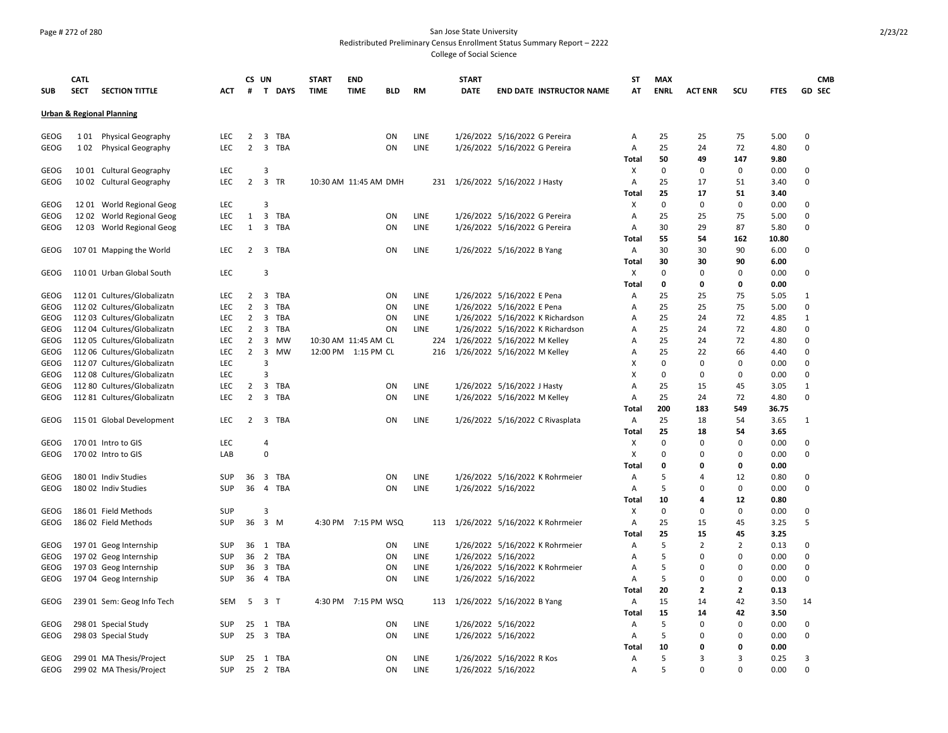### Page # 272 of 280 San Jose State University Redistributed Preliminary Census Enrollment Status Summary Report – 2222 College of Social Science

|             | <b>CATL</b> |                                      |            |                | CS UN                   |           | <b>START</b> | <b>END</b>            |     |             |     | <b>START</b> |                                  | ST           | <b>MAX</b>  |                      |                         |              |                         | <b>CMB</b> |
|-------------|-------------|--------------------------------------|------------|----------------|-------------------------|-----------|--------------|-----------------------|-----|-------------|-----|--------------|----------------------------------|--------------|-------------|----------------------|-------------------------|--------------|-------------------------|------------|
| <b>SUB</b>  | <b>SECT</b> | <b>SECTION TITTLE</b>                | ACT        | #              |                         | T DAYS    | <b>TIME</b>  | <b>TIME</b>           | BLD | RM          |     | <b>DATE</b>  | <b>END DATE INSTRUCTOR NAME</b>  | АТ           | <b>ENRL</b> | <b>ACT ENR</b>       | scu                     | FTES         | GD SEC                  |            |
|             |             | <b>Urban &amp; Regional Planning</b> |            |                |                         |           |              |                       |     |             |     |              |                                  |              |             |                      |                         |              |                         |            |
| GEOG        | 101         | <b>Physical Geography</b>            | LEC        | 2              |                         | 3 TBA     |              |                       | ON  | LINE        |     |              | 1/26/2022 5/16/2022 G Pereira    | Α            | 25          | 25                   | 75                      | 5.00         | 0                       |            |
| <b>GEOG</b> |             | 102 Physical Geography               | LEC        | $\overline{2}$ |                         | 3 TBA     |              |                       | ON  | LINE        |     |              | 1/26/2022 5/16/2022 G Pereira    | Α            | 25          | 24                   | 72                      | 4.80         | $\Omega$                |            |
|             |             |                                      |            |                |                         |           |              |                       |     |             |     |              |                                  |              |             |                      |                         |              |                         |            |
|             |             |                                      |            |                |                         |           |              |                       |     |             |     |              |                                  | <b>Total</b> | 50          | 49                   | 147                     | 9.80         |                         |            |
| <b>GEOG</b> |             | 1001 Cultural Geography              | LEC        |                | 3                       |           |              |                       |     |             |     |              |                                  | х            | $\mathbf 0$ | $\mathbf 0$          | 0                       | 0.00         | 0                       |            |
| GEOG        |             | 1002 Cultural Geography              | LEC.       | 2              |                         | 3 TR      |              | 10:30 AM 11:45 AM DMH |     |             | 231 |              | 1/26/2022 5/16/2022 J Hasty      | Α<br>Total   | 25<br>25    | 17<br>17             | 51<br>51                | 3.40<br>3.40 | $\mathbf 0$             |            |
| GEOG        |             | 12 01 World Regional Geog            | LEC        |                | 3                       |           |              |                       |     |             |     |              |                                  | Х            | $\Omega$    | $\Omega$             | 0                       | 0.00         | $\Omega$                |            |
| GEOG        |             | 12 02 World Regional Geog            | LEC        | 1              | 3                       | TBA       |              |                       | ΟN  | <b>LINE</b> |     |              | 1/26/2022 5/16/2022 G Pereira    | A            | 25          | 25                   | 75                      | 5.00         | $\Omega$                |            |
| GEOG        |             | 12 03 World Regional Geog            | LEC        | $\mathbf{1}$   |                         | 3 TBA     |              |                       | ON  | LINE        |     |              | 1/26/2022 5/16/2022 G Pereira    | А            | 30          | 29                   | 87                      | 5.80         | $\mathbf 0$             |            |
|             |             |                                      |            |                |                         |           |              |                       |     |             |     |              |                                  | <b>Total</b> | 55          | 54                   | 162                     | 10.80        |                         |            |
| GEOG        |             | 107 01 Mapping the World             | <b>LEC</b> | 2              |                         | 3 TBA     |              |                       | ON  | LINE        |     |              | 1/26/2022 5/16/2022 B Yang       | Α            | 30          | 30                   | 90                      | 6.00         | $\Omega$                |            |
|             |             |                                      |            |                |                         |           |              |                       |     |             |     |              |                                  |              | 30          | 30                   | 90                      | 6.00         |                         |            |
|             |             |                                      | <b>LEC</b> |                | $\overline{3}$          |           |              |                       |     |             |     |              |                                  | Total        |             |                      |                         |              |                         |            |
| GEOG        |             | 110 01 Urban Global South            |            |                |                         |           |              |                       |     |             |     |              |                                  | Х            | 0           | 0                    | $\Omega$                | 0.00         | $\Omega$                |            |
|             |             |                                      |            |                |                         |           |              |                       |     |             |     |              |                                  | Total        | 0           | $\mathbf 0$          | 0                       | 0.00         |                         |            |
| GEOG        |             | 112 01 Cultures/Globalizatn          | LEC.       | $\overline{2}$ | 3                       | TBA       |              |                       | ON  | LINE        |     |              | 1/26/2022 5/16/2022 E Pena       | Α            | 25          | 25                   | 75                      | 5.05         | 1                       |            |
| GEOG        |             | 112 02 Cultures/Globalizatn          | <b>LEC</b> | $\overline{2}$ | 3                       | TBA       |              |                       | ON  | <b>LINE</b> |     |              | 1/26/2022 5/16/2022 E Pena       | A            | 25          | 25                   | 75                      | 5.00         | $\Omega$                |            |
| GEOG        |             | 112 03 Cultures/Globalizatn          | <b>LEC</b> | 2              | 3                       | TBA       |              |                       | ON  | LINE        |     |              | 1/26/2022 5/16/2022 K Richardson | А            | 25          | 24                   | 72                      | 4.85         | 1                       |            |
| GEOG        |             | 112 04 Cultures/Globalizatn          | LEC        | $\overline{2}$ | 3                       | TBA       |              |                       | ON  | LINE        |     |              | 1/26/2022 5/16/2022 K Richardson | A            | 25          | 24                   | 72                      | 4.80         | 0                       |            |
| GEOG        |             | 112 05 Cultures/Globalizatn          | <b>LEC</b> | $\overline{2}$ | 3                       | <b>MW</b> |              | 10:30 AM 11:45 AM CL  |     |             |     |              | 224 1/26/2022 5/16/2022 M Kelley | A            | 25          | 24                   | 72                      | 4.80         | $\Omega$                |            |
| GEOG        |             | 112 06 Cultures/Globalizatn          | <b>LEC</b> | $\overline{2}$ | 3                       | <b>MW</b> |              | 12:00 PM 1:15 PM CL   |     |             | 216 |              | 1/26/2022 5/16/2022 M Kelley     | А            | 25          | 22                   | 66                      | 4.40         | $\Omega$                |            |
| GEOG        |             | 112 07 Cultures/Globalizatn          | LEC        |                | 3                       |           |              |                       |     |             |     |              |                                  | X            | $\mathbf 0$ | $\mathbf 0$          | $\mathbf 0$             | 0.00         | $\mathbf 0$             |            |
| GEOG        |             | 112 08 Cultures/Globalizatn          | LEC        |                | 3                       |           |              |                       |     |             |     |              |                                  | х            | $\mathbf 0$ | $\mathbf 0$          | $\mathbf 0$             | 0.00         | $\mathbf 0$             |            |
| GEOG        |             | 112 80 Cultures/Globalizatn          | <b>LEC</b> | $\overline{2}$ | 3                       | TBA       |              |                       | ON  | LINE        |     |              | 1/26/2022 5/16/2022 J Hasty      | Α            | 25          | 15                   | 45                      | 3.05         | $\mathbf{1}$            |            |
| GEOG        |             | 112 81 Cultures/Globalizatn          | <b>LEC</b> | $\overline{2}$ | 3                       | TBA       |              |                       | ON  | LINE        |     |              | 1/26/2022 5/16/2022 M Kelley     | Α            | 25          | 24                   | 72                      | 4.80         | $\Omega$                |            |
|             |             |                                      |            |                |                         |           |              |                       |     |             |     |              |                                  | Total        | 200         | 183                  | 549                     | 36.75        |                         |            |
| GEOG        |             | 115 01 Global Development            | LEC        | $\overline{2}$ |                         | 3 TBA     |              |                       | ON  | LINE        |     |              | 1/26/2022 5/16/2022 C Rivasplata | Α            | 25          | 18                   | 54                      | 3.65         | 1                       |            |
|             |             |                                      |            |                |                         |           |              |                       |     |             |     |              |                                  | Total        | 25          | 18                   | 54                      | 3.65         |                         |            |
| GEOG        |             | 170 01 Intro to GIS                  | <b>LEC</b> |                | 4                       |           |              |                       |     |             |     |              |                                  | X            | 0           | $\mathbf 0$          | $\mathbf 0$             | 0.00         | $\Omega$                |            |
| GEOG        |             | 170 02 Intro to GIS                  | LAB        |                | $\Omega$                |           |              |                       |     |             |     |              |                                  | X            | $\mathbf 0$ | $\Omega$             | $\mathbf 0$             | 0.00         | 0                       |            |
|             |             |                                      |            |                |                         |           |              |                       |     |             |     |              |                                  | <b>Total</b> | 0           | $\Omega$             | 0                       | 0.00         |                         |            |
| GEOG        |             | 180 01 Indiv Studies                 | <b>SUP</b> | 36             | $\overline{\mathbf{3}}$ | TBA       |              |                       | ON  | LINE        |     |              | 1/26/2022 5/16/2022 K Rohrmeier  | Α            | 5           | $\overline{4}$       | 12                      | 0.80         | $\Omega$                |            |
| GEOG        |             | 180 02 Indiv Studies                 | <b>SUP</b> | 36             | $\overline{4}$          | TBA       |              |                       | ON  | LINE        |     |              | 1/26/2022 5/16/2022              | Α            | 5           | $\Omega$             | 0                       | 0.00         | 0                       |            |
|             |             |                                      |            |                |                         |           |              |                       |     |             |     |              |                                  | Total        | 10          | 4                    | 12                      | 0.80         |                         |            |
| <b>GEOG</b> |             | 186 01 Field Methods                 | SUP        |                | 3                       |           |              |                       |     |             |     |              |                                  | х            | 0           | $\mathbf 0$          | 0                       | 0.00         | $\mathbf 0$             |            |
| GEOG        |             | 186 02 Field Methods                 | SUP        | 36             |                         | 3 M       |              | 4:30 PM 7:15 PM WSQ   |     |             | 113 |              | 1/26/2022 5/16/2022 K Rohrmeier  | A            | 25          | 15                   | 45                      | 3.25         | 5                       |            |
|             |             |                                      |            |                |                         |           |              |                       |     |             |     |              |                                  | Total        | 25          | 15                   | 45                      | 3.25         |                         |            |
| GEOG        |             | 197 01 Geog Internship               | SUP        | 36             | 1                       | TBA       |              |                       | ON  | LINE        |     |              | 1/26/2022 5/16/2022 K Rohrmeier  | Α            | 5           | $\overline{2}$       | $\overline{2}$          | 0.13         | $\mathbf 0$             |            |
| GEOG        |             | 197 02 Geog Internship               | <b>SUP</b> | 36             | $\overline{2}$          | TBA       |              |                       | ON  | LINE        |     |              | 1/26/2022 5/16/2022              | A            | 5           | $\Omega$             | $\mathbf 0$             | 0.00         | 0                       |            |
| GEOG        |             | 197 03 Geog Internship               | <b>SUP</b> | 36             | 3                       | TBA       |              |                       | ON  | LINE        |     |              | 1/26/2022 5/16/2022 K Rohrmeier  | Α            | 5           | $\Omega$             | $\mathbf 0$             | 0.00         | $\Omega$                |            |
| GEOG        |             | 197 04 Geog Internship               | <b>SUP</b> | 36             | $\overline{4}$          | TBA       |              |                       | ON  | LINE        |     |              | 1/26/2022 5/16/2022              | A            | 5           | 0                    | 0                       | 0.00         | $\Omega$                |            |
|             |             |                                      |            |                |                         |           |              |                       |     |             |     |              |                                  | <b>Total</b> | 20          | $\mathbf{2}$         | $\overline{\mathbf{2}}$ | 0.13         |                         |            |
| GEOG        |             | 239 01 Sem: Geog Info Tech           | SEM        | 5              | 3                       | $\top$    | 4:30 PM      | 7:15 PM WSQ           |     |             | 113 |              | 1/26/2022 5/16/2022 B Yang       | Α            | 15          | 14                   | 42                      | 3.50         | 14                      |            |
|             |             |                                      |            |                |                         |           |              |                       |     |             |     |              |                                  |              |             |                      |                         |              |                         |            |
|             |             |                                      |            |                |                         |           |              |                       |     |             |     |              |                                  | Total        | 15<br>5     | 14                   | 42                      | 3.50         |                         |            |
| GEOG        |             | 298 01 Special Study                 | <b>SUP</b> | 25             | 1                       | TBA       |              |                       | ΟN  | <b>LINE</b> |     |              | 1/26/2022 5/16/2022              | Α            |             | $\Omega$<br>$\Omega$ | 0                       | 0.00         | $\Omega$<br>$\mathbf 0$ |            |
| GEOG        |             | 298 03 Special Study                 | SUP        | 25             | 3                       | TBA       |              |                       | ON  | LINE        |     |              | 1/26/2022 5/16/2022              | Α            | 5           |                      | $\mathbf 0$             | 0.00         |                         |            |
|             |             |                                      |            |                |                         |           |              |                       |     |             |     |              |                                  | <b>Total</b> | 10          | $\Omega$             | 0                       | 0.00         |                         |            |
| GEOG        |             | 299 01 MA Thesis/Project             | <b>SUP</b> | 25             | 1                       | TBA       |              |                       | ON  | <b>LINE</b> |     |              | 1/26/2022 5/16/2022 R Kos        | A            | 5           | 3                    | 3                       | 0.25         | 3                       |            |
| GEOG        |             | 299 02 MA Thesis/Project             | SUP        |                |                         | 25 2 TBA  |              |                       | ON  | LINE        |     |              | 1/26/2022 5/16/2022              | A            | 5           | $\Omega$             | $\Omega$                | 0.00         | $\mathbf 0$             |            |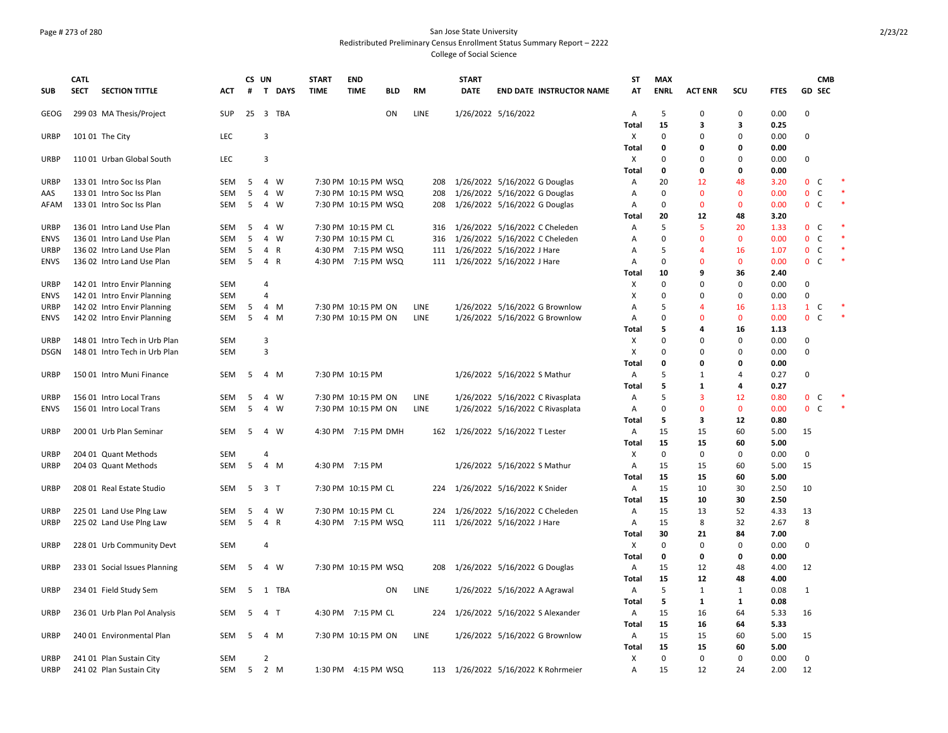### Page # 273 of 280 San Jose State University Redistributed Preliminary Census Enrollment Status Summary Report – 2222 College of Social Science

|             | <b>CATL</b> |                               |                   |                | CS UN          |            | <b>START</b> | <b>END</b>                                 |            |              |     | <b>START</b> |                                     | SΤ                | <b>MAX</b>  |                   |                   |              |                              | <b>CMB</b> |        |
|-------------|-------------|-------------------------------|-------------------|----------------|----------------|------------|--------------|--------------------------------------------|------------|--------------|-----|--------------|-------------------------------------|-------------------|-------------|-------------------|-------------------|--------------|------------------------------|------------|--------|
| <b>SUB</b>  | <b>SECT</b> | <b>SECTION TITTLE</b>         | <b>ACT</b>        | #              |                | T DAYS     | <b>TIME</b>  | <b>TIME</b>                                | <b>BLD</b> | RM           |     | <b>DATE</b>  | <b>END DATE INSTRUCTOR NAME</b>     | AT                | <b>ENRL</b> | <b>ACT ENR</b>    | SCU               | <b>FTES</b>  | <b>GD SEC</b>                |            |        |
| GEOG        |             | 299 03 MA Thesis/Project      | SUP               |                |                | 25 3 TBA   |              |                                            | ON         | LINE         |     |              | 1/26/2022 5/16/2022                 | Α                 | 5           | 0                 | 0                 | 0.00         | $\Omega$                     |            |        |
|             |             |                               |                   |                |                |            |              |                                            |            |              |     |              |                                     | Total             | 15          | 3                 | 3                 | 0.25         |                              |            |        |
| URBP        |             | 101 01 The City               | LEC               |                | 3              |            |              |                                            |            |              |     |              |                                     | X                 | $\mathbf 0$ | 0                 | 0                 | 0.00         | $\mathbf 0$                  |            |        |
|             |             |                               |                   |                |                |            |              |                                            |            |              |     |              |                                     | <b>Total</b>      | 0           | $\Omega$          | 0                 | 0.00         |                              |            |        |
| <b>URBP</b> |             | 110 01 Urban Global South     | LEC               |                | 3              |            |              |                                            |            |              |     |              |                                     | X                 | $\mathbf 0$ | $\Omega$          | $\Omega$          | 0.00         | $\Omega$                     |            |        |
|             |             |                               |                   |                |                |            |              |                                            |            |              |     |              |                                     | Total             | 0           | 0                 | 0                 | 0.00         |                              |            |        |
| <b>URBP</b> |             | 133 01 Intro Soc Iss Plan     | <b>SEM</b>        | 5              |                | 4 W        |              | 7:30 PM 10:15 PM WSQ                       |            |              | 208 |              | 1/26/2022 5/16/2022 G Douglas       | Α                 | 20          | 12                | 48                | 3.20         | $\mathbf 0$<br>C             |            |        |
| AAS         |             | 133 01 Intro Soc Iss Plan     | SEM               | 5              |                | 4 W        |              | 7:30 PM 10:15 PM WSQ                       |            |              | 208 |              | 1/26/2022 5/16/2022 G Douglas       | Α                 | $\mathbf 0$ | $\mathbf{0}$      | 0                 | 0.00         | $\mathbf 0$<br>C             |            |        |
| AFAM        |             | 133 01 Intro Soc Iss Plan     | SEM               | 5              |                | 4 W        |              | 7:30 PM 10:15 PM WSQ                       |            |              | 208 |              | 1/26/2022 5/16/2022 G Douglas       | Α                 | 0           | $\Omega$          | $\mathbf{0}$      | 0.00         | 0 <sup>o</sup>               |            |        |
|             |             |                               |                   |                |                |            |              |                                            |            |              |     |              |                                     | Total             | 20          | 12                | 48                | 3.20         |                              |            |        |
| <b>URBP</b> |             | 136 01 Intro Land Use Plan    | SEM               | 5              |                | 4 W        |              | 7:30 PM 10:15 PM CL                        |            |              | 316 |              | 1/26/2022 5/16/2022 C Cheleden      | Α                 | 5           | 5                 | 20                | 1.33         | $\mathbf{0}$<br>C            |            |        |
| <b>ENVS</b> |             | 136 01 Intro Land Use Plan    | <b>SEM</b>        | 5              |                | 4 W        |              | 7:30 PM 10:15 PM CL                        |            |              | 316 |              | 1/26/2022 5/16/2022 C Cheleden      | Α                 | 0           | $\Omega$          | $\mathbf{0}$      | 0.00         | $\mathsf{C}$<br>0            |            |        |
| <b>URBP</b> |             | 136 02 Intro Land Use Plan    | SEM               | 5              |                | 4 R        |              | 4:30 PM 7:15 PM WSQ                        |            |              |     |              | 111 1/26/2022 5/16/2022 J Hare      | Α                 | 5           | 4                 | 16                | 1.07         | $\mathsf{C}$<br>$\mathbf{0}$ |            |        |
| <b>ENVS</b> |             | 136 02 Intro Land Use Plan    | <b>SEM</b>        | 5              | 4 R            |            |              | 4:30 PM 7:15 PM WSQ                        |            |              |     |              | 111 1/26/2022 5/16/2022 J Hare      | Α                 | $\mathbf 0$ | $\Omega$          | $\mathbf{0}$      | 0.00         | 0 <sup>o</sup>               |            |        |
|             |             |                               |                   |                |                |            |              |                                            |            |              |     |              |                                     | <b>Total</b>      | 10          | q                 | 36                | 2.40         |                              |            |        |
| <b>URBP</b> |             | 142 01 Intro Envir Planning   | <b>SEM</b>        |                | 4              |            |              |                                            |            |              |     |              |                                     | X                 | $\mathbf 0$ | 0                 | $\Omega$          | 0.00         | 0                            |            |        |
| <b>ENVS</b> |             | 142 01 Intro Envir Planning   | <b>SEM</b>        |                | 4              |            |              |                                            |            |              |     |              |                                     | X                 | $\mathbf 0$ | O                 | 0                 | 0.00         | 0                            |            |        |
| <b>URBP</b> |             | 142 02 Intro Envir Planning   | SEM               | 5              |                | 4 M        |              | 7:30 PM 10:15 PM ON                        |            | LINE         |     |              | 1/26/2022 5/16/2022 G Brownlow      | Α                 | 5           | 4                 | 16                | 1.13         | 1<br>C                       |            |        |
| <b>ENVS</b> |             | 142 02 Intro Envir Planning   | SEM               | 5              |                | 4 M        |              | 7:30 PM 10:15 PM ON                        |            | LINE         |     |              | 1/26/2022 5/16/2022 G Brownlow      | Α                 | 0           | $\Omega$          | $\mathbf{0}$      | 0.00         | $\mathbf{0}$<br>$\mathsf{C}$ |            |        |
|             |             |                               |                   |                |                |            |              |                                            |            |              |     |              |                                     | Total             | 5           | Δ                 | 16                | 1.13         |                              |            |        |
| <b>URBP</b> |             | 148 01 Intro Tech in Urb Plan | <b>SEM</b>        |                | $\overline{3}$ |            |              |                                            |            |              |     |              |                                     | х                 | 0           | O                 | 0                 | 0.00         | $\Omega$                     |            |        |
| <b>DSGN</b> |             | 148 01 Intro Tech in Urb Plan | <b>SEM</b>        |                | 3              |            |              |                                            |            |              |     |              |                                     | x                 | 0           | O                 | $\Omega$          | 0.00         | 0                            |            |        |
|             |             |                               |                   |                |                |            |              |                                            |            |              |     |              |                                     | <b>Total</b>      | 0           | O                 | 0<br>4            | 0.00         |                              |            |        |
| <b>URBP</b> |             | 150 01 Intro Muni Finance     | SEM               | 5              |                | 4 M        |              | 7:30 PM 10:15 PM                           |            |              |     |              | 1/26/2022 5/16/2022 S Mathur        | А                 | 5<br>5      | 1                 | 4                 | 0.27         | 0                            |            |        |
|             |             |                               |                   |                |                |            |              |                                            |            |              |     |              |                                     | Total             | 5           | 1                 |                   | 0.27         | $\mathbf{0}$                 |            |        |
| <b>URBP</b> |             | 156 01 Intro Local Trans      | SEM<br><b>SEM</b> | 5<br>5         |                | 4 W<br>4 W |              | 7:30 PM 10:15 PM ON<br>7:30 PM 10:15 PM ON |            | LINE<br>LINE |     |              | 1/26/2022 5/16/2022 C Rivasplata    | Α                 | 0           | 3<br>$\mathbf{0}$ | 12<br>$\mathbf 0$ | 0.80<br>0.00 | C<br>$\mathbf{0}$<br>C       |            | $\ast$ |
| <b>ENVS</b> |             | 156 01 Intro Local Trans      |                   |                |                |            |              |                                            |            |              |     |              | 1/26/2022 5/16/2022 C Rivasplata    | Α<br><b>Total</b> | 5           | 3                 | 12                | 0.80         |                              |            |        |
| <b>URBP</b> |             | 200 01 Urb Plan Seminar       | SEM               | -5             |                | 4 W        |              | 4:30 PM 7:15 PM DMH                        |            |              | 162 |              | 1/26/2022 5/16/2022 T Lester        | Α                 | 15          | 15                | 60                | 5.00         | 15                           |            |        |
|             |             |                               |                   |                |                |            |              |                                            |            |              |     |              |                                     | Total             | 15          | 15                | 60                | 5.00         |                              |            |        |
| URBP        |             | 204 01 Quant Methods          | SEM               |                | 4              |            |              |                                            |            |              |     |              |                                     | X                 | $\mathbf 0$ | 0                 | 0                 | 0.00         | 0                            |            |        |
| URBP        |             | 204 03 Quant Methods          | SEM               | 5              |                | 4 M        |              | 4:30 PM 7:15 PM                            |            |              |     |              | 1/26/2022 5/16/2022 S Mathur        | А                 | 15          | 15                | 60                | 5.00         | 15                           |            |        |
|             |             |                               |                   |                |                |            |              |                                            |            |              |     |              |                                     | <b>Total</b>      | 15          | 15                | 60                | 5.00         |                              |            |        |
| <b>URBP</b> |             | 208 01 Real Estate Studio     | SEM               | 5              | 3 <sub>1</sub> |            |              | 7:30 PM 10:15 PM CL                        |            |              | 224 |              | 1/26/2022 5/16/2022 K Snider        | Α                 | 15          | 10                | 30                | 2.50         | 10                           |            |        |
|             |             |                               |                   |                |                |            |              |                                            |            |              |     |              |                                     | <b>Total</b>      | 15          | 10                | 30                | 2.50         |                              |            |        |
| <b>URBP</b> |             | 225 01 Land Use Plng Law      | SEM               | -5             |                | 4 W        |              | 7:30 PM 10:15 PM CL                        |            |              | 224 |              | 1/26/2022 5/16/2022 C Cheleden      | Α                 | 15          | 13                | 52                | 4.33         | 13                           |            |        |
| URBP        |             | 225 02 Land Use Plng Law      | SEM               | - 5            | 4 R            |            |              | 4:30 PM 7:15 PM WSQ                        |            |              | 111 |              | 1/26/2022 5/16/2022 J Hare          | А                 | 15          | 8                 | 32                | 2.67         | 8                            |            |        |
|             |             |                               |                   |                |                |            |              |                                            |            |              |     |              |                                     | Total             | 30          | 21                | 84                | 7.00         |                              |            |        |
| URBP        |             | 228 01 Urb Community Devt     | SEM               |                | 4              |            |              |                                            |            |              |     |              |                                     | X                 | $\mathbf 0$ | $\Omega$          | 0                 | 0.00         | 0                            |            |        |
|             |             |                               |                   |                |                |            |              |                                            |            |              |     |              |                                     | <b>Total</b>      | $\mathbf 0$ | $\Omega$          | 0                 | 0.00         |                              |            |        |
| <b>URBP</b> |             | 233 01 Social Issues Planning | SEM               | - 5            |                | 4 W        |              | 7:30 PM 10:15 PM WSQ                       |            |              | 208 |              | 1/26/2022 5/16/2022 G Douglas       | А                 | 15          | 12                | 48                | 4.00         | 12                           |            |        |
|             |             |                               |                   |                |                |            |              |                                            |            |              |     |              |                                     | Total             | 15          | 12                | 48                | 4.00         |                              |            |        |
| <b>URBP</b> |             | 234 01 Field Study Sem        | <b>SEM</b>        | 5              |                | 1 TBA      |              |                                            | ON         | LINE         |     |              | 1/26/2022 5/16/2022 A Agrawal       | Α                 | 5           | 1                 | 1                 | 0.08         | 1                            |            |        |
|             |             |                               |                   |                |                |            |              |                                            |            |              |     |              |                                     | Total             | 5           | 1                 | 1                 | 0.08         |                              |            |        |
| <b>URBP</b> |             | 236 01 Urb Plan Pol Analysis  | SEM               | - 5            | 4 T            |            |              | 4:30 PM 7:15 PM CL                         |            |              | 224 |              | 1/26/2022 5/16/2022 S Alexander     | А                 | 15          | 16                | 64                | 5.33         | 16                           |            |        |
|             |             |                               |                   |                |                |            |              |                                            |            |              |     |              |                                     | <b>Total</b>      | 15          | 16                | 64                | 5.33         |                              |            |        |
| <b>URBP</b> |             | 240 01 Environmental Plan     | <b>SEM</b>        | 5              |                | 4 M        |              | 7:30 PM 10:15 PM ON                        |            | LINE         |     |              | 1/26/2022 5/16/2022 G Brownlow      | А                 | 15          | 15                | 60                | 5.00         | 15                           |            |        |
|             |             |                               |                   |                |                |            |              |                                            |            |              |     |              |                                     | <b>Total</b>      | 15          | 15                | 60                | 5.00         |                              |            |        |
| <b>URBP</b> |             | 241 01 Plan Sustain City      | <b>SEM</b>        |                | $\overline{2}$ |            |              |                                            |            |              |     |              |                                     | X                 | $\mathbf 0$ | $\Omega$          | $\Omega$          | 0.00         | 0                            |            |        |
| URBP        |             | 241 02 Plan Sustain City      | SEM               | 5 <sup>5</sup> |                | 2 M        |              | 1:30 PM 4:15 PM WSQ                        |            |              |     |              | 113 1/26/2022 5/16/2022 K Rohrmeier | A                 | 15          | 12                | 24                | 2.00         | 12                           |            |        |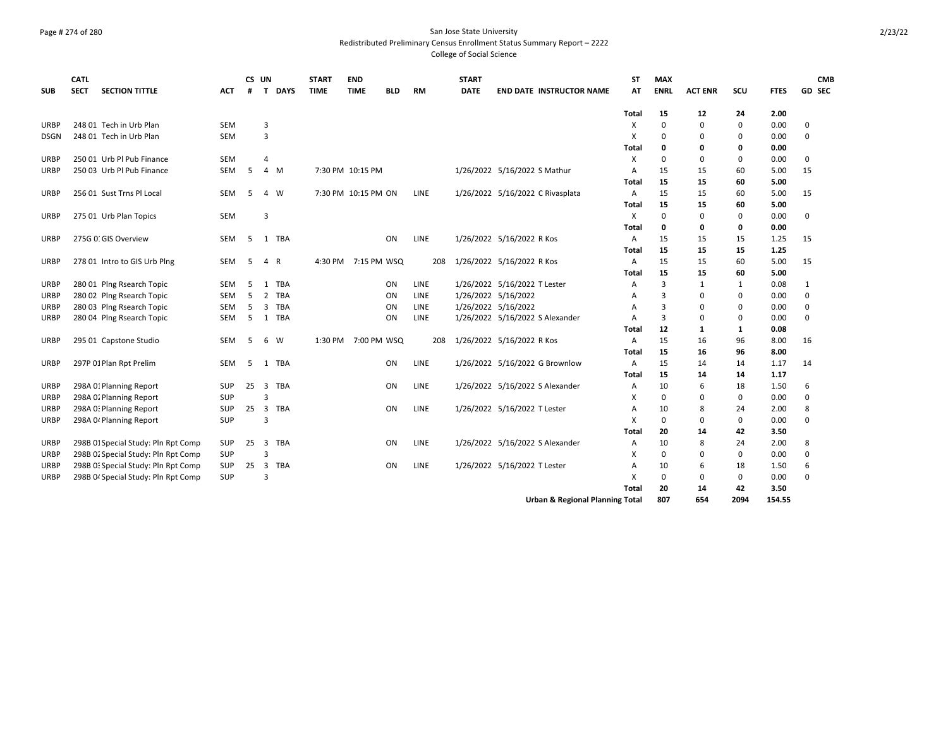### Page # 274 of 280 San Jose State University Redistributed Preliminary Census Enrollment Status Summary Report – 2222 College of Social Science

| <b>SUB</b>  | <b>CATL</b><br><b>SECT</b> | <b>SECTION TITTLE</b>               | <b>ACT</b> | #  | CS UN<br>$\mathbf{T}$   | <b>DAYS</b> | <b>START</b><br><b>TIME</b> | <b>END</b><br><b>TIME</b> | <b>BLD</b> | RM   | <b>START</b><br><b>DATE</b>  |                              | <b>END DATE INSTRUCTOR NAME</b>            | <b>ST</b><br>AT | <b>MAX</b><br><b>ENRL</b> | <b>ACT ENR</b> | SCU         | <b>FTES</b> | <b>GD SEC</b> | <b>CMB</b> |
|-------------|----------------------------|-------------------------------------|------------|----|-------------------------|-------------|-----------------------------|---------------------------|------------|------|------------------------------|------------------------------|--------------------------------------------|-----------------|---------------------------|----------------|-------------|-------------|---------------|------------|
|             |                            |                                     |            |    |                         |             |                             |                           |            |      |                              |                              |                                            | Total           | 15                        | 12             | 24          | 2.00        |               |            |
| URBP        |                            | 248 01 Tech in Urb Plan             | <b>SEM</b> |    | 3                       |             |                             |                           |            |      |                              |                              |                                            | х               | $\Omega$                  | $\mathbf{0}$   | $\mathbf 0$ | 0.00        | $\pmb{0}$     |            |
| <b>DSGN</b> |                            | 248 01 Tech in Urb Plan             | <b>SEM</b> |    | 3                       |             |                             |                           |            |      |                              |                              |                                            | X               | $\Omega$                  | $\Omega$       | 0           | 0.00        | $\mathbf 0$   |            |
|             |                            |                                     |            |    |                         |             |                             |                           |            |      |                              |                              |                                            | Total           | 0                         | 0              | 0           | 0.00        |               |            |
| URBP        |                            | 250 01 Urb Pl Pub Finance           | <b>SEM</b> |    | 4                       |             |                             |                           |            |      |                              |                              |                                            | X               | $\Omega$                  | $\Omega$       | 0           | 0.00        | $\mathbf 0$   |            |
| URBP        |                            | 250 03 Urb Pl Pub Finance           | <b>SEM</b> | 5  |                         | 4 M         |                             | 7:30 PM 10:15 PM          |            |      | 1/26/2022 5/16/2022 S Mathur |                              |                                            | A               | 15                        | 15             | 60          | 5.00        | 15            |            |
|             |                            |                                     |            |    |                         |             |                             |                           |            |      |                              |                              |                                            | Total           | 15                        | 15             | 60          | 5.00        |               |            |
| URBP        |                            | 256 01 Sust Trns Pl Local           | <b>SEM</b> | 5  |                         | 4 W         |                             | 7:30 PM 10:15 PM ON       |            | LINE |                              |                              | 1/26/2022 5/16/2022 C Rivasplata           | А               | 15                        | 15             | 60          | 5.00        | 15            |            |
|             |                            |                                     |            |    |                         |             |                             |                           |            |      |                              |                              |                                            | Total           | 15                        | 15             | 60          | 5.00        |               |            |
| URBP        |                            | 275 01 Urb Plan Topics              | <b>SEM</b> |    | $\overline{3}$          |             |                             |                           |            |      |                              |                              |                                            | X               | $\Omega$                  | $\mathbf 0$    | $\mathbf 0$ | 0.00        | $\mathbf 0$   |            |
|             |                            |                                     |            |    |                         |             |                             |                           |            |      |                              |                              |                                            | Total           | 0                         | $\mathbf 0$    | 0           | 0.00        |               |            |
| URBP        |                            | 275G 0: GIS Overview                | <b>SEM</b> | 5  |                         | 1 TBA       |                             |                           | ON         | LINE | 1/26/2022 5/16/2022 R Kos    |                              |                                            | А               | 15                        | 15             | 15          | 1.25        | 15            |            |
|             |                            |                                     |            |    |                         |             |                             |                           |            |      |                              |                              |                                            | <b>Total</b>    | 15                        | 15             | 15          | 1.25        |               |            |
| URBP        |                            | 278 01 Intro to GIS Urb Plng        | <b>SEM</b> | -5 | 4                       | R           | 4:30 PM                     | 7:15 PM WSQ               |            | 208  | 1/26/2022 5/16/2022 R Kos    |                              |                                            | A               | 15                        | 15             | 60          | 5.00        | 15            |            |
|             |                            |                                     |            |    |                         |             |                             |                           |            |      |                              |                              |                                            | <b>Total</b>    | 15                        | 15             | 60          | 5.00        |               |            |
| URBP        |                            | 280 01 Plng Rsearch Topic           | <b>SEM</b> | 5  | 1                       | <b>TBA</b>  |                             |                           | ON         | LINE | 1/26/2022 5/16/2022 T Lester |                              |                                            | A               | 3                         | $\mathbf{1}$   | 1           | 0.08        | 1             |            |
| URBP        |                            | 280 02 Plng Rsearch Topic           | <b>SEM</b> | 5  | $\overline{2}$          | TBA         |                             |                           | ON         | LINE | 1/26/2022 5/16/2022          |                              |                                            | Α               | 3                         | $\mathbf 0$    | 0           | 0.00        | 0             |            |
| URBP        |                            | 280 03 Plng Rsearch Topic           | <b>SEM</b> | 5  |                         | 3 TBA       |                             |                           | ON         | LINE | 1/26/2022 5/16/2022          |                              |                                            | A               | 3                         | $\mathbf 0$    | 0           | 0.00        | 0             |            |
| <b>URBP</b> |                            | 280 04 Plng Rsearch Topic           | <b>SEM</b> | 5  | 1                       | TBA         |                             |                           | ON         | LINE |                              |                              | 1/26/2022 5/16/2022 S Alexander            | Α               | 3                         | $\mathbf 0$    | 0           | 0.00        | 0             |            |
|             |                            |                                     |            |    |                         |             |                             |                           |            |      |                              |                              |                                            | Total           | 12                        | 1              | 1           | 0.08        |               |            |
| <b>URBP</b> |                            | 295 01 Capstone Studio              | <b>SEM</b> | 5  | 6                       | W           | 1:30 PM                     | 7:00 PM WSQ               |            | 208  | 1/26/2022 5/16/2022 R Kos    |                              |                                            | A               | 15                        | 16             | 96          | 8.00        | 16            |            |
|             |                            |                                     |            |    |                         |             |                             |                           |            |      |                              |                              |                                            | Total           | 15                        | 16             | 96          | 8.00        |               |            |
| <b>URBP</b> |                            | 297P 01 Plan Rpt Prelim             | <b>SEM</b> | 5  |                         | 1 TBA       |                             |                           | <b>ON</b>  | LINE |                              |                              | 1/26/2022 5/16/2022 G Brownlow             | A               | 15                        | 14             | 14          | 1.17        | 14            |            |
|             |                            |                                     |            |    |                         |             |                             |                           |            |      |                              |                              |                                            | Total           | 15                        | 14             | 14          | 1.17        |               |            |
| URBP        |                            | 298A 01 Planning Report             | <b>SUP</b> | 25 | $\overline{3}$          | TBA         |                             |                           | ON         | LINE |                              |                              | 1/26/2022 5/16/2022 S Alexander            | A               | 10                        | 6              | 18          | 1.50        | 6             |            |
| URBP        |                            | 298A O. Planning Report             | <b>SUP</b> |    | 3                       |             |                             |                           |            |      |                              |                              |                                            | X               | 0                         | $\mathbf 0$    | 0           | 0.00        | 0             |            |
| URBP        |                            | 298A 0: Planning Report             | <b>SUP</b> | 25 | $\overline{3}$          | <b>TBA</b>  |                             |                           | ON         | LINE | 1/26/2022 5/16/2022 T Lester |                              |                                            | A               | 10                        | 8              | 24          | 2.00        | 8             |            |
| <b>URBP</b> |                            | 298A 04 Planning Report             | SUP        |    | 3                       |             |                             |                           |            |      |                              |                              |                                            | X               | 0                         | $\mathbf 0$    | 0           | 0.00        | 0             |            |
|             |                            |                                     |            |    |                         |             |                             |                           |            |      |                              |                              |                                            | Total           | 20                        | 14             | 42          | 3.50        |               |            |
| URBP        |                            | 298B 01 Special Study: Pln Rpt Comp | <b>SUP</b> | 25 | $\overline{\mathbf{3}}$ | TBA         |                             |                           | ON         | LINE |                              |                              | 1/26/2022 5/16/2022 S Alexander            | A               | 10                        | 8              | 24          | 2.00        | 8             |            |
| URBP        |                            | 298B 02 Special Study: Pln Rpt Comp | SUP        |    | 3                       |             |                             |                           |            |      |                              |                              |                                            | X               | $\Omega$                  | $\mathbf{0}$   | $\mathbf 0$ | 0.00        | $\mathbf 0$   |            |
| URBP        |                            | 298B 0: Special Study: Pln Rpt Comp | SUP        | 25 | $\overline{\mathbf{3}}$ | <b>TBA</b>  |                             |                           | ON         | LINE |                              | 1/26/2022 5/16/2022 T Lester |                                            | A               | 10                        | 6              | 18          | 1.50        | 6             |            |
| <b>URBP</b> |                            | 298B 04 Special Study: Pln Rpt Comp | <b>SUP</b> |    | 3                       |             |                             |                           |            |      |                              |                              |                                            | X               | 0                         | $\mathbf 0$    | 0           | 0.00        | $\mathbf 0$   |            |
|             |                            |                                     |            |    |                         |             |                             |                           |            |      |                              |                              |                                            | <b>Total</b>    | 20                        | 14             | 42          | 3.50        |               |            |
|             |                            |                                     |            |    |                         |             |                             |                           |            |      |                              |                              | <b>Urban &amp; Regional Planning Total</b> |                 | 807                       | 654            | 2094        | 154.55      |               |            |